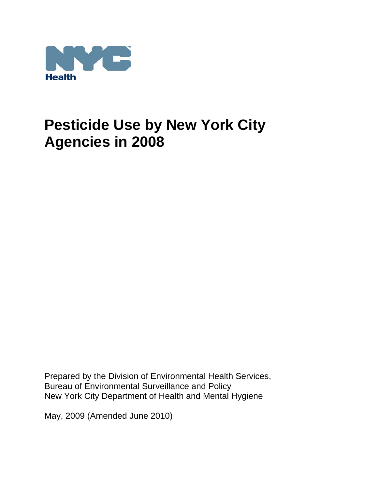

Prepared by the Division of Environmental Health Services, Bureau of Environmental Surveillance and Policy New York City Department of Health and Mental Hygiene

May, 2009 (Amended June 2010)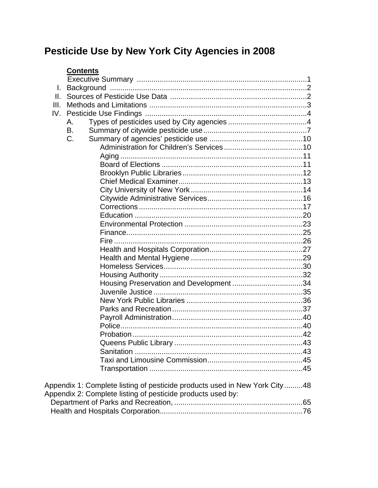# **Contents**

| L.   |                                                                            |  |
|------|----------------------------------------------------------------------------|--|
|      |                                                                            |  |
| III. |                                                                            |  |
| IV.  |                                                                            |  |
|      | А.                                                                         |  |
|      | В.                                                                         |  |
|      | C.                                                                         |  |
|      |                                                                            |  |
|      |                                                                            |  |
|      |                                                                            |  |
|      |                                                                            |  |
|      |                                                                            |  |
|      |                                                                            |  |
|      |                                                                            |  |
|      |                                                                            |  |
|      |                                                                            |  |
|      |                                                                            |  |
|      |                                                                            |  |
|      |                                                                            |  |
|      |                                                                            |  |
|      |                                                                            |  |
|      |                                                                            |  |
|      |                                                                            |  |
|      |                                                                            |  |
|      |                                                                            |  |
|      |                                                                            |  |
|      |                                                                            |  |
|      |                                                                            |  |
|      |                                                                            |  |
|      |                                                                            |  |
|      |                                                                            |  |
|      |                                                                            |  |
|      |                                                                            |  |
|      |                                                                            |  |
|      |                                                                            |  |
|      | Appendix 1: Complete listing of pesticide products used in New York City48 |  |
|      | Appendix 2: Complete listing of pesticide products used by:                |  |
|      |                                                                            |  |
|      |                                                                            |  |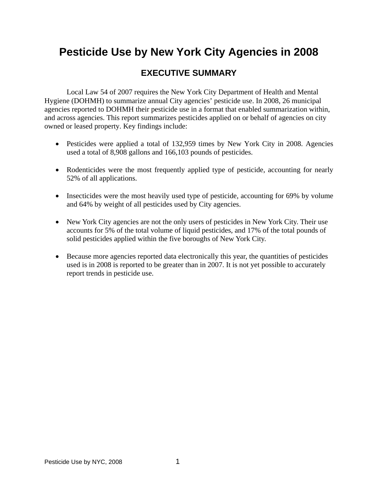# **EXECUTIVE SUMMARY**

Local Law 54 of 2007 requires the New York City Department of Health and Mental Hygiene (DOHMH) to summarize annual City agencies' pesticide use. In 2008, 26 municipal agencies reported to DOHMH their pesticide use in a format that enabled summarization within, and across agencies. This report summarizes pesticides applied on or behalf of agencies on city owned or leased property. Key findings include:

- Pesticides were applied a total of 132,959 times by New York City in 2008. Agencies used a total of 8,908 gallons and 166,103 pounds of pesticides.
- Rodenticides were the most frequently applied type of pesticide, accounting for nearly 52% of all applications.
- Insecticides were the most heavily used type of pesticide, accounting for 69% by volume and 64% by weight of all pesticides used by City agencies.
- New York City agencies are not the only users of pesticides in New York City. Their use accounts for 5% of the total volume of liquid pesticides, and 17% of the total pounds of solid pesticides applied within the five boroughs of New York City.
- Because more agencies reported data electronically this year, the quantities of pesticides used is in 2008 is reported to be greater than in 2007. It is not yet possible to accurately report trends in pesticide use.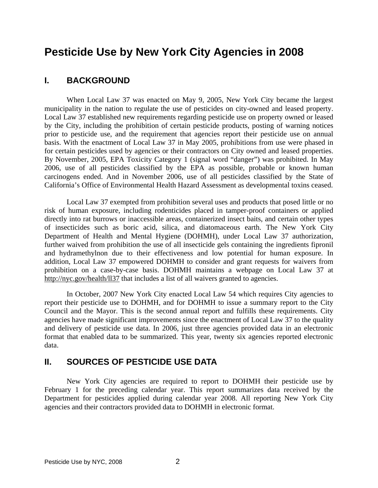# **I. BACKGROUND**

 When Local Law 37 was enacted on May 9, 2005, New York City became the largest municipality in the nation to regulate the use of pesticides on city-owned and leased property. Local Law 37 established new requirements regarding pesticide use on property owned or leased by the City, including the prohibition of certain pesticide products, posting of warning notices prior to pesticide use, and the requirement that agencies report their pesticide use on annual basis. With the enactment of Local Law 37 in May 2005, prohibitions from use were phased in for certain pesticides used by agencies or their contractors on City owned and leased properties. By November, 2005, EPA Toxicity Category 1 (signal word "danger") was prohibited. In May 2006, use of all pesticides classified by the EPA as possible, probable or known human carcinogens ended. And in November 2006, use of all pesticides classified by the State of California's Office of Environmental Health Hazard Assessment as developmental toxins ceased.

 Local Law 37 exempted from prohibition several uses and products that posed little or no risk of human exposure, including rodenticides placed in tamper-proof containers or applied directly into rat burrows or inaccessible areas, containerized insect baits, and certain other types of insecticides such as boric acid, silica, and diatomaceous earth. The New York City Department of Health and Mental Hygiene (DOHMH), under Local Law 37 authorization, further waived from prohibition the use of all insecticide gels containing the ingredients fipronil and hydramethylnon due to their effectiveness and low potential for human exposure. In addition, Local Law 37 empowered DOHMH to consider and grant requests for waivers from prohibition on a case-by-case basis. DOHMH maintains a webpage on Local Law 37 at http://nyc.gov/health/ll37 that includes a list of all waivers granted to agencies.

 In October, 2007 New York City enacted Local Law 54 which requires City agencies to report their pesticide use to DOHMH, and for DOHMH to issue a summary report to the City Council and the Mayor. This is the second annual report and fulfills these requirements. City agencies have made significant improvements since the enactment of Local Law 37 to the quality and delivery of pesticide use data. In 2006, just three agencies provided data in an electronic format that enabled data to be summarized. This year, twenty six agencies reported electronic data.

# **II. SOURCES OF PESTICIDE USE DATA**

 New York City agencies are required to report to DOHMH their pesticide use by February 1 for the preceding calendar year. This report summarizes data received by the Department for pesticides applied during calendar year 2008. All reporting New York City agencies and their contractors provided data to DOHMH in electronic format.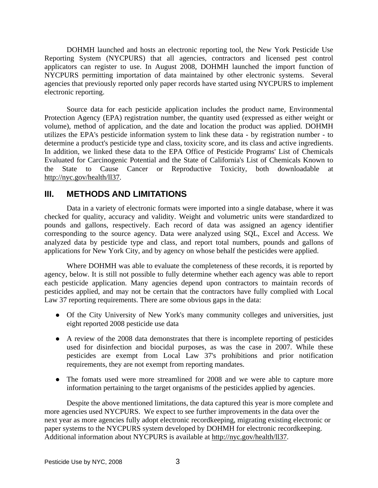DOHMH launched and hosts an electronic reporting tool, the New York Pesticide Use Reporting System (NYCPURS) that all agencies, contractors and licensed pest control applicators can register to use. In August 2008, DOHMH launched the import function of NYCPURS permitting importation of data maintained by other electronic systems. Several agencies that previously reported only paper records have started using NYCPURS to implement electronic reporting.

 Source data for each pesticide application includes the product name, Environmental Protection Agency (EPA) registration number, the quantity used (expressed as either weight or volume), method of application, and the date and location the product was applied. DOHMH utilizes the EPA's pesticide information system to link these data - by registration number - to determine a product's pesticide type and class, toxicity score, and its class and active ingredients. In addition, we linked these data to the EPA Office of Pesticide Programs' List of Chemicals Evaluated for Carcinogenic Potential and the State of California's List of Chemicals Known to the State to Cause Cancer or Reproductive Toxicity, both downloadable at http://nyc.gov/health/ll37.

# **III. METHODS AND LIMITATIONS**

 Data in a variety of electronic formats were imported into a single database, where it was checked for quality, accuracy and validity. Weight and volumetric units were standardized to pounds and gallons, respectively. Each record of data was assigned an agency identifier corresponding to the source agency. Data were analyzed using SQL, Excel and Access. We analyzed data by pesticide type and class, and report total numbers, pounds and gallons of applications for New York City, and by agency on whose behalf the pesticides were applied.

 Where DOHMH was able to evaluate the completeness of these records, it is reported by agency, below. It is still not possible to fully determine whether each agency was able to report each pesticide application. Many agencies depend upon contractors to maintain records of pesticides applied, and may not be certain that the contractors have fully complied with Local Law 37 reporting requirements. There are some obvious gaps in the data:

- Of the City University of New York's many community colleges and universities, just eight reported 2008 pesticide use data
- A review of the 2008 data demonstrates that there is incomplete reporting of pesticides used for disinfection and biocidal purposes, as was the case in 2007. While these pesticides are exempt from Local Law 37's prohibitions and prior notification requirements, they are not exempt from reporting mandates.
- The fomats used were more streamlined for 2008 and we were able to capture more information pertaining to the target organisms of the pesticides applied by agencies.

 Despite the above mentioned limitations, the data captured this year is more complete and more agencies used NYCPURS. We expect to see further improvements in the data over the next year as more agencies fully adopt electronic recordkeeping, migrating existing electronic or paper systems to the NYCPURS system developed by DOHMH for electronic recordkeeping. Additional information about NYCPURS is available at http://nyc.gov/health/ll37.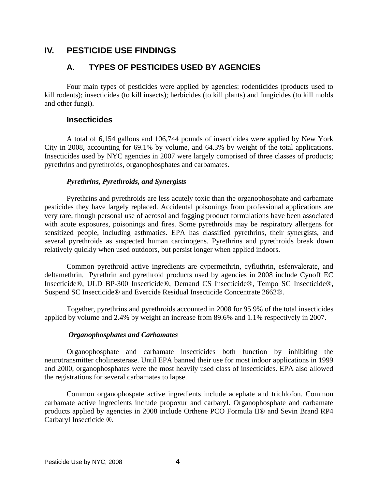# **IV. PESTICIDE USE FINDINGS**

# **A. TYPES OF PESTICIDES USED BY AGENCIES**

 Four main types of pesticides were applied by agencies: rodenticides (products used to kill rodents); insecticides (to kill insects); herbicides (to kill plants) and fungicides (to kill molds and other fungi).

# **Insecticides**

 A total of 6,154 gallons and 106,744 pounds of insecticides were applied by New York City in 2008, accounting for 69.1% by volume, and 64.3% by weight of the total applications. Insecticides used by NYC agencies in 2007 were largely comprised of three classes of products; pyrethrins and pyrethroids, organophosphates and carbamates.

# *Pyrethrins, Pyrethroids, and Synergists*

 Pyrethrins and pyrethroids are less acutely toxic than the organophosphate and carbamate pesticides they have largely replaced. Accidental poisonings from professional applications are very rare, though personal use of aerosol and fogging product formulations have been associated with acute exposures, poisonings and fires. Some pyrethroids may be respiratory allergens for sensitized people, including asthmatics. EPA has classified pyrethrins, their synergists, and several pyrethroids as suspected human carcinogens. Pyrethrins and pyrethroids break down relatively quickly when used outdoors, but persist longer when applied indoors.

 Common pyrethroid active ingredients are cypermethrin, cyfluthrin, esfenvalerate, and deltamethrin. Pyrethrin and pyrethroid products used by agencies in 2008 include Cynoff EC Insecticide®, ULD BP-300 Insecticide®, Demand CS Insecticide®, Tempo SC Insecticide®, Suspend SC Insecticide® and Evercide Residual Insecticide Concentrate 2662®.

 Together, pyrethrins and pyrethroids accounted in 2008 for 95.9% of the total insecticides applied by volume and 2.4% by weight an increase from 89.6% and 1.1% respectively in 2007.

## *Organophosphates and Carbamates*

 Organophosphate and carbamate insecticides both function by inhibiting the neurotransmitter cholinesterase. Until EPA banned their use for most indoor applications in 1999 and 2000, organophosphates were the most heavily used class of insecticides. EPA also allowed the registrations for several carbamates to lapse.

 Common organophospate active ingredients include acephate and trichlofon. Common carbamate active ingredients include propoxur and carbaryl. Organophosphate and carbamate products applied by agencies in 2008 include Orthene PCO Formula II® and Sevin Brand RP4 Carbaryl Insecticide ®.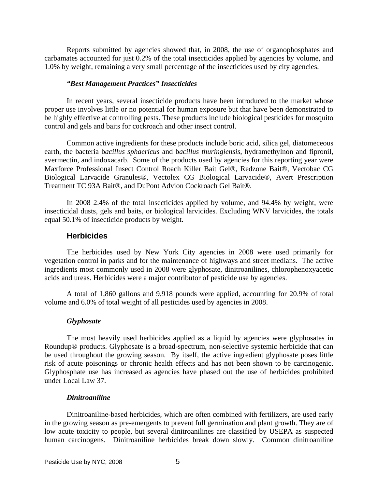Reports submitted by agencies showed that, in 2008, the use of organophosphates and carbamates accounted for just 0.2% of the total insecticides applied by agencies by volume, and 1.0% by weight, remaining a very small percentage of the insecticides used by city agencies.

#### *"Best Management Practices" Insecticides*

 In recent years, several insecticide products have been introduced to the market whose proper use involves little or no potential for human exposure but that have been demonstrated to be highly effective at controlling pests. These products include biological pesticides for mosquito control and gels and baits for cockroach and other insect control.

 Common active ingredients for these products include boric acid, silica gel, diatomeceous earth, the bacteria b*acillus sphaericus* and b*acillus thuringiensis*, hydramethylnon and fipronil, avermectin, and indoxacarb. Some of the products used by agencies for this reporting year were Maxforce Professional Insect Control Roach Killer Bait Gel®, Redzone Bait®, Vectobac CG Biological Larvacide Granules®, Vectolex CG Biological Larvacide®, Avert Prescription Treatment TC 93A Bait®, and DuPont Advion Cockroach Gel Bait®.

 In 2008 2.4% of the total insecticides applied by volume, and 94.4% by weight, were insecticidal dusts, gels and baits, or biological larvicides. Excluding WNV larvicides, the totals equal 50.1% of insecticide products by weight.

#### **Herbicides**

 The herbicides used by New York City agencies in 2008 were used primarily for vegetation control in parks and for the maintenance of highways and street medians. The active ingredients most commonly used in 2008 were glyphosate, dinitroanilines, chlorophenoxyacetic acids and ureas. Herbicides were a major contributor of pesticide use by agencies.

 A total of 1,860 gallons and 9,918 pounds were applied, accounting for 20.9% of total volume and 6.0% of total weight of all pesticides used by agencies in 2008.

#### *Glyphosate*

 The most heavily used herbicides applied as a liquid by agencies were glyphosates in Roundup® products. Glyphosate is a broad-spectrum, non-selective systemic herbicide that can be used throughout the growing season. By itself, the active ingredient glyphosate poses little risk of acute poisonings or chronic health effects and has not been shown to be carcinogenic. Glyphosphate use has increased as agencies have phased out the use of herbicides prohibited under Local Law 37.

#### *Dinitroaniline*

 Dinitroaniline-based herbicides, which are often combined with fertilizers, are used early in the growing season as pre-emergents to prevent full germination and plant growth. They are of low acute toxicity to people, but several dinitroanilines are classified by USEPA as suspected human carcinogens. Dinitroaniline herbicides break down slowly. Common dinitroaniline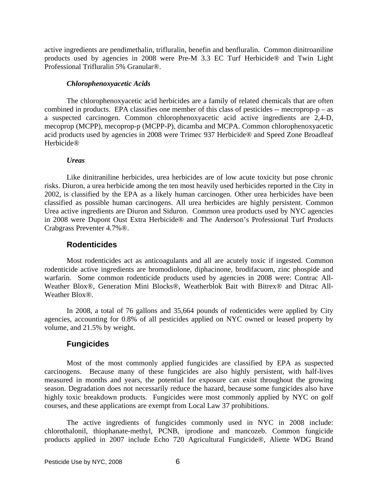active ingredients are pendimethalin, trifluralin, benefin and benfluralin. Common dinitroaniline products used by agencies in 2008 were Pre-M 3.3 EC Turf Herbicide® and Twin Light Professional Trifluralin 5% Granular®.

#### *Chlorophenoxyacetic Acids*

 The chlorophenoxyacetic acid herbicides are a family of related chemicals that are often combined in products. EPA classifies one member of this class of pesticides  $-$  mecroprop-p  $-$  as a suspected carcinogen. Common chlorophenoxyacetic acid active ingredients are 2,4-D, mecoprop (MCPP), mecoprop-p (MCPP-P), dicamba and MCPA. Common chlorophenoxyacetic acid products used by agencies in 2008 were Trimec 937 Herbicide® and Speed Zone Broadleaf Herbicide®

#### *Ureas*

 Like dinitraniline herbicides, urea herbicides are of low acute toxicity but pose chronic risks. Diuron, a urea herbicide among the ten most heavily used herbicides reported in the City in 2002, is classified by the EPA as a likely human carcinogen. Other urea herbicides have been classified as possible human carcinogens. All urea herbicides are highly persistent. Common Urea active ingredients are Diuron and Siduron. Common urea products used by NYC agencies in 2008 were Dupont Oust Extra Herbicide® and The Anderson's Professional Turf Products Crabgrass Preventer 4.7%®.

## **Rodenticides**

 Most rodenticides act as anticoagulants and all are acutely toxic if ingested. Common rodenticide active ingredients are bromodiolone, diphacinone, brodifacuom, zinc phospide and warfarin. Some common rodenticide products used by agencies in 2008 were: Contrac All-Weather Blox®, Generation Mini Blocks®, Weatherblok Bait with Bitrex® and Ditrac All-Weather Blox®.

 In 2008, a total of 76 gallons and 35,664 pounds of rodenticides were applied by City agencies, accounting for 0.8% of all pesticides applied on NYC owned or leased property by volume, and 21.5% by weight.

# **Fungicides**

 Most of the most commonly applied fungicides are classified by EPA as suspected carcinogens. Because many of these fungicides are also highly persistent, with half-lives measured in months and years, the potential for exposure can exist throughout the growing season. Degradation does not necessarily reduce the hazard, because some fungicides also have highly toxic breakdown products. Fungicides were most commonly applied by NYC on golf courses, and these applications are exempt from Local Law 37 prohibitions.

 The active ingredients of fungicides commonly used in NYC in 2008 include: chlorothalonil, thiophanate-methyl, PCNB, iprodione and mancozeb. Common fungicide products applied in 2007 include Echo 720 Agricultural Fungicide®, Aliette WDG Brand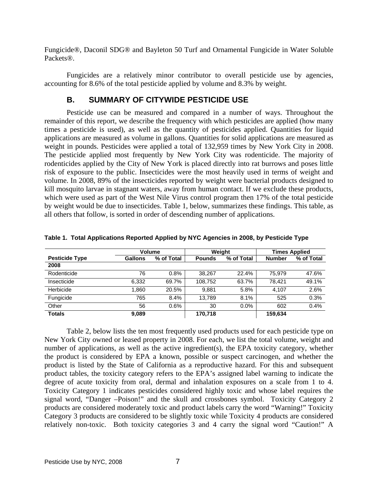Fungicide®, Daconil SDG® and Bayleton 50 Turf and Ornamental Fungicide in Water Soluble Packets®.

 Fungicides are a relatively minor contributor to overall pesticide use by agencies, accounting for 8.6% of the total pesticide applied by volume and 8.3% by weight.

# **B. SUMMARY OF CITYWIDE PESTICIDE USE**

 Pesticide use can be measured and compared in a number of ways. Throughout the remainder of this report, we describe the frequency with which pesticides are applied (how many times a pesticide is used), as well as the quantity of pesticides applied. Quantities for liquid applications are measured as volume in gallons. Quantities for solid applications are measured as weight in pounds. Pesticides were applied a total of 132,959 times by New York City in 2008. The pesticide applied most frequently by New York City was rodenticide. The majority of rodenticides applied by the City of New York is placed directly into rat burrows and poses little risk of exposure to the public. Insecticides were the most heavily used in terms of weight and volume. In 2008, 89% of the insecticides reported by weight were bacterial products designed to kill mosquito larvae in stagnant waters, away from human contact. If we exclude these products, which were used as part of the West Nile Virus control program then 17% of the total pesticide by weight would be due to insecticides. Table 1, below, summarizes these findings. This table, as all others that follow, is sorted in order of descending number of applications.

|                       | <b>Volume</b>  |            | Weight        |            | <b>Times Applied</b> |            |
|-----------------------|----------------|------------|---------------|------------|----------------------|------------|
| <b>Pesticide Type</b> | <b>Gallons</b> | % of Total | <b>Pounds</b> | % of Total | <b>Number</b>        | % of Total |
| 2008                  |                |            |               |            |                      |            |
| Rodenticide           | 76             | 0.8%       | 38.267        | 22.4%      | 75.979               | 47.6%      |
| Insecticide           | 6,332          | 69.7%      | 108.752       | 63.7%      | 78.421               | 49.1%      |
| Herbicide             | 1,860          | 20.5%      | 9,881         | 5.8%       | 4.107                | 2.6%       |
| Fungicide             | 765            | 8.4%       | 13.789        | 8.1%       | 525                  | 0.3%       |
| Other                 | 56             | 0.6%       | 30            | $0.0\%$    | 602                  | 0.4%       |
| <b>Totals</b>         | 9,089          |            | 170,718       |            | 159,634              |            |

**Table 1. Total Applications Reported Applied by NYC Agencies in 2008, by Pesticide Type** 

 Table 2, below lists the ten most frequently used products used for each pesticide type on New York City owned or leased property in 2008. For each, we list the total volume, weight and number of applications, as well as the active ingredient(s), the EPA toxicity category, whether the product is considered by EPA a known, possible or suspect carcinogen, and whether the product is listed by the State of California as a reproductive hazard. For this and subsequent product tables, the toxicity category refers to the EPA's assigned label warning to indicate the degree of acute toxicity from oral, dermal and inhalation exposures on a scale from 1 to 4. Toxicity Category 1 indicates pesticides considered highly toxic and whose label requires the signal word, "Danger –Poison!" and the skull and crossbones symbol. Toxicity Category 2 products are considered moderately toxic and product labels carry the word "Warning!" Toxicity Category 3 products are considered to be slightly toxic while Toxicity 4 products are considered relatively non-toxic. Both toxicity categories 3 and 4 carry the signal word "Caution!" A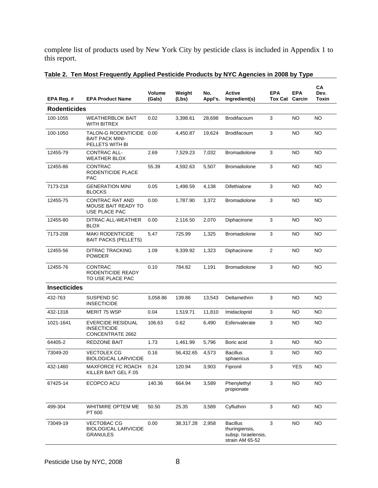complete list of products used by New York City by pesticide class is included in Appendix 1 to this report.

| EPA Reg. #          | <b>EPA Product Name</b>                                                   | <b>Volume</b><br>(Gals) | Weight<br>(Lbs) | No.<br>Appl's. | <b>Active</b><br>Ingredient(s)                                              | <b>EPA</b><br><b>Tox Cat Carcin</b> | <b>EPA</b> | CA<br>Dev.<br>Toxin |
|---------------------|---------------------------------------------------------------------------|-------------------------|-----------------|----------------|-----------------------------------------------------------------------------|-------------------------------------|------------|---------------------|
| <b>Rodenticides</b> |                                                                           |                         |                 |                |                                                                             |                                     |            |                     |
| 100-1055            | <b>WEATHERBLOK BAIT</b><br><b>WITH BITREX</b>                             | 0.02                    | 3,398.61        | 28,698         | Brodifacoum                                                                 | 3                                   | NO         | <b>NO</b>           |
| 100-1050            | TALON-G RODENTICIDE<br><b>BAIT PACK MINI-</b><br>PELLETS WITH BI          | 0.00                    | 4,450.87        | 19,624         | Brodifacoum                                                                 | 3                                   | NO         | NO                  |
| 12455-79            | <b>CONTRAC ALL-</b><br><b>WEATHER BLOX</b>                                | 2.69                    | 7,529.23        | 7,032          | <b>Bromadiolone</b>                                                         | 3                                   | NO         | <b>NO</b>           |
| 12455-86            | CONTRAC<br>RODENTICIDE PLACE<br><b>PAC</b>                                | 55.39                   | 4,592.63        | 5,507          | <b>Bromadiolone</b>                                                         | 3                                   | NO         | NO                  |
| 7173-218            | <b>GENERATION MINI</b><br><b>BLOCKS</b>                                   | 0.05                    | 1,498.59        | 4,138          | Difethialone                                                                | 3                                   | NO         | NO                  |
| 12455-75            | CONTRAC RAT AND<br><b>MOUSE BAIT READY TO</b><br>USE PLACE PAC            | 0.00                    | 1,787.90        | 3,372          | <b>Bromadiolone</b>                                                         | 3                                   | NO.        | NO.                 |
| 12455-80            | DITRAC ALL-WEATHER<br><b>BLOX</b>                                         | 0.00                    | 2,116.50        | 2.070          | Diphacinone                                                                 | 3                                   | <b>NO</b>  | <b>NO</b>           |
| 7173-208            | <b>MAKI RODENTICIDE</b><br><b>BAIT PACKS (PELLETS)</b>                    | 5.47                    | 725.99          | 1.325          | <b>Bromadiolone</b>                                                         | 3                                   | NO         | <b>NO</b>           |
| 12455-56            | <b>DITRAC TRACKING</b><br><b>POWDER</b>                                   | 1.09                    | 9,339.92        | 1,323          | Diphacinone                                                                 | 2                                   | NO         | NO.                 |
| 12455-76            | CONTRAC<br>RODENTICIDE READY<br>TO USE PLACE PAC                          | 0.10                    | 784.82          | 1,191          | <b>Bromadiolone</b>                                                         | 3                                   | NO         | NO.                 |
| <b>Insecticides</b> |                                                                           |                         |                 |                |                                                                             |                                     |            |                     |
| 432-763             | SUSPEND SC<br><b>INSECTICIDE</b>                                          | 3,058.86                | 139.86          | 13,543         | Deltamethrin                                                                | 3                                   | NO         | <b>NO</b>           |
| 432-1318            | <b>MERIT 75 WSP</b>                                                       | 0.04                    | 1,519.71        | 11,810         | Imidacloprid                                                                | 3                                   | NO.        | NO                  |
| 1021-1641           | <b>EVERCIDE RESIDUAL</b><br><b>INSECTICIDE</b><br><b>CONCENTRATE 2662</b> | 106.63                  | 0.62            | 6,490          | Esfenvalerate                                                               | 3                                   | <b>NO</b>  | NO.                 |
| 64405-2             | REDZONE BAIT                                                              | 1.73                    | 1,461.99        | 5,796          | Boric acid                                                                  | 3                                   | <b>NO</b>  | NO                  |
| 73049-20            | <b>VECTOLEX CG</b><br><b>BIOLOGICAL LARVICIDE</b>                         | 0.16                    | 56,432.65       | 4,573          | <b>Bacillus</b><br>sphaericus                                               | 3                                   | NO         | NO                  |
| 432-1460            | <b>MAXFORCE FC ROACH</b><br>KILLER BAIT GEL F.05                          | 0.24                    | 120.94          | 3,903          | Fipronil                                                                    | 3                                   | <b>YES</b> | <b>NO</b>           |
| 67425-14            | ECOPCO ACU                                                                | 140.36                  | 664.94          | 3,589          | Phenylethyl<br>propionate                                                   | 3                                   | <b>NO</b>  | <b>NO</b>           |
| 499-304             | WHITMIRE OPTEM ME<br>PT 600                                               | 50.50                   | 25.35           | 3,589          | Cyfluthrin                                                                  | 3                                   | <b>NO</b>  | NO.                 |
| 73049-19            | <b>VECTOBAC CG</b><br><b>BIOLOGICAL LARVICIDE</b><br><b>GRANULES</b>      | 0.00                    | 38,317.28       | 2,958          | <b>Bacillus</b><br>thuringiensis,<br>subsp. Israelensis,<br>strain AM 65-52 | 3                                   | <b>NO</b>  | NO.                 |

# **Table 2. Ten Most Frequently Applied Pesticide Products by NYC Agencies in 2008 by Type**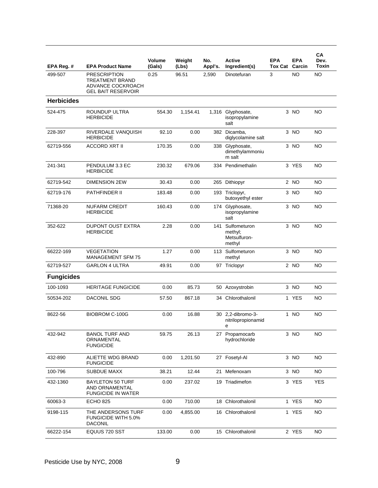| EPA Reg. #        | <b>EPA Product Name</b>                                                                         | <b>Volume</b><br>(Gals) | Weight<br>(Lbs) | No.<br>Appl's. | Active<br>Ingredient(s)                           | <b>EPA</b><br><b>Tox Cat Carcin</b> | <b>EPA</b> | CA<br>Dev.<br>Toxin |
|-------------------|-------------------------------------------------------------------------------------------------|-------------------------|-----------------|----------------|---------------------------------------------------|-------------------------------------|------------|---------------------|
| 499-507           | <b>PRESCRIPTION</b><br><b>TREATMENT BRAND</b><br>ADVANCE COCKROACH<br><b>GEL BAIT RESERVOIR</b> | 0.25                    | 96.51           | 2,590          | Dinotefuran                                       | 3                                   | <b>NO</b>  | NO                  |
| <b>Herbicides</b> |                                                                                                 |                         |                 |                |                                                   |                                     |            |                     |
| 524-475           | ROUNDUP ULTRA<br><b>HERBICIDE</b>                                                               | 554.30                  | 1,154.41        |                | 1,316 Glyphosate,<br>isopropylamine<br>salt       |                                     | $3$ NO     | <b>NO</b>           |
| 228-397           | RIVERDALE VANQUISH<br><b>HERBICIDE</b>                                                          | 92.10                   | 0.00            | 382            | Dicamba,<br>diglycolamine salt                    |                                     | 3 NO       | NO                  |
| 62719-556         | <b>ACCORD XRT II</b>                                                                            | 170.35                  | 0.00            |                | 338 Glyphosate,<br>dimethylammoniu<br>m salt      |                                     | 3 NO       | <b>NO</b>           |
| 241-341           | PENDULUM 3.3 EC<br><b>HERBICIDE</b>                                                             | 230.32                  | 679.06          |                | 334 Pendimethalin                                 |                                     | 3 YES      | <b>NO</b>           |
| 62719-542         | <b>DIMENSION 2EW</b>                                                                            | 30.43                   | 0.00            |                | 265 Dithiopyr                                     |                                     | 2 NO       | <b>NO</b>           |
| 62719-176         | PATHFINDER II                                                                                   | 183.48                  | 0.00            |                | 193 Triclopyr,<br>butoxyethyl ester               |                                     | 3 NO       | ΝO                  |
| 71368-20          | <b>NUFARM CREDIT</b><br><b>HERBICIDE</b>                                                        | 160.43                  | 0.00            |                | 174 Glyphosate,<br>isopropylamine<br>salt         |                                     | 3 NO       | NO                  |
| 352-622           | <b>DUPONT OUST EXTRA</b><br><b>HERBICIDE</b>                                                    | 2.28                    | 0.00            | 141            | Sulfometuron<br>methyl;<br>Metsulfuron-<br>methyl |                                     | 3 NO       | <b>NO</b>           |
| 66222-169         | <b>VEGETATION</b><br><b>MANAGEMENT SFM 75</b>                                                   | 1.27                    | 0.00            |                | 113 Sulfometuron<br>methyl                        |                                     | 3 NO       | NO                  |
| 62719-527         | <b>GARLON 4 ULTRA</b>                                                                           | 49.91                   | 0.00            |                | 97 Triclopyr                                      |                                     | 2 NO       | NO                  |
| <b>Fungicides</b> |                                                                                                 |                         |                 |                |                                                   |                                     |            |                     |
| 100-1093          | <b>HERITAGE FUNGICIDE</b>                                                                       | 0.00                    | 85.73           |                | 50 Azoxystrobin                                   |                                     | 3 NO       | NO                  |
| 50534-202         | DACONIL SDG                                                                                     | 57.50                   | 867.18          | 34             | Chlorothalonil                                    |                                     | 1 YES      | <b>NO</b>           |
| 8622-56           | <b>BIOBROM C-100G</b>                                                                           | 0.00                    | 16.88           |                | 30 2,2-dibromo-3-<br>nitrilopropionamid           | $\mathbf{1}$                        | <b>NO</b>  | <b>NO</b>           |
| 432-942           | <b>BANOL TURF AND</b><br>ORNAMENTAL<br><b>FUNGICIDE</b>                                         | 59.75                   | 26.13           |                | 27 Propamocarb<br>hydrochloride                   |                                     | 3 NO       | NO                  |
| 432-890           | ALIETTE WDG BRAND<br><b>FUNGICIDE</b>                                                           | 0.00                    | 1,201.50        |                | 27 Fosetyl-Al                                     |                                     | 3 NO       | <b>NO</b>           |
| 100-796           | <b>SUBDUE MAXX</b>                                                                              | 38.21                   | 12.44           |                | 21 Mefenoxam                                      |                                     | 3 NO       | NO.                 |
| 432-1360          | <b>BAYLETON 50 TURF</b><br>AND ORNAMENTAL<br><b>FUNGICIDE IN WATER</b>                          | 0.00                    | 237.02          |                | 19 Triadimefon                                    |                                     | 3 YES      | <b>YES</b>          |
| 60063-3           | <b>ECHO 825</b>                                                                                 | 0.00                    | 710.00          |                | 18 Chlorothalonil                                 |                                     | 1 YES      | NO                  |
| 9198-115          | THE ANDERSONS TURF<br>FUNGICIDE WITH 5.0%<br>DACONIL                                            | 0.00                    | 4,855.00        |                | 16 Chlorothalonil                                 |                                     | 1 YES      | NO                  |
| 66222-154         | EQUUS 720 SST                                                                                   | 133.00                  | 0.00            |                | 15 Chlorothalonil                                 |                                     | 2 YES      | NO.                 |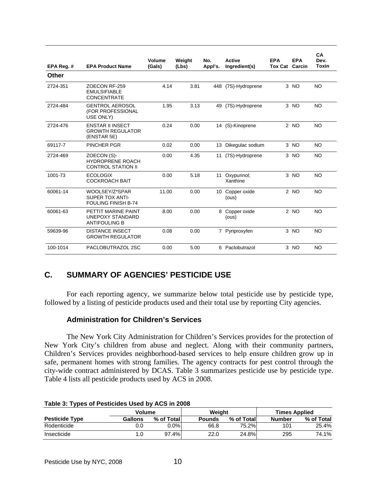| EPA Reg. # | <b>EPA Product Name</b>                                                | Volume<br>(Gals) | Weiaht<br>(Lbs) | No.<br>Appl's. | <b>Active</b><br>Ingredient(s) | <b>EPA</b><br><b>Tox Cat</b> | <b>EPA</b><br>Carcin | CA<br>Dev.<br><b>Toxin</b> |
|------------|------------------------------------------------------------------------|------------------|-----------------|----------------|--------------------------------|------------------------------|----------------------|----------------------------|
| Other      |                                                                        |                  |                 |                |                                |                              |                      |                            |
| 2724-351   | ZOECON RF-259<br><b>EMULSIFIABLE</b><br><b>CONCENTRATE</b>             | 4.14             | 3.81            |                | 448 (7S)-Hydroprene            |                              | 3 NO                 | <b>NO</b>                  |
| 2724-484   | <b>GENTROL AEROSOL</b><br>(FOR PROFESSIONAL<br>USE ONLY)               | 1.95             | 3.13            | 49             | (7S)-Hydroprene                |                              | 3 NO                 | <b>NO</b>                  |
| 2724-476   | <b>ENSTAR II INSECT</b><br><b>GROWTH REGULATOR</b><br>(ENSTAR 5E)      | 0.24             | 0.00            |                | 14 (S)-Kinoprene               |                              | $2$ NO               | <b>NO</b>                  |
| 69117-7    | PINCHER PGR                                                            | 0.02             | 0.00            | 13             | Dikegulac sodium               |                              | 3 <sub>NO</sub>      | <b>NO</b>                  |
| 2724-469   | ZOECON (S)-<br><b>HYDROPRENE ROACH</b><br><b>CONTROL STATION II</b>    | 0.00             | 4.35            | 11             | (7S)-Hydroprene                |                              | $3$ NO               | <b>NO</b>                  |
| 1001-73    | <b>ECOLOGIX</b><br><b>COCKROACH BAIT</b>                               | 0.00             | 5.18            | 11             | Oxypurinol;<br>Xanthine        |                              | 3 NO                 | <b>NO</b>                  |
| 60061-14   | WOOLSEY/Z*SPAR<br><b>SUPER TOX ANTI-</b><br><b>FOULING FINISH B-74</b> | 11.00            | 0.00            | 10             | Copper oxide<br>(ous)          |                              | $2$ NO               | N <sub>O</sub>             |
| 60061-63   | PETTIT MARINE PAINT<br>UNEPOXY STANDARD<br><b>ANTIFOULING B</b>        | 8.00             | 0.00            | 8              | Copper oxide<br>(ous)          |                              | 2 NO                 | <b>NO</b>                  |
| 59639-96   | <b>DISTANCE INSECT</b><br><b>GROWTH REGULATOR</b>                      | 0.08             | 0.00            |                | 7 Pyriproxyfen                 |                              | $3$ NO               | N <sub>O</sub>             |
| 100-1014   | PACLOBUTRAZOL 2SC                                                      | 0.00             | 5.00            |                | 6 Paclobutrazol                |                              | 3 NO                 | <b>NO</b>                  |

# **C. SUMMARY OF AGENCIES' PESTICIDE USE**

 For each reporting agency, we summarize below total pesticide use by pesticide type, followed by a listing of pesticide products used and their total use by reporting City agencies.

# **Administration for Children's Services**

The New York City Administration for Children's Services provides for the protection of New York City's children from abuse and neglect. Along with their community partners, Children's Services provides neighborhood-based services to help ensure children grow up in safe, permanent homes with strong families. The agency contracts for pest control through the city-wide contract administered by DCAS. Table 3 summarizes pesticide use by pesticide type. Table 4 lists all pesticide products used by ACS in 2008.

|                       | Volume  |             | Weiaht        |            | <b>Times Applied</b> |            |  |  |  |  |  |
|-----------------------|---------|-------------|---------------|------------|----------------------|------------|--|--|--|--|--|
| <b>Pesticide Type</b> | Gallons | % of Totall | <b>Pounds</b> | % of Total | <b>Number</b>        | % of Total |  |  |  |  |  |
| Rodenticide           | 0.0     | $0.0\%$     | 66.8          | 75.2%l     | 101                  | 25.4%      |  |  |  |  |  |
| Insecticide           |         | 97.4%       | 22.0          | 24.8%      | 295                  | 74.1%      |  |  |  |  |  |

#### **Table 3: Types of Pesticides Used by ACS in 2008**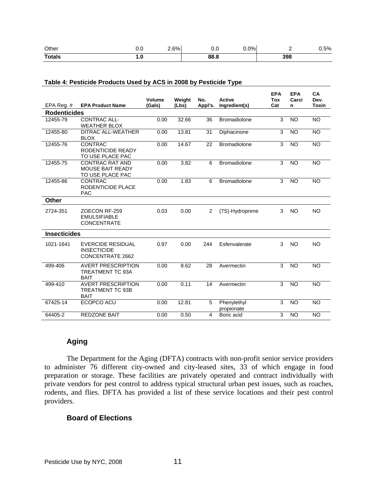| Other         | v.v     | 6% | v.v  | $0.0\%$ |     | 5% |
|---------------|---------|----|------|---------|-----|----|
| <b>Totals</b> | <u></u> |    | 88.8 |         | 398 |    |

| EPA Reg. $#$        | <b>EPA Product Name</b>                                               | Volume<br>(Gals) | Weight<br>(Lbs) | No.<br>Appl's. | <b>Active</b><br>Ingredient(s) | <b>EPA</b><br><b>Tox</b><br>Cat | <b>EPA</b><br>Carci<br>n | <b>CA</b><br>Dev.<br><b>Toxin</b> |
|---------------------|-----------------------------------------------------------------------|------------------|-----------------|----------------|--------------------------------|---------------------------------|--------------------------|-----------------------------------|
| <b>Rodenticides</b> |                                                                       |                  |                 |                |                                |                                 |                          |                                   |
| 12455-79            | <b>CONTRAC ALL-</b><br><b>WEATHER BLOX</b>                            | 0.00             | 32.66           | 36             | <b>Bromadiolone</b>            | 3                               | <b>NO</b>                | <b>NO</b>                         |
| 12455-80            | <b>DITRAC ALL-WEATHER</b><br><b>BLOX</b>                              | 0.00             | 13.81           | 31             | Diphacinone                    | 3                               | <b>NO</b>                | <b>NO</b>                         |
| 12455-76            | <b>CONTRAC</b><br>RODENTICIDE READY<br>TO USE PLACE PAC               | 0.00             | 14.67           | 22             | <b>Bromadiolone</b>            | 3                               | <b>NO</b>                | <b>NO</b>                         |
| 12455-75            | <b>CONTRAC RAT AND</b><br><b>MOUSE BAIT READY</b><br>TO USE PLACE PAC | 0.00             | 3.82            | 6              | <b>Bromadiolone</b>            | 3                               | <b>NO</b>                | <b>NO</b>                         |
| 12455-86            | <b>CONTRAC</b><br>RODENTICIDE PLACE<br><b>PAC</b>                     | 0.00             | 1.83            | 6              | <b>Bromadiolone</b>            | 3                               | <b>NO</b>                | <b>NO</b>                         |
| Other               |                                                                       |                  |                 |                |                                |                                 |                          |                                   |
| 2724-351            | ZOECON RF-259<br><b>EMULSIFIABLE</b><br><b>CONCENTRATE</b>            | 0.03             | 0.00            | 2              | (7S)-Hydroprene                | 3                               | <b>NO</b>                | <b>NO</b>                         |
| <b>Insecticides</b> |                                                                       |                  |                 |                |                                |                                 |                          |                                   |
| 1021-1641           | <b>EVERCIDE RESIDUAL</b><br><b>INSECTICIDE</b><br>CONCENTRATE 2662    | 0.97             | 0.00            | 244            | Esfenvalerate                  | 3                               | <b>NO</b>                | <b>NO</b>                         |
| 499-406             | <b>AVERT PRESCRIPTION</b><br><b>TREATMENT TC 93A</b><br><b>BAIT</b>   | 0.00             | 8.62            | 28             | Avermectin                     | 3                               | <b>NO</b>                | <b>NO</b>                         |
| 499-410             | <b>AVERT PRESCRIPTION</b><br><b>TREATMENT TC 93B</b><br><b>BAIT</b>   | 0.00             | 0.11            | 14             | Avermectin                     | 3                               | <b>NO</b>                | <b>NO</b>                         |
| 67425-14            | ECOPCO ACU                                                            | 0.00             | 12.81           | 5              | Phenylethyl<br>propionate      | 3                               | <b>NO</b>                | <b>NO</b>                         |
| 64405-2             | <b>REDZONE BAIT</b>                                                   | 0.00             | 0.50            | $\overline{4}$ | Boric acid                     | 3                               | <b>NO</b>                | <b>NO</b>                         |

#### **Table 4: Pesticide Products Used by ACS in 2008 by Pesticide Type**

# **Aging**

 The Department for the Aging (DFTA) contracts with non-profit senior service providers to administer 76 different city-owned and city-leased sites, 33 of which engage in food preparation or storage. These facilities are privately operated and contract individually with private vendors for pest control to address typical structural urban pest issues, such as roaches, rodents, and flies. DFTA has provided a list of these service locations and their pest control providers.

# **Board of Elections**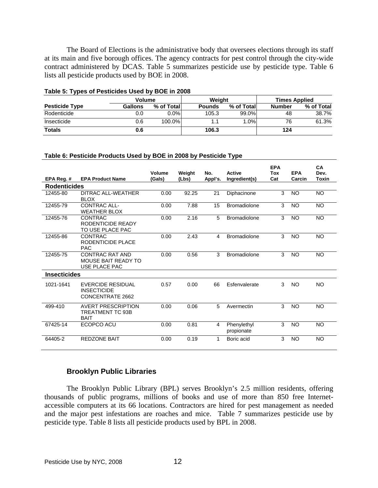The Board of Elections is the administrative body that oversees elections through its staff at its main and five borough offices. The agency contracts for pest control through the city-wide contract administered by DCAS. Table 5 summarizes pesticide use by pesticide type. Table 6 lists all pesticide products used by BOE in 2008.

|                       | <b>Volume</b> |            | Weight        |             | <b>Times Applied</b> |            |  |
|-----------------------|---------------|------------|---------------|-------------|----------------------|------------|--|
| <b>Pesticide Type</b> | Gallons       | % of Total | <b>Pounds</b> | % of Totall | <b>Number</b>        | % of Total |  |
| Rodenticide           | 0.0           | $0.0\%$    | 105.3         | $99.0\%$    | 48                   | 38.7%      |  |
| Insecticide           | 0.6           | 100.0%     |               | 1.0%        | 76                   | 61.3%      |  |
| <b>Totals</b>         | 0.6           |            | 106.3         |             | 124                  |            |  |

#### **Table 5: Types of Pesticides Used by BOE in 2008**

#### **Table 6: Pesticide Products Used by BOE in 2008 by Pesticide Type**

| EPA Reg. #          | <b>EPA Product Name</b>                                               | Volume<br>(Gals) | Weight<br>(Lbs) | No.<br>Appl's. | <b>Active</b><br>Ingredient(s) | <b>EPA</b><br>Tox<br>Cat | <b>EPA</b><br>Carcin | CA<br>Dev.<br>Toxin |
|---------------------|-----------------------------------------------------------------------|------------------|-----------------|----------------|--------------------------------|--------------------------|----------------------|---------------------|
| <b>Rodenticides</b> |                                                                       |                  |                 |                |                                |                          |                      |                     |
| 12455-80            | DITRAC ALL-WEATHER<br><b>BLOX</b>                                     | 0.00             | 92.25           | 21             | Diphacinone                    | 3                        | <b>NO</b>            | <b>NO</b>           |
| 12455-79            | <b>CONTRAC ALL-</b><br><b>WEATHER BLOX</b>                            | 0.00             | 7.88            | 15             | <b>Bromadiolone</b>            | 3                        | <b>NO</b>            | <b>NO</b>           |
| 12455-76            | <b>CONTRAC</b><br>RODENTICIDE READY<br>TO USE PLACE PAC               | 0.00             | 2.16            | 5              | <b>Bromadiolone</b>            | 3                        | <b>NO</b>            | <b>NO</b>           |
| 12455-86            | <b>CONTRAC</b><br>RODENTICIDE PI ACE<br><b>PAC</b>                    | 0.00             | 2.43            | 4              | <b>Bromadiolone</b>            | 3                        | <b>NO</b>            | NO                  |
| 12455-75            | <b>CONTRAC RAT AND</b><br><b>MOUSE BAIT READY TO</b><br>USE PLACE PAC | 0.00             | 0.56            | 3              | <b>Bromadiolone</b>            | 3                        | <b>NO</b>            | <b>NO</b>           |
| <b>Insecticides</b> |                                                                       |                  |                 |                |                                |                          |                      |                     |
| 1021-1641           | <b>EVERCIDE RESIDUAL</b><br><b>INSECTICIDE</b><br>CONCENTRATE 2662    | 0.57             | 0.00            | 66             | Esfenvalerate                  | 3                        | NO.                  | NO.                 |
| 499-410             | <b>AVERT PRESCRIPTION</b><br><b>TREATMENT TC 93B</b><br><b>BAIT</b>   | 0.00             | 0.06            | 5              | Avermectin                     | 3                        | <b>NO</b>            | <b>NO</b>           |
| 67425-14            | ECOPCO ACU                                                            | 0.00             | 0.81            | 4              | Phenylethyl<br>propionate      | 3                        | <b>NO</b>            | <b>NO</b>           |
| 64405-2             | <b>REDZONE BAIT</b>                                                   | 0.00             | 0.19            | 1              | Boric acid                     | 3                        | <b>NO</b>            | <b>NO</b>           |

## **Brooklyn Public Libraries**

The Brooklyn Public Library (BPL) serves Brooklyn's 2.5 million residents, offering thousands of public programs, millions of books and use of more than 850 free Internetaccessible computers at its 66 locations. Contractors are hired for pest management as needed and the major pest infestations are roaches and mice. Table 7 summarizes pesticide use by pesticide type. Table 8 lists all pesticide products used by BPL in 2008.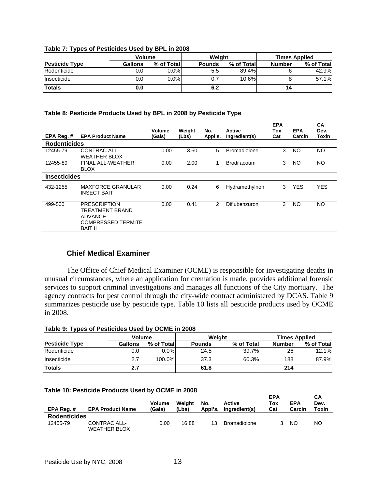#### **Table 7: Types of Pesticides Used by BPL in 2008**

| --                    | <b>Volume</b> |            | Weiaht        |            | <b>Times Applied</b> |            |  |
|-----------------------|---------------|------------|---------------|------------|----------------------|------------|--|
| <b>Pesticide Type</b> | Gallons       | % of Total | <b>Pounds</b> | % of Total | <b>Number</b>        | % of Total |  |
| Rodenticide           | 0.0           | $0.0\%$    | 5.5           | 89.4%      |                      | 42.9%      |  |
| Insecticide           | 0.0           | $0.0\%$    | 0.7           | 10.6%      |                      | 57.1%      |  |
| <b>Totals</b>         | 0.0           |            | 6.2           |            | 14                   |            |  |

### **Table 8: Pesticide Products Used by BPL in 2008 by Pesticide Type**

| EPA Reg. #          | <b>EPA Product Name</b>                                                                                 | Volume<br>(Gals) | Weight<br>(Lbs) | No.<br>Appl's. | Active<br>Ingredient(s) | <b>EPA</b><br>Tox<br>Cat | <b>EPA</b><br>Carcin | CА<br>Dev.<br>Toxin |
|---------------------|---------------------------------------------------------------------------------------------------------|------------------|-----------------|----------------|-------------------------|--------------------------|----------------------|---------------------|
| <b>Rodenticides</b> |                                                                                                         |                  |                 |                |                         |                          |                      |                     |
| 12455-79            | <b>CONTRAC ALL-</b><br><b>WEATHER BLOX</b>                                                              | 0.00             | 3.50            | 5              | <b>Bromadiolone</b>     | 3                        | NO                   | <b>NO</b>           |
| 12455-89            | FINAL ALL-WEATHER<br><b>BLOX</b>                                                                        | 0.00             | 2.00            | 1              | <b>Brodifacoum</b>      | 3                        | NO                   | <b>NO</b>           |
| <b>Insecticides</b> |                                                                                                         |                  |                 |                |                         |                          |                      |                     |
| 432-1255            | <b>MAXFORCE GRANULAR</b><br><b>INSECT BAIT</b>                                                          | 0.00             | 0.24            | 6              | Hydramethylnon          | 3                        | <b>YES</b>           | <b>YES</b>          |
| 499-500             | <b>PRESCRIPTION</b><br>TREATMENT BRAND<br><b>ADVANCE</b><br><b>COMPRESSED TERMITE</b><br><b>BAIT II</b> | 0.00             | 0.41            | 2              | Diflubenzuron           | 3                        | NO                   | <b>NO</b>           |

## **Chief Medical Examiner**

The Office of Chief Medical Examiner (OCME) is responsible for investigating deaths in unusual circumstances, where an application for cremation is made, provides additional forensic services to support criminal investigations and manages all functions of the City mortuary. The agency contracts for pest control through the city-wide contract administered by DCAS. Table 9 summarizes pesticide use by pesticide type. Table 10 lists all pesticide products used by OCME in 2008.

#### **Table 9: Types of Pesticides Used by OCME in 2008**

|                       |         | <b>Volume</b> |               | Weight     | <b>Times Applied</b> |            |  |
|-----------------------|---------|---------------|---------------|------------|----------------------|------------|--|
| <b>Pesticide Type</b> | Gallons | % of Total    | <b>Pounds</b> | % of Total | <b>Number</b>        | % of Total |  |
| Rodenticide           | 0.0     | $0.0\%$       | 24.5          | 39.7%      | 26                   | 12.1%      |  |
| Insecticide           | 2.7     | 100.0%        | 37.3          | 60.3%      | 188                  | 87.9%      |  |
| <b>Totals</b>         | 2.7     |               | 61.8          |            | 214                  |            |  |

#### **Table 10: Pesticide Products Used by OCME in 2008**

| EPA Reg.#           | <b>EPA Product Name</b>             | <b>Volume</b><br>(Gals) | Weight<br>(Lbs) | No.<br>Appl's. | Active<br>Ingredient(s) | <b>EPA</b><br>Tox<br>Cat | <b>EPA</b><br>Carcin | CА<br>Dev.<br>Toxin |
|---------------------|-------------------------------------|-------------------------|-----------------|----------------|-------------------------|--------------------------|----------------------|---------------------|
| <b>Rodenticides</b> |                                     |                         |                 |                |                         |                          |                      |                     |
| 12455-79            | CONTRAC ALL-<br><b>WEATHER BLOX</b> | 0.00                    | 16.88           | 13             | <b>Bromadiolone</b>     | ર                        | NO                   | NO                  |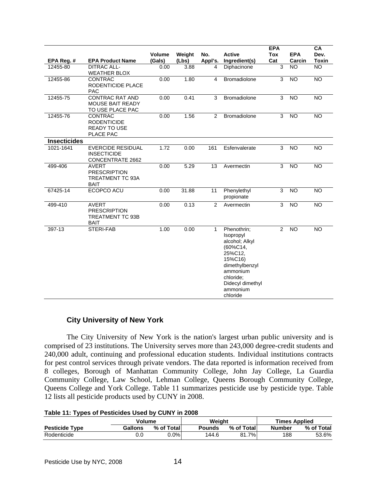|                     |                                                                               |                  |                 |                |                                                                                                                                                                     | <b>EPA</b> |                      | CA                   |
|---------------------|-------------------------------------------------------------------------------|------------------|-----------------|----------------|---------------------------------------------------------------------------------------------------------------------------------------------------------------------|------------|----------------------|----------------------|
| EPA Reg. #          | <b>EPA Product Name</b>                                                       | Volume<br>(Gals) | Weight<br>(Lbs) | No.<br>Appl's. | <b>Active</b><br>Ingredient(s)                                                                                                                                      | Tox<br>Cat | <b>EPA</b><br>Carcin | Dev.<br><b>Toxin</b> |
| 12455-80            | <b>DITRAC ALL-</b><br><b>WEATHER BLOX</b>                                     | 0.00             | 3.88            | 4              | Diphacinone                                                                                                                                                         | 3          | <b>NO</b>            | $\overline{NO}$      |
| 12455-86            | <b>CONTRAC</b><br>RODENTICIDE PLACE<br><b>PAC</b>                             | 0.00             | 1.80            | 4              | <b>Bromadiolone</b>                                                                                                                                                 | 3          | <b>NO</b>            | <b>NO</b>            |
| 12455-75            | <b>CONTRAC RAT AND</b><br><b>MOUSE BAIT READY</b><br>TO USE PLACE PAC         | 0.00             | 0.41            | 3              | <b>Bromadiolone</b>                                                                                                                                                 | 3          | <b>NO</b>            | <b>NO</b>            |
| 12455-76            | CONTRAC<br><b>RODENTICIDE</b><br><b>READY TO USE</b><br>PLACE PAC             | 0.00             | 1.56            | 2              | Bromadiolone                                                                                                                                                        | 3          | <b>NO</b>            | <b>NO</b>            |
| <b>Insecticides</b> |                                                                               |                  |                 |                |                                                                                                                                                                     |            |                      |                      |
| 1021-1641           | <b>EVERCIDE RESIDUAL</b><br><b>INSECTICIDE</b><br>CONCENTRATE 2662            | 1.72             | 0.00            | 161            | Esfenvalerate                                                                                                                                                       | 3          | <b>NO</b>            | $\overline{NO}$      |
| 499-406             | <b>AVERT</b><br><b>PRESCRIPTION</b><br>TREATMENT TC 93A<br><b>BAIT</b>        | 0.00             | 5.29            | 13             | Avermectin                                                                                                                                                          | 3          | $\overline{NO}$      | NO                   |
| 67425-14            | ECOPCO ACU                                                                    | 0.00             | 31.88           | 11             | Phenylethyl<br>propionate                                                                                                                                           | 3          | <b>NO</b>            | <b>NO</b>            |
| 499-410             | <b>AVERT</b><br><b>PRESCRIPTION</b><br><b>TREATMENT TC 93B</b><br><b>BAIT</b> | 0.00             | 0.13            | 2              | Avermectin                                                                                                                                                          | 3          | <b>NO</b>            | <b>NO</b>            |
| 397-13              | STERI-FAB                                                                     | 1.00             | 0.00            | $\mathbf{1}$   | Phenothrin;<br>Isopropyl<br>alcohol; Alkyl<br>(60%C14,<br>25%C12.<br>15%C16)<br>dimethylbenzyl<br>ammonium<br>chloride:<br>Didecyl dimethyl<br>ammonium<br>chloride | 2          | <b>NO</b>            | NO                   |

# **City University of New York**

The City University of New York is the nation's largest urban public university and is comprised of 23 institutions. The University serves more than 243,000 degree-credit students and 240,000 adult, continuing and professional education students. Individual institutions contracts for pest control services through private vendors. The data reported is information received from 8 colleges, Borough of Manhattan Community College, John Jay College, La Guardia Community College, Law School, Lehman College, Queens Borough Community College, Queens College and York College. Table 11 summarizes pesticide use by pesticide type. Table 12 lists all pesticide products used by CUNY in 2008.

#### **Table 11: Types of Pesticides Used by CUNY in 2008**

|                       | Volume  |            | Weight |             | <b>Times Applied</b> |            |  |
|-----------------------|---------|------------|--------|-------------|----------------------|------------|--|
| <b>Pesticide Type</b> | Gallons | % of Total | Pounds | % of Totall | <b>Number</b>        | % of Total |  |
| Rodenticide           | 0.0     | ا %0.ر     | 144.6  | 81.7%       | 188                  | 53.6%      |  |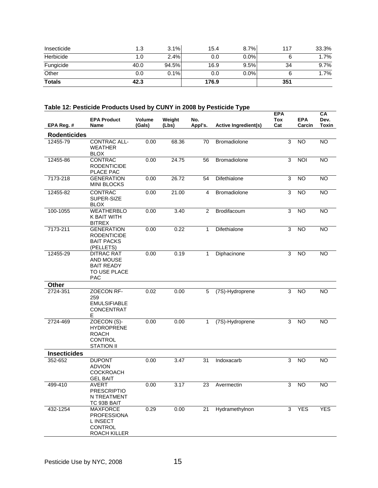| Insecticide   | 1.3  | 3.1%  | 15.4  | 8.7%    | 117 | 33.3%   |
|---------------|------|-------|-------|---------|-----|---------|
| Herbicide     | 1.0  | 2.4%  | 0.0   | 0.0%    |     | 1.7%    |
| Fungicide     | 40.0 | 94.5% | 16.9  | 9.5%    | 34  | 9.7%    |
| Other         | 0.0  | 0.1%  | 0.0   | $0.0\%$ |     | $1.7\%$ |
| <b>Totals</b> | 42.3 |       | 176.9 |         | 351 |         |

# **Table 12: Pesticide Products Used by CUNY in 2008 by Pesticide Type**

| EPA Reg. #          | <b>EPA Product</b><br>Name                                                              | Volume<br>(Gals) | Weight<br>(Lbs) | No.<br>Appl's. | Active Ingredient(s) | <b>EPA</b><br>Tox<br>Cat | <b>EPA</b><br>Carcin | CA<br>Dev.<br><b>Toxin</b> |
|---------------------|-----------------------------------------------------------------------------------------|------------------|-----------------|----------------|----------------------|--------------------------|----------------------|----------------------------|
| <b>Rodenticides</b> |                                                                                         |                  |                 |                |                      |                          |                      |                            |
| 12455-79            | CONTRAC ALL-<br><b>WEATHER</b><br><b>BLOX</b>                                           | 0.00             | 68.36           | 70             | Bromadiolone         | 3                        | <b>NO</b>            | <b>NO</b>                  |
| 12455-86            | CONTRAC<br><b>RODENTICIDE</b><br>PLACE PAC                                              | 0.00             | 24.75           | 56             | Bromadiolone         | 3                        | <b>NOI</b>           | <b>NO</b>                  |
| 7173-218            | <b>GENERATION</b><br><b>MINI BLOCKS</b>                                                 | 0.00             | 26.72           | 54             | Difethialone         | $\mathsf 3$              | $\overline{N}$       | NO                         |
| 12455-82            | <b>CONTRAC</b><br>SUPER-SIZE<br><b>BLOX</b>                                             | 0.00             | 21.00           | 4              | Bromadiolone         | 3                        | <b>NO</b>            | <b>NO</b>                  |
| 100-1055            | WEATHERBLO<br>K BAIT WITH<br><b>BITREX</b>                                              | 0.00             | 3.40            | $\overline{2}$ | Brodifacoum          | 3                        | <b>NO</b>            | <b>NO</b>                  |
| 7173-211            | <b>GENERATION</b><br><b>RODENTICIDE</b><br><b>BAIT PACKS</b><br>(PELLETS)               | 0.00             | 0.22            | 1              | Difethialone         | 3                        | <b>NO</b>            | <b>NO</b>                  |
| 12455-29            | <b>DITRAC RAT</b><br>AND MOUSE<br><b>BAIT READY</b><br>TO USE PLACE<br><b>PAC</b>       | 0.00             | 0.19            | $\mathbf{1}$   | Diphacinone          | 3                        | <b>NO</b>            | <b>NO</b>                  |
| Other               |                                                                                         |                  |                 |                |                      |                          |                      |                            |
| 2724-351            | ZOECON RF-<br>259<br><b>EMULSIFIABLE</b><br><b>CONCENTRAT</b><br>Е                      | 0.02             | 0.00            | 5              | (7S)-Hydroprene      | 3                        | <b>NO</b>            | <b>NO</b>                  |
| 2724-469            | ZOECON (S)-<br><b>HYDROPRENE</b><br><b>ROACH</b><br><b>CONTROL</b><br><b>STATION II</b> | 0.00             | 0.00            | 1              | (7S)-Hydroprene      | 3                        | <b>NO</b>            | <b>NO</b>                  |
| <b>Insecticides</b> |                                                                                         |                  |                 |                |                      |                          |                      |                            |
| 352-652             | <b>DUPONT</b><br><b>ADVION</b><br><b>COCKROACH</b><br><b>GEL BAIT</b>                   | 0.00             | 3.47            | 31             | Indoxacarb           | 3                        | <b>NO</b>            | <b>NO</b>                  |
| 499-410             | <b>AVERT</b><br><b>PRESCRIPTIO</b><br>N TREATMENT<br>TC 93B BAIT                        | 0.00             | 3.17            | 23             | Avermectin           | 3                        | <b>NO</b>            | <b>NO</b>                  |
| 432-1254            | <b>MAXFORCE</b><br><b>PROFESSIONA</b><br>L INSECT<br><b>CONTROL</b><br>ROACH KILLER     | 0.29             | 0.00            | 21             | Hydramethylnon       | 3                        | <b>YES</b>           | <b>YES</b>                 |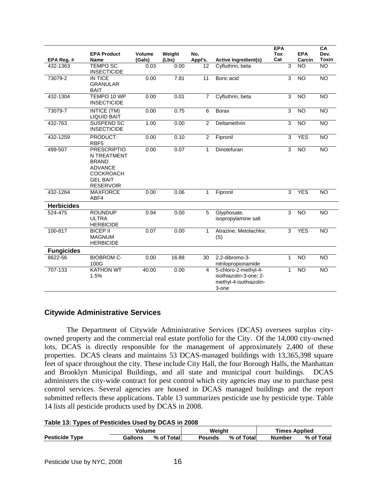|                   | <b>EPA Product</b>                                                                                                             | <b>Volume</b> | Weight | No.             |                                                                                   | <b>EPA</b><br><b>Tox</b> | <b>EPA</b>      | CA<br>Dev.      |
|-------------------|--------------------------------------------------------------------------------------------------------------------------------|---------------|--------|-----------------|-----------------------------------------------------------------------------------|--------------------------|-----------------|-----------------|
| EPA Reg. #        | Name                                                                                                                           | (Gals)        | (Lbs)  | Appl's.         | Active Ingredient(s)                                                              | Cat                      | Carcin          | <b>Toxin</b>    |
| 432-1363          | <b>TEMPO SC</b><br><b>INSECTICIDE</b>                                                                                          | 0.03          | 0.00   | 12 <sup>2</sup> | Cyfluthrin, beta                                                                  | 3                        | <b>NO</b>       | <b>NO</b>       |
| 73079-2           | IN TICE<br><b>GRANULAR</b><br><b>BAIT</b>                                                                                      | 0.00          | 7.81   | 11              | Boric acid                                                                        | 3                        | <b>NO</b>       | <b>NO</b>       |
| 432-1304          | TEMPO 10 WP<br><b>INSECTICIDE</b>                                                                                              | 0.00          | 0.01   | $\overline{7}$  | Cyfluthrin, beta                                                                  | 3                        | $\overline{NO}$ | <b>NO</b>       |
| 73079-7           | INTICE (TM)<br><b>LIQUID BAIT</b>                                                                                              | 0.00          | 0.75   | 6               | <b>Borax</b>                                                                      | 3                        | $\overline{NO}$ | $\overline{NO}$ |
| 432-763           | <b>SUSPEND SC</b><br><b>INSECTICIDE</b>                                                                                        | 1.00          | 0.00   | 2               | Deltamethrin                                                                      | 3                        | <b>NO</b>       | <b>NO</b>       |
| 432-1259          | PRODUCT:<br>RBF <sub>5</sub>                                                                                                   | 0.00          | 0.10   | $\overline{2}$  | Fipronil                                                                          | $\overline{3}$           | <b>YES</b>      | <b>NO</b>       |
| 499-507           | <b>PRESCRIPTIO</b><br>N TREATMENT<br><b>BRAND</b><br><b>ADVANCE</b><br><b>COCKROACH</b><br><b>GEL BAIT</b><br><b>RESERVOIR</b> | 0.00          | 0.07   | 1               | Dinotefuran                                                                       | 3                        | N <sub>O</sub>  | $\overline{NO}$ |
| 432-1264          | <b>MAXFORCE</b><br>ABF4                                                                                                        | 0.00          | 0.06   | $\mathbf{1}$    | Fipronil                                                                          | 3                        | <b>YES</b>      | <b>NO</b>       |
| <b>Herbicides</b> |                                                                                                                                |               |        |                 |                                                                                   |                          |                 |                 |
| 524-475           | <b>ROUNDUP</b><br><b>ULTRA</b><br><b>HERBICIDE</b>                                                                             | 0.94          | 0.00   | 5               | Glyphosate,<br>isopropylamine salt                                                | 3                        | <b>NO</b>       | NO              |
| 100-817           | <b>BICEP II</b><br><b>MAGNUM</b><br><b>HERBICIDE</b>                                                                           | 0.07          | 0.00   | $\mathbf{1}$    | Atrazine; Metolachlor,<br>(S)                                                     | 3                        | <b>YES</b>      | $\overline{NO}$ |
| <b>Fungicides</b> |                                                                                                                                |               |        |                 |                                                                                   |                          |                 |                 |
| 8622-56           | <b>BIOBROM C-</b><br>100G                                                                                                      | 0.00          | 16.88  | 30              | 2,2-dibromo-3-<br>nitrilopropionamide                                             | $\mathbf{1}$             | <b>NO</b>       | <b>NO</b>       |
| 707-133           | <b>KATHON WT</b><br>1.5%                                                                                                       | 40.00         | 0.00   | $\overline{4}$  | 5-chloro-2-methyl-4-<br>isothiazolin-3-one; 2-<br>methyl-4-isothiazolin-<br>3-one | $\mathbf 1$              | <b>NO</b>       | <b>NO</b>       |

## **Citywide Administrative Services**

 The Department of Citywide Administrative Services (DCAS) oversees surplus cityowned property and the commercial real estate portfolio for the City. Of the 14,000 city-owned lots, DCAS is directly responsible for the management of approximately 2,400 of these properties. DCAS cleans and maintains 53 DCAS-managed buildings with 13,365,398 square feet of space throughout the city. These include City Hall, the four Borough Halls, the Manhattan and Brooklyn Municipal Buildings, and all state and municipal court buildings. DCAS administers the city-wide contract for pest control which city agencies may use to purchase pest control services. Several agencies are housed in DCAS managed buildings and the report submitted reflects these applications. Table 13 summarizes pesticide use by pesticide type. Table 14 lists all pesticide products used by DCAS in 2008.

#### **Table 13: Types of Pesticides Used by DCAS in 2008**

|                       | Volume                |  | Weight |            | <b>Times Applied</b> |            |  |
|-----------------------|-----------------------|--|--------|------------|----------------------|------------|--|
| <b>Pesticide Type</b> | % of Total<br>Gallons |  | Pounds | % of Total | <b>Number</b>        | % of Total |  |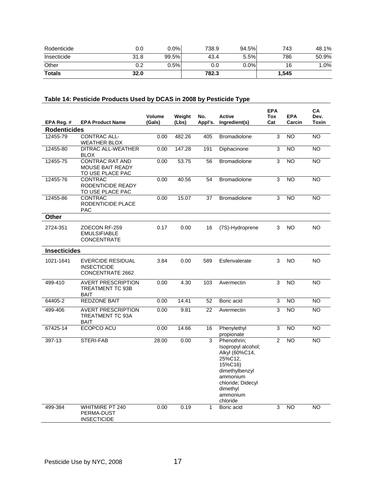| Rodenticide   | 0.0  | $0.0\%$ | 738.9 | 94.5%   | 743   | 48.1% |
|---------------|------|---------|-------|---------|-------|-------|
| Insecticide   | 31.8 | 99.5%   | 43.4  | 5.5%    | 786   | 50.9% |
| Other         | 0.2  | 0.5%    | 0.0   | $0.0\%$ | 16    | 1.0%  |
| <b>Totals</b> | 32.0 |         | 782.3 |         | 1,545 |       |

# **Table 14: Pesticide Products Used by DCAS in 2008 by Pesticide Type**

|                     |                                                                           | <b>Volume</b> | Weight | No.     | <b>Active</b>                                                                                                                                                    | <b>EPA</b><br>Tox | <b>EPA</b> | CA<br>Dev. |
|---------------------|---------------------------------------------------------------------------|---------------|--------|---------|------------------------------------------------------------------------------------------------------------------------------------------------------------------|-------------------|------------|------------|
| EPA Reg. #          | <b>EPA Product Name</b>                                                   | (Gals)        | (Lbs)  | Appl's. | Ingredient(s)                                                                                                                                                    | Cat               | Carcin     | Toxin      |
| <b>Rodenticides</b> |                                                                           |               |        |         |                                                                                                                                                                  |                   |            |            |
| 12455-79            | <b>CONTRAC ALL-</b><br><b>WEATHER BLOX</b>                                | 0.00          | 482.26 | 405     | Bromadiolone                                                                                                                                                     | 3                 | <b>NO</b>  | <b>NO</b>  |
| 12455-80            | <b>DITRAC ALL-WEATHER</b><br><b>BLOX</b>                                  | 0.00          | 147.28 | 191     | Diphacinone                                                                                                                                                      | 3                 | <b>NO</b>  | <b>NO</b>  |
| 12455-75            | <b>CONTRAC RAT AND</b><br>MOUSE BAIT READY<br>TO USE PLACE PAC            | 0.00          | 53.75  | 56      | <b>Bromadiolone</b>                                                                                                                                              | 3                 | <b>NO</b>  | <b>NO</b>  |
| 12455-76            | <b>CONTRAC</b><br>RODENTICIDE READY<br>TO USE PLACE PAC                   | 0.00          | 40.56  | 54      | <b>Bromadiolone</b>                                                                                                                                              | 3                 | <b>NO</b>  | <b>NO</b>  |
| 12455-86            | CONTRAC<br>RODENTICIDE PLACE<br><b>PAC</b>                                | 0.00          | 15.07  | 37      | <b>Bromadiolone</b>                                                                                                                                              | 3                 | <b>NO</b>  | <b>NO</b>  |
| Other               |                                                                           |               |        |         |                                                                                                                                                                  |                   |            |            |
| 2724-351            | ZOECON RF-259<br><b>EMULSIFIABLE</b><br><b>CONCENTRATE</b>                | 0.17          | 0.00   | 16      | (7S)-Hydroprene                                                                                                                                                  | 3                 | NO         | NO.        |
| <b>Insecticides</b> |                                                                           |               |        |         |                                                                                                                                                                  |                   |            |            |
| 1021-1641           | <b>EVERCIDE RESIDUAL</b><br><b>INSECTICIDE</b><br><b>CONCENTRATE 2662</b> | 3.84          | 0.00   | 589     | Esfenvalerate                                                                                                                                                    | 3                 | <b>NO</b>  | <b>NO</b>  |
| 499-410             | <b>AVERT PRESCRIPTION</b><br><b>TREATMENT TC 93B</b><br><b>BAIT</b>       | 0.00          | 4.30   | 103     | Avermectin                                                                                                                                                       | 3                 | <b>NO</b>  | <b>NO</b>  |
| 64405-2             | <b>REDZONE BAIT</b>                                                       | 0.00          | 14.41  | 52      | Boric acid                                                                                                                                                       | 3                 | <b>NO</b>  | <b>NO</b>  |
| 499-406             | <b>AVERT PRESCRIPTION</b><br>TREATMENT TC 93A<br>BAIT                     | 0.00          | 9.81   | 22      | Avermectin                                                                                                                                                       | 3                 | <b>NO</b>  | <b>NO</b>  |
| 67425-14            | ECOPCO ACU                                                                | 0.00          | 14.66  | 16      | Phenylethyl<br>propionate                                                                                                                                        | 3                 | <b>NO</b>  | <b>NO</b>  |
| 397-13              | STERI-FAB                                                                 | 28.00         | 0.00   | 3       | Phenothrin;<br>Isopropyl alcohol;<br>Alkyl (60%C14,<br>25%C12,<br>15%C16)<br>dimethylbenzyl<br>ammonium<br>chloride; Didecyl<br>dimethyl<br>ammonium<br>chloride | $\overline{2}$    | <b>NO</b>  | <b>NO</b>  |
| 499-384             | <b>WHITMIRE PT 240</b><br>PERMA-DUST<br><b>INSECTICIDE</b>                | 0.00          | 0.19   | 1       | Boric acid                                                                                                                                                       | 3                 | <b>NO</b>  | <b>NO</b>  |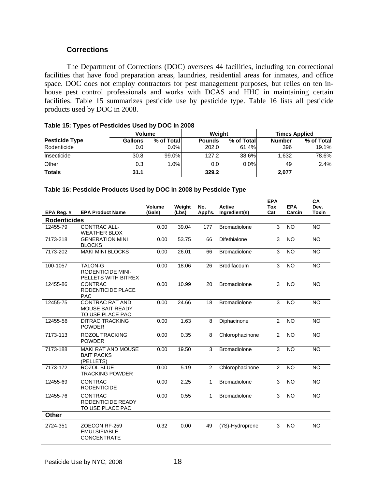# **Corrections**

 The Department of Corrections (DOC) oversees 44 facilities, including ten correctional facilities that have food preparation areas, laundries, residential areas for inmates, and office space. DOC does not employ contractors for pest management purposes, but relies on ten inhouse pest control professionals and works with DCAS and HHC in maintaining certain facilities. Table 15 summarizes pesticide use by pesticide type. Table 16 lists all pesticide products used by DOC in 2008.

| . .                   |               |            |               |             |                      |            |  |
|-----------------------|---------------|------------|---------------|-------------|----------------------|------------|--|
|                       | <b>Volume</b> |            | Weight        |             | <b>Times Applied</b> |            |  |
| <b>Pesticide Type</b> | Gallons       | % of Total | <b>Pounds</b> | % of Totall | <b>Number</b>        | % of Total |  |
| Rodenticide           | 0.0           | $0.0\%$    | 202.0         | 61.4%       | 396                  | 19.1%      |  |
| Insecticide           | 30.8          | 99.0%      | 127.2         | 38.6%       | 1.632                | 78.6%      |  |
| Other                 | 0.3           | $1.0\%$    | 0.0           | $0.0\%$     | 49                   | 2.4%       |  |
| <b>Totals</b>         | 31.1          |            | 329.2         |             | 2.077                |            |  |

#### **Table 15: Types of Pesticides Used by DOC in 2008**

#### **Table 16: Pesticide Products Used by DOC in 2008 by Pesticide Type**

|                     |                                                                       | Volume | Weight | No.          | Active              | <b>EPA</b><br><b>Tox</b> | <b>EPA</b>      | CA<br>Dev.   |
|---------------------|-----------------------------------------------------------------------|--------|--------|--------------|---------------------|--------------------------|-----------------|--------------|
| EPA Reg. #          | <b>EPA Product Name</b>                                               | (Gals) | (Lbs)  | Appl's.      | Ingredient(s)       | Cat                      | Carcin          | <b>Toxin</b> |
| <b>Rodenticides</b> |                                                                       |        |        |              |                     |                          |                 |              |
| 12455-79            | <b>CONTRAC ALL-</b><br><b>WEATHER BLOX</b>                            | 0.00   | 39.04  | 177          | <b>Bromadiolone</b> | 3                        | <b>NO</b>       | <b>NO</b>    |
| 7173-218            | <b>GENERATION MINI</b><br><b>BLOCKS</b>                               | 0.00   | 53.75  | 66           | Difethialone        | 3                        | <b>NO</b>       | <b>NO</b>    |
| 7173-202            | <b>MAKI MINI BLOCKS</b>                                               | 0.00   | 26.01  | 66           | <b>Bromadiolone</b> | 3                        | <b>NO</b>       | NO           |
| 100-1057            | <b>TALON-G</b><br><b>RODENTICIDE MINI-</b><br>PELLETS WITH BITREX     | 0.00   | 18.06  | 26           | Brodifacoum         | $\overline{3}$           | $\overline{10}$ | <b>NO</b>    |
| 12455-86            | <b>CONTRAC</b><br>RODENTICIDE PLACE<br><b>PAC</b>                     | 0.00   | 10.99  | 20           | <b>Bromadiolone</b> | 3                        | <b>NO</b>       | <b>NO</b>    |
| 12455-75            | <b>CONTRAC RAT AND</b><br><b>MOUSE BAIT READY</b><br>TO USE PLACE PAC | 0.00   | 24.66  | 18           | <b>Bromadiolone</b> | 3                        | <b>NO</b>       | <b>NO</b>    |
| 12455-56            | <b>DITRAC TRACKING</b><br><b>POWDER</b>                               | 0.00   | 1.63   | 8            | Diphacinone         | 2                        | <b>NO</b>       | <b>NO</b>    |
| 7173-113            | <b>ROZOL TRACKING</b><br><b>POWDER</b>                                | 0.00   | 0.35   | 8            | Chlorophacinone     | 2                        | <b>NO</b>       | <b>NO</b>    |
| 7173-188            | <b>MAKI RAT AND MOUSE</b><br><b>BAIT PACKS</b><br>(PELLETS)           | 0.00   | 19.50  | 3            | <b>Bromadiolone</b> | 3                        | <b>NO</b>       | <b>NO</b>    |
| 7173-172            | <b>ROZOL BLUE</b><br><b>TRACKING POWDER</b>                           | 0.00   | 5.19   | 2            | Chlorophacinone     | 2                        | <b>NO</b>       | <b>NO</b>    |
| 12455-69            | <b>CONTRAC</b><br><b>RODENTICIDE</b>                                  | 0.00   | 2.25   | 1            | <b>Bromadiolone</b> | 3                        | <b>NO</b>       | <b>NO</b>    |
| 12455-76            | <b>CONTRAC</b><br>RODENTICIDE READY<br>TO USE PLACE PAC               | 0.00   | 0.55   | $\mathbf{1}$ | <b>Bromadiolone</b> | 3                        | <b>NO</b>       | <b>NO</b>    |
| <b>Other</b>        |                                                                       |        |        |              |                     |                          |                 |              |
| 2724-351            | ZOECON RF-259<br><b>EMULSIFIABLE</b><br><b>CONCENTRATE</b>            | 0.32   | 0.00   | 49           | (7S)-Hydroprene     | 3                        | <b>NO</b>       | <b>NO</b>    |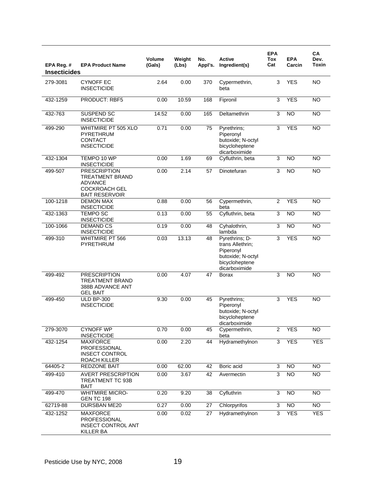| EPA Reg. #<br><b>Insecticides</b> | <b>EPA Product Name</b>                                                                                   | <b>Volume</b><br>(Gals) | Weight<br>(Lbs) | No.<br>Appl's. | <b>Active</b><br>Ingredient(s)                                                                          | <b>EPA</b><br>Tox<br>Cat  | <b>EPA</b><br>Carcin | CA<br>Dev.<br><b>Toxin</b> |
|-----------------------------------|-----------------------------------------------------------------------------------------------------------|-------------------------|-----------------|----------------|---------------------------------------------------------------------------------------------------------|---------------------------|----------------------|----------------------------|
| 279-3081                          | <b>CYNOFF EC</b><br><b>INSECTICIDE</b>                                                                    | 2.64                    | 0.00            | 370            | Cypermethrin,<br>beta                                                                                   | 3                         | <b>YES</b>           | <b>NO</b>                  |
| 432-1259                          | <b>PRODUCT: RBF5</b>                                                                                      | 0.00                    | 10.59           | 168            | Fipronil                                                                                                | 3                         | <b>YES</b>           | $\overline{NO}$            |
| 432-763                           | SUSPEND SC<br><b>INSECTICIDE</b>                                                                          | 14.52                   | 0.00            | 165            | Deltamethrin                                                                                            | 3                         | <b>NO</b>            | <b>NO</b>                  |
| 499-290                           | WHITMIRE PT 505 XLO<br>PYRETHRUM<br>CONTACT<br><b>INSECTICIDE</b>                                         | 0.71                    | 0.00            | 75             | Pyrethrins;<br>Piperonyl<br>butoxide; N-octyl<br>bicycloheptene<br>dicarboximide                        | 3                         | <b>YES</b>           | <b>NO</b>                  |
| 432-1304                          | TEMPO 10 WP<br><b>INSECTICIDE</b>                                                                         | 0.00                    | 1.69            | 69             | Cyfluthrin, beta                                                                                        | 3                         | <b>NO</b>            | $\overline{NO}$            |
| 499-507                           | <b>PRESCRIPTION</b><br>TREATMENT BRAND<br><b>ADVANCE</b><br><b>COCKROACH GEL</b><br><b>BAIT RESERVOIR</b> | 0.00                    | 2.14            | 57             | Dinotefuran                                                                                             | 3                         | <b>NO</b>            | <b>NO</b>                  |
| 100-1218                          | <b>DEMON MAX</b><br><b>INSECTICIDE</b>                                                                    | 0.88                    | 0.00            | 56             | Cypermethrin,<br>beta                                                                                   | $\overline{2}$            | <b>YES</b>           | <b>NO</b>                  |
| 432-1363                          | <b>TEMPO SC</b><br><b>INSECTICIDE</b>                                                                     | 0.13                    | 0.00            | 55             | Cyfluthrin, beta                                                                                        | 3                         | $\overline{NO}$      | $\overline{NO}$            |
| 100-1066                          | <b>DEMAND CS</b><br><b>INSECTICIDE</b>                                                                    | 0.19                    | 0.00            | 48             | Cyhalothrin,<br>lambda                                                                                  | 3                         | <b>NO</b>            | <b>NO</b>                  |
| 499-310                           | <b>WHITMIRE PT 566</b><br>PYRETHRUM                                                                       | 0.03                    | 13.13           | 48             | Pyrethrins; D-<br>trans Allethrin:<br>Piperonyl<br>butoxide; N-octyl<br>bicycloheptene<br>dicarboximide | 3                         | <b>YES</b>           | $\overline{NO}$            |
| 499-492                           | <b>PRESCRIPTION</b><br>TREATMENT BRAND<br>388B ADVANCE ANT<br><b>GEL BAIT</b>                             | 0.00                    | 4.07            | 47             | <b>Borax</b>                                                                                            | 3                         | <b>NO</b>            | <b>NO</b>                  |
| 499-450                           | <b>ULD BP-300</b><br><b>INSECTICIDE</b>                                                                   | 9.30                    | 0.00            | 45             | Pyrethrins;<br>Piperonyl<br>butoxide; N-octyl<br>bicycloheptene<br>dicarboximide                        | 3                         | <b>YES</b>           | <b>NO</b>                  |
| 279-3070                          | <b>CYNOFF WP</b><br><b>INSECTICIDE</b>                                                                    | 0.70                    | 0.00            | 45             | Cypermethrin,<br>beta                                                                                   | $\overline{2}$            | <b>YES</b>           | NO.                        |
| 432-1254                          | <b>MAXFORCE</b><br>PROFESSIONAL<br><b>INSECT CONTROL</b><br>ROACH KILLER                                  | 0.00                    | 2.20            | 44             | Hydramethylnon                                                                                          | $\overline{3}$            | <b>YES</b>           | <b>YES</b>                 |
| 64405-2                           | REDZONE BAIT                                                                                              | 0.00                    | 62.00           | 42             | Boric acid                                                                                              | $\ensuremath{\mathsf{3}}$ | <b>NO</b>            | <b>NO</b>                  |
| 499-410                           | <b>AVERT PRESCRIPTION</b><br>TREATMENT TC 93B<br><b>BAIT</b>                                              | 0.00                    | 3.67            | 42             | Avermectin                                                                                              | 3                         | $\overline{NO}$      | <b>NO</b>                  |
| 499-470                           | <b>WHITMIRE MICRO-</b><br><b>GEN TC 198</b>                                                               | 0.20                    | 9.20            | 38             | Cyfluthrin                                                                                              | 3                         | NO                   | $\overline{N}$             |
| 62719-88                          | DURSBAN ME20                                                                                              | 0.27                    | 0.00            | 27             | Chlorpyrifos                                                                                            | 3                         | $\overline{NO}$      | $\overline{NO}$            |
| 432-1252                          | <b>MAXFORCE</b><br><b>PROFESSIONAL</b><br><b>INSECT CONTROL ANT</b><br>KILLER BA                          | 0.00                    | 0.02            | 27             | Hydramethylnon                                                                                          | 3                         | <b>YES</b>           | <b>YES</b>                 |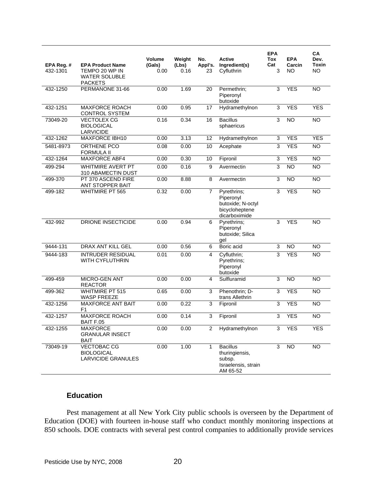|                        |                                                                                     | Volume         | Weight        | No.                     | Active                                                                           | <b>EPA</b><br>Tox | <b>EPA</b>      | CA<br>Dev.          |
|------------------------|-------------------------------------------------------------------------------------|----------------|---------------|-------------------------|----------------------------------------------------------------------------------|-------------------|-----------------|---------------------|
| EPA Reg. #<br>432-1301 | <b>EPA Product Name</b><br>TEMPO 20 WP IN<br><b>WATER SOLUBLE</b><br><b>PACKETS</b> | (Gals)<br>0.00 | (Lbs)<br>0.16 | Appl's.<br>23           | Ingredient(s)<br>Cyfluthrin                                                      | Cat<br>3          | Carcin<br>NO    | <b>Toxin</b><br>NO. |
| 432-1250               | PERMANONE 31-66                                                                     | 0.00           | 1.69          | 20                      | Permethrin;<br>Piperonyl<br>butoxide                                             | 3                 | <b>YES</b>      | <b>NO</b>           |
| 432-1251               | <b>MAXFORCE ROACH</b><br><b>CONTROL SYSTEM</b>                                      | 0.00           | 0.95          | 17                      | Hydramethylnon                                                                   | 3                 | <b>YES</b>      | <b>YES</b>          |
| 73049-20               | <b>VECTOLEX CG</b><br><b>BIOLOGICAL</b><br><b>LARVICIDE</b>                         | 0.16           | 0.34          | 16                      | <b>Bacillus</b><br>sphaericus                                                    | 3                 | $\overline{NO}$ | $\overline{NO}$     |
| 432-1262               | <b>MAXFORCE IBH10</b>                                                               | 0.00           | 3.13          | 12                      | Hydramethylnon                                                                   | 3                 | <b>YES</b>      | <b>YES</b>          |
| 5481-8973              | <b>ORTHENE PCO</b><br><b>FORMULA II</b>                                             | 0.08           | 0.00          | 10                      | Acephate                                                                         | 3                 | <b>YES</b>      | N <sub>O</sub>      |
| 432-1264               | MAXFORCE ABF4                                                                       | 0.00           | 0.30          | 10                      | Fipronil                                                                         | $\overline{3}$    | <b>YES</b>      | <b>NO</b>           |
| 499-294                | WHITMIRE AVERT PT<br>310 ABAMECTIN DUST                                             | 0.00           | 0.16          | 9                       | Avermectin                                                                       | 3                 | $\overline{NO}$ | <b>NO</b>           |
| 499-370                | PT 370 ASCEND FIRE<br>ANT STOPPER BAIT                                              | 0.00           | 8.88          | 8                       | Avermectin                                                                       | 3                 | <b>NO</b>       | $\overline{NO}$     |
| 499-182                | <b>WHITMIRE PT 565</b>                                                              | 0.32           | 0.00          | 7                       | Pyrethrins;<br>Piperonyl<br>butoxide; N-octyl<br>bicycloheptene<br>dicarboximide | 3                 | <b>YES</b>      | <b>NO</b>           |
| 432-992                | DRIONE INSECTICIDE                                                                  | 0.00           | 0.94          | 6                       | Pyrethrins;<br>Piperonyl<br>butoxide; Silica<br>gel                              | 3                 | <b>YES</b>      | <b>NO</b>           |
| 9444-131               | <b>DRAX ANT KILL GEL</b>                                                            | 0.00           | 0.56          | 6                       | Boric acid                                                                       | 3                 | <b>NO</b>       | $\overline{NO}$     |
| 9444-183               | <b>INTRUDER RESIDUAL</b><br><b>WITH CYFLUTHRIN</b>                                  | 0.01           | 0.00          | $\overline{\mathbf{4}}$ | Cyfluthrin;<br>Pyrethrins;<br>Piperonyl<br>butoxide                              | 3                 | <b>YES</b>      | <b>NO</b>           |
| 499-459                | <b>MICRO-GEN ANT</b><br><b>REACTOR</b>                                              | 0.00           | 0.00          | 4                       | Sulfluramid                                                                      | 3                 | <b>NO</b>       | <b>NO</b>           |
| 499-362                | <b>WHITMIRE PT 515</b><br><b>WASP FREEZE</b>                                        | 0.65           | 0.00          | 3                       | Phenothrin; D-<br>trans Allethrin                                                | 3                 | <b>YES</b>      | <b>NO</b>           |
| 432-1256               | <b>MAXFORCE ANT BAIT</b><br>F <sub>1</sub>                                          | 0.00           | 0.22          | 3                       | Fipronil                                                                         | 3                 | <b>YES</b>      | <b>NO</b>           |
| 432-1257               | <b>MAXFORCE ROACH</b><br><b>BAIT F.05</b>                                           | 0.00           | 0.14          | 3                       | Fipronil                                                                         | 3                 | <b>YES</b>      | <b>NO</b>           |
| 432-1255               | <b>MAXFORCE</b><br><b>GRANULAR INSECT</b><br><b>BAIT</b>                            | 0.00           | 0.00          | 2                       | Hydramethylnon                                                                   | 3                 | <b>YES</b>      | <b>YES</b>          |
| 73049-19               | VECTOBAC CG<br><b>BIOLOGICAL</b><br><b>LARVICIDE GRANULES</b>                       | 0.00           | 1.00          | 1                       | <b>Bacillus</b><br>thuringiensis,<br>subsp.<br>Israelensis, strain<br>AM 65-52   | 3                 | $\overline{NO}$ | $\overline{NO}$     |

# **Education**

 Pest management at all New York City public schools is overseen by the Department of Education (DOE) with fourteen in-house staff who conduct monthly monitoring inspections at 850 schools. DOE contracts with several pest control companies to additionally provide services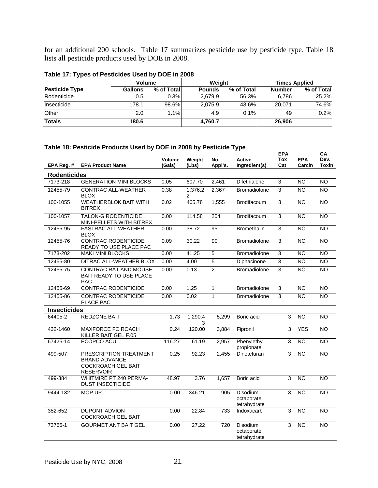for an additional 200 schools. Table 17 summarizes pesticide use by pesticide type. Table 18 lists all pesticide products used by DOE in 2008.

| $1000$ $11.1$ , $19000$ or $1$ conorated open by DOL. III E000 |                |             |               |            |                      |            |  |  |  |  |
|----------------------------------------------------------------|----------------|-------------|---------------|------------|----------------------|------------|--|--|--|--|
|                                                                | <b>Volume</b>  |             | Weight        |            | <b>Times Applied</b> |            |  |  |  |  |
| <b>Pesticide Type</b>                                          | <b>Gallons</b> | % of Totall | <b>Pounds</b> | % of Total | <b>Number</b>        | % of Total |  |  |  |  |
| Rodenticide                                                    | 0.5            | 0.3%        | 2.679.9       | 56.3%      | 6.786                | 25.2%      |  |  |  |  |
| Insecticide                                                    | 178.1          | 98.6%       | 2.075.9       | 43.6%      | 20.071               | 74.6%      |  |  |  |  |
| Other                                                          | 2.0            | 1.1%        | 4.9           | 0.1%       | 49                   | 0.2%       |  |  |  |  |
| <b>Totals</b>                                                  | 180.6          |             | 4,760.7       |            | 26.906               |            |  |  |  |  |

#### **Table 17: Types of Pesticides Used by DOE in 2008**

# **Table 18: Pesticide Products Used by DOE in 2008 by Pesticide Type**

| EPA Reg. #          | <b>EPA Product Name</b>                                                                         | <b>Volume</b><br>(Gals) | Weight<br>(Lbs) | No.<br>Appl's. | <b>Active</b><br>Ingredient(s)                | <b>EPA</b><br>Tox<br>Cat  | <b>EPA</b><br>Carcin | CA<br>Dev.<br>Toxin |
|---------------------|-------------------------------------------------------------------------------------------------|-------------------------|-----------------|----------------|-----------------------------------------------|---------------------------|----------------------|---------------------|
| <b>Rodenticides</b> |                                                                                                 |                         |                 |                |                                               |                           |                      |                     |
| 7173-218            | <b>GENERATION MINI BLOCKS</b>                                                                   | 0.05                    | 607.70          | 2,461          | Difethialone                                  | 3                         | $\overline{NO}$      | NO                  |
| 12455-79            | <b>CONTRAC ALL-WEATHER</b><br><b>BLOX</b>                                                       | 0.38                    | 1,376.2<br>2    | 2,367          | <b>Bromadiolone</b>                           | 3                         | <b>NO</b>            | <b>NO</b>           |
| 100-1055            | <b>WEATHERBLOK BAIT WITH</b><br><b>BITREX</b>                                                   | 0.02                    | 465.78          | 1,555          | Brodifacoum                                   | $\overline{3}$            | N <sub>O</sub>       | <b>NO</b>           |
| 100-1057            | <b>TALON-G RODENTICIDE</b><br>MINI-PELLETS WITH BITREX                                          | 0.00                    | 114.58          | 204            | Brodifacoum                                   | 3                         | NO                   | NO                  |
| 12455-95            | FASTRAC ALL-WEATHER<br><b>BLOX</b>                                                              | 0.00                    | 38.72           | 95             | <b>Bromethalin</b>                            | 3                         | <b>NO</b>            | <b>NO</b>           |
| 12455-76            | <b>CONTRAC RODENTICIDE</b><br>READY TO USE PLACE PAC                                            | 0.09                    | 30.22           | 90             | <b>Bromadiolone</b>                           | $\overline{3}$            | N <sub>O</sub>       | $\overline{NO}$     |
| 7173-202            | <b>MAKI MINI BLOCKS</b>                                                                         | 0.00                    | 41.25           | 5              | <b>Bromadiolone</b>                           | $\ensuremath{\mathsf{3}}$ | <b>NO</b>            | <b>NO</b>           |
| 12455-80            | DITRAC ALL-WEATHER BLOX                                                                         | 0.00                    | 4.00            | $\overline{5}$ | Diphacinone                                   | $\overline{3}$            | $\overline{NO}$      | <b>NO</b>           |
| 12455-75            | CONTRAC RAT AND MOUSE<br>BAIT READY TO USE PLACE<br><b>PAC</b>                                  | 0.00                    | 0.13            | $\overline{2}$ | Bromadiolone                                  | 3                         | <b>NO</b>            | $\overline{NO}$     |
| 12455-69            | <b>CONTRAC RODENTICIDE</b>                                                                      | 0.00                    | 1.25            | $\mathbf{1}$   | <b>Bromadiolone</b>                           | $\overline{3}$            | <b>NO</b>            | <b>NO</b>           |
| 12455-86            | <b>CONTRAC RODENTICIDE</b><br>PLACE PAC                                                         | 0.00                    | 0.02            | $\mathbf{1}$   | Bromadiolone                                  | 3                         | $\overline{NO}$      | <b>NO</b>           |
| <b>Insecticides</b> |                                                                                                 |                         |                 |                |                                               |                           |                      |                     |
| 64405-2             | <b>REDZONE BAIT</b>                                                                             | 1.73                    | 1,290.4<br>3    | 5,299          | Boric acid                                    | 3                         | $\overline{NO}$      | $\overline{NO}$     |
| 432-1460            | MAXFORCE FC ROACH<br>KILLER BAIT GEL F.05                                                       | 0.24                    | 120.00          | 3,884          | Fipronil                                      | 3                         | <b>YES</b>           | $\overline{NO}$     |
| 67425-14            | ECOPCO ACU                                                                                      | 116.27                  | 61.19           | 2,957          | Phenylethyl<br>propionate                     | 3                         | <b>NO</b>            | <b>NO</b>           |
| 499-507             | PRESCRIPTION TREATMENT<br><b>BRAND ADVANCE</b><br><b>COCKROACH GEL BAIT</b><br><b>RESERVOIR</b> | 0.25                    | 92.23           | 2,455          | Dinotefuran                                   | 3                         | <b>NO</b>            | <b>NO</b>           |
| 499-384             | <b>WHITMIRE PT 240 PERMA-</b><br><b>DUST INSECTICIDE</b>                                        | 48.97                   | 3.76            | 1,657          | Boric acid                                    | 3                         | <b>NO</b>            | N <sub>O</sub>      |
| 9444-132            | MOP UP                                                                                          | 0.00                    | 346.21          | 905            | <b>Disodium</b><br>octaborate<br>tetrahydrate | 3                         | $\overline{NO}$      | $\overline{NO}$     |
| 352-652             | <b>DUPONT ADVION</b><br><b>COCKROACH GEL BAIT</b>                                               | 0.00                    | 22.84           | 733            | Indoxacarb                                    | $\overline{3}$            | <b>NO</b>            | <b>NO</b>           |
| 73766-1             | <b>GOURMET ANT BAIT GEL</b>                                                                     | 0.00                    | 27.22           | 720            | <b>Disodium</b><br>octaborate<br>tetrahydrate | 3                         | N <sub>O</sub>       | NO                  |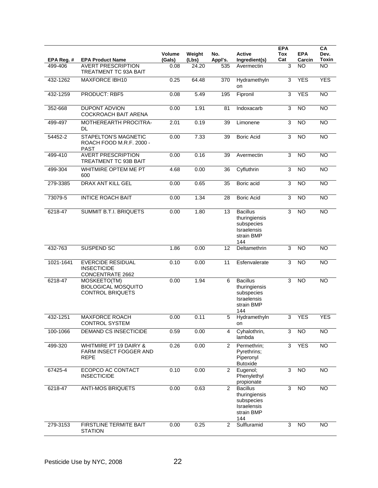| EPA Reg. # | <b>EPA Product Name</b>                                                    | Volume<br>(Gals) | Weight<br>(Lbs) | No.<br>Appl's. | Active<br>Ingredient(s)                                                            | <b>EPA</b><br><b>Tox</b><br>Cat | <b>EPA</b><br>Carcin | CA<br>Dev.<br><b>Toxin</b> |
|------------|----------------------------------------------------------------------------|------------------|-----------------|----------------|------------------------------------------------------------------------------------|---------------------------------|----------------------|----------------------------|
| 499-406    | <b>AVERT PRESCRIPTION</b><br><b>TREATMENT TC 93A BAIT</b>                  | 0.08             | 24.20           | 535            | Avermectin                                                                         | 3                               | NO.                  | <b>NO</b>                  |
| 432-1262   | <b>MAXFORCE IBH10</b>                                                      | 0.25             | 64.48           | 370            | Hydramethyln<br>on                                                                 | 3                               | <b>YES</b>           | <b>YES</b>                 |
| 432-1259   | PRODUCT: RBF5                                                              | 0.08             | 5.49            | 195            | Fipronil                                                                           | 3                               | <b>YES</b>           | $\overline{NO}$            |
| 352-668    | <b>DUPONT ADVION</b><br>COCKROACH BAIT ARENA                               | 0.00             | 1.91            | 81             | Indoxacarb                                                                         | 3                               | <b>NO</b>            | <b>NO</b>                  |
| 499-497    | MOTHEREARTH PROCITRA-<br>DL                                                | 2.01             | 0.19            | 39             | Limonene                                                                           | $\mathsf 3$                     | $\overline{NO}$      | $\overline{NO}$            |
| 54452-2    | <b>STAPELTON'S MAGNETIC</b><br>ROACH FOOD M.R.F. 2000 -<br>PAST            | 0.00             | 7.33            | 39             | <b>Boric Acid</b>                                                                  | 3                               | $\overline{NO}$      | NO                         |
| 499-410    | <b>AVERT PRESCRIPTION</b><br>TREATMENT TC 93B BAIT                         | 0.00             | 0.16            | 39             | Avermectin                                                                         | 3                               | NO                   | <b>NO</b>                  |
| 499-304    | WHITMIRE OPTEM ME PT<br>600                                                | 4.68             | 0.00            | 36             | Cyfluthrin                                                                         | 3                               | N <sub>O</sub>       | $\overline{NO}$            |
| 279-3385   | DRAX ANT KILL GEL                                                          | 0.00             | 0.65            | 35             | Boric acid                                                                         | 3                               | $\overline{NO}$      | NO                         |
| 73079-5    | <b>INTICE ROACH BAIT</b>                                                   | 0.00             | 1.34            | 28             | <b>Boric Acid</b>                                                                  | 3                               | NO                   | $\overline{NO}$            |
| 6218-47    | <b>SUMMIT B.T.I. BRIQUETS</b>                                              | 0.00             | 1.80            | 13             | <b>Bacillus</b><br>thuringiensis<br>subspecies<br>Israelensis<br>strain BMP<br>144 | 3                               | N <sub>O</sub>       | $\overline{NO}$            |
| 432-763    | SUSPEND SC                                                                 | 1.86             | 0.00            | 12             | Deltamethrin                                                                       | 3                               | NO                   | <b>NO</b>                  |
| 1021-1641  | <b>EVERCIDE RESIDUAL</b><br><b>INSECTICIDE</b><br><b>CONCENTRATE 2662</b>  | 0.10             | 0.00            | 11             | Esfenvalerate                                                                      | 3                               | $\overline{NO}$      | $\overline{NO}$            |
| 6218-47    | MOSKEETO(TM)<br><b>BIOLOGICAL MOSQUITO</b><br><b>CONTROL BRIQUETS</b>      | 0.00             | 1.94            | 6              | <b>Bacillus</b><br>thuringiensis<br>subspecies<br>Israelensis<br>strain BMP<br>144 | 3                               | <b>NO</b>            | <b>NO</b>                  |
| 432-1251   | <b>MAXFORCE ROACH</b><br><b>CONTROL SYSTEM</b>                             | 0.00             | 0.11            | 5              | Hydramethyln<br>on                                                                 | 3                               | <b>YES</b>           | <b>YES</b>                 |
| 100-1066   | <b>DEMAND CS INSECTICIDE</b>                                               | 0.59             | 0.00            | 4              | Cyhalothrin,<br>lambda                                                             | 3                               | <b>NO</b>            | <b>NO</b>                  |
| 499-320    | <b>WHITMIRE PT 19 DAIRY &amp;</b><br>FARM INSECT FOGGER AND<br><b>REPE</b> | 0.26             | 0.00            | $\overline{2}$ | Permethrin;<br>Pyrethrins;<br>Piperonyl<br><b>Butoxide</b>                         | $\overline{3}$                  | <b>YES</b>           | $\overline{NO}$            |
| 67425-4    | ECOPCO AC CONTACT<br><b>INSECTICIDE</b>                                    | 0.10             | 0.00            | $\overline{2}$ | Eugenol;<br>Phenylethyl<br>propionate                                              | 3                               | <b>NO</b>            | <b>NO</b>                  |
| 6218-47    | <b>ANTI-MOS BRIQUETS</b>                                                   | 0.00             | 0.63            | $\overline{2}$ | <b>Bacillus</b><br>thuringiensis<br>subspecies<br>Israelensis<br>strain BMP<br>144 | 3                               | NO                   | <b>NO</b>                  |
| 279-3153   | FIRSTLINE TERMITE BAIT<br><b>STATION</b>                                   | 0.00             | 0.25            | $\overline{2}$ | Sulfluramid                                                                        | 3                               | NO                   | <b>NO</b>                  |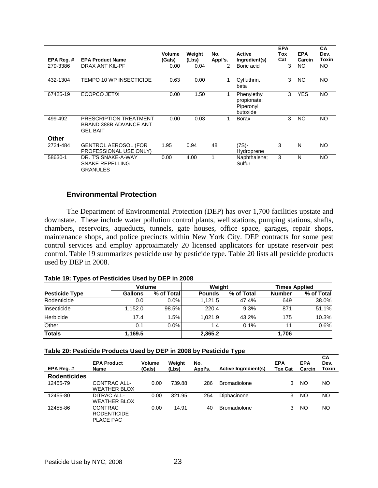|            |                                                                     |                  |                 |                |                                                     | <b>EPA</b> |                      | <b>CA</b>     |
|------------|---------------------------------------------------------------------|------------------|-----------------|----------------|-----------------------------------------------------|------------|----------------------|---------------|
| EPA Reg. # | <b>EPA Product Name</b>                                             | Volume<br>(Gals) | Weight<br>(Lbs) | No.<br>Appl's. | Active<br>Ingredient(s)                             | Tox<br>Cat | <b>EPA</b><br>Carcin | Dev.<br>Toxin |
| 279-3386   | DRAX ANT KIL-PF                                                     | 0.00             | 0.04            | 2              | Boric acid                                          | 3          | <b>NO</b>            | NO.           |
| 432-1304   | TEMPO 10 WP INSECTICIDE                                             | 0.63             | 0.00            | 1              | Cyfluthrin,<br>beta                                 | 3          | <b>NO</b>            | <b>NO</b>     |
| 67425-19   | ECOPCO JET/X                                                        | 0.00             | 1.50            | 1              | Phenylethyl<br>propionate;<br>Piperonyl<br>butoxide | 3          | <b>YES</b>           | <b>NO</b>     |
| 499-492    | PRESCRIPTION TREATMENT<br>BRAND 388B ADVANCE ANT<br><b>GEL BAIT</b> | 0.00             | 0.03            |                | <b>Borax</b>                                        | 3          | NO                   | <b>NO</b>     |
| Other      |                                                                     |                  |                 |                |                                                     |            |                      |               |
| 2724-484   | <b>GENTROL AEROSOL (FOR</b><br>PROFESSIONAL USE ONLY)               | 1.95             | 0.94            | 48             | $(7S)$ -<br>Hydroprene                              | 3          | N                    | <b>NO</b>     |
| 58630-1    | DR. T'S SNAKE-A-WAY<br><b>SNAKE REPELLING</b><br><b>GRANULES</b>    | 0.00             | 4.00            |                | Naphthalene;<br>Sulfur                              | 3          | N                    | <b>NO</b>     |

# **Environmental Protection**

 The Department of Environmental Protection (DEP) has over 1,700 facilities upstate and downstate. These include water pollution control plants, well stations, pumping stations, shafts, chambers, reservoirs, aqueducts, tunnels, gate houses, office space, garages, repair shops, maintenance shops, and police precincts within New York City. DEP contracts for some pest control services and employ approximately 20 licensed applicators for upstate reservoir pest control. Table 19 summarizes pesticide use by pesticide type. Table 20 lists all pesticide products used by DEP in 2008.

#### **Table 19: Types of Pesticides Used by DEP in 2008**

|                       | Volume         |            | Weight        |            | <b>Times Applied</b> |            |  |
|-----------------------|----------------|------------|---------------|------------|----------------------|------------|--|
| <b>Pesticide Type</b> | <b>Gallons</b> | % of Total | <b>Pounds</b> | % of Total | <b>Number</b>        | % of Total |  |
| Rodenticide           | 0.0            | $0.0\%$    | 1.121.5       | 47.4%      | 649                  | 38.0%      |  |
| Insecticide           | 1.152.0        | 98.5%      | 220.4         | 9.3%       | 871                  | 51.1%      |  |
| Herbicide             | 17.4           | 1.5%       | 1.021.9       | 43.2%      | 175                  | 10.3%      |  |
| Other                 | 0.1            | $0.0\%$    | 1.4           | 0.1%       |                      | 0.6%       |  |
| <b>Totals</b>         | 1,169.5        |            | 2,365.2       |            | 1,706                |            |  |

#### **Table 20: Pesticide Products Used by DEP in 2008 by Pesticide Type**

| EPA Reg.#           | <b>EPA Product</b><br>Name                               | Volume<br>(Gals) | Weight<br>(Lbs) | No.<br>Appl's. | Active Ingredient(s) | <b>EPA</b><br>Tox Cat | <b>EPA</b><br>Carcin | CA<br>Dev.<br>Toxin |
|---------------------|----------------------------------------------------------|------------------|-----------------|----------------|----------------------|-----------------------|----------------------|---------------------|
| <b>Rodenticides</b> |                                                          |                  |                 |                |                      |                       |                      |                     |
| 12455-79            | CONTRAC ALL-<br><b>WEATHER BLOX</b>                      | 0.00             | 739.88          | 286            | <b>Bromadiolone</b>  | 3                     | NO                   | NO.                 |
| 12455-80            | DITRAC ALL-<br><b>WEATHER BLOX</b>                       | 0.00             | 321.95          | 254            | Diphacinone          | 3                     | <b>NO</b>            | NO.                 |
| 12455-86            | <b>CONTRAC</b><br><b>RODENTICIDE</b><br><b>PLACE PAC</b> | 0.00             | 14.91           | 40             | <b>Bromadiolone</b>  | 3                     | NO                   | NO.                 |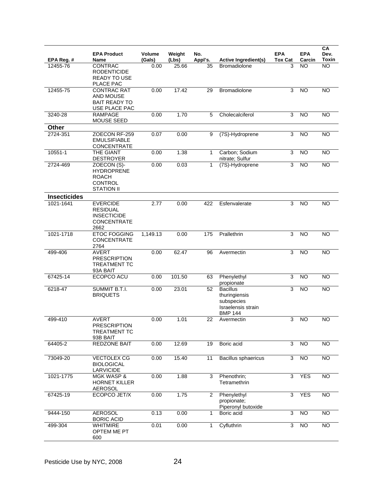| EPA Reg. #          | <b>EPA Product</b><br>Name                                                              | Volume<br>(Gals) | Weight<br>(Lbs) | No.<br>Appl's. | <b>Active Ingredient(s)</b>                                                            | <b>EPA</b><br><b>Tox Cat</b> | <b>EPA</b><br>Carcin | CA<br>Dev.<br><b>Toxin</b> |
|---------------------|-----------------------------------------------------------------------------------------|------------------|-----------------|----------------|----------------------------------------------------------------------------------------|------------------------------|----------------------|----------------------------|
| 12455-76            | <b>CONTRAC</b><br><b>RODENTICIDE</b><br><b>READY TO USE</b><br>PLACE PAC                | 0.00             | 25.66           | 35             | <b>Bromadiolone</b>                                                                    | 3                            | <b>NO</b>            | <b>NO</b>                  |
| 12455-75            | <b>CONTRAC RAT</b><br>AND MOUSE<br><b>BAIT READY TO</b><br>USE PLACE PAC                | 0.00             | 17.42           | 29             | Bromadiolone                                                                           | 3                            | <b>NO</b>            | <b>NO</b>                  |
| 3240-28             | <b>RAMPAGE</b><br><b>MOUSE SEED</b>                                                     | 0.00             | 1.70            | 5              | Cholecalciferol                                                                        | 3                            | <b>NO</b>            | <b>NO</b>                  |
| Other               |                                                                                         |                  |                 |                |                                                                                        |                              |                      |                            |
| 2724-351            | ZOECON RF-259<br><b>EMULSIFIABLE</b><br>CONCENTRATE                                     | 0.07             | 0.00            | 9              | (7S)-Hydroprene                                                                        | 3                            | NO                   | <b>NO</b>                  |
| 10551-1             | THE GIANT<br><b>DESTROYER</b>                                                           | 0.00             | 1.38            | $\mathbf{1}$   | Carbon; Sodium<br>nitrate; Sulfur                                                      | 3                            | <b>NO</b>            | <b>NO</b>                  |
| 2724-469            | ZOECON (S)-<br><b>HYDROPRENE</b><br><b>ROACH</b><br><b>CONTROL</b><br><b>STATION II</b> | 0.00             | 0.03            | 1              | (7S)-Hydroprene                                                                        | 3                            | <b>NO</b>            | <b>NO</b>                  |
| <b>Insecticides</b> |                                                                                         |                  |                 |                |                                                                                        |                              |                      |                            |
| 1021-1641           | <b>EVERCIDE</b><br><b>RESIDUAL</b><br><b>INSECTICIDE</b><br><b>CONCENTRATE</b><br>2662  | 2.77             | 0.00            | 422            | Esfenvalerate                                                                          | 3                            | <b>NO</b>            | <b>NO</b>                  |
| 1021-1718           | <b>ETOC FOGGING</b><br><b>CONCENTRATE</b><br>2764                                       | 1,149.13         | 0.00            | 175            | Prallethrin                                                                            | 3                            | <b>NO</b>            | <b>NO</b>                  |
| 499-406             | <b>AVERT</b><br><b>PRESCRIPTION</b><br><b>TREATMENT TC</b><br>93A BAIT                  | 0.00             | 62.47           | 96             | Avermectin                                                                             | 3                            | <b>NO</b>            | <b>NO</b>                  |
| 67425-14            | ECOPCO ACU                                                                              | 0.00             | 101.50          | 63             | Phenylethyl<br>propionate                                                              | 3                            | <b>NO</b>            | <b>NO</b>                  |
| 6218-47             | SUMMIT B.T.I.<br><b>BRIQUETS</b>                                                        | 0.00             | 23.01           | 52             | <b>Bacillus</b><br>thuringiensis<br>subspecies<br>Israelensis strain<br><b>BMP 144</b> | 3                            | <b>NO</b>            | <b>NO</b>                  |
| 499-410             | <b>AVERT</b><br><b>PRESCRIPTION</b><br><b>TREATMENT TC</b><br>93B BAIT                  | 0.00             | 1.01            | 22             | Avermectin                                                                             | 3                            | <b>NO</b>            | <b>NO</b>                  |
| 64405-2             | REDZONE BAIT                                                                            | 0.00             | 12.69           | 19             | Boric acid                                                                             | 3                            | $\overline{NO}$      | $\overline{NO}$            |
| 73049-20            | <b>VECTOLEX CG</b><br><b>BIOLOGICAL</b><br>LARVICIDE                                    | 0.00             | 15.40           | 11             | Bacillus sphaericus                                                                    | 3                            | $\overline{NO}$      | $\overline{NO}$            |
| 1021-1775           | <b>MGK WASP &amp;</b><br><b>HORNET KILLER</b><br><b>AEROSOL</b>                         | 0.00             | 1.88            | 3              | Phenothrin;<br>Tetramethrin                                                            | 3                            | <b>YES</b>           | <b>NO</b>                  |
| 67425-19            | ECOPCO JET/X                                                                            | 0.00             | 1.75            | 2              | Phenylethyl<br>propionate;<br>Piperonyl butoxide                                       | 3                            | <b>YES</b>           | $\overline{NO}$            |
| 9444-150            | <b>AEROSOL</b><br><b>BORIC ACID</b>                                                     | 0.13             | 0.00            | $\mathbf{1}$   | Boric acid                                                                             | $\overline{3}$               | N <sub>O</sub>       | N <sub>O</sub>             |
| 499-304             | <b>WHITMIRE</b><br>OPTEM ME PT<br>600                                                   | 0.01             | 0.00            | 1              | Cyfluthrin                                                                             | 3                            | $\overline{N}$       | $\overline{NO}$            |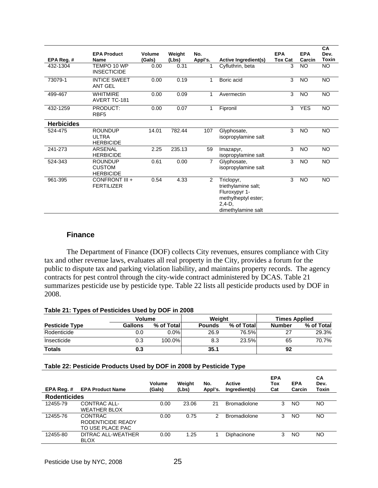| EPA Reg. #        | <b>EPA Product</b><br>Name                          | Volume<br>(Gals) | Weight<br>(Lbs) | No.<br>Appl's. | Active Ingredient(s)                                                                                         | <b>EPA</b><br><b>Tox Cat</b> | <b>EPA</b><br>Carcin | CA<br>Dev.<br>Toxin |
|-------------------|-----------------------------------------------------|------------------|-----------------|----------------|--------------------------------------------------------------------------------------------------------------|------------------------------|----------------------|---------------------|
| 432-1304          | TEMPO 10 WP<br><b>INSECTICIDE</b>                   | 0.00             | 0.31            |                | Cyfluthrin, beta                                                                                             | 3                            | NO.                  | <b>NO</b>           |
| 73079-1           | <b>INTICE SWEET</b><br><b>ANT GEL</b>               | 0.00             | 0.19            | 1              | Boric acid                                                                                                   | 3                            | <b>NO</b>            | <b>NO</b>           |
| 499-467           | <b>WHITMIRE</b><br><b>AVERT TC-181</b>              | 0.00             | 0.09            | 1              | Avermectin                                                                                                   | 3                            | <b>NO</b>            | <b>NO</b>           |
| 432-1259          | PRODUCT:<br>RBF <sub>5</sub>                        | 0.00             | 0.07            | 1              | Fipronil                                                                                                     | 3                            | <b>YES</b>           | <b>NO</b>           |
| <b>Herbicides</b> |                                                     |                  |                 |                |                                                                                                              |                              |                      |                     |
| 524-475           | <b>ROUNDUP</b><br><b>ULTRA</b><br><b>HERBICIDE</b>  | 14.01            | 782.44          | 107            | Glyphosate,<br>isopropylamine salt                                                                           | 3                            | <b>NO</b>            | <b>NO</b>           |
| 241-273           | <b>ARSENAL</b><br><b>HERBICIDE</b>                  | 2.25             | 235.13          | 59             | Imazapyr,<br>isopropylamine salt                                                                             | 3                            | <b>NO</b>            | <b>NO</b>           |
| 524-343           | <b>ROUNDUP</b><br><b>CUSTOM</b><br><b>HERBICIDE</b> | 0.61             | 0.00            | 7              | Glyphosate,<br>isopropylamine salt                                                                           | 3                            | <b>NO</b>            | <b>NO</b>           |
| 961-395           | CONFRONT III +<br><b>FERTILIZER</b>                 | 0.54             | 4.33            | 2              | Triclopyr,<br>triethylamine salt;<br>Fluroxypyr 1-<br>methylheptyl ester;<br>$2,4-D$ ,<br>dimethylamine salt | 3                            | <b>NO</b>            | <b>NO</b>           |

## **Finance**

 The Department of Finance (DOF) collects City revenues, ensures compliance with City tax and other revenue laws, evaluates all real property in the City, provides a forum for the public to dispute tax and parking violation liability, and maintains property records. The agency contracts for pest control through the city-wide contract administered by DCAS. Table 21 summarizes pesticide use by pesticide type. Table 22 lists all pesticide products used by DOF in 2008.

#### **Table 21: Types of Pesticides Used by DOF in 2008**

| <b>Volume</b>         |         |            | Weight        |            | <b>Times Applied</b> |            |  |
|-----------------------|---------|------------|---------------|------------|----------------------|------------|--|
| <b>Pesticide Type</b> | Gallons | % of Total | <b>Pounds</b> | % of Total | <b>Number</b>        | % of Total |  |
| Rodenticide           | 0.0     | $0.0\%$    | 26.9          | 76.5%      | つつ                   | 29.3%      |  |
| Insecticide           | 0.3     | $100.0\%$  | 8.3           | 23.5%      | 65                   | 70.7%      |  |
| <b>Totals</b>         | 0.3     |            | 35.1          |            | 92                   |            |  |

#### **Table 22: Pesticide Products Used by DOF in 2008 by Pesticide Type**

| EPA Reg.#           | <b>EPA Product Name</b>                                 | Volume<br>(Gals) | Weight<br>(Lbs) | No.<br>Appl's. | Active<br>Ingredient(s) | <b>EPA</b><br>Tox<br>Cat | <b>EPA</b><br>Carcin | CА<br>Dev.<br>Toxin |
|---------------------|---------------------------------------------------------|------------------|-----------------|----------------|-------------------------|--------------------------|----------------------|---------------------|
| <b>Rodenticides</b> |                                                         |                  |                 |                |                         |                          |                      |                     |
| 12455-79            | CONTRAC ALL-<br><b>WEATHER BLOX</b>                     | 0.00             | 23.06           | 21             | <b>Bromadiolone</b>     | 3                        | ΝO                   | NO                  |
| 12455-76            | <b>CONTRAC</b><br>RODENTICIDE READY<br>TO USE PLACE PAC | 0.00             | 0.75            | 2              | <b>Bromadiolone</b>     | 3                        | ΝO                   | NO                  |
| 12455-80            | DITRAC ALL-WEATHER<br><b>BLOX</b>                       | 0.00             | 1.25            |                | Diphacinone             | 3                        | ΝO                   | NO                  |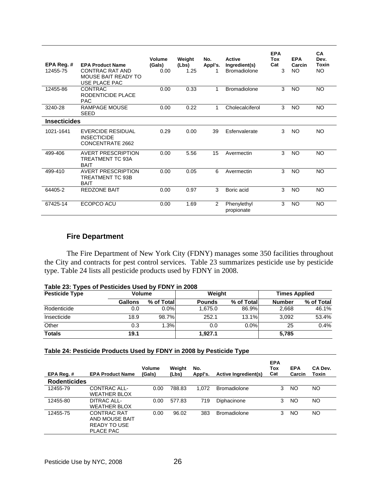| EPA Reg. #<br>12455-75 | <b>EPA Product Name</b><br>CONTRAC RAT AND<br><b>MOUSE BAIT READY TO</b><br>USE PLACE PAC | Volume<br>(Gals)<br>0.00 | Weight<br>(Lbs)<br>1.25 | No.<br>Appl's. | Active<br>Ingredient(s)<br><b>Bromadiolone</b> | <b>EPA</b><br>Tox<br>Cat<br>3 | <b>EPA</b><br>Carcin<br><b>NO</b> | CA<br>Dev.<br>Toxin<br>NO. |
|------------------------|-------------------------------------------------------------------------------------------|--------------------------|-------------------------|----------------|------------------------------------------------|-------------------------------|-----------------------------------|----------------------------|
| 12455-86               | <b>CONTRAC</b><br>RODENTICIDE PLACE<br><b>PAC</b>                                         | 0.00                     | 0.33                    | 1              | <b>Bromadiolone</b>                            | 3                             | <b>NO</b>                         | NO.                        |
| 3240-28                | <b>RAMPAGE MOUSE</b><br><b>SEED</b>                                                       | 0.00                     | 0.22                    | 1              | Cholecalciferol                                | 3                             | <b>NO</b>                         | <b>NO</b>                  |
| <b>Insecticides</b>    |                                                                                           |                          |                         |                |                                                |                               |                                   |                            |
| 1021-1641              | <b>EVERCIDE RESIDUAL</b><br><b>INSECTICIDE</b><br><b>CONCENTRATE 2662</b>                 | 0.29                     | 0.00                    | 39             | Esfenvalerate                                  | 3                             | <b>NO</b>                         | <b>NO</b>                  |
| 499-406                | <b>AVERT PRESCRIPTION</b><br>TREATMENT TC 93A<br><b>BAIT</b>                              | 0.00                     | 5.56                    | 15             | Avermectin                                     | 3                             | <b>NO</b>                         | <b>NO</b>                  |
| 499-410                | <b>AVERT PRESCRIPTION</b><br><b>TREATMENT TC 93B</b><br><b>BAIT</b>                       | 0.00                     | 0.05                    | 6              | Avermectin                                     | 3                             | <b>NO</b>                         | <b>NO</b>                  |
| 64405-2                | <b>REDZONE BAIT</b>                                                                       | 0.00                     | 0.97                    | 3              | Boric acid                                     | 3                             | <b>NO</b>                         | NO.                        |
| 67425-14               | ECOPCO ACU                                                                                | 0.00                     | 1.69                    | 2              | Phenylethyl<br>propionate                      | 3                             | NO.                               | NO.                        |

# **Fire Department**

 The Fire Department of New York City (FDNY) manages some 350 facilities throughout the City and contracts for pest control services. Table 23 summarizes pesticide use by pesticide type. Table 24 lists all pesticide products used by FDNY in 2008.

| <b>Pesticide Type</b> | <b>Volume</b>  |             | Weight        |            | <b>Times Applied</b> |            |  |
|-----------------------|----------------|-------------|---------------|------------|----------------------|------------|--|
|                       | <b>Gallons</b> | % of Totall | <b>Pounds</b> | % of Total | <b>Number</b>        | % of Total |  |
| Rodenticide           | 0.0            | $0.0\%$     | 1.675.0       | 86.9%      | 2.668                | 46.1%      |  |
| Insecticide           | 18.9           | 98.7%       | 252.1         | 13.1%      | 3.092                | 53.4%      |  |
| Other                 | 0.3            | 1.3%        | 0.0           | $0.0\%$    | 25                   | 0.4%       |  |
| <b>Totals</b>         | 19.1           |             | 1.927.1       |            | 5,785                |            |  |

| Table 23: Types of Pesticides Used by FDNY in 2008 |  |
|----------------------------------------------------|--|
|----------------------------------------------------|--|

# **Table 24: Pesticide Products Used by FDNY in 2008 by Pesticide Type**

| EPA Reg.#           | <b>EPA Product Name</b>                                           | <b>Volume</b><br>(Gals) | Weight<br>(Lbs) | No.<br>Appl's. | Active Ingredient(s) | <b>EPA</b><br>Tox<br>Cat | <b>EPA</b><br>Carcin | CA Dev.<br>Toxin |
|---------------------|-------------------------------------------------------------------|-------------------------|-----------------|----------------|----------------------|--------------------------|----------------------|------------------|
| <b>Rodenticides</b> |                                                                   |                         |                 |                |                      |                          |                      |                  |
| 12455-79            | CONTRAC ALL-<br><b>WEATHER BLOX</b>                               | 0.00                    | 788.83          | 1.072          | <b>Bromadiolone</b>  | 3                        | NO.                  | NO.              |
| 12455-80            | DITRAC ALL-<br><b>WEATHER BLOX</b>                                | 0.00                    | 577.83          | 719            | Diphacinone          | 3                        | NO                   | NO.              |
| 12455-75            | CONTRAC RAT<br>AND MOUSE BAIT<br>READY TO USE<br><b>PLACE PAC</b> | 0.00                    | 96.02           | 383            | <b>Bromadiolone</b>  | 3                        | NO                   | NO.              |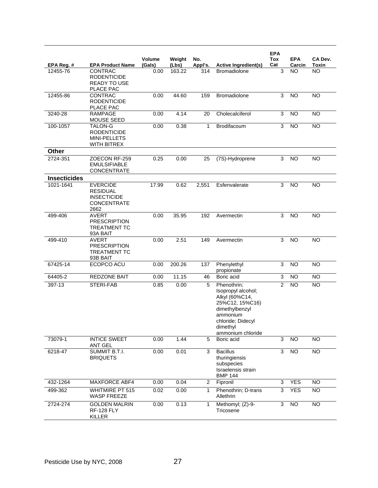|                     |                                                                                        |                  |                 |                |                                                                                                                                                            | <b>EPA</b>     |                      |                  |
|---------------------|----------------------------------------------------------------------------------------|------------------|-----------------|----------------|------------------------------------------------------------------------------------------------------------------------------------------------------------|----------------|----------------------|------------------|
| EPA Reg. #          | <b>EPA Product Name</b>                                                                | Volume<br>(Gals) | Weight<br>(Lbs) | No.<br>Appl's. | <b>Active Ingredient(s)</b>                                                                                                                                | Tox<br>Cat     | <b>EPA</b><br>Carcin | CA Dev.<br>Toxin |
| 12455-76            | <b>CONTRAC</b><br><b>RODENTICIDE</b><br>READY TO USE<br>PLACE PAC                      | 0.00             | 163.22          | 314            | <b>Bromadiolone</b>                                                                                                                                        | 3              | NO.                  | NO.              |
| 12455-86            | <b>CONTRAC</b><br><b>RODENTICIDE</b><br>PLACE PAC                                      | 0.00             | 44.60           | 159            | Bromadiolone                                                                                                                                               | 3              | <b>NO</b>            | <b>NO</b>        |
| 3240-28             | <b>RAMPAGE</b><br>MOUSE SEED                                                           | 0.00             | 4.14            | 20             | Cholecalciferol                                                                                                                                            | 3              | <b>NO</b>            | <b>NO</b>        |
| 100-1057            | <b>TALON-G</b><br><b>RODENTICIDE</b><br>MINI-PELLETS<br><b>WITH BITREX</b>             | 0.00             | 0.38            | $\mathbf 1$    | Brodifacoum                                                                                                                                                | 3              | <b>NO</b>            | <b>NO</b>        |
| Other               |                                                                                        |                  |                 |                |                                                                                                                                                            |                |                      |                  |
| 2724-351            | ZOECON RF-259<br><b>EMULSIFIABLE</b><br><b>CONCENTRATE</b>                             | 0.25             | 0.00            | 25             | (7S)-Hydroprene                                                                                                                                            | 3              | N <sub>O</sub>       | <b>NO</b>        |
| <b>Insecticides</b> |                                                                                        |                  |                 |                |                                                                                                                                                            |                |                      |                  |
| 1021-1641           | <b>EVERCIDE</b><br><b>RESIDUAL</b><br><b>INSECTICIDE</b><br><b>CONCENTRATE</b><br>2662 | 17.99            | 0.62            | 2,551          | Esfenvalerate                                                                                                                                              | 3              | <b>NO</b>            | <b>NO</b>        |
| 499-406             | <b>AVERT</b><br><b>PRESCRIPTION</b><br><b>TREATMENT TC</b><br>93A BAIT                 | 0.00             | 35.95           | 192            | Avermectin                                                                                                                                                 | 3              | <b>NO</b>            | <b>NO</b>        |
| 499-410             | <b>AVERT</b><br><b>PRESCRIPTION</b><br><b>TREATMENT TC</b><br>93B BAIT                 | 0.00             | 2.51            | 149            | Avermectin                                                                                                                                                 | 3              | <b>NO</b>            | <b>NO</b>        |
| 67425-14            | ECOPCO ACU                                                                             | 0.00             | 200.26          | 137            | Phenylethyl<br>propionate                                                                                                                                  | $\mathsf 3$    | <b>NO</b>            | <b>NO</b>        |
| $64405 - 2$         | REDZONE BAIT                                                                           | 0.00             | 11.15           | 46             | Boric acid                                                                                                                                                 | 3              | <b>NO</b>            | <b>NO</b>        |
| 397-13              | STERI-FAB                                                                              | 0.85             | 0.00            | 5              | Phenothrin;<br>Isopropyl alcohol;<br>Alkyl (60%C14,<br>25%C12, 15%C16)<br>dimethylbenzyl<br>ammonium<br>chloride; Didecyl<br>dimethyl<br>ammonium chloride | $\overline{2}$ | <b>NO</b>            | <b>NO</b>        |
| 73079-1             | <b>INTICE SWEET</b><br><b>ANT GEL</b>                                                  | 0.00             | 1.44            | 5              | Boric acid                                                                                                                                                 | 3              | $\overline{NO}$      | <b>NO</b>        |
| 6218-47             | SUMMIT B.T.I.<br><b>BRIQUETS</b>                                                       | 0.00             | 0.01            | 3              | <b>Bacillus</b><br>thuringiensis<br>subspecies<br>Israelensis strain<br><b>BMP 144</b>                                                                     | 3              | $\overline{NO}$      | <b>NO</b>        |
| 432-1264            | MAXFORCE ABF4                                                                          | 0.00             | 0.04            | $\overline{2}$ | Fipronil                                                                                                                                                   | 3              | <b>YES</b>           | <b>NO</b>        |
| 499-362             | <b>WHITMIRE PT 515</b><br><b>WASP FREEZE</b>                                           | 0.02             | 0.00            | $\mathbf{1}$   | Phenothrin; D-trans<br>Allethrin                                                                                                                           | 3              | <b>YES</b>           | $\overline{NO}$  |
| 2724-274            | <b>GOLDEN MALRIN</b><br><b>RF-128 FLY</b><br>KILLER                                    | 0.00             | 0.13            | $\mathbf{1}$   | Methomyl; (Z)-9-<br>Tricosene                                                                                                                              | 3              | <b>NO</b>            | $\overline{NO}$  |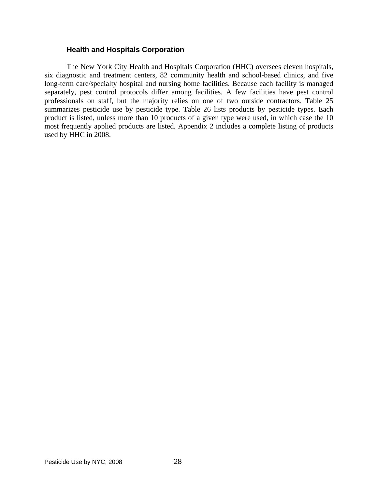### **Health and Hospitals Corporation**

 The New York City Health and Hospitals Corporation (HHC) oversees eleven hospitals, six diagnostic and treatment centers, 82 community health and school-based clinics, and five long-term care/specialty hospital and nursing home facilities. Because each facility is managed separately, pest control protocols differ among facilities. A few facilities have pest control professionals on staff, but the majority relies on one of two outside contractors. Table 25 summarizes pesticide use by pesticide type. Table 26 lists products by pesticide types. Each product is listed, unless more than 10 products of a given type were used, in which case the 10 most frequently applied products are listed. Appendix 2 includes a complete listing of products used by HHC in 2008.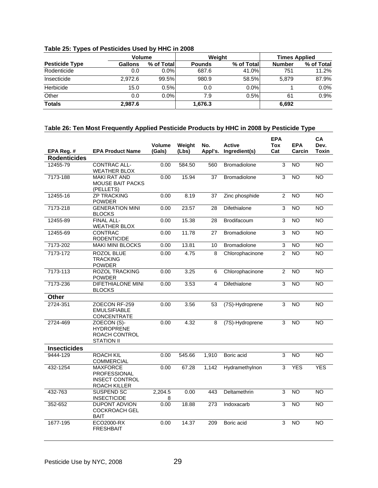|  |  | Table 25: Types of Pesticides Used by HHC in 2008 |
|--|--|---------------------------------------------------|
|  |  |                                                   |

|                       | <b>Volume</b>  |            |               | Weight     | <b>Times Applied</b> |            |  |
|-----------------------|----------------|------------|---------------|------------|----------------------|------------|--|
| <b>Pesticide Type</b> | <b>Gallons</b> | % of Total | <b>Pounds</b> | % of Total | <b>Number</b>        | % of Total |  |
| Rodenticide           | 0.0            | 0.0%       | 687.6         | 41.0%      | 751                  | 11.2%      |  |
| Insecticide           | 2.972.6        | 99.5%      | 980.9         | 58.5%      | 5.879                | 87.9%      |  |
| Herbicide             | 15.0           | 0.5%       | 0.0           | $0.0\%$    |                      | $0.0\%$    |  |
| Other                 | 0.0            | $0.0\%$    | 7.9           | 0.5%       | 61                   | 0.9%       |  |
| <b>Totals</b>         | 2,987.6        |            | 1,676.3       |            | 6.692                |            |  |

# T**able 26: Ten Most Frequently Applied Pesticide Products by HHC in 2008 by Pesticide Type**

|                     |                                                                                 | <b>Volume</b> | Weight | No.     | <b>Active</b>       | <b>EPA</b><br>Tox | <b>EPA</b>      | CA<br>Dev.      |
|---------------------|---------------------------------------------------------------------------------|---------------|--------|---------|---------------------|-------------------|-----------------|-----------------|
| EPA Reg. #          | <b>EPA Product Name</b>                                                         | (Gals)        | (Lbs)  | Appl's. | Ingredient(s)       | Cat               | Carcin          | Toxin           |
| <b>Rodenticides</b> |                                                                                 |               |        |         |                     |                   |                 |                 |
| 12455-79            | CONTRAC ALL-<br><b>WEATHER BLOX</b>                                             | 0.00          | 584.50 | 560     | <b>Bromadiolone</b> | 3                 | <b>NO</b>       | <b>NO</b>       |
| 7173-188            | <b>MAKI RAT AND</b><br>MOUSE BAIT PACKS<br>(PELLETS)                            | 0.00          | 15.94  | 37      | <b>Bromadiolone</b> | 3                 | N <sub>O</sub>  | $\overline{NO}$ |
| 12455-16            | <b>ZP TRACKING</b><br><b>POWDER</b>                                             | 0.00          | 8.19   | 37      | Zinc phosphide      | $\overline{2}$    | <b>NO</b>       | <b>NO</b>       |
| 7173-218            | <b>GENERATION MINI</b><br><b>BLOCKS</b>                                         | 0.00          | 23.57  | 28      | Difethialone        | $\overline{3}$    | N <sub>O</sub>  | <b>NO</b>       |
| 12455-89            | <b>FINAL ALL-</b><br><b>WEATHER BLOX</b>                                        | 0.00          | 15.38  | 28      | <b>Brodifacoum</b>  | $\overline{3}$    | <b>NO</b>       | $\overline{NO}$ |
| 12455-69            | <b>CONTRAC</b><br><b>RODENTICIDE</b>                                            | 0.00          | 11.78  | 27      | <b>Bromadiolone</b> | $\overline{3}$    | <b>NO</b>       | <b>NO</b>       |
| 7173-202            | <b>MAKI MINI BLOCKS</b>                                                         | 0.00          | 13.81  | 10      | <b>Bromadiolone</b> | 3                 | <b>NO</b>       | <b>NO</b>       |
| 7173-172            | ROZOL BLUE<br>TRACKING<br><b>POWDER</b>                                         | 0.00          | 4.75   | 8       | Chlorophacinone     | $\overline{2}$    | <b>NO</b>       | <b>NO</b>       |
| 7173-113            | <b>ROZOL TRACKING</b><br><b>POWDER</b>                                          | 0.00          | 3.25   | 6       | Chlorophacinone     | $\overline{2}$    | N <sub>O</sub>  | N <sub>O</sub>  |
| 7173-236            | <b>DIFETHIALONE MINI</b><br><b>BLOCKS</b>                                       | 0.00          | 3.53   | 4       | Difethialone        | 3                 | NO.             | <b>NO</b>       |
| Other               |                                                                                 |               |        |         |                     |                   |                 |                 |
| 2724-351            | ZOECON RF-259<br><b>EMULSIFIABLE</b><br>CONCENTRATE                             | 0.00          | 3.56   | 53      | (7S)-Hydroprene     | $\overline{3}$    | NO              | NO              |
| 2724-469            | ZOECON (S)-<br><b>HYDROPRENE</b><br>ROACH CONTROL<br><b>STATION II</b>          | 0.00          | 4.32   | 8       | (7S)-Hydroprene     | 3                 | <b>NO</b>       | <b>NO</b>       |
| <b>Insecticides</b> |                                                                                 |               |        |         |                     |                   |                 |                 |
| 9444-129            | <b>ROACH KIL</b><br><b>COMMERCIAL</b>                                           | 0.00          | 545.66 | 1,910   | Boric acid          | 3                 | <b>NO</b>       | <b>NO</b>       |
| 432-1254            | <b>MAXFORCE</b><br><b>PROFESSIONAL</b><br><b>INSECT CONTROL</b><br>ROACH KILLER | 0.00          | 67.28  | 1,142   | Hydramethylnon      | 3                 | <b>YES</b>      | <b>YES</b>      |
| 432-763             | SUSPEND SC<br><b>INSECTICIDE</b>                                                | 2,204.5<br>8  | 0.00   | 443     | Deltamethrin        | 3                 | <b>NO</b>       | <b>NO</b>       |
| 352-652             | <b>DUPONT ADVION</b><br><b>COCKROACH GEL</b><br><b>BAIT</b>                     | 0.00          | 18.88  | 273     | Indoxacarb          | 3                 | $\overline{NO}$ | $\overline{NO}$ |
| 1677-195            | ECO2000-RX<br><b>FRESHBAIT</b>                                                  | 0.00          | 14.37  | 209     | Boric acid          | 3                 | $\overline{NO}$ | NO              |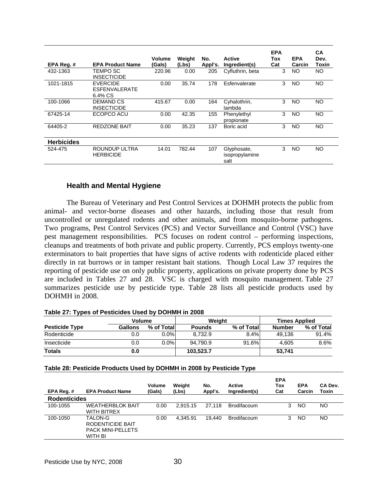| EPA Reg.#         | <b>EPA Product Name</b>                            | Volume<br>(Gals) | Weight<br>(Lbs) | No.<br>Appl's. | <b>Active</b><br>Ingredient(s)        | <b>EPA</b><br>Tox<br>Cat | <b>EPA</b><br>Carcin | CA<br>Dev.<br>Toxin |
|-------------------|----------------------------------------------------|------------------|-----------------|----------------|---------------------------------------|--------------------------|----------------------|---------------------|
| 432-1363          | <b>TEMPO SC</b><br><b>INSECTICIDE</b>              | 220.96           | 0.00            | 205            | Cyfluthrin, beta                      | 3                        | NO.                  | NO.                 |
| 1021-1815         | <b>EVERCIDE</b><br><b>ESFENVALERATE</b><br>6.4% CS | 0.00             | 35.74           | 178            | Esfenvalerate                         | 3                        | NO                   | <b>NO</b>           |
| 100-1066          | <b>DEMAND CS</b><br><b>INSECTICIDE</b>             | 415.67           | 0.00            | 164            | Cyhalothrin,<br>lambda                | 3                        | NO.                  | NO                  |
| 67425-14          | ECOPCO ACU                                         | 0.00             | 42.35           | 155            | Phenylethyl<br>propionate             | 3                        | NO.                  | NO                  |
| 64405-2           | <b>REDZONE BAIT</b>                                | 0.00             | 35.23           | 137            | Boric acid                            | 3                        | NO.                  | <b>NO</b>           |
| <b>Herbicides</b> |                                                    |                  |                 |                |                                       |                          |                      |                     |
| 524-475           | ROUNDUP ULTRA<br><b>HERBICIDE</b>                  | 14.01            | 782.44          | 107            | Glyphosate,<br>isopropylamine<br>salt | 3                        | NO.                  | NO                  |

# **Health and Mental Hygiene**

 The Bureau of Veterinary and Pest Control Services at DOHMH protects the public from animal- and vector-borne diseases and other hazards, including those that result from uncontrolled or unregulated rodents and other animals, and from mosquito-borne pathogens. Two programs, Pest Control Services (PCS) and Vector Surveillance and Control (VSC) have pest management responsibilities. PCS focuses on rodent control – performing inspections, cleanups and treatments of both private and public property. Currently, PCS employs twenty-one exterminators to bait properties that have signs of active rodents with rodenticide placed either directly in rat burrows or in tamper resistant bait stations. Though Local Law 37 requires the reporting of pesticide use on only public property, applications on private property done by PCS are included in Tables 27 and 28. VSC is charged with mosquito management. Table 27 summarizes pesticide use by pesticide type. Table 28 lists all pesticide products used by DOHMH in 2008.

#### **Table 27: Types of Pesticides Used by DOHMH in 2008**

|                       | Volume  |             |               | Weiaht     | <b>Times Applied</b> |            |  |
|-----------------------|---------|-------------|---------------|------------|----------------------|------------|--|
| <b>Pesticide Type</b> | Gallons | % of Totall | <b>Pounds</b> | % of Total | <b>Number</b>        | % of Total |  |
| Rodenticide           | 0.0     | $0.0\%$     | 8.732.9       | 8.4%       | 49.136               | 91.4%      |  |
| Insecticide           | 0.0     | $0.0\%$     | 94.790.9      | 91.6%      | 4.605                | 8.6%       |  |
| <b>Totals</b>         | 0.0     |             | 103,523.7     |            | 53.741               |            |  |

#### **Table 28: Pesticide Products Used by DOHMH in 2008 by Pesticide Type**

| EPA Reg.#           | <b>EPA Product Name</b>                                            | Volume<br>(Gals) | Weiaht<br>(Lbs) | No.<br>Appl's. | Active<br>Ingredient(s) | <b>EPA</b><br>Tox<br>Cat | <b>EPA</b><br>Carcin | CA Dev.<br>Toxin |
|---------------------|--------------------------------------------------------------------|------------------|-----------------|----------------|-------------------------|--------------------------|----------------------|------------------|
| <b>Rodenticides</b> |                                                                    |                  |                 |                |                         |                          |                      |                  |
| 100-1055            | <b>WEATHERBLOK BAIT</b><br><b>WITH BITREX</b>                      | 0.00             | 2.915.15        | 27.118         | <b>Brodifacoum</b>      | 3                        | NO                   | NO               |
| 100-1050            | TALON-G<br>RODENTICIDE BAIT<br><b>PACK MINI-PELLETS</b><br>WITH BI | 0.00             | 4.345.91        | 19.440         | <b>Brodifacoum</b>      | 3                        | ΝO                   | NO               |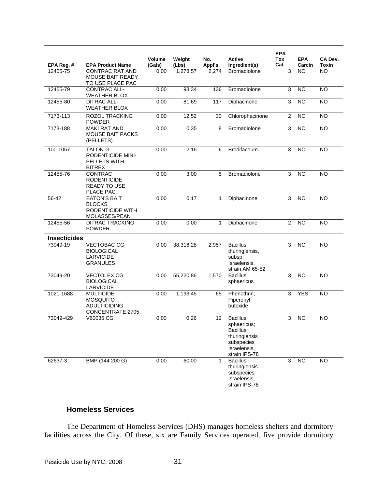|                     |                                                                                       |                  |                 |                |                                                                                                                   | <b>EPA</b>     |                      |                  |
|---------------------|---------------------------------------------------------------------------------------|------------------|-----------------|----------------|-------------------------------------------------------------------------------------------------------------------|----------------|----------------------|------------------|
| EPA Reg. #          | <b>EPA Product Name</b>                                                               | Volume<br>(Gals) | Weight<br>(Lbs) | No.<br>Appl's. | Active<br>Ingredient(s)                                                                                           | Tox<br>Cat     | <b>EPA</b><br>Carcin | CA Dev.<br>Toxin |
| 12455-75            | <b>CONTRAC RAT AND</b><br><b>MOUSE BAIT READY</b><br>TO USE PLACE PAC                 | 0.00             | 1,278.57        | 2,274          | <b>Bromadiolone</b>                                                                                               | 3              | <b>NO</b>            | <b>NO</b>        |
| 12455-79            | <b>CONTRAC ALL-</b><br><b>WEATHER BLOX</b>                                            | 0.00             | 93.34           | 136            | Bromadiolone                                                                                                      | 3              | <b>NO</b>            | <b>NO</b>        |
| 12455-80            | <b>DITRAC ALL-</b><br><b>WEATHER BLOX</b>                                             | 0.00             | 81.69           | 117            | Diphacinone                                                                                                       | 3              | <b>NO</b>            | <b>NO</b>        |
| 7173-113            | <b>ROZOL TRACKING</b><br><b>POWDER</b>                                                | 0.00             | 12.52           | 30             | Chlorophacinone                                                                                                   | $\overline{c}$ | <b>NO</b>            | <b>NO</b>        |
| 7173-188            | <b>MAKI RAT AND</b><br><b>MOUSE BAIT PACKS</b><br>(PELLETS)                           | 0.00             | 0.35            | 8              | Bromadiolone                                                                                                      | 3              | <b>NO</b>            | <b>NO</b>        |
| 100-1057            | <b>TALON-G</b><br><b>RODENTICIDE MINI-</b><br>PELLETS WITH<br><b>BITREX</b>           | 0.00             | 2.16            | 6              | Brodifacoum                                                                                                       | 3              | <b>NO</b>            | <b>NO</b>        |
| 12455-76            | CONTRAC<br><b>RODENTICIDE</b><br><b>READY TO USE</b><br>PLACE PAC                     | 0.00             | 3.00            | 5              | Bromadiolone                                                                                                      | 3              | <b>NO</b>            | <b>NO</b>        |
| 56-42               | <b>EATON'S BAIT</b><br><b>BLOCKS</b><br>RODENTICIDE WITH<br>MOLASSES/PEAN             | 0.00             | 0.17            | 1              | Diphacinone                                                                                                       | 3              | <b>NO</b>            | NO.              |
| 12455-56            | <b>DITRAC TRACKING</b><br><b>POWDER</b>                                               | 0.00             | 0.00            | 1              | Diphacinone                                                                                                       | $\overline{2}$ | <b>NO</b>            | <b>NO</b>        |
| <b>Insecticides</b> |                                                                                       |                  |                 |                |                                                                                                                   |                |                      |                  |
| 73049-19            | <b>VECTOBAC CG</b><br><b>BIOLOGICAL</b><br><b>LARVICIDE</b><br><b>GRANULES</b>        | 0.00             | 38,316.28       | 2,957          | <b>Bacillus</b><br>thuringiensis,<br>subsp.<br>Israelensis.<br>strain AM 65-52                                    | 3              | <b>NO</b>            | <b>NO</b>        |
| 73049-20            | <b>VECTOLEX CG</b><br><b>BIOLOGICAL</b><br><b>LARVICIDE</b>                           | 0.00             | 55,220.86       | 1,570          | <b>Bacillus</b><br>sphaericus                                                                                     | 3              | N <sub>O</sub>       | <b>NO</b>        |
| 1021-1688           | <b>MULTICIDE</b><br><b>MOSQUITO</b><br><b>ADULTICIDING</b><br><b>CONCENTRATE 2705</b> | 0.00             | 1,193.45        | 65             | Phenothrin;<br>Piperonyl<br>butoxide                                                                              | 3              | <b>YES</b>           | <b>NO</b>        |
| 73049-429           | V60035 CG                                                                             | 0.00             | 0.26            | 12             | <b>Bacillus</b><br>sphaericus;<br><b>Bacillus</b><br>thuringiensis<br>subspecies<br>Israelensis,<br>strain IPS-78 | 3              | <b>NO</b>            | <b>NO</b>        |
| 62637-3             | BMP (144 200 G)                                                                       | 0.00             | 60.00           | $\mathbf{1}$   | <b>Bacillus</b><br>thuringiensis<br>subspecies<br>Israelensis,<br>strain IPS-78                                   | 3              | $\overline{NO}$      | $\overline{NO}$  |

# **Homeless Services**

 The Department of Homeless Services (DHS) manages homeless shelters and dormitory facilities across the City. Of these, six are Family Services operated, five provide dormitory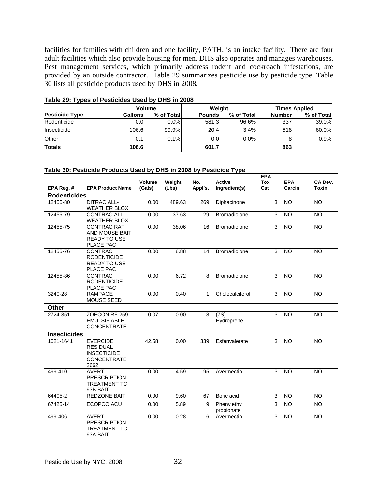facilities for families with children and one facility, PATH, is an intake facility. There are four adult facilities which also provide housing for men. DHS also operates and manages warehouses. Pest management services, which primarily address rodent and cockroach infestations, are provided by an outside contractor. Table 29 summarizes pesticide use by pesticide type. Table 30 lists all pesticide products used by DHS in 2008.

|                       | <b>Volume</b> |            | Weight        |             | <b>Times Applied</b> |            |  |
|-----------------------|---------------|------------|---------------|-------------|----------------------|------------|--|
| <b>Pesticide Type</b> | Gallons       | % of Total | <b>Pounds</b> | % of Totall | <b>Number</b>        | % of Total |  |
| Rodenticide           | 0.0           | 0.0%       | 581.3         | 96.6%       | 337                  | 39.0%      |  |
| Insecticide           | 106.6         | 99.9%      | 20.4          | 3.4%        | 518                  | 60.0%      |  |
| Other                 | 0.1           | 0.1%       | 0.0           | $0.0\%$     |                      | 0.9%       |  |
| <b>Totals</b>         | 106.6         |            | 601.7         |             | 863                  |            |  |

#### **Table 29: Types of Pesticides Used by DHS in 2008**

#### **Table 30: Pesticide Products Used by DHS in 2008 by Pesticide Type**

|                     |                                                                                        |                  |                 |                |                                | <b>EPA</b>        |                      |                  |
|---------------------|----------------------------------------------------------------------------------------|------------------|-----------------|----------------|--------------------------------|-------------------|----------------------|------------------|
| EPA Reg. #          | <b>EPA Product Name</b>                                                                | Volume<br>(Gals) | Weight<br>(Lbs) | No.<br>Appl's. | <b>Active</b><br>Ingredient(s) | <b>Tox</b><br>Cat | <b>EPA</b><br>Carcin | CA Dev.<br>Toxin |
| <b>Rodenticides</b> |                                                                                        |                  |                 |                |                                |                   |                      |                  |
| 12455-80            | <b>DITRAC ALL-</b><br><b>WEATHER BLOX</b>                                              | 0.00             | 489.63          | 269            | Diphacinone                    | $\overline{3}$    | $\overline{NO}$      | $\overline{NO}$  |
| 12455-79            | <b>CONTRAC ALL-</b><br><b>WEATHER BLOX</b>                                             | 0.00             | 37.63           | 29             | <b>Bromadiolone</b>            | 3                 | <b>NO</b>            | <b>NO</b>        |
| 12455-75            | <b>CONTRAC RAT</b><br>AND MOUSE BAIT<br><b>READY TO USE</b><br>PLACE PAC               | 0.00             | 38.06           | 16             | <b>Bromadiolone</b>            | 3                 | N <sub>O</sub>       | $\overline{NO}$  |
| 12455-76            | <b>CONTRAC</b><br><b>RODENTICIDE</b><br><b>READY TO USE</b><br>PLACE PAC               | 0.00             | 8.88            | 14             | <b>Bromadiolone</b>            | 3                 | <b>NO</b>            | <b>NO</b>        |
| 12455-86            | <b>CONTRAC</b><br><b>RODENTICIDE</b><br>PLACE PAC                                      | 0.00             | 6.72            | 8              | <b>Bromadiolone</b>            | 3                 | <b>NO</b>            | <b>NO</b>        |
| 3240-28             | <b>RAMPAGE</b><br><b>MOUSE SEED</b>                                                    | 0.00             | 0.40            | 1              | Cholecalciferol                | 3                 | <b>NO</b>            | <b>NO</b>        |
| Other               |                                                                                        |                  |                 |                |                                |                   |                      |                  |
| 2724-351            | ZOECON RF-259<br><b>EMULSIFIABLE</b><br><b>CONCENTRATE</b>                             | 0.07             | 0.00            | 8              | $(7S) -$<br>Hydroprene         | 3                 | <b>NO</b>            | <b>NO</b>        |
| <b>Insecticides</b> |                                                                                        |                  |                 |                |                                |                   |                      |                  |
| 1021-1641           | <b>EVERCIDE</b><br><b>RESIDUAL</b><br><b>INSECTICIDE</b><br><b>CONCENTRATE</b><br>2662 | 42.58            | 0.00            | 339            | Esfenvalerate                  | 3                 | <b>NO</b>            | <b>NO</b>        |
| 499-410             | <b>AVERT</b><br><b>PRESCRIPTION</b><br><b>TREATMENT TC</b><br>93B BAIT                 | 0.00             | 4.59            | 95             | Avermectin                     | 3                 | N <sub>O</sub>       | <b>NO</b>        |
| 64405-2             | REDZONE BAIT                                                                           | 0.00             | 9.60            | 67             | Boric acid                     | 3                 | <b>NO</b>            | <b>NO</b>        |
| 67425-14            | ECOPCO ACU                                                                             | 0.00             | 5.89            | 9              | Phenylethyl<br>propionate      | $\overline{3}$    | N <sub>O</sub>       | <b>NO</b>        |
| 499-406             | AVERT<br><b>PRESCRIPTION</b><br><b>TREATMENT TC</b><br>93A BAIT                        | 0.00             | 0.28            | 6              | Avermectin                     | 3                 | <b>NO</b>            | <b>NO</b>        |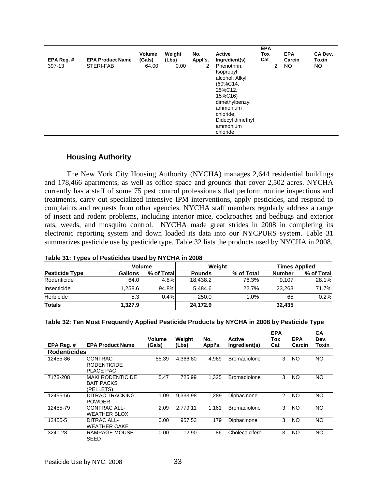| EPA Reg.# | <b>EPA Product Name</b> | <b>Volume</b><br>(Gals) | Weight<br>(Lbs) | No.<br>Appl's. | <b>Active</b><br>Ingredient(s)                                                                                                                                                    | <b>EPA</b><br><b>Tox</b><br>Cat |                | <b>EPA</b><br>Carcin | CA Dev.<br>Toxin |
|-----------|-------------------------|-------------------------|-----------------|----------------|-----------------------------------------------------------------------------------------------------------------------------------------------------------------------------------|---------------------------------|----------------|----------------------|------------------|
| 397-13    | STERI-FAB               | 64.00                   | 0.00            | 2              | Phenothrin;<br><i><b>Isopropyl</b></i><br>alcohol; Alkyl<br>(60%C14,<br>25%C12,<br>15%C16)<br>dimethylbenzyl<br>ammonium<br>chloride;<br>Didecyl dimethyl<br>ammonium<br>chloride |                                 | $\overline{2}$ | NO                   | NO.              |

## **Housing Authority**

 The New York City Housing Authority (NYCHA) manages 2,644 residential buildings and 178,466 apartments, as well as office space and grounds that cover 2,502 acres. NYCHA currently has a staff of some 75 pest control professionals that perform routine inspections and treatments, carry out specialized intensive IPM interventions, apply pesticides, and respond to complaints and requests from other agencies. NYCHA staff members regularly address a range of insect and rodent problems, including interior mice, cockroaches and bedbugs and exterior rats, weeds, and mosquito control. NYCHA made great strides in 2008 in completing its electronic reporting system and down loaded its data into our NYCPURS system. Table 31 summarizes pesticide use by pesticide type. Table 32 lists the products used by NYCHA in 2008.

| Table 31: Types of Pesticides Used by NYCHA in 2008 |  |
|-----------------------------------------------------|--|
|-----------------------------------------------------|--|

|                       | <b>Volume</b>  |             | Weight        |            | <b>Times Applied</b> |            |  |
|-----------------------|----------------|-------------|---------------|------------|----------------------|------------|--|
| <b>Pesticide Type</b> | <b>Gallons</b> | % of Totall | <b>Pounds</b> | % of Total | <b>Number</b>        | % of Total |  |
| Rodenticide           | 64.0           | 4.8%        | 18.438.2      | 76.3%      | 9.107                | 28.1%      |  |
| Insecticide           | 1.258.6        | 94.8%       | 5.484.6       | 22.7%      | 23.263               | 71.7%      |  |
| Herbicide             | 5.3            | 0.4%        | 250.0         | 1.0%       | 65                   | 0.2%       |  |
| <b>Totals</b>         | 1,327.9        |             | 24,172.9      |            | 32,435               |            |  |

| Table 32: Ten Most Frequently Applied Pesticide Products by NYCHA in 2008 by Pesticide Type |
|---------------------------------------------------------------------------------------------|
|---------------------------------------------------------------------------------------------|

| EPA Req.#           | <b>EPA Product Name</b>                                   | <b>Volume</b><br>(Gals) | Weight<br>(Lbs) | No.<br>Appl's. | <b>Active</b><br>Ingredient(s) | <b>EPA</b><br>Tox<br>Cat | <b>EPA</b><br>Carcin | СA<br>Dev.<br>Toxin |
|---------------------|-----------------------------------------------------------|-------------------------|-----------------|----------------|--------------------------------|--------------------------|----------------------|---------------------|
| <b>Rodenticides</b> |                                                           |                         |                 |                |                                |                          |                      |                     |
| 12455-86            | <b>CONTRAC</b><br><b>RODENTICIDE</b><br>PLACE PAC         | 55.39                   | 4,366.80        | 4.969          | <b>Bromadiolone</b>            | 3                        | NO                   | <b>NO</b>           |
| 7173-208            | <b>MAKI RODENTICIDE</b><br><b>BAIT PACKS</b><br>(PELLETS) | 5.47                    | 725.99          | 1,325          | <b>Bromadiolone</b>            | 3                        | NO                   | NO.                 |
| 12455-56            | DITRAC TRACKING<br><b>POWDER</b>                          | 1.09                    | 9.333.98        | 1.289          | Diphacinone                    | 2                        | <b>NO</b>            | <b>NO</b>           |
| 12455-79            | CONTRAC ALL-<br><b>WEATHER BLOX</b>                       | 2.09                    | 2.779.11        | 1.161          | <b>Bromadiolone</b>            | 3                        | <b>NO</b>            | <b>NO</b>           |
| 12455-5             | DITRAC ALL-<br><b>WEATHER CAKE</b>                        | 0.00                    | 957.53          | 179            | Diphacinone                    | 3                        | NO.                  | NO                  |
| 3240-28             | RAMPAGE MOUSE<br><b>SEED</b>                              | 0.00                    | 12.90           | 86             | Cholecalciferol                | 3                        | NO.                  | NO                  |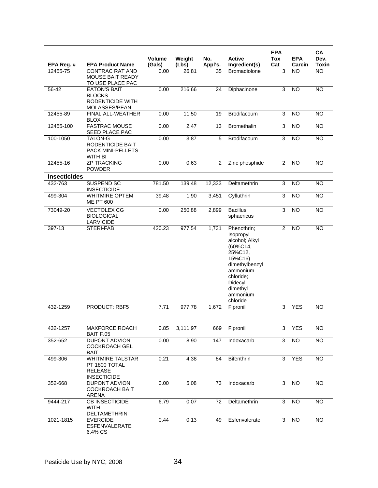| EPA Reg. #                     | <b>EPA Product Name</b>                                                          | Volume<br>(Gals) | Weight<br>(Lbs) | No.<br>Appl's. | <b>Active</b><br>Ingredient(s)                                                                                                                                         | <b>EPA</b><br>Tox<br>Cat | <b>EPA</b><br>Carcin | CA<br>Dev.<br><b>Toxin</b> |
|--------------------------------|----------------------------------------------------------------------------------|------------------|-----------------|----------------|------------------------------------------------------------------------------------------------------------------------------------------------------------------------|--------------------------|----------------------|----------------------------|
| 12455-75                       | <b>CONTRAC RAT AND</b><br><b>MOUSE BAIT READY</b><br>TO USE PLACE PAC            | 0.00             | 26.81           | 35             | <b>Bromadiolone</b>                                                                                                                                                    | 3                        | <b>NO</b>            | $\overline{NO}$            |
| 56-42                          | <b>EATON'S BAIT</b><br><b>BLOCKS</b><br><b>RODENTICIDE WITH</b><br>MOLASSES/PEAN | 0.00             | 216.66          | 24             | Diphacinone                                                                                                                                                            | 3                        | <b>NO</b>            | <b>NO</b>                  |
| 12455-89                       | FINAL ALL-WEATHER<br><b>BLOX</b>                                                 | 0.00             | 11.50           | 19             | Brodifacoum                                                                                                                                                            | 3                        | <b>NO</b>            | <b>NO</b>                  |
| 12455-100                      | <b>FASTRAC MOUSE</b><br>SEED PLACE PAC                                           | 0.00             | 2.47            | 13             | Bromethalin                                                                                                                                                            | 3                        | <b>NO</b>            | <b>NO</b>                  |
| 100-1050                       | TALON-G<br>RODENTICIDE BAIT<br>PACK MINI-PELLETS<br>WITH BI                      | 0.00             | 3.87            | 5              | Brodifacoum                                                                                                                                                            | 3                        | $\overline{NO}$      | $\overline{NO}$            |
| 12455-16                       | <b>ZP TRACKING</b><br><b>POWDER</b>                                              | 0.00             | 0.63            | 2              | Zinc phosphide                                                                                                                                                         | $\overline{2}$           | <b>NO</b>            | <b>NO</b>                  |
| <b>Insecticides</b><br>432-763 | <b>SUSPEND SC</b>                                                                | 781.50           | 139.48          | 12,333         | Deltamethrin                                                                                                                                                           | 3                        | <b>NO</b>            | <b>NO</b>                  |
|                                | <b>INSECTICIDE</b><br><b>WHITMIRE OPTEM</b>                                      |                  |                 |                |                                                                                                                                                                        |                          |                      |                            |
| 499-304                        | <b>ME PT 600</b>                                                                 | 39.48            | 1.90            | 3,451          | Cyfluthrin                                                                                                                                                             | 3                        | <b>NO</b>            | <b>NO</b>                  |
| 73049-20                       | <b>VECTOLEX CG</b><br><b>BIOLOGICAL</b><br>LARVICIDE                             | 0.00             | 250.88          | 2,899          | <b>Bacillus</b><br>sphaericus                                                                                                                                          | 3                        | <b>NO</b>            | <b>NO</b>                  |
| 397-13                         | STERI-FAB                                                                        | 420.23           | 977.54          | 1,731          | Phenothrin;<br>Isopropyl<br>alcohol; Alkyl<br>(60%C14,<br>25%C12,<br>15%C16)<br>dimethylbenzyl<br>ammonium<br>chloride;<br>Didecyl<br>dimethyl<br>ammonium<br>chloride | $\overline{2}$           | <b>NO</b>            | <b>NO</b>                  |
| 432-1259                       | PRODUCT: RBF5                                                                    | 7.71             | 977.78          | 1,672          | Fipronil                                                                                                                                                               | 3                        | <b>YES</b>           | <b>NO</b>                  |
| 432-1257                       | MAXFORCE ROACH<br>BAIT F.05                                                      | 0.85             | 3,111.97        | 669            | Fipronil                                                                                                                                                               | 3                        | <b>YES</b>           | <b>NO</b>                  |
| 352-652                        | DUPONT ADVION<br><b>COCKROACH GEL</b><br>BAIT                                    | 0.00             | 8.90            | 147            | Indoxacarb                                                                                                                                                             | 3                        | $\overline{N}$       | NO                         |
| 499-306                        | <b>WHITMIRE TALSTAR</b><br>PT 1800 TOTAL<br><b>RELEASE</b><br><b>INSECTICIDE</b> | 0.21             | 4.38            | 84             | Bifenthrin                                                                                                                                                             | 3                        | YES                  | <b>NO</b>                  |
| 352-668                        | DUPONT ADVION<br><b>COCKROACH BAIT</b><br>ARENA                                  | 0.00             | 5.08            | 73             | Indoxacarb                                                                                                                                                             | 3                        | <b>NO</b>            | <b>NO</b>                  |
| 9444-217                       | <b>CB INSECTICIDE</b><br><b>WITH</b><br>DELTAMETHRIN                             | 6.79             | 0.07            | 72             | Deltamethrin                                                                                                                                                           | 3                        | <b>NO</b>            | <b>NO</b>                  |
| 1021-1815                      | <b>EVERCIDE</b><br><b>ESFENVALERATE</b><br>6.4% CS                               | 0.44             | 0.13            | 49             | Esfenvalerate                                                                                                                                                          | 3                        | <b>NO</b>            | <b>NO</b>                  |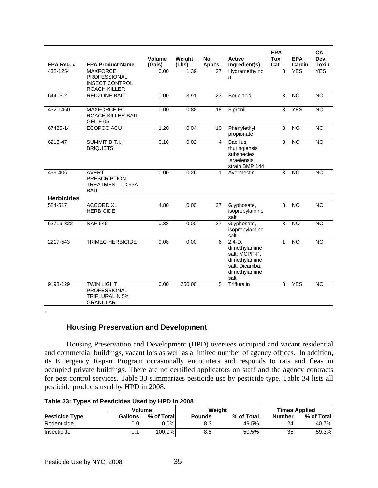| EPA Reg. #        | <b>EPA Product Name</b>                                                              | <b>Volume</b><br>(Gals) | Weight<br>(Lbs) | No.<br>Appl's. | <b>Active</b><br>Ingredient(s)                                                                         | <b>EPA</b><br>Tox<br>Cat | <b>EPA</b><br>Carcin | CA<br>Dev.<br><b>Toxin</b> |
|-------------------|--------------------------------------------------------------------------------------|-------------------------|-----------------|----------------|--------------------------------------------------------------------------------------------------------|--------------------------|----------------------|----------------------------|
| 432-1254          | <b>MAXFORCE</b><br>PROFESSIONAL<br><b>INSECT CONTROL</b><br>ROACH KILLER             | 0.00                    | 1.39            | 27             | Hydramethylno<br>n                                                                                     | 3                        | <b>YES</b>           | <b>YES</b>                 |
| 64405-2           | <b>REDZONE BAIT</b>                                                                  | 0.00                    | 3.91            | 23             | Boric acid                                                                                             | 3                        | $\overline{10}$      | NO                         |
| 432-1460          | <b>MAXFORCE FC</b><br>ROACH KILLER BAIT<br><b>GEL F.05</b>                           | 0.00                    | 0.88            | 18             | Fipronil                                                                                               | 3                        | <b>YES</b>           | <b>NO</b>                  |
| 67425-14          | ECOPCO ACU                                                                           | 1.20                    | 0.04            | 10             | Phenylethyl<br>propionate                                                                              | 3                        | <b>NO</b>            | <b>NO</b>                  |
| 6218-47           | SUMMIT B.T.I.<br><b>BRIQUETS</b>                                                     | 0.16                    | 0.02            | 4              | <b>Bacillus</b><br>thuringiensis<br>subspecies<br>Israelensis<br>strain BMP 144                        | 3                        | <b>NO</b>            | $\overline{NO}$            |
| 499-406           | <b>AVERT</b><br><b>PRESCRIPTION</b><br>TREATMENT TC 93A<br><b>BAIT</b>               | 0.00                    | 0.26            | 1              | Avermectin                                                                                             | 3                        | $\overline{N}$       | NO                         |
| <b>Herbicides</b> |                                                                                      |                         |                 |                |                                                                                                        |                          |                      |                            |
| 524-517           | <b>ACCORD XL</b><br><b>HERBICIDE</b>                                                 | 4.80                    | 0.00            | 27             | Glyphosate,<br>isopropylamine<br>salt                                                                  | 3                        | <b>NO</b>            | <b>NO</b>                  |
| 62719-322         | <b>NAF-545</b>                                                                       | 0.38                    | 0.00            | 27             | Glyphosate,<br>isopropylamine<br>salt                                                                  | $\overline{3}$           | <b>NO</b>            | NO                         |
| 2217-543          | <b>TRIMEC HERBICIDE</b>                                                              | 0.08                    | 0.00            | 6              | $2,4-D,$<br>dimethylamine<br>salt; MCPP-P,<br>dimethylamine<br>salt: Dicamba.<br>dimethylamine<br>salt | $\mathbf{1}$             | <b>NO</b>            | <b>NO</b>                  |
| 9198-129          | <b>TWIN LIGHT</b><br><b>PROFESSIONAL</b><br><b>TRIFLURALIN 5%</b><br><b>GRANULAR</b> | 0.00                    | 250.00          | 5              | Trifluralin                                                                                            | 3                        | <b>YES</b>           | <b>NO</b>                  |
|                   |                                                                                      |                         |                 |                |                                                                                                        |                          |                      |                            |

# **Housing Preservation and Development**

 Housing Preservation and Development (HPD) oversees occupied and vacant residential and commercial buildings, vacant lots as well as a limited number of agency offices. In addition, its Emergency Repair Program occasionally encounters and responds to rats and fleas in occupied private buildings. There are no certified applicators on staff and the agency contracts for pest control services. Table 33 summarizes pesticide use by pesticide type. Table 34 lists all pesticide products used by HPD in 2008.

|  |  |  |  | Table 33: Types of Pesticides Used by HPD in 2008 |
|--|--|--|--|---------------------------------------------------|
|--|--|--|--|---------------------------------------------------|

|                       | Volume         |            |               | Weight     | <b>Times Applied</b> |            |  |
|-----------------------|----------------|------------|---------------|------------|----------------------|------------|--|
| <b>Pesticide Type</b> | <b>Gallons</b> | % of Total | <b>Pounds</b> | % of Total | Number               | % of Total |  |
| Rodenticide           | 0.0            | $0.0\%$    | 8.3           | 49.5%      | 24                   | 40.7%      |  |
| Insecticide           |                | 100.0%     | 8.5           | 50.5%      | 35                   | 59.3%      |  |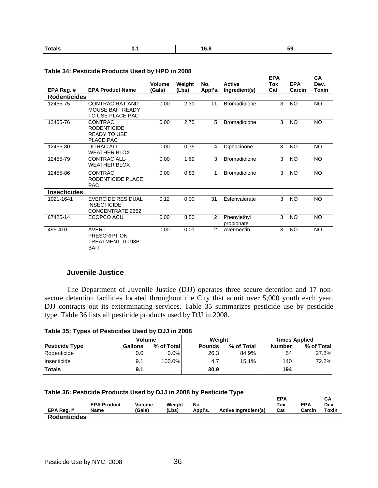| <b>Totals</b> | . . | 16.8 | - -<br>ჂႸ |
|---------------|-----|------|-----------|
|---------------|-----|------|-----------|

|                     |                          |                         |                 |                |                                | <b>EPA</b> |                      | CA            |
|---------------------|--------------------------|-------------------------|-----------------|----------------|--------------------------------|------------|----------------------|---------------|
| EPA Reg. #          | <b>EPA Product Name</b>  | <b>Volume</b><br>(Gals) | Weight<br>(Lbs) | No.<br>Appl's. | <b>Active</b><br>Ingredient(s) | Tox<br>Cat | <b>EPA</b><br>Carcin | Dev.<br>Toxin |
| <b>Rodenticides</b> |                          |                         |                 |                |                                |            |                      |               |
|                     | <b>CONTRAC RAT AND</b>   |                         |                 |                | <b>Bromadiolone</b>            |            |                      | <b>NO</b>     |
| 12455-75            | <b>MOUSE BAIT READY</b>  | 0.00                    | 2.31            | 11             |                                | 3          | <b>NO</b>            |               |
|                     | TO USE PLACE PAC         |                         |                 |                |                                |            |                      |               |
| 12455-76            | CONTRAC                  | 0.00                    | 2.75            | 5              | <b>Bromadiolone</b>            | 3          | <b>NO</b>            | <b>NO</b>     |
|                     | <b>RODENTICIDE</b>       |                         |                 |                |                                |            |                      |               |
|                     | <b>READY TO USE</b>      |                         |                 |                |                                |            |                      |               |
|                     | PLACE PAC                |                         |                 |                |                                |            |                      |               |
| 12455-80            | <b>DITRAC ALL-</b>       | 0.00                    | 0.75            | $\overline{4}$ | Diphacinone                    | 3          | <b>NO</b>            | <b>NO</b>     |
|                     | <b>WEATHER BLOX</b>      |                         |                 |                |                                |            |                      |               |
| 12455-79            | <b>CONTRAC ALL-</b>      | 0.00                    | 1.69            | 3              | <b>Bromadiolone</b>            | 3          | <b>NO</b>            | <b>NO</b>     |
|                     | <b>WEATHER BLOX</b>      |                         |                 |                |                                |            |                      |               |
| 12455-86            | <b>CONTRAC</b>           | 0.00                    | 0.83            | 1              | <b>Bromadiolone</b>            | 3          | <b>NO</b>            | <b>NO</b>     |
|                     | RODENTICIDE PLACE        |                         |                 |                |                                |            |                      |               |
|                     | <b>PAC</b>               |                         |                 |                |                                |            |                      |               |
| <b>Insecticides</b> |                          |                         |                 |                |                                |            |                      |               |
| 1021-1641           | <b>EVERCIDE RESIDUAL</b> | 0.12                    | 0.00            | 31             | Esfenvalerate                  | 3          | <b>NO</b>            | <b>NO</b>     |
|                     | <b>INSECTICIDE</b>       |                         |                 |                |                                |            |                      |               |
|                     | CONCENTRATE 2662         |                         |                 |                |                                |            |                      |               |
| 67425-14            | ECOPCO ACU               | 0.00                    | 8.50            | 2              | Phenylethyl                    | 3          | <b>NO</b>            | <b>NO</b>     |
|                     |                          |                         |                 |                | propionate                     |            |                      |               |
| 499-410             | <b>AVERT</b>             | 0.00                    | 0.01            | 2              | Avermectin                     | 3          | <b>NO</b>            | <b>NO</b>     |
|                     | <b>PRESCRIPTION</b>      |                         |                 |                |                                |            |                      |               |
|                     | TREATMENT TC 93B         |                         |                 |                |                                |            |                      |               |
|                     | <b>BAIT</b>              |                         |                 |                |                                |            |                      |               |

## **Table 34: Pesticide Products Used by HPD in 2008**

## **Juvenile Justice**

 The Department of Juvenile Justice (DJJ) operates three secure detention and 17 nonsecure detention facilities located throughout the City that admit over 5,000 youth each year. DJJ contracts out its exterminating services. Table 35 summarizes pesticide use by pesticide type. Table 36 lists all pesticide products used by DJJ in 2008.

| Table 35: Types of Pesticides Used by DJJ in 2008 |  |
|---------------------------------------------------|--|
|                                                   |  |

|                       | <b>Volume</b> |             | Weight        |            |               | <b>Times Applied</b> |
|-----------------------|---------------|-------------|---------------|------------|---------------|----------------------|
| <b>Pesticide Type</b> | Gallons       | % of Totall | <b>Pounds</b> | % of Total | <b>Number</b> | % of Total           |
| Rodenticide           | 0.0           | $0.0\%$     | 26.3          | 84.9%      | 54            | 27.8%                |
| Insecticide           | 9.1           | 100.0%      | 4.7           | 15.1%      | 140           | 72.2%                |
| <b>Totals</b>         | 9.1           |             | 30.9          |            | 194           |                      |

#### **Table 36: Pesticide Products Used by DJJ in 2008 by Pesticide Type**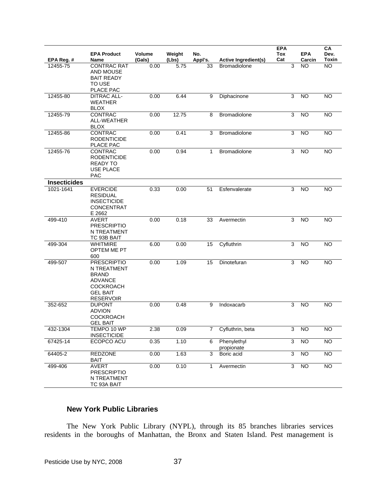|                     | <b>EPA Product</b>                                                                                                             | <b>Volume</b> | Weight | No.          |                             | <b>EPA</b><br>Tox | <b>EPA</b>      | CА<br>Dev.      |
|---------------------|--------------------------------------------------------------------------------------------------------------------------------|---------------|--------|--------------|-----------------------------|-------------------|-----------------|-----------------|
| EPA Reg. #          | <b>Name</b>                                                                                                                    | (Gals)        | (Lbs)  | Appl's.      | <b>Active Ingredient(s)</b> | Cat               | Carcin          | Toxin           |
| 12455-75            | <b>CONTRAC RAT</b><br><b>AND MOUSE</b><br><b>BAIT READY</b><br>TO USE<br>PLACE PAC                                             | 0.00          | 5.75   | 33           | <b>Bromadiolone</b>         | $\mathsf 3$       | NO.             | <b>NO</b>       |
| 12455-80            | <b>DITRAC ALL-</b><br><b>WEATHER</b><br><b>BLOX</b>                                                                            | 0.00          | 6.44   | 9            | Diphacinone                 | 3                 | <b>NO</b>       | <b>NO</b>       |
| 12455-79            | CONTRAC<br>ALL-WEATHER<br><b>BLOX</b>                                                                                          | 0.00          | 12.75  | 8            | Bromadiolone                | 3                 | <b>NO</b>       | <b>NO</b>       |
| 12455-86            | CONTRAC<br><b>RODENTICIDE</b><br>PLACE PAC                                                                                     | 0.00          | 0.41   | 3            | Bromadiolone                | 3                 | <b>NO</b>       | <b>NO</b>       |
| 12455-76            | CONTRAC<br><b>RODENTICIDE</b><br><b>READY TO</b><br><b>USE PLACE</b><br><b>PAC</b>                                             | 0.00          | 0.94   | 1            | Bromadiolone                | 3                 | <b>NO</b>       | <b>NO</b>       |
| <b>Insecticides</b> |                                                                                                                                |               |        |              |                             |                   |                 |                 |
| 1021-1641           | <b>EVERCIDE</b><br><b>RESIDUAL</b><br><b>INSECTICIDE</b><br><b>CONCENTRAT</b><br>E 2662                                        | 0.33          | 0.00   | 51           | Esfenvalerate               | 3                 | <b>NO</b>       | <b>NO</b>       |
| 499-410             | <b>AVERT</b><br><b>PRESCRIPTIO</b><br>N TREATMENT<br>TC 93B BAIT                                                               | 0.00          | 0.18   | 33           | Avermectin                  | 3                 | <b>NO</b>       | <b>NO</b>       |
| 499-304             | <b>WHITMIRE</b><br>OPTEM ME PT<br>600                                                                                          | 6.00          | 0.00   | 15           | Cyfluthrin                  | 3                 | <b>NO</b>       | <b>NO</b>       |
| 499-507             | <b>PRESCRIPTIO</b><br>N TREATMENT<br><b>BRAND</b><br><b>ADVANCE</b><br><b>COCKROACH</b><br><b>GEL BAIT</b><br><b>RESERVOIR</b> | 0.00          | 1.09   | 15           | Dinotefuran                 | 3                 | <b>NO</b>       | <b>NO</b>       |
| 352-652             | <b>DUPONT</b><br><b>ADVION</b><br><b>COCKROACH</b><br><b>GEL BAIT</b>                                                          | 0.00          | 0.48   | 9            | Indoxacarb                  | 3                 | <b>NO</b>       | <b>NO</b>       |
| 432-1304            | TEMPO 10 WP<br><b>INSECTICIDE</b>                                                                                              | 2.38          | 0.09   | 7            | Cyfluthrin, beta            | 3                 | NO              | <b>NO</b>       |
| 67425-14            | ECOPCO ACU                                                                                                                     | 0.35          | 1.10   | 6            | Phenylethyl<br>propionate   | $\overline{3}$    | $\overline{NO}$ | $\overline{NO}$ |
| 64405-2             | <b>REDZONE</b><br><b>BAIT</b>                                                                                                  | 0.00          | 1.63   | 3            | Boric acid                  | $\overline{3}$    | <b>NO</b>       | <b>NO</b>       |
| 499-406             | <b>AVERT</b><br><b>PRESCRIPTIO</b><br>N TREATMENT<br>TC 93A BAIT                                                               | 0.00          | 0.10   | $\mathbf{1}$ | Avermectin                  | 3                 | <b>NO</b>       | NO              |

# **New York Public Libraries**

 The New York Public Library (NYPL), through its 85 branches libraries services residents in the boroughs of Manhattan, the Bronx and Staten Island. Pest management is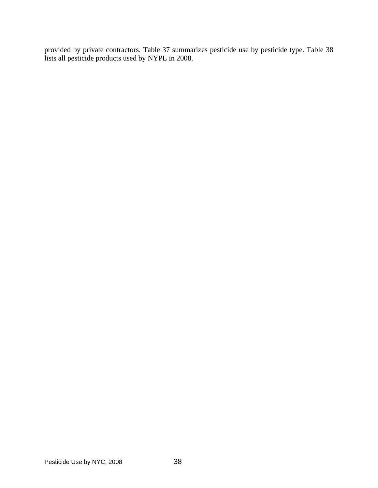provided by private contractors. Table 37 summarizes pesticide use by pesticide type. Table 38 lists all pesticide products used by NYPL in 2008.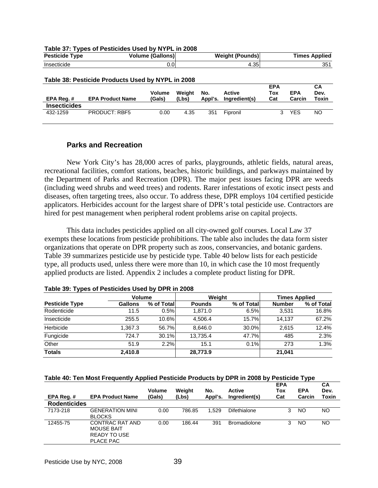| <b>Pesticide Type</b> |                                                   | <b>Volume (Gallons)</b> |                 |                | <b>Weight (Pounds)</b>         |                          |                      | <b>Times Applied</b>       |
|-----------------------|---------------------------------------------------|-------------------------|-----------------|----------------|--------------------------------|--------------------------|----------------------|----------------------------|
| Insecticide           |                                                   | 0.0                     |                 |                | 4.35                           |                          |                      | 351                        |
|                       | Table 38: Pesticide Products Used by NYPL in 2008 |                         |                 |                |                                |                          |                      |                            |
| EPA Req.#             | <b>EPA Product Name</b>                           | <b>Volume</b><br>(Gals) | Weight<br>(Lbs) | No.<br>Appl's. | <b>Active</b><br>Ingredient(s) | <b>EPA</b><br>Tox<br>Cat | <b>EPA</b><br>Carcin | <b>CA</b><br>Dev.<br>Toxin |
| <b>Insecticides</b>   |                                                   |                         |                 |                |                                |                          |                      |                            |
| 432-1259              | <b>PRODUCT: RBF5</b>                              | 0.00                    | 4.35            | 351            | Fipronil                       | 3                        | <b>YES</b>           | NO.                        |

**Table 37: Types of Pesticides Used by NYPL in 2008** 

## **Parks and Recreation**

 New York City's has 28,000 acres of parks, playgrounds, athletic fields, natural areas, recreational facilities, comfort stations, beaches, historic buildings, and parkways maintained by the Department of Parks and Recreation (DPR). The major pest issues facing DPR are weeds (including weed shrubs and weed trees) and rodents. Rarer infestations of exotic insect pests and diseases, often targeting trees, also occur. To address these, DPR employs 104 certified pesticide applicators. Herbicides account for the largest share of DPR's total pesticide use. Contractors are hired for pest management when peripheral rodent problems arise on capital projects.

This data includes pesticides applied on all city-owned golf courses. Local Law 37 exempts these locations from pesticide prohibitions. The table also includes the data form sister organizations that operate on DPR property such as zoos, conservancies, and botanic gardens. Table 39 summarizes pesticide use by pesticide type. Table 40 below lists for each pesticide type, all products used, unless there were more than 10, in which case the 10 most frequently applied products are listed. Appendix 2 includes a complete product listing for DPR.

|                       | <b>Volume</b>  |            | Weiaht        |            | <b>Times Applied</b> |            |  |
|-----------------------|----------------|------------|---------------|------------|----------------------|------------|--|
| <b>Pesticide Type</b> | <b>Gallons</b> | % of Total | <b>Pounds</b> | % of Total | <b>Number</b>        | % of Total |  |
| Rodenticide           | 11.5           | 0.5%       | 1.871.0       | 6.5%       | 3.531                | 16.8%      |  |
| Insecticide           | 255.5          | 10.6%      | 4.506.4       | 15.7%      | 14.137               | 67.2%      |  |
| Herbicide             | 1.367.3        | 56.7%      | 8.646.0       | 30.0%      | 2.615                | 12.4%      |  |
| Fungicide             | 724.7          | 30.1%      | 13.735.4      | 47.7%      | 485                  | 2.3%       |  |
| Other                 | 51.9           | 2.2%       | 15.1          | 0.1%       | 273                  | 1.3%       |  |
| <b>Totals</b>         | 2,410.8        |            | 28,773.9      |            | 21,041               |            |  |

|  |  | Table 39: Types of Pesticides Used by DPR in 2008 |
|--|--|---------------------------------------------------|
|  |  |                                                   |

### **Table 40: Ten Most Frequently Applied Pesticide Products by DPR in 2008 by Pesticide Type**

| EPA Req.#           | <b>EPA Product Name</b>                                                         | <b>Volume</b><br>(Gals) | Weight<br>(Lbs) | No.<br>Appl's. | <b>Active</b><br>Ingredient(s) | <b>EPA</b><br>Tox<br>Cat | <b>EPA</b><br>Carcin | CA<br>Dev.<br>Toxin |
|---------------------|---------------------------------------------------------------------------------|-------------------------|-----------------|----------------|--------------------------------|--------------------------|----------------------|---------------------|
| <b>Rodenticides</b> |                                                                                 |                         |                 |                |                                |                          |                      |                     |
| 7173-218            | <b>GENERATION MINI</b><br><b>BLOCKS</b>                                         | 0.00                    | 786.85          | 1.529          | Difethialone                   | 3                        | NO                   | NO.                 |
| 12455-75            | CONTRAC RAT AND<br><b>MOUSE BAIT</b><br><b>READY TO USE</b><br><b>PLACE PAC</b> | 0.00                    | 186.44          | 391            | <b>Bromadiolone</b>            | 3                        | NO                   | NO                  |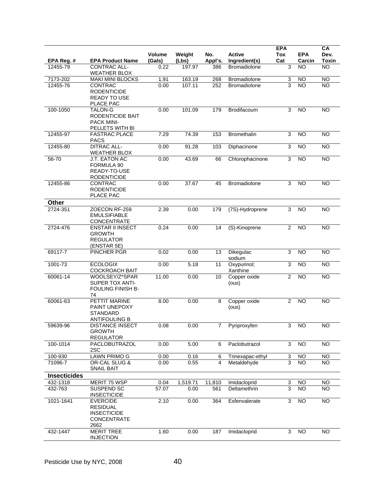|                     |                                                                                        | Volume | Weight   | No.            | <b>Active</b>           | <b>EPA</b><br><b>Tox</b>  | <b>EPA</b>      | CA<br>Dev.      |
|---------------------|----------------------------------------------------------------------------------------|--------|----------|----------------|-------------------------|---------------------------|-----------------|-----------------|
| EPA Reg. #          | <b>EPA Product Name</b>                                                                | (Gals) | (Lbs)    | Appl's.        | Ingredient(s)           | Cat                       | Carcin          | <b>Toxin</b>    |
| 12455-79            | CONTRAC ALL-<br><b>WEATHER BLOX</b>                                                    | 0.22   | 197.97   | 386            | <b>Bromadiolone</b>     | 3                         | <b>NO</b>       | $\overline{NO}$ |
| 7173-202            | <b>MAKI MINI BLOCKS</b>                                                                | 1.91   | 163.19   | 268            | Bromadiolone            | 3                         | <b>NO</b>       | $\overline{N}$  |
| 12455-76            | CONTRAC<br><b>RODENTICIDE</b><br><b>READY TO USE</b><br>PLACE PAC                      | 0.00   | 107.11   | 252            | <b>Bromadiolone</b>     | 3                         | <b>NO</b>       | <b>NO</b>       |
| 100-1050            | <b>TALON-G</b><br>RODENTICIDE BAIT<br><b>PACK MINI-</b><br>PELLETS WITH BI             | 0.00   | 101.09   | 179            | Brodifacoum             | 3                         | <b>NO</b>       | <b>NO</b>       |
| 12455-97            | <b>FASTRAC PLACE</b><br><b>PACS</b>                                                    | 7.29   | 74.39    | 153            | Bromethalin             | 3                         | <b>NO</b>       | <b>NO</b>       |
| 12455-80            | <b>DITRAC ALL-</b><br><b>WEATHER BLOX</b>                                              | 0.00   | 91.28    | 103            | Diphacinone             | $\overline{3}$            | <b>NO</b>       | <b>NO</b>       |
| 56-70               | J.T. EATON AC<br>FORMULA 90<br>READY-TO-USE<br><b>RODENTICIDE</b>                      | 0.00   | 43.69    | 66             | Chlorophacinone         | 3                         | NO              | $\overline{NO}$ |
| 12455-86            | CONTRAC<br><b>RODENTICIDE</b><br>PLACE PAC                                             | 0.00   | 37.67    | 45             | Bromadiolone            | 3                         | <b>NO</b>       | <b>NO</b>       |
| Other               |                                                                                        |        |          |                |                         |                           |                 |                 |
| 2724-351            | ZOECON RF-259<br><b>EMULSIFIABLE</b><br><b>CONCENTRATE</b>                             | 2.39   | 0.00     | 179            | (7S)-Hydroprene         | 3                         | <b>NO</b>       | <b>NO</b>       |
| 2724-476            | <b>ENSTAR II INSECT</b><br><b>GROWTH</b><br><b>REGULATOR</b><br>(ENSTAR 5E)            | 0.24   | 0.00     | 14             | (S)-Kinoprene           | $\overline{2}$            | <b>NO</b>       | <b>NO</b>       |
| 69117-7             | PINCHER PGR                                                                            | 0.02   | 0.00     | 13             | Dikegulac<br>sodium     | $\overline{3}$            | N <sub>O</sub>  | NO              |
| 1001-73             | <b>ECOLOGIX</b><br><b>COCKROACH BAIT</b>                                               | 0.00   | 5.18     | 11             | Oxypurinol;<br>Xanthine | $\overline{3}$            | <b>NO</b>       | <b>NO</b>       |
| 60061-14            | WOOLSEY/Z*SPAR<br>SUPER TOX ANTI-<br>FOULING FINISH B-<br>74                           | 11.00  | 0.00     | 10             | Copper oxide<br>(ous)   | $\overline{2}$            | N <sub>O</sub>  | NO              |
| 60061-63            | PETTIT MARINE<br>PAINT UNEPOXY<br><b>STANDARD</b><br>ANTIFOULING B                     | 8.00   | 0.00     | 8              | Copper oxide<br>(ous)   | $\sqrt{2}$                | <b>NO</b>       | <b>NO</b>       |
| 59639-96            | <b>DISTANCE INSECT</b><br><b>GROWTH</b><br><b>REGULATOR</b>                            | 0.08   | 0.00     | $\overline{7}$ | Pyriproxyfen            | 3                         | NO              | NO.             |
| 100-1014            | PACLOBUTRAZOL<br>2SC                                                                   | 0.00   | 5.00     | 6              | Paclobutrazol           | $\ensuremath{\mathsf{3}}$ | NO              | $\overline{N}$  |
| 100-930             | <b>LAWN PRIMO G</b>                                                                    | 0.00   | 0.16     | 6              | Trinexapac-ethyl        | 3                         | <b>NO</b>       | NO              |
| 71096-7             | OR-CAL SLUG &<br><b>SNAIL BAIT</b>                                                     | 0.00   | 0.55     | 4              | Metaldehyde             | 3                         | $\overline{NO}$ | <b>NO</b>       |
| <b>Insecticides</b> |                                                                                        |        |          |                |                         |                           |                 |                 |
| 432-1318            | MERIT 75 WSP                                                                           | 0.04   | 1,519.71 | 11,810         | Imidacloprid            | 3                         | NO.             | NO              |
| 432-763             | SUSPEND SC<br><b>INSECTICIDE</b>                                                       | 57.07  | 0.00     | 561            | Deltamethrin            | $\overline{3}$            | N <sub>O</sub>  | <b>NO</b>       |
| 1021-1641           | <b>EVERCIDE</b><br><b>RESIDUAL</b><br><b>INSECTICIDE</b><br><b>CONCENTRATE</b><br>2662 | 2.10   | 0.00     | 364            | Esfenvalerate           | $\mathsf 3$               | <b>NO</b>       | NO              |
| 432-1447            | <b>MERIT TREE</b><br><b>INJECTION</b>                                                  | 1.60   | 0.00     | 187            | Imidacloprid            | 3                         | <b>NO</b>       | NO              |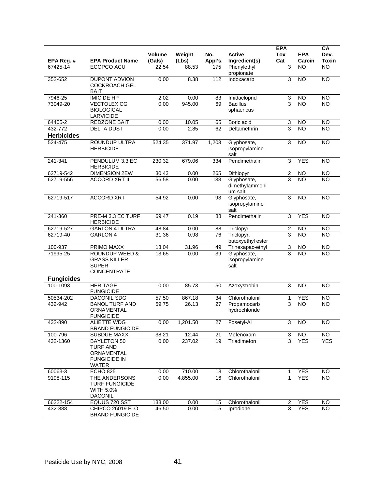|                        |                                                                                            |                 |                |                |                                          | <b>EPA</b>     |                     | CA                        |
|------------------------|--------------------------------------------------------------------------------------------|-----------------|----------------|----------------|------------------------------------------|----------------|---------------------|---------------------------|
|                        |                                                                                            | <b>Volume</b>   | Weight         | No.            | <b>Active</b>                            | Tox            | <b>EPA</b>          | Dev.                      |
| EPA Reg. #<br>67425-14 | <b>EPA Product Name</b><br>ECOPCO ACU                                                      | (Gals)<br>22.54 | (Lbs)<br>88.53 | Appl's.<br>175 | Ingredient(s)<br>Phenylethyl             | Cat<br>3       | Carcin<br><b>NO</b> | <b>Toxin</b><br><b>NO</b> |
|                        |                                                                                            |                 |                |                | propionate                               |                |                     |                           |
| 352-652                | <b>DUPONT ADVION</b>                                                                       | 0.00            | 8.38           | 112            | Indoxacarb                               | 3              | $\overline{10}$     | $\overline{N}$            |
|                        | <b>COCKROACH GEL</b>                                                                       |                 |                |                |                                          |                |                     |                           |
| 7946-25                | <b>BAIT</b><br><b>IMICIDE HP</b>                                                           | 2.02            | 0.00           | 83             | Imidacloprid                             | 3              | <b>NO</b>           | <b>NO</b>                 |
| 73049-20               | <b>VECTOLEX CG</b>                                                                         | 0.00            | 945.00         | 69             | <b>Bacillus</b>                          | 3              | NO                  | <b>NO</b>                 |
|                        | <b>BIOLOGICAL</b><br><b>LARVICIDE</b>                                                      |                 |                |                | sphaericus                               |                |                     |                           |
| 64405-2                | <b>REDZONE BAIT</b>                                                                        | 0.00            | 10.05          | 65             | Boric acid                               | 3              | <b>NO</b>           | <b>NO</b>                 |
| 432-772                | <b>DELTA DUST</b>                                                                          | 0.00            | 2.85           | 62             | Deltamethrin                             | 3              | <b>NO</b>           | <b>NO</b>                 |
| <b>Herbicides</b>      |                                                                                            |                 |                |                |                                          |                |                     |                           |
| 524-475                | ROUNDUP ULTRA<br><b>HERBICIDE</b>                                                          | 524.35          | 371.97         | 1,203          | Glyphosate,<br>isopropylamine<br>salt    | 3              | $\overline{NO}$     | N <sub>O</sub>            |
| 241-341                | PENDULUM 3.3 EC<br><b>HERBICIDE</b>                                                        | 230.32          | 679.06         | 334            | Pendimethalin                            | 3              | <b>YES</b>          | <b>NO</b>                 |
| 62719-542              | <b>DIMENSION 2EW</b>                                                                       | 30.43           | 0.00           | 265            | Dithiopyr                                | 2              | <b>NO</b>           | <b>NO</b>                 |
| 62719-556              | <b>ACCORD XRT II</b>                                                                       | 56.58           | 0.00           | 138            | Glyphosate,<br>dimethylammoni<br>um salt | 3              | <b>NO</b>           | <b>NO</b>                 |
| 62719-517              | <b>ACCORD XRT</b>                                                                          | 54.92           | 0.00           | 93             | Glyphosate,<br>isopropylamine<br>salt    | 3              | $\overline{10}$     | <b>NO</b>                 |
| 241-360                | PRE-M 3.3 EC TURF<br><b>HERBICIDE</b>                                                      | 69.47           | 0.19           | 88             | Pendimethalin                            | 3              | <b>YES</b>          | NO                        |
| 62719-527              | <b>GARLON 4 ULTRA</b>                                                                      | 48.84           | 0.00           | 88             | Triclopyr                                | $\overline{2}$ | <b>NO</b>           | $\overline{N}$            |
| 62719-40               | GARLON 4                                                                                   | 31.36           | 0.98           | 76             | Triclopyr,<br>butoxyethyl ester          | 3              | <b>NO</b>           | <b>NO</b>                 |
| 100-937                | PRIMO MAXX                                                                                 | 13.04           | 31.96          | 49             | Trinexapac-ethyl                         | 3              | <b>NO</b>           | $\overline{N}$            |
| 71995-25               | <b>ROUNDUP WEED &amp;</b><br><b>GRASS KILLER</b><br>SUPER<br><b>CONCENTRATE</b>            | 13.65           | 0.00           | 39             | Glyphosate,<br>isopropylamine<br>salt    | 3              | <b>NO</b>           | <b>NO</b>                 |
| <b>Fungicides</b>      |                                                                                            |                 |                |                |                                          |                |                     |                           |
| 100-1093               | <b>HERITAGE</b><br><b>FUNGICIDE</b>                                                        | 0.00            | 85.73          | 50             | Azoxystrobin                             | 3              | <b>NO</b>           | <b>NO</b>                 |
| 50534-202              | DACONIL SDG                                                                                | 57.50           | 867.18         | 34             | Chlorothalonil                           | 1              | <b>YES</b>          | <b>NO</b>                 |
| 432-942                | <b>BANOL TURF AND</b><br>ORNAMENTAL<br><b>FUNGICIDE</b>                                    | 59.75           | 26.13          | 27             | Propamocarb<br>hydrochloride             | 3              | <b>NO</b>           | <b>NO</b>                 |
| 432-890                | <b>ALIETTE WDG</b><br><b>BRAND FUNGICIDE</b>                                               | 0.00            | 1,201.50       | 27             | Fosetyl-Al                               | 3              | <b>NO</b>           | <b>NO</b>                 |
| 100-796                | <b>SUBDUE MAXX</b>                                                                         | 38.21           | 12.44          | 21             | Mefenoxam                                | 3              | <b>NO</b>           | NO                        |
| 432-1360               | <b>BAYLETON 50</b><br><b>TURF AND</b><br><b>ORNAMENTAL</b><br><b>FUNGICIDE IN</b><br>WATER | 0.00            | 237.02         | 19             | Triadimefon                              | 3              | <b>YES</b>          | <b>YES</b>                |
| 60063-3                | <b>ECHO 825</b>                                                                            | 0.00            | 710.00         | 18             | Chlorothalonil                           | $\mathbf 1$    | <b>YES</b>          | <b>NO</b>                 |
| 9198-115               | THE ANDERSONS<br><b>TURF FUNGICIDE</b><br><b>WITH 5.0%</b><br><b>DACONIL</b>               | 0.00            | 4,855.00       | 16             | Chlorothalonil                           | $\mathbf 1$    | <b>YES</b>          | <b>NO</b>                 |
| 66222-154              | EQUUS 720 SST                                                                              | 133.00          | 0.00           | 15             | Chlorothalonil                           | 2              | <b>YES</b>          | <b>NO</b>                 |
| 432-888                | CHIPCO 26019 FLO<br><b>BRAND FUNGICIDE</b>                                                 | 46.50           | 0.00           | 15             | Iprodione                                | 3              | <b>YES</b>          | <b>NO</b>                 |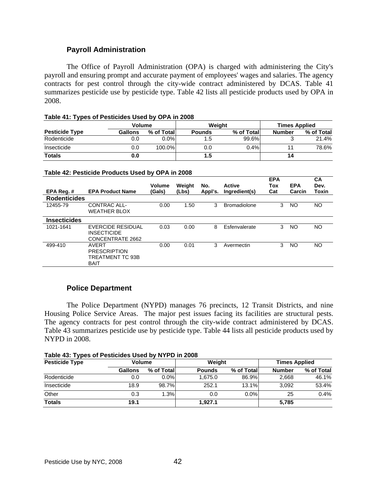## **Payroll Administration**

 The Office of Payroll Administration (OPA) is charged with administering the City's payroll and ensuring prompt and accurate payment of employees' wages and salaries. The agency contracts for pest control through the city-wide contract administered by DCAS. Table 41 summarizes pesticide use by pesticide type. Table 42 lists all pesticide products used by OPA in 2008.

|  |  |  |  | Table 41: Types of Pesticides Used by OPA in 2008 |
|--|--|--|--|---------------------------------------------------|
|--|--|--|--|---------------------------------------------------|

|                       | Volume  |            |               | Weight     | <b>Times Applied</b> |            |  |
|-----------------------|---------|------------|---------------|------------|----------------------|------------|--|
| <b>Pesticide Type</b> | Gallons | % of Total | <b>Pounds</b> | % of Total | Number               | % of Total |  |
| Rodenticide           | 0.0     | $0.0\%$    | 1.5           | 99.6%      |                      | 21.4%      |  |
| Insecticide           | 0.0     | 100.0%     | 0.0           | 0.4%       |                      | 78.6%      |  |
| <b>Totals</b>         | 0.0     |            | 1.5           |            | 14                   |            |  |

#### **Table 42: Pesticide Products Used by OPA in 2008**

| EPA Reg. #          | <b>EPA Product Name</b>                                                | <b>Volume</b><br>(Gals) | Weiaht<br>(Lbs) | No.<br>Appl's. | <b>Active</b><br>Ingredient(s) | <b>EPA</b><br>Tox<br>Cat | <b>EPA</b><br>Carcin | <b>CA</b><br>Dev.<br>Toxin |
|---------------------|------------------------------------------------------------------------|-------------------------|-----------------|----------------|--------------------------------|--------------------------|----------------------|----------------------------|
| <b>Rodenticides</b> |                                                                        |                         |                 |                |                                |                          |                      |                            |
| 12455-79            | CONTRAC ALL-<br><b>WEATHER BLOX</b>                                    | 0.00                    | 1.50            | 3              | <b>Bromadiolone</b>            | 3                        | NO                   | NO.                        |
| <b>Insecticides</b> |                                                                        |                         |                 |                |                                |                          |                      |                            |
| 1021-1641           | EVERCIDE RESIDUAL<br><b>INSECTICIDE</b><br>CONCENTRATE 2662            | 0.03                    | 0.00            | 8              | Esfenvalerate                  | 3                        | NO                   | NO.                        |
| 499-410             | <b>AVERT</b><br><b>PRESCRIPTION</b><br>TREATMENT TC 93B<br><b>BAIT</b> | 0.00                    | 0.01            | 3              | Avermectin                     | 3                        | NO                   | NO.                        |

## **Police Department**

 The Police Department (NYPD) manages 76 precincts, 12 Transit Districts, and nine Housing Police Service Areas. The major pest issues facing its facilities are structural pests. The agency contracts for pest control through the city-wide contract administered by DCAS. Table 43 summarizes pesticide use by pesticide type. Table 44 lists all pesticide products used by NYPD in 2008.

| Table 43: Types of Pesticides Used by NYPD in 2008 |
|----------------------------------------------------|
|----------------------------------------------------|

| --<br><b>Pesticide Type</b> | <b>Volume</b>  |             | Weight        |            | <b>Times Applied</b> |            |  |
|-----------------------------|----------------|-------------|---------------|------------|----------------------|------------|--|
|                             | <b>Gallons</b> | % of Totall | <b>Pounds</b> | % of Total | <b>Number</b>        | % of Total |  |
| Rodenticide                 | 0.0            | $0.0\%$     | 1.675.0       | 86.9%      | 2,668                | 46.1%      |  |
| Insecticide                 | 18.9           | 98.7%       | 252.1         | 13.1%      | 3.092                | 53.4%      |  |
| Other                       | 0.3            | 1.3%        | 0.0           | $0.0\%$    | 25                   | 0.4%       |  |
| <b>Totals</b>               | 19.1           |             | 1.927.1       |            | 5.785                |            |  |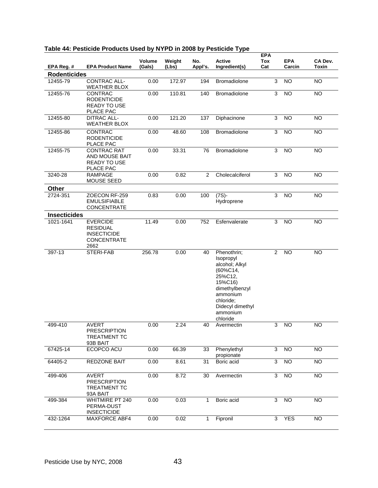|                     | Table 44. Lepticine Libraries Oben by NTLD III 2000 by Lepticine Type                  |                  |                 |                 |                                                                                                                                                                        | <b>EPA</b>     |                      |                         |
|---------------------|----------------------------------------------------------------------------------------|------------------|-----------------|-----------------|------------------------------------------------------------------------------------------------------------------------------------------------------------------------|----------------|----------------------|-------------------------|
| EPA Reg. #          | <b>EPA Product Name</b>                                                                | Volume<br>(Gals) | Weight<br>(Lbs) | No.<br>Appl's.  | <b>Active</b><br>Ingredient(s)                                                                                                                                         | Tox<br>Cat     | <b>EPA</b><br>Carcin | CA Dev.<br><b>Toxin</b> |
| <b>Rodenticides</b> |                                                                                        |                  |                 |                 |                                                                                                                                                                        |                |                      |                         |
| 12455-79            | CONTRAC ALL-<br><b>WEATHER BLOX</b>                                                    | 0.00             | 172.97          | 194             | <b>Bromadiolone</b>                                                                                                                                                    | 3              | <b>NO</b>            | <b>NO</b>               |
| 12455-76            | <b>CONTRAC</b><br><b>RODENTICIDE</b><br><b>READY TO USE</b><br>PLACE PAC               | 0.00             | 110.81          | 140             | Bromadiolone                                                                                                                                                           | 3              | $\overline{NO}$      | $\overline{NO}$         |
| 12455-80            | <b>DITRAC ALL-</b><br><b>WEATHER BLOX</b>                                              | 0.00             | 121.20          | 137             | Diphacinone                                                                                                                                                            | $\overline{3}$ | <b>NO</b>            | <b>NO</b>               |
| 12455-86            | CONTRAC<br><b>RODENTICIDE</b><br>PLACE PAC                                             | 0.00             | 48.60           | 108             | Bromadiolone                                                                                                                                                           | 3              | <b>NO</b>            | <b>NO</b>               |
| 12455-75            | <b>CONTRAC RAT</b><br>AND MOUSE BAIT<br><b>READY TO USE</b><br>PLACE PAC               | 0.00             | 33.31           | 76              | Bromadiolone                                                                                                                                                           | 3              | <b>NO</b>            | <b>NO</b>               |
| 3240-28             | <b>RAMPAGE</b><br>MOUSE SEED                                                           | 0.00             | 0.82            | 2               | Cholecalciferol                                                                                                                                                        | 3              | $\overline{NO}$      | <b>NO</b>               |
| Other               |                                                                                        |                  |                 |                 |                                                                                                                                                                        |                |                      |                         |
| 2724-351            | ZOECON RF-259<br><b>EMULSIFIABLE</b><br><b>CONCENTRATE</b>                             | 0.83             | 0.00            | 100             | $(7S)$ -<br>Hydroprene                                                                                                                                                 | 3              | <b>NO</b>            | <b>NO</b>               |
| <b>Insecticides</b> |                                                                                        |                  |                 |                 |                                                                                                                                                                        |                |                      |                         |
| 1021-1641           | <b>EVERCIDE</b><br><b>RESIDUAL</b><br><b>INSECTICIDE</b><br><b>CONCENTRATE</b><br>2662 | 11.49            | 0.00            | 752             | Esfenvalerate                                                                                                                                                          | 3              | <b>NO</b>            | <b>NO</b>               |
| 397-13              | STERI-FAB                                                                              | 256.78           | 0.00            | 40              | Phenothrin;<br>Isopropyl<br>alcohol; Alkyl<br>$(60\%C14,$<br>25%C12,<br>15%C16)<br>dimethylbenzyl<br>ammonium<br>chloride;<br>Didecyl dimethyl<br>ammonium<br>chloride | 2              | <b>NO</b>            | <b>NO</b>               |
| 499-410             | <b>AVERT</b><br><b>PRESCRIPTION</b><br><b>TREATMENT TC</b><br>93B BAIT                 | 0.00             | 2.24            | $\overline{40}$ | Avermectin                                                                                                                                                             | 3              | $\overline{N}$       | $\overline{N}$          |
| 67425-14            | ECOPCO ACU                                                                             | 0.00             | 66.39           | 33              | Phenylethyl<br>propionate                                                                                                                                              | 3              | <b>NO</b>            | <b>NO</b>               |
| 64405-2             | <b>REDZONE BAIT</b>                                                                    | 0.00             | 8.61            | 31              | Boric acid                                                                                                                                                             | $\overline{3}$ | <b>NO</b>            | <b>NO</b>               |
| 499-406             | <b>AVERT</b><br><b>PRESCRIPTION</b><br><b>TREATMENT TC</b><br>93A BAIT                 | 0.00             | 8.72            | 30              | Avermectin                                                                                                                                                             | 3              | <b>NO</b>            | <b>NO</b>               |
| 499-384             | <b>WHITMIRE PT 240</b><br>PERMA-DUST<br><b>INSECTICIDE</b>                             | 0.00             | 0.03            | 1               | Boric acid                                                                                                                                                             | 3              | <b>NO</b>            | $\overline{N}$          |
| 432-1264            | MAXFORCE ABF4                                                                          | 0.00             | 0.02            | 1               | Fipronil                                                                                                                                                               | 3              | <b>YES</b>           | <b>NO</b>               |

# **Table 44: Pesticide Products Used by NYPD in 2008 by Pesticide Type**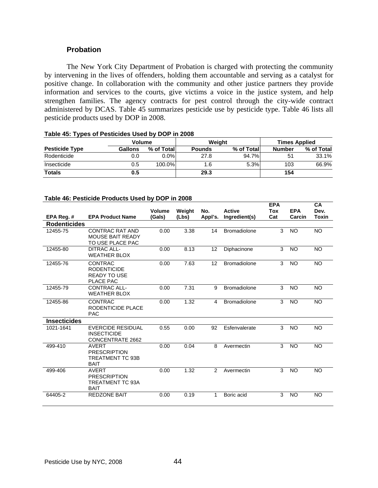## **Probation**

 The New York City Department of Probation is charged with protecting the community by intervening in the lives of offenders, holding them accountable and serving as a catalyst for positive change. In collaboration with the community and other justice partners they provide information and services to the courts, give victims a voice in the justice system, and help strengthen families. The agency contracts for pest control through the city-wide contract administered by DCAS. Table 45 summarizes pesticide use by pesticide type. Table 46 lists all pesticide products used by DOP in 2008.

|                       | Volume         |            |               | Weiaht     | <b>Times Applied</b> |            |  |
|-----------------------|----------------|------------|---------------|------------|----------------------|------------|--|
| <b>Pesticide Type</b> | <b>Gallons</b> | % of Total | <b>Pounds</b> | % of Total | <b>Number</b>        | % of Total |  |
| Rodenticide           | 0.0            | $0.0\%$    | 27.8          | 94.7%      | 51                   | 33.1%      |  |
| Insecticide           | 0.5            | 100.0%।    | 1.6           | 5.3%       | 103                  | 66.9%      |  |
| <b>Totals</b>         | 0.5            |            | 29.3          |            | 154                  |            |  |

# **Table 45: Types of Pesticides Used by DOP in 2008**

### **Table 46: Pesticide Products Used by DOP in 2008**

|                     |                                                                               |               |        |               |                     | <b>EPA</b> |            | <b>CA</b> |
|---------------------|-------------------------------------------------------------------------------|---------------|--------|---------------|---------------------|------------|------------|-----------|
|                     |                                                                               | <b>Volume</b> | Weight | No.           | <b>Active</b>       | Tox        | <b>EPA</b> | Dev.      |
| EPA Reg. #          | <b>EPA Product Name</b>                                                       | (Gals)        | (Lbs)  | Appl's.       | Ingredient(s)       | Cat        | Carcin     | Toxin     |
| <b>Rodenticides</b> |                                                                               |               |        |               |                     |            |            |           |
| 12455-75            | <b>CONTRAC RAT AND</b><br><b>MOUSE BAIT READY</b><br>TO USE PLACE PAC         | 0.00          | 3.38   | 14            | <b>Bromadiolone</b> | 3          | <b>NO</b>  | <b>NO</b> |
| 12455-80            | <b>DITRAC ALL-</b><br><b>WEATHER BLOX</b>                                     | 0.00          | 8.13   | 12            | Diphacinone         | 3          | <b>NO</b>  | <b>NO</b> |
| 12455-76            | <b>CONTRAC</b><br><b>RODENTICIDE</b><br><b>READY TO USE</b><br>PLACE PAC      | 0.00          | 7.63   | 12            | Bromadiolone        | 3          | <b>NO</b>  | <b>NO</b> |
| 12455-79            | CONTRAC ALL-<br><b>WEATHER BLOX</b>                                           | 0.00          | 7.31   | 9             | <b>Bromadiolone</b> | 3          | <b>NO</b>  | <b>NO</b> |
| 12455-86            | <b>CONTRAC</b><br>RODENTICIDE PLACE<br><b>PAC</b>                             | 0.00          | 1.32   | 4             | <b>Bromadiolone</b> | 3          | <b>NO</b>  | <b>NO</b> |
| <b>Insecticides</b> |                                                                               |               |        |               |                     |            |            |           |
| 1021-1641           | <b>EVERCIDE RESIDUAL</b><br><b>INSECTICIDE</b><br>CONCENTRATE 2662            | 0.55          | 0.00   | 92            | Esfenvalerate       | 3          | <b>NO</b>  | <b>NO</b> |
| 499-410             | <b>AVERT</b><br><b>PRESCRIPTION</b><br>TREATMENT TC 93B<br><b>BAIT</b>        | 0.00          | 0.04   | 8             | Avermectin          | 3          | <b>NO</b>  | <b>NO</b> |
| 499-406             | <b>AVERT</b><br><b>PRESCRIPTION</b><br><b>TREATMENT TC 93A</b><br><b>BAIT</b> | 0.00          | 1.32   | $\mathcal{P}$ | Avermectin          | 3          | <b>NO</b>  | <b>NO</b> |
| 64405-2             | <b>REDZONE BAIT</b>                                                           | 0.00          | 0.19   | 1             | Boric acid          | 3          | <b>NO</b>  | <b>NO</b> |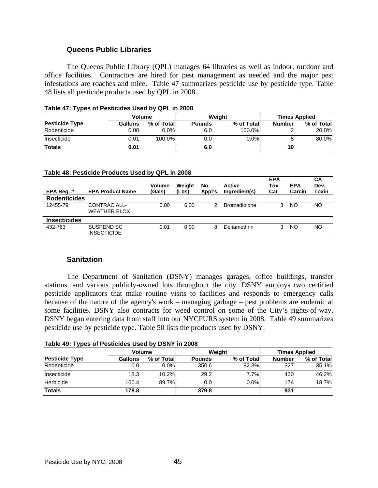## **Queens Public Libraries**

The Queens Public Library (QPL) manages 64 libraries as well as indoor, outdoor and office facilities. Contractors are hired for pest management as needed and the major pest infestations are roaches and mice. Table 47 summarizes pesticide use by pesticide type. Table 48 lists all pesticide products used by QPL in 2008.

|                       | Volume         |            | Weiaht        |            |               | <b>Times Applied</b> |
|-----------------------|----------------|------------|---------------|------------|---------------|----------------------|
| <b>Pesticide Type</b> | <b>Gallons</b> | % of Total | <b>Pounds</b> | % of Total | <b>Number</b> | % of Total           |
| Rodenticide           | 0.00           | $0.0\%$    | 6.0           | 100.0%     |               | 20.0%                |
| Insecticide           | 0.01           | 100.0%     | 0.0           | $0.0\%$    |               | 80.0%                |
| <b>Totals</b>         | 0.01           |            | 6.0           |            | 10            |                      |

#### **Table 47: Types of Pesticides Used by QPL in 2008**

#### **Table 48: Pesticide Products Used by QPL in 2008**

| EPA Req.#           | <b>EPA Product Name</b>             | <b>Volume</b><br>(Gals) | Weiaht<br>(Lbs) | No.<br>Appl's. | <b>Active</b><br>Ingredient(s) | <b>EPA</b><br>Tox<br>Cat | <b>EPA</b><br>Carcin | <b>CA</b><br>Dev.<br>Toxin |
|---------------------|-------------------------------------|-------------------------|-----------------|----------------|--------------------------------|--------------------------|----------------------|----------------------------|
| <b>Rodenticides</b> |                                     |                         |                 |                |                                |                          |                      |                            |
| 12455-79            | CONTRAC ALL-<br><b>WEATHER BLOX</b> | 0.00                    | 6.00            | 2              | <b>Bromadiolone</b>            | 3                        | NO.                  | <b>NO</b>                  |
| <b>Insecticides</b> |                                     |                         |                 |                |                                |                          |                      |                            |
| 432-763             | SUSPEND SC<br><b>INSECTICIDE</b>    | 0.01                    | 0.00            | 8              | Deltamethrin                   | 3                        | NO                   | <b>NO</b>                  |

### **Sanitation**

 The Department of Sanitation (DSNY) manages garages, office buildings, transfer stations, and various publicly-owned lots throughout the city. DSNY employs two certified pesticide applicators that make routine visits to facilities and responds to emergency calls because of the nature of the agency's work – managing garbage – pest problems are endemic at some facilities. DSNY also contracts for weed control on some of the City's rights-of-way. DSNY began entering data from staff into our NYCPURS system in 2008. Table 49 summarizes pesticide use by pesticide type. Table 50 lists the products used by DSNY.

#### **Table 49: Types of Pesticides Used by DSNY in 2008**

| <b>Volume</b>         |                |            | Weiaht        | <b>Times Applied</b> |               |            |
|-----------------------|----------------|------------|---------------|----------------------|---------------|------------|
| <b>Pesticide Type</b> | <b>Gallons</b> | % of Total | <b>Pounds</b> | % of Total           | <b>Number</b> | % of Total |
| Rodenticide           | 0.0            | $0.0\%$    | 350.6         | 92.3%                | 327           | 35.1%      |
| Insecticide           | 18.3           | 10.2%      | 29.2          | 7.7%                 | 430           | 46.2%      |
| Herbicide             | 160.4          | 89.7%      | 0.0           | $0.0\%$              | 174           | 18.7%      |
| <b>Totals</b>         | 178.8          |            | 379.8         |                      | 931           |            |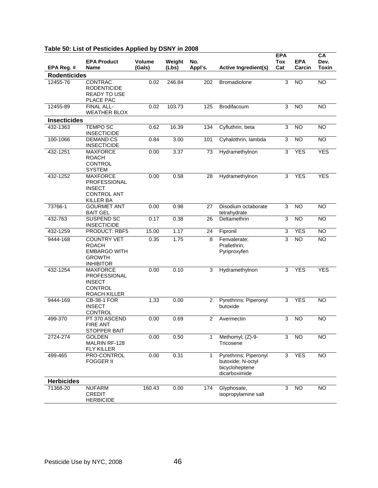| EPA Reg. #          | <b>EPA Product</b><br>Name                                                                     | Volume<br>(Gals) | Weight<br>(Lbs) | No.<br>Appl's. | <b>Active Ingredient(s)</b>                                                   | <b>EPA</b><br>Tox<br>Cat  | <b>EPA</b><br>Carcin | $\overline{CA}$<br>Dev.<br>Toxin |
|---------------------|------------------------------------------------------------------------------------------------|------------------|-----------------|----------------|-------------------------------------------------------------------------------|---------------------------|----------------------|----------------------------------|
| <b>Rodenticides</b> |                                                                                                |                  |                 |                |                                                                               |                           |                      |                                  |
| 12455-76            | <b>CONTRAC</b><br><b>RODENTICIDE</b><br><b>READY TO USE</b><br>PLACE PAC                       | 0.02             | 246.84          | 202            | Bromadiolone                                                                  | 3                         | <b>NO</b>            | <b>NO</b>                        |
| 12455-89            | FINAL ALL-<br><b>WEATHER BLOX</b>                                                              | 0.02             | 103.73          | 125            | Brodifacoum                                                                   | 3                         | <b>NO</b>            | <b>NO</b>                        |
| <b>Insecticides</b> |                                                                                                |                  |                 |                |                                                                               |                           |                      |                                  |
| 432-1363            | <b>TEMPO SC</b><br><b>INSECTICIDE</b>                                                          | 0.62             | 16.39           | 134            | Cyfluthrin, beta                                                              | 3                         | <b>NO</b>            | <b>NO</b>                        |
| 100-1066            | <b>DEMAND CS</b><br><b>INSECTICIDE</b>                                                         | 0.84             | 3.00            | 101            | Cyhalothrin, lambda                                                           | 3                         | <b>NO</b>            | <b>NO</b>                        |
| 432-1251            | <b>MAXFORCE</b><br><b>ROACH</b><br><b>CONTROL</b><br><b>SYSTEM</b>                             | 0.00             | 3.37            | 73             | Hydramethylnon                                                                | 3                         | <b>YES</b>           | <b>YES</b>                       |
| 432-1252            | <b>MAXFORCE</b><br>PROFESSIONAL<br><b>INSECT</b><br><b>CONTROL ANT</b><br><b>KILLER BA</b>     | 0.00             | 0.58            | 28             | Hydramethylnon                                                                | 3                         | <b>YES</b>           | <b>YES</b>                       |
| 73766-1             | <b>GOURMET ANT</b><br><b>BAIT GEL</b>                                                          | 0.00             | 0.98            | 27             | Disodium octaborate<br>tetrahydrate                                           | $\overline{3}$            | <b>NO</b>            | <b>NO</b>                        |
| 432-763             | SUSPEND SC<br><b>INSECTICIDE</b>                                                               | 0.17             | 0.38            | 26             | Deltamethrin                                                                  | 3                         | <b>NO</b>            | <b>NO</b>                        |
| 432-1259            | <b>PRODUCT: RBF5</b>                                                                           | 15.00            | 1.17            | 24             | Fipronil                                                                      | $\overline{3}$            | <b>YES</b>           | <b>NO</b>                        |
| 9444-168            | <b>COUNTRY VET</b><br><b>ROACH</b><br><b>EMBARGO WITH</b><br><b>GROWTH</b><br><b>INHIBITOR</b> | 0.35             | 1.75            | 8              | Fenvalerate;<br>Prallethrin;<br>Pyriproxyfen                                  | 3                         | $\overline{NO}$      | <b>NO</b>                        |
| 432-1254            | <b>MAXFORCE</b><br>PROFESSIONAL<br><b>INSECT</b><br><b>CONTROL</b><br><b>ROACH KILLER</b>      | 0.00             | 0.10            | 3              | Hydramethylnon                                                                | 3                         | <b>YES</b>           | <b>YES</b>                       |
| 9444-169            | <b>CB-38-1 FOR</b><br><b>INSECT</b><br>CONTROL                                                 | 1.33             | 0.00            | 2              | Pyrethrins; Piperonyl<br>butoxide                                             | 3                         | <b>YES</b>           | <b>NO</b>                        |
| 499-370             | PT 370 ASCEND<br><b>FIRE ANT</b><br><b>STOPPER BAIT</b>                                        | 0.00             | 0.69            | 2              | Avermectin                                                                    | 3                         | <b>NO</b>            | <b>NO</b>                        |
| 2724-274            | <b>GOLDEN</b><br><b>MALRIN RF-128</b><br><b>FLY KILLER</b>                                     | 0.00             | 0.50            | $\mathbf{1}$   | Methomyl; (Z)-9-<br>Tricosene                                                 | 3                         | <b>NO</b>            | <b>NO</b>                        |
| 499-465             | PRO-CONTROL<br><b>FOGGER II</b>                                                                | 0.00             | 0.31            | 1              | Pyrethrins; Piperonyl<br>butoxide; N-octyl<br>bicycloheptene<br>dicarboximide | 3                         | <b>YES</b>           | <b>NO</b>                        |
| <b>Herbicides</b>   |                                                                                                |                  |                 |                |                                                                               |                           |                      |                                  |
| 71368-20            | <b>NUFARM</b><br><b>CREDIT</b><br><b>HERBICIDE</b>                                             | 160.43           | 0.00            | 174            | Glyphosate,<br>isopropylamine salt                                            | $\ensuremath{\mathsf{3}}$ | <b>NO</b>            | <b>NO</b>                        |

## **Table 50: List of Pesticides Applied by DSNY in 2008**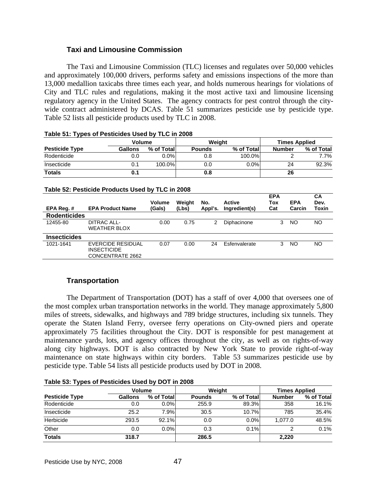# **Taxi and Limousine Commission**

 The Taxi and Limousine Commission (TLC) licenses and regulates over 50,000 vehicles and approximately 100,000 drivers, performs safety and emissions inspections of the more than 13,000 medallion taxicabs three times each year, and holds numerous hearings for violations of City and TLC rules and regulations, making it the most active taxi and limousine licensing regulatory agency in the United States. The agency contracts for pest control through the citywide contract administered by DCAS. Table 51 summarizes pesticide use by pesticide type. Table 52 lists all pesticide products used by TLC in 2008.

| $18000$ VII 19900 VII CONVIGED 0000 My TEO III 2000 |                |            |               |            |                      |            |  |
|-----------------------------------------------------|----------------|------------|---------------|------------|----------------------|------------|--|
|                                                     | Volume         |            |               | Weiaht     | <b>Times Applied</b> |            |  |
| <b>Pesticide Type</b>                               | <b>Gallons</b> | % of Total | <b>Pounds</b> | % of Total | <b>Number</b>        | % of Total |  |
| Rodenticide                                         | 0.0            | $0.0\%$    | 0.8           | 100.0%     |                      | 7.7%       |  |
| Insecticide                                         |                | 100.0%     | 0.0           | $0.0\%$    | 24                   | 92.3%      |  |
| <b>Totals</b>                                       |                |            | 0.8           |            | 26                   |            |  |

## **Table 51: Types of Pesticides Used by TLC in 2008**

#### **Table 52: Pesticide Products Used by TLC in 2008**

|                     |                                                             | Volume | Weiaht | No.     | <b>Active</b> | <b>EPA</b><br>Tox | <b>EPA</b> | СA<br>Dev. |
|---------------------|-------------------------------------------------------------|--------|--------|---------|---------------|-------------------|------------|------------|
| EPA Reg.#           | <b>EPA Product Name</b>                                     | (Gals) | (Lbs)  | Appl's. | Ingredient(s) | Cat               | Carcin     | Toxin      |
| <b>Rodenticides</b> |                                                             |        |        |         |               |                   |            |            |
| 12455-80            | DITRAC ALL-<br><b>WEATHER BLOX</b>                          | 0.00   | 0.75   | 2       | Diphacinone   | 3                 | ΝO         | NO         |
| <b>Insecticides</b> |                                                             |        |        |         |               |                   |            |            |
| 1021-1641           | EVERCIDE RESIDUAL<br><b>INSECTICIDE</b><br>CONCENTRATE 2662 | 0.07   | 0.00   | 24      | Esfenvalerate | 3                 | NO.        | NO         |

# **Transportation**

The Department of Transportation (DOT) has a staff of over 4,000 that oversees one of the most complex urban transportation networks in the world. They manage approximately 5,800 miles of streets, sidewalks, and highways and 789 bridge structures, including six tunnels. They operate the Staten Island Ferry, oversee ferry operations on City-owned piers and operate approximately 75 facilities throughout the City. DOT is responsible for pest management at maintenance yards, lots, and agency offices throughout the city, as well as on rights-of-way along city highways. DOT is also contracted by New York State to provide right-of-way maintenance on state highways within city borders. Table 53 summarizes pesticide use by pesticide type. Table 54 lists all pesticide products used by DOT in 2008.

| $1.4411$ $0.01$ $1.141$ $0.001$ $0.01$ $0.001$ $0.000$ $0.000$ |                |            |               |            |               |                      |  |  |
|----------------------------------------------------------------|----------------|------------|---------------|------------|---------------|----------------------|--|--|
|                                                                | Volume         |            |               | Weight     |               | <b>Times Applied</b> |  |  |
| <b>Pesticide Type</b>                                          | <b>Gallons</b> | % of Total | <b>Pounds</b> | % of Total | <b>Number</b> | % of Total           |  |  |
| Rodenticide                                                    | 0.0            | $0.0\%$    | 255.9         | 89.3%      | 358           | 16.1%                |  |  |
| Insecticide                                                    | 25.2           | 7.9%       | 30.5          | 10.7%      | 785           | 35.4%                |  |  |
| Herbicide                                                      | 293.5          | 92.1%      | 0.0           | $0.0\%$    | 1.077.0       | 48.5%                |  |  |
| Other                                                          | 0.0            | $0.0\%$    | 0.3           | 0.1%       | ົ             | 0.1%                 |  |  |
| <b>Totals</b>                                                  | 318.7          |            | 286.5         |            | 2,220         |                      |  |  |

## **Table 53: Types of Pesticides Used by DOT in 2008**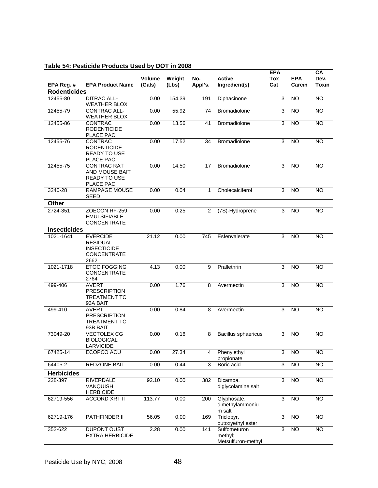# **Table 54: Pesticide Products Used by DOT in 2008**

| EPA Reg. #          | <b>EPA Product Name</b>                                                                | Volume<br>(Gals) | Weight<br>(Lbs) | No.<br>Appl's. | <b>Active</b><br>Ingredient(s)                | <b>EPA</b><br>Tox<br>Cat | <b>EPA</b><br>Carcin | CA<br>Dev.<br><b>Toxin</b> |
|---------------------|----------------------------------------------------------------------------------------|------------------|-----------------|----------------|-----------------------------------------------|--------------------------|----------------------|----------------------------|
| <b>Rodenticides</b> |                                                                                        |                  |                 |                |                                               |                          |                      |                            |
| 12455-80            | <b>DITRAC ALL-</b><br><b>WEATHER BLOX</b>                                              | 0.00             | 154.39          | 191            | Diphacinone                                   | 3                        | <b>NO</b>            | <b>NO</b>                  |
| 12455-79            | <b>CONTRAC ALL-</b><br><b>WEATHER BLOX</b>                                             | 0.00             | 55.92           | 74             | <b>Bromadiolone</b>                           | 3                        | <b>NO</b>            | <b>NO</b>                  |
| 12455-86            | CONTRAC<br><b>RODENTICIDE</b><br>PLACE PAC                                             | 0.00             | 13.56           | 41             | Bromadiolone                                  | 3                        | <b>NO</b>            | <b>NO</b>                  |
| 12455-76            | CONTRAC<br><b>RODENTICIDE</b><br><b>READY TO USE</b><br>PLACE PAC                      | 0.00             | 17.52           | 34             | Bromadiolone                                  | 3                        | <b>NO</b>            | <b>NO</b>                  |
| 12455-75            | <b>CONTRAC RAT</b><br>AND MOUSE BAIT<br><b>READY TO USE</b><br>PLACE PAC               | 0.00             | 14.50           | 17             | <b>Bromadiolone</b>                           | 3                        | <b>NO</b>            | <b>NO</b>                  |
| 3240-28             | <b>RAMPAGE MOUSE</b><br><b>SEED</b>                                                    | 0.00             | 0.04            | $\mathbf{1}$   | Cholecalciferol                               | 3                        | <b>NO</b>            | NO.                        |
| Other               |                                                                                        |                  |                 |                |                                               |                          |                      |                            |
| 2724-351            | ZOECON RF-259<br><b>EMULSIFIABLE</b><br><b>CONCENTRATE</b>                             | 0.00             | 0.25            | 2              | (7S)-Hydroprene                               | 3                        | <b>NO</b>            | NO.                        |
| <b>Insecticides</b> |                                                                                        |                  |                 |                |                                               |                          |                      |                            |
| 1021-1641           | <b>EVERCIDE</b><br><b>RESIDUAL</b><br><b>INSECTICIDE</b><br><b>CONCENTRATE</b><br>2662 | 21.12            | 0.00            | 745            | Esfenvalerate                                 | 3                        | <b>NO</b>            | <b>NO</b>                  |
| 1021-1718           | <b>ETOC FOGGING</b><br><b>CONCENTRATE</b><br>2764                                      | 4.13             | 0.00            | 9              | Prallethrin                                   | 3                        | <b>NO</b>            | <b>NO</b>                  |
| 499-406             | <b>AVERT</b><br><b>PRESCRIPTION</b><br><b>TREATMENT TC</b><br>93A BAIT                 | 0.00             | 1.76            | 8              | Avermectin                                    | 3                        | <b>NO</b>            | <b>NO</b>                  |
| 499-410             | <b>AVERT</b><br><b>PRESCRIPTION</b><br><b>TREATMENT TC</b><br>93B BAIT                 | 0.00             | 0.84            | 8              | Avermectin                                    | 3                        | <b>NO</b>            | NO.                        |
| 73049-20            | <b>VECTOLEX CG</b><br><b>BIOLOGICAL</b><br>LARVICIDE                                   | 0.00             | 0.16            | 8              | Bacillus sphaericus                           | 3                        | <b>NO</b>            | <b>NO</b>                  |
| 67425-14            | ECOPCO ACU                                                                             | 0.00             | 27.34           | 4              | Phenylethyl<br>propionate                     | 3                        | $\overline{NO}$      | <b>NO</b>                  |
| 64405-2             | REDZONE BAIT                                                                           | 0.00             | 0.44            | 3              | Boric acid                                    | 3                        | $\overline{NO}$      | N <sub>O</sub>             |
| <b>Herbicides</b>   |                                                                                        |                  |                 |                |                                               |                          |                      |                            |
| 228-397             | <b>RIVERDALE</b><br>VANQUISH<br><b>HERBICIDE</b>                                       | 92.10            | 0.00            | 382            | Dicamba,<br>diglycolamine salt                | 3                        | <b>NO</b>            | <b>NO</b>                  |
| 62719-556           | <b>ACCORD XRT II</b>                                                                   | 113.77           | 0.00            | 200            | Glyphosate,<br>dimethylammoniu<br>m salt      | 3                        | $\overline{3}$       | $\overline{N}$             |
| 62719-176           | PATHFINDER II                                                                          | 56.05            | 0.00            | 169            | Triclopyr,<br>butoxyethyl ester               | 3                        | <b>NO</b>            | <b>NO</b>                  |
| 352-622             | DUPONT OUST<br><b>EXTRA HERBICIDE</b>                                                  | 2.28             | 0.00            | 141            | Sulfometuron<br>methyl;<br>Metsulfuron-methyl | 3                        | $\overline{NO}$      | <b>NO</b>                  |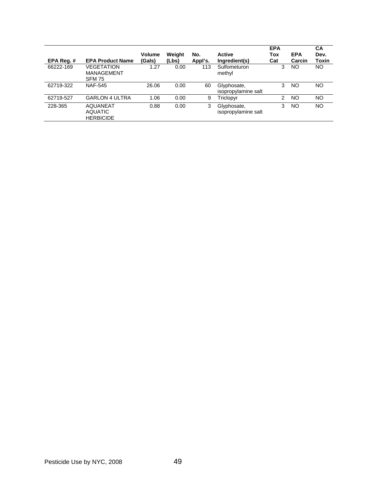|           |                         |               |        |         |                     | <b>EPA</b>     |            | CA    |
|-----------|-------------------------|---------------|--------|---------|---------------------|----------------|------------|-------|
|           |                         | <b>Volume</b> | Weight | No.     | <b>Active</b>       | Tox            | <b>EPA</b> | Dev.  |
| EPA Req.# | <b>EPA Product Name</b> | (Gals)        | (Lbs)  | Appl's. | Ingredient(s)       | Cat            | Carcin     | Toxin |
| 66222-169 | <b>VEGETATION</b>       | 1.27          | 0.00   | 113     | Sulfometuron        | 3              | NO.        | NO.   |
|           | MANAGEMENT              |               |        |         | methyl              |                |            |       |
|           | <b>SFM 75</b>           |               |        |         |                     |                |            |       |
| 62719-322 | <b>NAF-545</b>          | 26.06         | 0.00   | 60      | Glyphosate,         | 3              | NO         | NO    |
|           |                         |               |        |         | isopropylamine salt |                |            |       |
| 62719-527 | <b>GARLON 4 ULTRA</b>   | 1.06          | 0.00   | 9       | Triclopyr           | $\overline{2}$ | <b>NO</b>  | NO    |
| 228-365   | <b>AQUANEAT</b>         | 0.88          | 0.00   | 3       | Glyphosate,         | 3              | NO         | NO    |
|           | <b>AQUATIC</b>          |               |        |         | isopropylamine salt |                |            |       |
|           | <b>HERBICIDE</b>        |               |        |         |                     |                |            |       |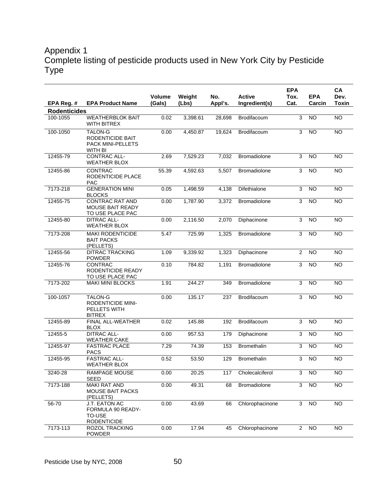# Appendix 1 Complete listing of pesticide products used in New York City by Pesticide Type

|                     |                                                                           | Volume | Weight   | No.     | <b>Active</b>       | <b>EPA</b><br>Tox. | <b>EPA</b>      | <b>CA</b><br>Dev. |
|---------------------|---------------------------------------------------------------------------|--------|----------|---------|---------------------|--------------------|-----------------|-------------------|
| EPA Reg. #          | <b>EPA Product Name</b>                                                   | (Gals) | (Lbs)    | Appl's. | Ingredient(s)       | Cat.               | Carcin          | <b>Toxin</b>      |
| <b>Rodenticides</b> |                                                                           |        |          |         |                     |                    |                 |                   |
| 100-1055            | <b>WEATHERBLOK BAIT</b><br>WITH BITREX                                    | 0.02   | 3,398.61 | 28,698  | Brodifacoum         | $\overline{3}$     | $\overline{NO}$ | $\overline{NO}$   |
| 100-1050            | <b>TALON-G</b><br>RODENTICIDE BAIT<br>PACK MINI-PELLETS<br><b>WITH BI</b> | 0.00   | 4,450.87 | 19,624  | Brodifacoum         | 3                  | $\overline{NO}$ | $\overline{NO}$   |
| 12455-79            | <b>CONTRAC ALL-</b><br><b>WEATHER BLOX</b>                                | 2.69   | 7,529.23 | 7,032   | Bromadiolone        | 3                  | <b>NO</b>       | <b>NO</b>         |
| 12455-86            | <b>CONTRAC</b><br>RODENTICIDE PLACE<br><b>PAC</b>                         | 55.39  | 4,592.63 | 5,507   | Bromadiolone        | 3                  | <b>NO</b>       | <b>NO</b>         |
| 7173-218            | <b>GENERATION MINI</b><br><b>BLOCKS</b>                                   | 0.05   | 1,498.59 | 4,138   | Difethialone        | 3                  | <b>NO</b>       | $\overline{NO}$   |
| 12455-75            | <b>CONTRAC RAT AND</b><br><b>MOUSE BAIT READY</b><br>TO USE PLACE PAC     | 0.00   | 1,787.90 | 3,372   | Bromadiolone        | $\overline{3}$     | <b>NO</b>       | <b>NO</b>         |
| 12455-80            | <b>DITRAC ALL-</b><br><b>WEATHER BLOX</b>                                 | 0.00   | 2,116.50 | 2,070   | Diphacinone         | 3                  | <b>NO</b>       | <b>NO</b>         |
| 7173-208            | <b>MAKI RODENTICIDE</b><br><b>BAIT PACKS</b><br>(PELLETS)                 | 5.47   | 725.99   | 1,325   | Bromadiolone        | 3                  | <b>NO</b>       | <b>NO</b>         |
| 12455-56            | <b>DITRAC TRACKING</b><br><b>POWDER</b>                                   | 1.09   | 9,339.92 | 1,323   | Diphacinone         | $\overline{2}$     | <b>NO</b>       | <b>NO</b>         |
| 12455-76            | <b>CONTRAC</b><br>RODENTICIDE READY<br>TO USE PLACE PAC                   | 0.10   | 784.82   | 1,191   | <b>Bromadiolone</b> | 3                  | <b>NO</b>       | N <sub>O</sub>    |
| 7173-202            | <b>MAKI MINI BLOCKS</b>                                                   | 1.91   | 244.27   | 349     | Bromadiolone        | 3                  | N <sub>O</sub>  | $\overline{NO}$   |
| 100-1057            | TALON-G<br>RODENTICIDE MINI-<br>PELLETS WITH<br><b>BITREX</b>             | 0.00   | 135.17   | 237     | Brodifacoum         | $\overline{3}$     | <b>NO</b>       | $\overline{NO}$   |
| 12455-89            | FINAL ALL-WEATHER<br><b>BLOX</b>                                          | 0.02   | 145.88   | 192     | Brodifacoum         | 3                  | <b>NO</b>       | <b>NO</b>         |
| 12455-5             | <b>DITRAC ALL-</b><br><b>WEATHER CAKE</b>                                 | 0.00   | 957.53   | 179     | Diphacinone         | 3                  | <b>NO</b>       | N <sub>O</sub>    |
| 12455-97            | <b>FASTRAC PLACE</b><br><b>PACS</b>                                       | 7.29   | 74.39    | 153     | <b>Bromethalin</b>  | 3                  | <b>NO</b>       | $\overline{NO}$   |
| 12455-95            | <b>FASTRAC ALL-</b><br><b>WEATHER BLOX</b>                                | 0.52   | 53.50    | 129     | <b>Bromethalin</b>  | 3                  | <b>NO</b>       | <b>NO</b>         |
| 3240-28             | <b>RAMPAGE MOUSE</b><br><b>SEED</b>                                       | 0.00   | 20.25    | 117     | Cholecalciferol     | 3                  | <b>NO</b>       | <b>NO</b>         |
| 7173-188            | <b>MAKI RAT AND</b><br>MOUSE BAIT PACKS<br>(PELLETS)                      | 0.00   | 49.31    | 68      | <b>Bromadiolone</b> | 3                  | <b>NO</b>       | <b>NO</b>         |
| 56-70               | J.T. EATON AC<br>FORMULA 90 READY-<br><b>TO-USE</b><br><b>RODENTICIDE</b> | 0.00   | 43.69    | 66      | Chlorophacinone     | 3                  | $\overline{3}$  | $\overline{3}$    |
| 7173-113            | ROZOL TRACKING<br>POWDER                                                  | 0.00   | 17.94    | 45      | Chlorophacinone     | $\overline{2}$     | <b>NO</b>       | <b>NO</b>         |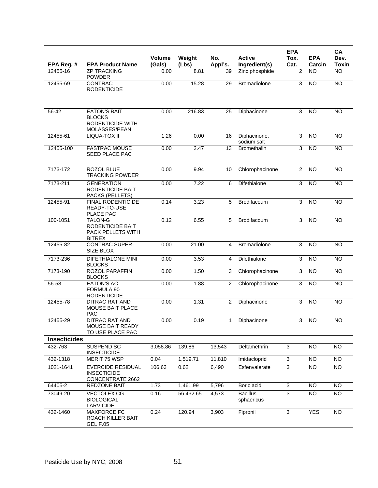| EPA Reg. #          | <b>EPA Product Name</b>                                                   | <b>Volume</b><br>(Gals) | Weight<br>(Lbs) | No.<br>Appl's. | <b>Active</b><br>Ingredient(s) | <b>EPA</b><br>Tox.<br>Cat. | <b>EPA</b><br>Carcin | <b>CA</b><br>Dev.<br><b>Toxin</b> |
|---------------------|---------------------------------------------------------------------------|-------------------------|-----------------|----------------|--------------------------------|----------------------------|----------------------|-----------------------------------|
| 12455-16            | <b>ZP TRACKING</b>                                                        | 0.00                    | 8.81            | 39             | Zinc phosphide                 | 2                          | NO                   | <b>NO</b>                         |
| 12455-69            | <b>POWDER</b><br><b>CONTRAC</b><br><b>RODENTICIDE</b>                     | 0.00                    | 15.28           | 29             | <b>Bromadiolone</b>            | 3                          | <b>NO</b>            | <b>NO</b>                         |
| 56-42               | <b>EATON'S BAIT</b><br><b>BLOCKS</b><br>RODENTICIDE WITH<br>MOLASSES/PEAN | 0.00                    | 216.83          | 25             | Diphacinone                    | 3                          | <b>NO</b>            | $\overline{NO}$                   |
| 12455-61            | LIQUA-TOX II                                                              | 1.26                    | 0.00            | 16             | Diphacinone,<br>sodium salt    | 3                          | <b>NO</b>            | <b>NO</b>                         |
| 12455-100           | <b>FASTRAC MOUSE</b><br>SEED PLACE PAC                                    | 0.00                    | 2.47            | 13             | <b>Bromethalin</b>             | 3                          | NO                   | $\overline{NO}$                   |
| 7173-172            | ROZOL BLUE<br><b>TRACKING POWDER</b>                                      | 0.00                    | 9.94            | 10             | Chlorophacinone                | $\overline{2}$             | <b>NO</b>            | <b>NO</b>                         |
| 7173-211            | <b>GENERATION</b><br>RODENTICIDE BAIT<br>PACKS (PELLETS)                  | 0.00                    | 7.22            | 6              | Difethialone                   | 3                          | <b>NO</b>            | <b>NO</b>                         |
| 12455-91            | FINAL RODENTICIDE<br>READY-TO-USE<br>PLACE PAC                            | 0.14                    | 3.23            | 5              | Brodifacoum                    | 3                          | <b>NO</b>            | <b>NO</b>                         |
| 100-1051            | <b>TALON-G</b><br>RODENTICIDE BAIT<br>PACK PELLETS WITH<br><b>BITREX</b>  | 0.12                    | 6.55            | 5              | Brodifacoum                    | 3                          | <b>NO</b>            | <b>NO</b>                         |
| 12455-82            | <b>CONTRAC SUPER-</b><br>SIZE BLOX                                        | 0.00                    | 21.00           | 4              | Bromadiolone                   | 3                          | N <sub>O</sub>       | NO                                |
| 7173-236            | <b>DIFETHIALONE MINI</b><br><b>BLOCKS</b>                                 | 0.00                    | 3.53            | 4              | Difethialone                   | $\overline{3}$             | <b>NO</b>            | N <sub>O</sub>                    |
| 7173-190            | <b>ROZOL PARAFFIN</b><br><b>BLOCKS</b>                                    | 0.00                    | 1.50            | 3              | Chlorophacinone                | 3                          | N <sub>O</sub>       | $\overline{NO}$                   |
| 56-58               | <b>EATON'S AC</b><br>FORMULA 90<br><b>RODENTICIDE</b>                     | 0.00                    | 1.88            | $\overline{2}$ | Chlorophacinone                | 3                          | <b>NO</b>            | <b>NO</b>                         |
| 12455-78            | DITRAC RAT AND<br>MOUSE BAIT PLACE<br><b>PAC</b>                          | 0.00                    | 1.31            | $\overline{2}$ | Diphacinone                    | 3                          | <b>NO</b>            | <b>NO</b>                         |
| 12455-29            | <b>DITRAC RAT AND</b><br>MOUSE BAIT READY<br>TO USE PLACE PAC             | 0.00                    | 0.19            | 1              | Diphacinone                    | 3                          | <b>NO</b>            | <b>NO</b>                         |
| <b>Insecticides</b> |                                                                           |                         |                 |                |                                |                            |                      |                                   |
| 432-763             | <b>SUSPEND SC</b><br><b>INSECTICIDE</b>                                   | 3,058.86                | 139.86          | 13,543         | Deltamethrin                   | 3                          | <b>NO</b>            | <b>NO</b>                         |
| 432-1318            | MERIT 75 WSP                                                              | 0.04                    | 1,519.71        | 11,810         | Imidacloprid                   | $\overline{3}$             | <b>NO</b>            | $\overline{NO}$                   |
| 1021-1641           | <b>EVERCIDE RESIDUAL</b><br><b>INSECTICIDE</b><br>CONCENTRATE 2662        | 106.63                  | 0.62            | 6,490          | Esfenvalerate                  | 3                          | <b>NO</b>            | NO                                |
| 64405-2             | <b>REDZONE BAIT</b>                                                       | 1.73                    | 1,461.99        | 5,796          | Boric acid                     | $\overline{3}$             | <b>NO</b>            | NO <sub>1</sub>                   |
| 73049-20            | <b>VECTOLEX CG</b><br><b>BIOLOGICAL</b><br>LARVICIDE                      | 0.16                    | 56,432.65       | 4,573          | <b>Bacillus</b><br>sphaericus  | 3                          | <b>NO</b>            | NO                                |
| 432-1460            | <b>MAXFORCE FC</b><br>ROACH KILLER BAIT<br>GEL F.05                       | 0.24                    | 120.94          | 3,903          | Fipronil                       | $\overline{3}$             | <b>YES</b>           | NO                                |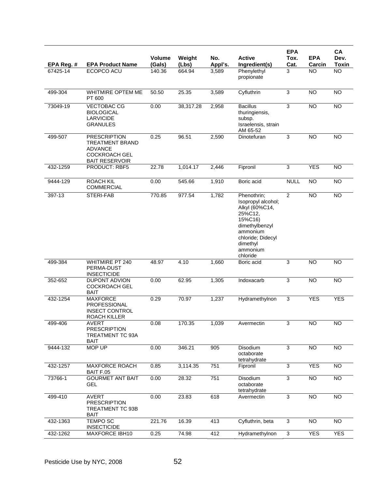| EPA Reg. # | <b>EPA Product Name</b>                                                                                          | <b>Volume</b><br>(Gals) | Weight<br>(Lbs) | No.<br>Appl's. | <b>Active</b><br>Ingredient(s)                                                                                                                                   | <b>EPA</b><br>Tox.<br>Cat. | <b>EPA</b><br>Carcin | CA<br>Dev.<br><b>Toxin</b> |
|------------|------------------------------------------------------------------------------------------------------------------|-------------------------|-----------------|----------------|------------------------------------------------------------------------------------------------------------------------------------------------------------------|----------------------------|----------------------|----------------------------|
| 67425-14   | ECOPCO ACU                                                                                                       | 140.36                  | 664.94          | 3,589          | Phenylethyl<br>propionate                                                                                                                                        | 3                          | NO                   | <b>NO</b>                  |
| 499-304    | <b>WHITMIRE OPTEM ME</b><br>PT 600                                                                               | $\overline{50.50}$      | 25.35           | 3,589          | Cyfluthrin                                                                                                                                                       | 3                          | <b>NO</b>            | $\overline{NO}$            |
| 73049-19   | <b>VECTOBAC CG</b><br><b>BIOLOGICAL</b><br><b>LARVICIDE</b><br><b>GRANULES</b>                                   | 0.00                    | 38,317.28       | 2,958          | <b>Bacillus</b><br>thuringiensis,<br>subsp.<br>Israelensis, strain<br>AM 65-52                                                                                   | 3                          | <b>NO</b>            | <b>NO</b>                  |
| 499-507    | <b>PRESCRIPTION</b><br><b>TREATMENT BRAND</b><br><b>ADVANCE</b><br><b>COCKROACH GEL</b><br><b>BAIT RESERVOIR</b> | 0.25                    | 96.51           | 2,590          | Dinotefuran                                                                                                                                                      | 3                          | $\overline{NO}$      | $\overline{NO}$            |
| 432-1259   | PRODUCT: RBF5                                                                                                    | 22.78                   | 1,014.17        | 2,446          | Fipronil                                                                                                                                                         | $\overline{3}$             | <b>YES</b>           | $\overline{NO}$            |
| 9444-129   | <b>ROACH KIL</b><br><b>COMMERCIAL</b>                                                                            | 0.00                    | 545.66          | 1,910          | Boric acid                                                                                                                                                       | <b>NULL</b>                | N <sub>O</sub>       | N <sub>O</sub>             |
| 397-13     | STERI-FAB                                                                                                        | 770.85                  | 977.54          | 1,782          | Phenothrin;<br>Isopropyl alcohol;<br>Alkyl (60%C14,<br>25%C12.<br>15%C16)<br>dimethylbenzyl<br>ammonium<br>chloride; Didecyl<br>dimethyl<br>ammonium<br>chloride | $\overline{2}$             | <b>NO</b>            | <b>NO</b>                  |
| 499-384    | <b>WHITMIRE PT 240</b><br>PERMA-DUST<br><b>INSECTICIDE</b>                                                       | 48.97                   | 4.10            | 1,660          | Boric acid                                                                                                                                                       | 3                          | <b>NO</b>            | <b>NO</b>                  |
| 352-652    | DUPONT ADVION<br><b>COCKROACH GEL</b><br><b>BAIT</b>                                                             | 0.00                    | 62.95           | 1,305          | Indoxacarb                                                                                                                                                       | $\overline{3}$             | <b>NO</b>            | $\overline{NO}$            |
| 432-1254   | <b>MAXFORCE</b><br><b>PROFESSIONAL</b><br><b>INSECT CONTROL</b><br>ROACH KILLER                                  | 0.29                    | 70.97           | 1,237          | Hydramethylnon                                                                                                                                                   | 3                          | <b>YES</b>           | <b>YES</b>                 |
| 499-406    | <b>AVERT</b><br><b>PRESCRIPTION</b><br><b>TREATMENT TC 93A</b><br><b>BAIT</b>                                    | 0.08                    | 170.35          | 1,039          | Avermectin                                                                                                                                                       | $\overline{3}$             | NO                   | NO <sub>1</sub>            |
| 9444-132   | <b>MOP UP</b>                                                                                                    | 0.00                    | 346.21          | 905            | Disodium<br>octaborate<br>tetrahydrate                                                                                                                           | 3                          | $\overline{NO}$      | $\overline{NO}$            |
| 432-1257   | MAXFORCE ROACH<br>BAIT F.05                                                                                      | 0.85                    | 3,114.35        | 751            | Fipronil                                                                                                                                                         | 3                          | <b>YES</b>           | NO <sub>1</sub>            |
| 73766-1    | <b>GOURMET ANT BAIT</b><br>GEL                                                                                   | 0.00                    | 28.32           | 751            | Disodium<br>octaborate<br>tetrahydrate                                                                                                                           | $\overline{3}$             | $\overline{NO}$      | $\overline{NO}$            |
| 499-410    | <b>AVERT</b><br><b>PRESCRIPTION</b><br>TREATMENT TC 93B<br>BAIT                                                  | 0.00                    | 23.83           | 618            | Avermectin                                                                                                                                                       | $\overline{3}$             | NO <sub>1</sub>      | NO <sub>1</sub>            |
| 432-1363   | <b>TEMPO SC</b><br><b>INSECTICIDE</b>                                                                            | 221.76                  | 16.39           | 413            | Cyfluthrin, beta                                                                                                                                                 | 3                          | NO                   | NO                         |
| 432-1262   | <b>MAXFORCE IBH10</b>                                                                                            | 0.25                    | 74.98           | 412            | Hydramethylnon                                                                                                                                                   | 3                          | <b>YES</b>           | <b>YES</b>                 |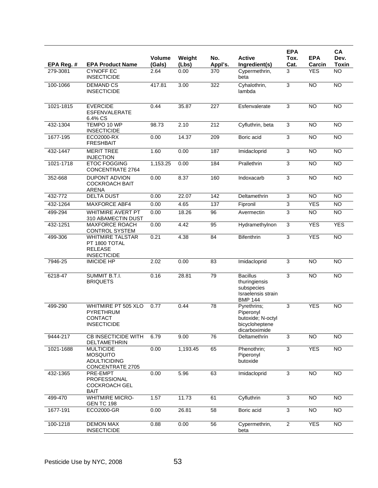|            |                                                                                       |                  |                 |                 |                                                                                        | <b>EPA</b>     |                      | CA                   |
|------------|---------------------------------------------------------------------------------------|------------------|-----------------|-----------------|----------------------------------------------------------------------------------------|----------------|----------------------|----------------------|
| EPA Reg. # | <b>EPA Product Name</b>                                                               | Volume<br>(Gals) | Weight<br>(Lbs) | No.<br>Appl's.  | <b>Active</b><br>Ingredient(s)                                                         | Tox.<br>Cat.   | <b>EPA</b><br>Carcin | Dev.<br><b>Toxin</b> |
| 279-3081   | <b>CYNOFF EC</b><br><b>INSECTICIDE</b>                                                | 2.64             | 0.00            | 370             | Cypermethrin,<br>beta                                                                  | 3              | <b>YES</b>           | $\overline{NO}$      |
| 100-1066   | <b>DEMAND CS</b><br><b>INSECTICIDE</b>                                                | 417.81           | 3.00            | 322             | Cyhalothrin,<br>lambda                                                                 | 3              | <b>NO</b>            | $\overline{NO}$      |
| 1021-1815  | <b>EVERCIDE</b><br><b>ESFENVALERATE</b><br>6.4% CS                                    | 0.44             | 35.87           | 227             | Esfenvalerate                                                                          | 3              | <b>NO</b>            | <b>NO</b>            |
| 432-1304   | TEMPO 10 WP<br><b>INSECTICIDE</b>                                                     | 98.73            | 2.10            | 212             | Cyfluthrin, beta                                                                       | $\overline{3}$ | <b>NO</b>            | <b>NO</b>            |
| 1677-195   | ECO2000-RX<br><b>FRESHBAIT</b>                                                        | 0.00             | 14.37           | 209             | Boric acid                                                                             | $\overline{3}$ | <b>NO</b>            | <b>NO</b>            |
| 432-1447   | <b>MERIT TREE</b><br><b>INJECTION</b>                                                 | 1.60             | 0.00            | 187             | Imidacloprid                                                                           | 3              | <b>NO</b>            | $\overline{NO}$      |
| 1021-1718  | <b>ETOC FOGGING</b><br><b>CONCENTRATE 2764</b>                                        | 1,153.25         | 0.00            | 184             | Prallethrin                                                                            | 3              | <b>NO</b>            | <b>NO</b>            |
| 352-668    | <b>DUPONT ADVION</b><br><b>COCKROACH BAIT</b><br><b>ARENA</b>                         | 0.00             | 8.37            | 160             | Indoxacarb                                                                             | 3              | $\overline{10}$      | <b>NO</b>            |
| 432-772    | <b>DELTA DUST</b>                                                                     | 0.00             | 22.07           | 142             | Deltamethrin                                                                           | $\overline{3}$ | <b>NO</b>            | <b>NO</b>            |
| 432-1264   | <b>MAXFORCE ABF4</b>                                                                  | 0.00             | 4.65            | 137             | Fipronil                                                                               | $\overline{3}$ | <b>YES</b>           | <b>NO</b>            |
| 499-294    | WHITMIRE AVERT PT<br>310 ABAMECTIN DUST                                               | 0.00             | 18.26           | 96              | Avermectin                                                                             | $\overline{3}$ | <b>NO</b>            | <b>NO</b>            |
| 432-1251   | <b>MAXFORCE ROACH</b><br><b>CONTROL SYSTEM</b>                                        | 0.00             | 4.42            | 95              | Hydramethylnon                                                                         | 3              | <b>YES</b>           | <b>YES</b>           |
| 499-306    | <b>WHITMIRE TALSTAR</b><br>PT 1800 TOTAL<br><b>RELEASE</b><br><b>INSECTICIDE</b>      | 0.21             | 4.38            | $\overline{84}$ | Bifenthrin                                                                             | 3              | <b>YES</b>           | N <sub>O</sub>       |
| 7946-25    | <b>IMICIDE HP</b>                                                                     | 2.02             | 0.00            | 83              | Imidacloprid                                                                           | 3              | <b>NO</b>            | <b>NO</b>            |
| 6218-47    | SUMMIT B.T.I.<br><b>BRIQUETS</b>                                                      | 0.16             | 28.81           | 79              | <b>Bacillus</b><br>thuringiensis<br>subspecies<br>Israelensis strain<br><b>BMP 144</b> | 3              | <b>NO</b>            | $\overline{NO}$      |
| 499-290    | <b>WHITMIRE PT 505 XLO</b><br>PYRETHRUM<br><b>CONTACT</b><br><b>INSECTICIDE</b>       | 0.77             | 0.44            | $\overline{78}$ | Pyrethrins;<br>Piperonyl<br>butoxide; N-octyl<br>bicycloheptene<br>dicarboximide       | 3              | <b>YES</b>           | <b>NO</b>            |
| 9444-217   | <b>CB INSECTICIDE WITH</b><br>DELTAMETHRIN                                            | 6.79             | 9.00            | 76              | Deltamethrin                                                                           | $\overline{3}$ | $\overline{NO}$      | $\overline{NO}$      |
| 1021-1688  | <b>MULTICIDE</b><br><b>MOSQUITO</b><br><b>ADULTICIDING</b><br><b>CONCENTRATE 2705</b> | 0.00             | 1,193.45        | 65              | Phenothrin;<br>Piperonyl<br>butoxide                                                   | $\overline{3}$ | <b>YES</b>           | <b>NO</b>            |
| 432-1365   | PRE-EMPT<br>PROFESSIONAL<br><b>COCKROACH GEL</b><br><b>BAIT</b>                       | 0.00             | 5.96            | 63              | Imidacloprid                                                                           | $\overline{3}$ | $\overline{NO}$      | $\overline{NO}$      |
| 499-470    | <b>WHITMIRE MICRO-</b><br><b>GEN TC 198</b>                                           | 1.57             | 11.73           | 61              | Cyfluthrin                                                                             | $\overline{3}$ | $\overline{N}$       | <b>NO</b>            |
| 1677-191   | ECO2000-GR                                                                            | 0.00             | 26.81           | 58              | Boric acid                                                                             | 3              | $\overline{NO}$      | $\overline{NO}$      |
| 100-1218   | <b>DEMON MAX</b><br><b>INSECTICIDE</b>                                                | 0.88             | 0.00            | 56              | Cypermethrin,<br>beta                                                                  | $\overline{2}$ | <b>YES</b>           | <b>NO</b>            |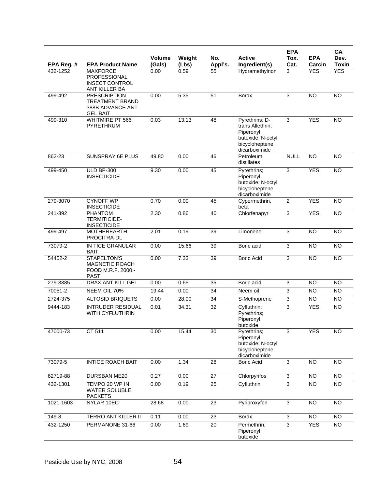|            |                                                                                      |                  |                 |                 |                                                                                                         | <b>EPA</b>                |                      | <b>CA</b>            |
|------------|--------------------------------------------------------------------------------------|------------------|-----------------|-----------------|---------------------------------------------------------------------------------------------------------|---------------------------|----------------------|----------------------|
| EPA Reg. # | <b>EPA Product Name</b>                                                              | Volume<br>(Gals) | Weight<br>(Lbs) | No.<br>Appl's.  | <b>Active</b><br>Ingredient(s)                                                                          | Tox.<br>Cat.              | <b>EPA</b><br>Carcin | Dev.<br><b>Toxin</b> |
| 432-1252   | <b>MAXFORCE</b>                                                                      | 0.00             | 0.59            | 55              | Hydramethylnon                                                                                          | 3                         | <b>YES</b>           | <b>YES</b>           |
|            | PROFESSIONAL<br><b>INSECT CONTROL</b><br>ANT KILLER BA                               |                  |                 |                 |                                                                                                         |                           |                      |                      |
| 499-492    | <b>PRESCRIPTION</b><br><b>TREATMENT BRAND</b><br>388B ADVANCE ANT<br><b>GEL BAIT</b> | 0.00             | 5.35            | 51              | <b>Borax</b>                                                                                            | 3                         | <b>NO</b>            | <b>NO</b>            |
| 499-310    | WHITMIRE PT 566<br>PYRETHRUM                                                         | 0.03             | 13.13           | 48              | Pyrethrins; D-<br>trans Allethrin;<br>Piperonyl<br>butoxide; N-octyl<br>bicycloheptene<br>dicarboximide | 3                         | <b>YES</b>           | <b>NO</b>            |
| 862-23     | <b>SUNSPRAY 6E PLUS</b>                                                              | 49.80            | 0.00            | 46              | Petroleum<br>distillates                                                                                | <b>NULL</b>               | $\overline{NO}$      | $\overline{NO}$      |
| 499-450    | <b>ULD BP-300</b><br><b>INSECTICIDE</b>                                              | 9.30             | 0.00            | 45              | Pyrethrins;<br>Piperonyl<br>butoxide; N-octyl<br>bicycloheptene<br>dicarboximide                        | $\overline{3}$            | <b>YES</b>           | $\overline{NO}$      |
| 279-3070   | <b>CYNOFF WP</b><br><b>INSECTICIDE</b>                                               | 0.70             | 0.00            | 45              | Cypermethrin,<br>beta                                                                                   | $\overline{2}$            | <b>YES</b>           | $\overline{NO}$      |
| 241-392    | <b>PHANTOM</b><br><b>TERMITICIDE-</b><br><b>INSECTICIDE</b>                          | 2.30             | 0.86            | 40              | Chlorfenapyr                                                                                            | 3                         | <b>YES</b>           | <b>NO</b>            |
| 499-497    | <b>MOTHEREARTH</b><br>PROCITRA-DL                                                    | 2.01             | 0.19            | 39              | Limonene                                                                                                | 3                         | <b>NO</b>            | <b>NO</b>            |
| 73079-2    | IN TICE GRANULAR<br><b>BAIT</b>                                                      | 0.00             | 15.66           | 39              | Boric acid                                                                                              | $\overline{3}$            | <b>NO</b>            | $\overline{NO}$      |
| 54452-2    | STAPELTON'S<br><b>MAGNETIC ROACH</b><br>FOOD M.R.F. 2000 -<br><b>PAST</b>            | 0.00             | 7.33            | 39              | <b>Boric Acid</b>                                                                                       | 3                         | <b>NO</b>            | <b>NO</b>            |
| 279-3385   | DRAX ANT KILL GEL                                                                    | 0.00             | 0.65            | 35              | Boric acid                                                                                              | 3                         | <b>NO</b>            | <b>NO</b>            |
| 70051-2    | NEEM OIL 70%                                                                         | 19.44            | 0.00            | 34              | Neem oil                                                                                                | 3                         | <b>NO</b>            | <b>NO</b>            |
| 2724-375   | <b>ALTOSID BRIQUETS</b>                                                              | 0.00             | 28.00           | 34              | S-Methoprene                                                                                            | $\ensuremath{\mathsf{3}}$ | <b>NO</b>            | <b>NO</b>            |
| 9444-183   | <b>INTRUDER RESIDUAL</b><br><b>WITH CYFLUTHRIN</b>                                   | 0.01             | 34.31           | $\overline{32}$ | Cyfluthrin;<br>Pyrethrins;<br>Piperonyl<br>butoxide                                                     | 3                         | <b>YES</b>           | <b>NO</b>            |
| 47000-73   | CT 511                                                                               | 0.00             | 15.44           | 30              | Pyrethrins:<br>Piperonyl<br>butoxide; N-octyl<br>bicycloheptene<br>dicarboximide                        | 3                         | <b>YES</b>           | <b>NO</b>            |
| 73079-5    | <b>INTICE ROACH BAIT</b>                                                             | 0.00             | 1.34            | 28              | <b>Boric Acid</b>                                                                                       | 3                         | <b>NO</b>            | <b>NO</b>            |
| 62719-88   | DURSBAN ME20                                                                         | 0.27             | 0.00            | 27              | Chlorpyrifos                                                                                            | 3                         | NO.                  | <b>NO</b>            |
| 432-1301   | TEMPO 20 WP IN<br><b>WATER SOLUBLE</b><br><b>PACKETS</b>                             | 0.00             | 0.19            | 25              | Cyfluthrin                                                                                              | $\overline{3}$            | <b>NO</b>            | <b>NO</b>            |
| 1021-1603  | NYLAR 10EC                                                                           | 28.68            | 0.00            | 23              | Pyriproxyfen                                                                                            | 3                         | <b>NO</b>            | <b>NO</b>            |
| 149-8      | TERRO ANT KILLER II                                                                  | 0.11             | 0.00            | 23              | <b>Borax</b>                                                                                            | $\mathfrak{S}$            | NO                   | <b>NO</b>            |
| 432-1250   | PERMANONE 31-66                                                                      | 0.00             | 1.69            | 20              | Permethrin;<br>Piperonyl<br>butoxide                                                                    | 3                         | <b>YES</b>           | <b>NO</b>            |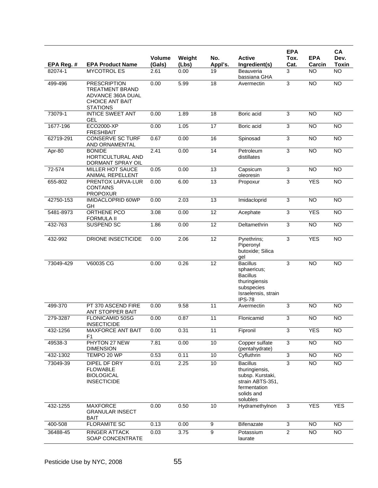| EPA Reg. # | <b>EPA Product Name</b>                                                                                         | Volume<br>(Gals) | Weight<br>(Lbs) | No.<br>Appl's.  | <b>Active</b><br>Ingredient(s)                                                                                           | <b>EPA</b><br>Tox.<br>Cat. | <b>EPA</b><br>Carcin | CA<br>Dev.<br><b>Toxin</b> |
|------------|-----------------------------------------------------------------------------------------------------------------|------------------|-----------------|-----------------|--------------------------------------------------------------------------------------------------------------------------|----------------------------|----------------------|----------------------------|
| 82074-1    | <b>MYCOTROL ES</b>                                                                                              | 2.61             | 0.00            | 19              | Beauveria<br>bassiana GHA                                                                                                | 3                          | <b>NO</b>            | $\overline{NO}$            |
| 499-496    | <b>PRESCRIPTION</b><br><b>TREATMENT BRAND</b><br>ADVANCE 360A DUAL<br><b>CHOICE ANT BAIT</b><br><b>STATIONS</b> | 0.00             | 5.99            | $\overline{18}$ | Avermectin                                                                                                               | $\overline{3}$             | <b>NO</b>            | <b>NO</b>                  |
| 73079-1    | <b>INTICE SWEET ANT</b><br>GEL                                                                                  | 0.00             | 1.89            | 18              | Boric acid                                                                                                               | 3                          | <b>NO</b>            | N <sub>O</sub>             |
| 1677-196   | ECO2000-XP<br><b>FRESHBAIT</b>                                                                                  | 0.00             | 1.05            | 17              | Boric acid                                                                                                               | $\overline{3}$             | <b>NO</b>            | <b>NO</b>                  |
| 62719-291  | <b>CONSERVE SC TURF</b><br>AND ORNAMENTAL                                                                       | 0.67             | 0.00            | 16              | Spinosad                                                                                                                 | 3                          | $\overline{NO}$      | $\overline{NO}$            |
| $Apr-80$   | <b>BONIDE</b><br>HORTICULTURAL AND<br>DORMANT SPRAY OIL                                                         | 2.41             | 0.00            | 14              | Petroleum<br>distillates                                                                                                 | $\overline{3}$             | <b>NO</b>            | <b>NO</b>                  |
| 72-574     | MILLER HOT SAUCE<br>ANIMAL REPELLENT                                                                            | 0.05             | 0.00            | 13              | Capsicum<br>oleoresin                                                                                                    | 3                          | <b>NO</b>            | <b>NO</b>                  |
| 655-802    | PRENTOX LARVA-LUR<br><b>CONTAINS</b><br><b>PROPOXUR</b>                                                         | 0.00             | 6.00            | 13              | Propoxur                                                                                                                 | 3                          | <b>YES</b>           | <b>NO</b>                  |
| 42750-153  | <b>IMIDACLOPRID 60WP</b><br>GH                                                                                  | 0.00             | 2.03            | 13              | Imidacloprid                                                                                                             | $\overline{3}$             | $\overline{NO}$      | <b>NO</b>                  |
| 5481-8973  | <b>ORTHENE PCO</b><br><b>FORMULA II</b>                                                                         | 3.08             | 0.00            | $\overline{12}$ | Acephate                                                                                                                 | $\overline{3}$             | <b>YES</b>           | <b>NO</b>                  |
| 432-763    | SUSPEND SC                                                                                                      | 1.86             | 0.00            | 12              | Deltamethrin                                                                                                             | $\overline{3}$             | <b>NO</b>            | <b>NO</b>                  |
| 432-992    | DRIONE INSECTICIDE                                                                                              | 0.00             | 2.06            | $\overline{12}$ | Pyrethrins;<br>Piperonyl<br>butoxide; Silica<br>gel                                                                      | $\overline{3}$             | <b>YES</b>           | $\overline{NO}$            |
| 73049-429  | V60035 CG                                                                                                       | 0.00             | 0.26            | 12              | <b>Bacillus</b><br>sphaericus;<br><b>Bacillus</b><br>thuringiensis<br>subspecies<br>Israelensis, strain<br><b>IPS-78</b> | 3                          | <b>NO</b>            | $\overline{NO}$            |
| 499-370    | PT 370 ASCEND FIRE<br>ANT STOPPER BAIT                                                                          | 0.00             | 9.58            | 11              | Avermectin                                                                                                               | 3                          | <b>NO</b>            | <b>NO</b>                  |
| 279-3287   | FLONICAMID 50SG<br><b>INSECTICIDE</b>                                                                           | 0.00             | 0.87            | 11              | Flonicamid                                                                                                               | 3                          | <b>NO</b>            | $\overline{NO}$            |
| 432-1256   | MAXFORCE ANT BAIT<br>F1                                                                                         | 0.00             | 0.31            | 11              | Fipronil                                                                                                                 | $\overline{3}$             | <b>YES</b>           | <b>NO</b>                  |
| 49538-3    | PHYTON 27 NEW<br><b>DIMENSION</b>                                                                               | 7.81             | 0.00            | 10              | Copper sulfate<br>(pentahydrate)                                                                                         | 3                          | <b>NO</b>            | $\overline{NO}$            |
| 432-1302   | TEMPO 20 WP                                                                                                     | 0.53             | 0.11            | 10              | Cyfluthrin                                                                                                               | $\overline{3}$             | $\overline{NO}$      | NO                         |
| 73049-39   | DIPEL DF DRY<br><b>FLOWABLE</b><br><b>BIOLOGICAL</b><br><b>INSECTICIDE</b>                                      | 0.01             | 2.25            | 10              | <b>Bacillus</b><br>thuringiensis,<br>subsp. Kurstaki,<br>strain ABTS-351,<br>fermentation<br>solids and<br>solubles      | 3                          | <b>NO</b>            | <b>NO</b>                  |
| 432-1255   | <b>MAXFORCE</b><br><b>GRANULAR INSECT</b><br><b>BAIT</b>                                                        | 0.00             | 0.50            | 10              | Hydramethylnon                                                                                                           | 3                          | <b>YES</b>           | <b>YES</b>                 |
| 400-508    | <b>FLORAMITE SC</b>                                                                                             | 0.13             | 0.00            | $\overline{9}$  | Bifenazate                                                                                                               | $\overline{3}$             | NO                   | <b>NO</b>                  |
| 36488-45   | RINGER ATTACK<br>SOAP CONCENTRATE                                                                               | 0.03             | 3.75            | $\overline{9}$  | Potassium<br>laurate                                                                                                     | $\overline{2}$             | <b>NO</b>            | NO <sub>1</sub>            |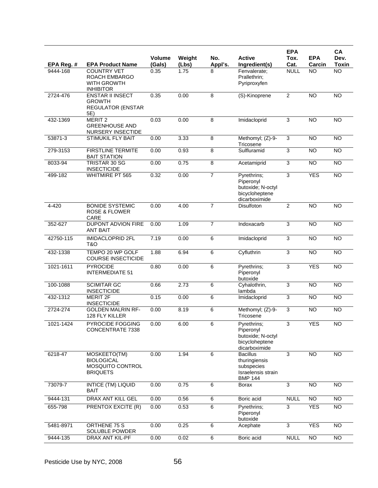| EPA Reg. # | <b>EPA Product Name</b>                                                       | <b>Volume</b><br>(Gals) | Weight<br>(Lbs) | No.<br>Appl's. | <b>Active</b><br>Ingredient(s)                                                         | <b>EPA</b><br>Tox.<br>Cat. | <b>EPA</b><br>Carcin | CA<br>Dev.<br><b>Toxin</b> |
|------------|-------------------------------------------------------------------------------|-------------------------|-----------------|----------------|----------------------------------------------------------------------------------------|----------------------------|----------------------|----------------------------|
| 9444-168   | <b>COUNTRY VET</b><br>ROACH EMBARGO<br><b>WITH GROWTH</b><br><b>INHIBITOR</b> | 0.35                    | 1.75            | 8              | Fenvalerate;<br>Prallethrin;<br>Pyriproxyfen                                           | <b>NULL</b>                | <b>NO</b>            | <b>NO</b>                  |
| 2724-476   | <b>ENSTAR II INSECT</b><br><b>GROWTH</b><br><b>REGULATOR (ENSTAR</b><br>5E)   | 0.35                    | 0.00            | 8              | (S)-Kinoprene                                                                          | $\overline{2}$             | <b>NO</b>            | <b>NO</b>                  |
| 432-1369   | MERIT <sub>2</sub><br><b>GREENHOUSE AND</b><br><b>NURSERY INSECTIDE</b>       | 0.03                    | 0.00            | 8              | Imidacloprid                                                                           | 3                          | $\overline{NO}$      | $\overline{NO}$            |
| 53871-3    | STIMUKIL FLY BAIT                                                             | 0.00                    | 3.33            | 8              | Methomyl; (Z)-9-<br>Tricosene                                                          | 3                          | <b>NO</b>            | <b>NO</b>                  |
| 279-3153   | <b>FIRSTLINE TERMITE</b><br><b>BAIT STATION</b>                               | 0.00                    | 0.93            | 8              | Sulfluramid                                                                            | 3                          | <b>NO</b>            | $\overline{NO}$            |
| 8033-94    | TRISTAR 30 SG<br><b>INSECTICIDE</b>                                           | 0.00                    | 0.75            | 8              | Acetamiprid                                                                            | 3                          | <b>NO</b>            | <b>NO</b>                  |
| 499-182    | <b>WHITMIRE PT 565</b>                                                        | 0.32                    | 0.00            | $\overline{7}$ | Pyrethrins;<br>Piperonyl<br>butoxide; N-octyl<br>bicycloheptene<br>dicarboximide       | 3                          | <b>YES</b>           | N <sub>O</sub>             |
| 4-420      | <b>BONIDE SYSTEMIC</b><br><b>ROSE &amp; FLOWER</b><br>CARE                    | 0.00                    | 4.00            | 7              | Disulfoton                                                                             | $\overline{2}$             | <b>NO</b>            | $\overline{10}$            |
| 352-627    | DUPONT ADVION FIRE<br><b>ANT BAIT</b>                                         | 0.00                    | 1.09            | $\overline{7}$ | Indoxacarb                                                                             | 3                          | <b>NO</b>            | $\overline{NO}$            |
| 42750-115  | <b>IMIDACLOPRID 2FL</b><br>T&O                                                | 7.19                    | 0.00            | 6              | Imidacloprid                                                                           | 3                          | <b>NO</b>            | <b>NO</b>                  |
| 432-1338   | TEMPO 20 WP GOLF<br><b>COURSE INSECTICIDE</b>                                 | 1.88                    | 6.94            | 6              | Cyfluthrin                                                                             | 3                          | <b>NO</b>            | $\overline{NO}$            |
| 1021-1611  | <b>PYROCIDE</b><br><b>INTERMEDIATE 51</b>                                     | 0.80                    | 0.00            | 6              | Pyrethrins;<br>Piperonyl<br>butoxide                                                   | 3                          | <b>YES</b>           | $\overline{NO}$            |
| 100-1088   | <b>SCIMITAR GC</b><br><b>INSECTICIDE</b>                                      | 0.66                    | 2.73            | 6              | Cyhalothrin,<br>lambda                                                                 | 3                          | <b>NO</b>            | <b>NO</b>                  |
| 432-1312   | <b>MERIT 2F</b><br><b>INSECTICIDE</b>                                         | 0.15                    | 0.00            | 6              | Imidacloprid                                                                           | $\overline{3}$             | $\overline{NO}$      | $\overline{NO}$            |
| 2724-274   | <b>GOLDEN MALRIN RF-</b><br>128 FLY KILLER                                    | 0.00                    | 8.19            | 6              | Methomyl; (Z)-9-<br>Tricosene                                                          | 3                          | <b>NO</b>            | $\overline{NO}$            |
| 1021-1424  | PYROCIDE FOGGING<br>CONCENTRATE 7338                                          | 0.00                    | 6.00            | 6              | Pyrethrins;<br>Piperonyl<br>butoxide; N-octyl<br>bicycloheptene<br>dicarboximide       | 3                          | <b>YES</b>           | N <sub>O</sub>             |
| 6218-47    | MOSKEETO(TM)<br><b>BIOLOGICAL</b><br>MOSQUITO CONTROL<br><b>BRIQUETS</b>      | 0.00                    | 1.94            | 6              | <b>Bacillus</b><br>thuringiensis<br>subspecies<br>Israelensis strain<br><b>BMP 144</b> | 3                          | <b>NO</b>            | NO                         |
| 73079-7    | <b>INTICE (TM) LIQUID</b><br><b>BAIT</b>                                      | 0.00                    | 0.75            | 6              | <b>Borax</b>                                                                           | $\overline{3}$             | $\overline{NO}$      | $\overline{10}$            |
| 9444-131   | DRAX ANT KILL GEL                                                             | 0.00                    | 0.56            | 6              | Boric acid                                                                             | <b>NULL</b>                | $\overline{N}$       | $\overline{10}$            |
| 655-798    | PRENTOX EXCITE (R)                                                            | 0.00                    | 0.53            | $\,6$          | Pyrethrins;<br>Piperonyl<br>butoxide                                                   | 3                          | <b>YES</b>           | <b>NO</b>                  |
| 5481-8971  | ORTHENE 75 S<br>SOLUBLE POWDER                                                | 0.00                    | 0.25            | 6              | Acephate                                                                               | 3                          | <b>YES</b>           | $\overline{10}$            |
| 9444-135   | DRAX ANT KIL-PF                                                               | 0.00                    | 0.02            | $\overline{6}$ | Boric acid                                                                             | <b>NULL</b>                | $\overline{NO}$      | $\overline{NO}$            |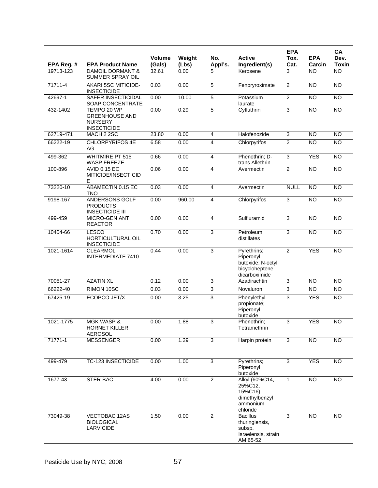|             |                                                                              |                         |                 |                |                                                                                  | <b>EPA</b>                |                      | CA                   |
|-------------|------------------------------------------------------------------------------|-------------------------|-----------------|----------------|----------------------------------------------------------------------------------|---------------------------|----------------------|----------------------|
| EPA Reg. #  | <b>EPA Product Name</b>                                                      | <b>Volume</b><br>(Gals) | Weight<br>(Lbs) | No.<br>Appl's. | <b>Active</b><br>Ingredient(s)                                                   | Tox.<br>Cat.              | <b>EPA</b><br>Carcin | Dev.<br><b>Toxin</b> |
| 19713-123   | <b>DAMOIL DORMANT &amp;</b><br>SUMMER SPRAY OIL                              | 32.61                   | 0.00            | 5              | Kerosene                                                                         | 3                         | <b>NO</b>            | <b>NO</b>            |
| 71711-4     | <b>AKARI 5SC MITICIDE-</b><br><b>INSECTICIDE</b>                             | 0.03                    | 0.00            | 5              | Fenpryroximate                                                                   | $\overline{2}$            | $\overline{NO}$      | N <sub>O</sub>       |
| 42697-1     | SAFER INSECTICIDAL<br>SOAP CONCENTRATE                                       | 0.00                    | 10.00           | 5              | Potassium<br>laurate                                                             | $\overline{2}$            | $\overline{NO}$      | $\overline{NO}$      |
| 432-1402    | TEMPO 20 WP<br><b>GREENHOUSE AND</b><br><b>NURSERY</b><br><b>INSECTICIDE</b> | 0.00                    | 0.29            | $\overline{5}$ | Cyfluthrin                                                                       | 3                         | NO                   | $\overline{NO}$      |
| 62719-471   | MACH 2 2SC                                                                   | 23.80                   | 0.00            | 4              | Halofenozide                                                                     | $\ensuremath{\mathsf{3}}$ | <b>NO</b>            | <b>NO</b>            |
| 66222-19    | <b>CHLORPYRIFOS 4E</b><br>AG                                                 | 6.58                    | 0.00            | 4              | Chlorpyrifos                                                                     | $\overline{2}$            | <b>NO</b>            | <b>NO</b>            |
| 499-362     | <b>WHITMIRE PT 515</b><br><b>WASP FREEZE</b>                                 | 0.66                    | 0.00            | 4              | Phenothrin; D-<br>trans Allethrin                                                | $\overline{3}$            | <b>YES</b>           | <b>NO</b>            |
| 100-896     | <b>AVID 0.15 EC</b><br>MITICIDE/INSECTICID<br>Е                              | 0.06                    | 0.00            | 4              | Avermectin                                                                       | $\overline{2}$            | NO                   | $\overline{NO}$      |
| 73220-10    | ABAMECTIN 0.15 EC<br><b>TNO</b>                                              | 0.03                    | 0.00            | 4              | Avermectin                                                                       | <b>NULL</b>               | <b>NO</b>            | <b>NO</b>            |
| 9198-167    | ANDERSONS GOLF<br><b>PRODUCTS</b><br><b>INSECTICIDE III</b>                  | 0.00                    | 960.00          | 4              | Chlorpyrifos                                                                     | 3                         | $\overline{NO}$      | N <sub>O</sub>       |
| 499-459     | <b>MICRO-GEN ANT</b><br><b>REACTOR</b>                                       | 0.00                    | 0.00            | 4              | Sulfluramid                                                                      | 3                         | <b>NO</b>            | <b>NO</b>            |
| 10404-66    | <b>LESCO</b><br>HORTICULTURAL OIL<br><b>INSECTICIDE</b>                      | 0.70                    | 0.00            | 3              | Petroleum<br>distillates                                                         | 3                         | <b>NO</b>            | $\overline{NO}$      |
| 1021-1614   | <b>CLEARMOL</b><br><b>INTERMEDIATE 7410</b>                                  | 0.44                    | 0.00            | 3              | Pyrethrins;<br>Piperonyl<br>butoxide; N-octyl<br>bicycloheptene<br>dicarboximide | $\overline{2}$            | <b>YES</b>           | <b>NO</b>            |
| 70051-27    | <b>AZATIN XL</b>                                                             | 0.12                    | 0.00            | 3              | Azadirachtin                                                                     | 3                         | <b>NO</b>            | <b>NO</b>            |
| 66222-40    | RIMON 10SC                                                                   | 0.03                    | 0.00            | 3              | Novaluron                                                                        | 3                         | <b>NO</b>            | <b>NO</b>            |
| 67425-19    | ECOPCO JET/X                                                                 | 0.00                    | 3.25            | 3              | Phenylethyl<br>propionate;<br>Piperonyl<br>butoxide                              | 3                         | <b>YES</b>           | <b>NO</b>            |
| 1021-1775   | <b>MGK WASP &amp;</b><br><b>HORNET KILLER</b><br><b>AEROSOL</b>              | 0.00                    | 1.88            | 3              | Phenothrin;<br>Tetramethrin                                                      | 3                         | <b>YES</b>           | NO                   |
| $71771 - 1$ | <b>MESSENGER</b>                                                             | 0.00                    | 1.29            | 3              | Harpin protein                                                                   | $\overline{3}$            | NO                   | <b>NO</b>            |
| 499-479     | <b>TC-123 INSECTICIDE</b>                                                    | 0.00                    | 1.00            | 3              | Pyrethrins;<br>Piperonyl<br>butoxide                                             | 3                         | <b>YES</b>           | $\overline{NO}$      |
| 1677-43     | STER-BAC                                                                     | 4.00                    | 0.00            | $\overline{2}$ | Alkyl (60%C14,<br>25%C12,<br>15%C16)<br>dimethylbenzyl<br>ammonium<br>chloride   | 1.                        | <b>NO</b>            | <b>NO</b>            |
| 73049-38    | VECTOBAC 12AS<br><b>BIOLOGICAL</b><br>LARVICIDE                              | 1.50                    | 0.00            | $\overline{2}$ | <b>Bacillus</b><br>thuringiensis,<br>subsp.<br>Israelensis, strain<br>AM 65-52   | 3                         | <b>NO</b>            | <b>NO</b>            |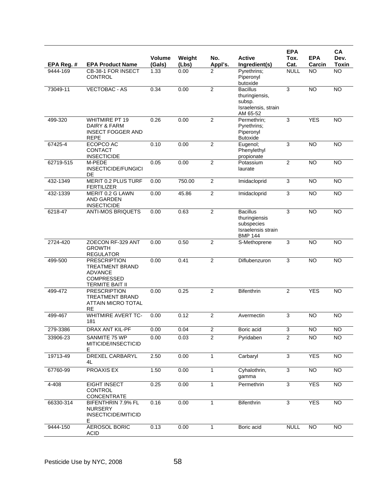|            |                                                                                                                |                  |                 |                |                                                                                        | <b>EPA</b>     |                      | CA                   |
|------------|----------------------------------------------------------------------------------------------------------------|------------------|-----------------|----------------|----------------------------------------------------------------------------------------|----------------|----------------------|----------------------|
| EPA Reg. # | <b>EPA Product Name</b>                                                                                        | Volume<br>(Gals) | Weight<br>(Lbs) | No.<br>Appl's. | <b>Active</b><br>Ingredient(s)                                                         | Tox.<br>Cat.   | <b>EPA</b><br>Carcin | Dev.<br><b>Toxin</b> |
| 9444-169   | CB-38-1 FOR INSECT<br><b>CONTROL</b>                                                                           | 1.33             | 0.00            | $\overline{2}$ | Pyrethrins;<br>Piperonyl<br>butoxide                                                   | <b>NULL</b>    | <b>NO</b>            | <b>NO</b>            |
| 73049-11   | <b>VECTOBAC - AS</b>                                                                                           | 0.34             | 0.00            | $\overline{2}$ | <b>Bacillus</b><br>thuringiensis,<br>subsp.<br>Israelensis, strain<br>AM 65-52         | 3              | $\overline{NO}$      | NO                   |
| 499-320    | <b>WHITMIRE PT 19</b><br>DAIRY & FARM<br><b>INSECT FOGGER AND</b><br><b>REPE</b>                               | 0.26             | 0.00            | 2              | Permethrin;<br>Pyrethrins;<br>Piperonyl<br><b>Butoxide</b>                             | 3              | <b>YES</b>           | <b>NO</b>            |
| 67425-4    | ECOPCO AC<br><b>CONTACT</b><br><b>INSECTICIDE</b>                                                              | 0.10             | 0.00            | $\overline{2}$ | Eugenol;<br>Phenylethyl<br>propionate                                                  | 3              | <b>NO</b>            | <b>NO</b>            |
| 62719-515  | M-PEDE<br><b>INSECTICIDE/FUNGICI</b><br>DE                                                                     | 0.05             | 0.00            | $\overline{2}$ | Potassium<br>laurate                                                                   | $\overline{2}$ | <b>NO</b>            | <b>NO</b>            |
| 432-1349   | MERIT 0.2 PLUS TURF<br><b>FERTILIZER</b>                                                                       | 0.00             | 750.00          | $\overline{2}$ | Imidacloprid                                                                           | 3              | <b>NO</b>            | <b>NO</b>            |
| 432-1339   | MERIT 0.2 G LAWN<br>AND GARDEN<br><b>INSECTICIDE</b>                                                           | 0.00             | 45.86           | $\overline{2}$ | Imidacloprid                                                                           | $\overline{3}$ | $\overline{NO}$      | $\overline{NO}$      |
| 6218-47    | <b>ANTI-MOS BRIQUETS</b>                                                                                       | 0.00             | 0.63            | $\overline{2}$ | <b>Bacillus</b><br>thuringiensis<br>subspecies<br>Israelensis strain<br><b>BMP 144</b> | 3              | NO                   | NO                   |
| 2724-420   | ZOECON RF-329 ANT<br><b>GROWTH</b><br><b>REGULATOR</b>                                                         | 0.00             | 0.50            | $\overline{2}$ | S-Methoprene                                                                           | 3              | $\overline{NO}$      | $\overline{NO}$      |
| 499-500    | <b>PRESCRIPTION</b><br><b>TREATMENT BRAND</b><br><b>ADVANCE</b><br><b>COMPRESSED</b><br><b>TERMITE BAIT II</b> | 0.00             | 0.41            | 2              | Diflubenzuron                                                                          | 3              | <b>NO</b>            | <b>NO</b>            |
| 499-472    | <b>PRESCRIPTION</b><br><b>TREATMENT BRAND</b><br><b>ATTAIN MICRO TOTAL</b><br><b>RE</b>                        | 0.00             | 0.25            | $\overline{2}$ | <b>Bifenthrin</b>                                                                      | $\overline{2}$ | <b>YES</b>           | <b>NO</b>            |
| 499-467    | <b>WHITMIRE AVERT TC-</b><br>181                                                                               | 0.00             | 0.12            | 2              | Avermectin                                                                             | 3              | <b>NO</b>            | <b>NO</b>            |
| 279-3386   | DRAX ANT KIL-PF                                                                                                | 0.00             | 0.04            | $\overline{2}$ | Boric acid                                                                             | $\overline{3}$ | $\overline{N}$       | $\overline{NO}$      |
| 33906-23   | SANMITE 75 WP<br>MITICIDE/INSECTICID<br>E.                                                                     | 0.00             | 0.03            | $\overline{2}$ | Pyridaben                                                                              | $\overline{2}$ | $\overline{NO}$      | $\overline{NO}$      |
| 19713-49   | DREXEL CARBARYL<br>4L                                                                                          | 2.50             | 0.00            | $\mathbf{1}$   | Carbaryl                                                                               | $\overline{3}$ | <b>YES</b>           | NO <sub>1</sub>      |
| 67760-99   | PROAXIS EX                                                                                                     | 1.50             | 0.00            | $\mathbf{1}$   | Cyhalothrin,<br>gamma                                                                  | $\overline{3}$ | $\overline{N}$       | NO                   |
| 4-408      | EIGHT INSECT<br>CONTROL<br><b>CONCENTRATE</b>                                                                  | 0.25             | 0.00            | $\mathbf{1}$   | Permethrin                                                                             | $\overline{3}$ | <b>YES</b>           | <b>NO</b>            |
| 66330-314  | BIFENTHRIN 7.9% FL<br><b>NURSERY</b><br>INSECTICIDE/MITICID<br>Е                                               | 0.16             | 0.00            | 1              | <b>Bifenthrin</b>                                                                      | 3              | <b>YES</b>           | NO                   |
| 9444-150   | AEROSOL BORIC<br><b>ACID</b>                                                                                   | 0.13             | 0.00            | 1              | Boric acid                                                                             | <b>NULL</b>    | <b>NO</b>            | <b>NO</b>            |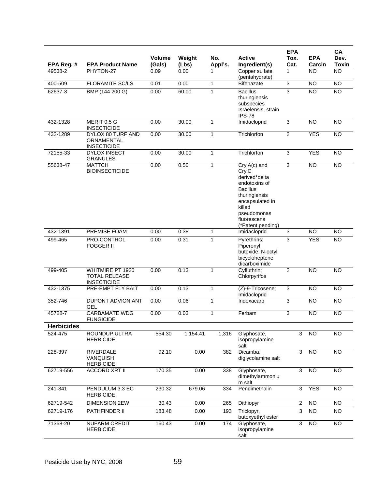| EPA Reg. #        | <b>EPA Product Name</b>                                        | <b>Volume</b><br>(Gals) | Weight<br>(Lbs) | No.<br>Appl's. | <b>Active</b><br>Ingredient(s)                                                                                                                                              | <b>EPA</b><br>Tox.<br>Cat. | <b>EPA</b><br>Carcin | CA<br>Dev.<br><b>Toxin</b> |
|-------------------|----------------------------------------------------------------|-------------------------|-----------------|----------------|-----------------------------------------------------------------------------------------------------------------------------------------------------------------------------|----------------------------|----------------------|----------------------------|
| 49538-2           | PHYTON-27                                                      | 0.09                    | 0.00            | 1              | Copper sulfate<br>(pentahydrate)                                                                                                                                            | 1                          | <b>NO</b>            | <b>NO</b>                  |
| 400-509           | <b>FLORAMITE SC/LS</b>                                         | 0.01                    | 0.00            | $\mathbf{1}$   | Bifenazate                                                                                                                                                                  | $\overline{3}$             | <b>NO</b>            | <b>NO</b>                  |
| 62637-3           | BMP (144 200 G)                                                | 0.00                    | 60.00           | 1              | <b>Bacillus</b><br>thuringiensis<br>subspecies<br>Israelensis, strain<br><b>IPS-78</b>                                                                                      | $\overline{3}$             | <b>NO</b>            | <b>NO</b>                  |
| 432-1328          | MERIT 0.5 G<br><b>INSECTICIDE</b>                              | 0.00                    | 30.00           | 1              | Imidacloprid                                                                                                                                                                | $\overline{3}$             | <b>NO</b>            | <b>NO</b>                  |
| 432-1289          | DYLOX 80 TURF AND<br>ORNAMENTAL<br><b>INSECTICIDE</b>          | 0.00                    | 30.00           | $\mathbf{1}$   | Trichlorfon                                                                                                                                                                 | $\overline{2}$             | <b>YES</b>           | $\overline{NO}$            |
| 72155-33          | <b>DYLOX INSECT</b><br><b>GRANULES</b>                         | 0.00                    | 30.00           | $\mathbf{1}$   | Trichlorfon                                                                                                                                                                 | $\overline{3}$             | <b>YES</b>           | <b>NO</b>                  |
| 55638-47          | <b>MATTCH</b><br><b>BIOINSECTICIDE</b>                         | 0.00                    | 0.50            | $\mathbf{1}$   | CrylA(c) and<br>CrylC<br>derived*delta<br>endotoxins of<br><b>Bacillus</b><br>thuringiensis<br>encapsulated in<br>killed<br>pseudomonas<br>fluorescens<br>(*Patent pending) | $\overline{3}$             | <b>NO</b>            | $\overline{NO}$            |
| 432-1391          | PREMISE FOAM                                                   | 0.00                    | 0.38            | 1              | Imidacloprid                                                                                                                                                                | $\overline{3}$             | <b>NO</b>            | <b>NO</b>                  |
| 499-465           | PRO-CONTROL<br><b>FOGGER II</b>                                | 0.00                    | 0.31            | $\mathbf{1}$   | Pyrethrins;<br>Piperonyl<br>butoxide; N-octyl<br>bicycloheptene<br>dicarboximide                                                                                            | 3                          | <b>YES</b>           | <b>NO</b>                  |
| 499-405           | WHITMIRE PT 1920<br><b>TOTAL RELEASE</b><br><b>INSECTICIDE</b> | 0.00                    | 0.13            | $\mathbf{1}$   | Cyfluthrin;<br>Chlorpyrifos                                                                                                                                                 | $\overline{2}$             | $\overline{NO}$      | $\overline{NO}$            |
| 432-1375          | PRE-EMPT FLY BAIT                                              | 0.00                    | 0.13            | $\mathbf{1}$   | (Z)-9-Tricosene;<br>Imidacloprid                                                                                                                                            | $\overline{3}$             | <b>NO</b>            | <b>NO</b>                  |
| 352-746           | DUPONT ADVION ANT<br><b>GEL</b>                                | 0.00                    | 0.06            | $\mathbf{1}$   | Indoxacarb                                                                                                                                                                  | $\overline{3}$             | <b>NO</b>            | $\overline{NO}$            |
| 45728-7           | <b>CARBAMATE WDG</b><br><b>FUNGICIDE</b>                       | 0.00                    | 0.03            | 1              | Ferbam                                                                                                                                                                      | 3                          | <b>NO</b>            | <b>NO</b>                  |
| <b>Herbicides</b> |                                                                |                         |                 |                |                                                                                                                                                                             |                            |                      |                            |
| 524-475           | ROUNDUP ULTRA<br><b>HERBICIDE</b>                              | 554.30                  | 1,154.41        | 1,316          | Glyphosate,<br>isopropylamine<br>salt                                                                                                                                       | 3                          | NO                   | NO                         |
| 228-397           | <b>RIVERDALE</b><br>VANQUISH<br><b>HERBICIDE</b>               | 92.10                   | 0.00            | 382            | Dicamba,<br>diglycolamine salt                                                                                                                                              | 3                          | $\overline{NO}$      | NO <sub>1</sub>            |
| 62719-556         | <b>ACCORD XRT II</b>                                           | 170.35                  | 0.00            | 338            | Glyphosate,<br>dimethylammoniu<br>m salt                                                                                                                                    | $\overline{3}$             | <b>NO</b>            | NO <sub>1</sub>            |
| 241-341           | PENDULUM 3.3 EC<br><b>HERBICIDE</b>                            | 230.32                  | 679.06          | 334            | Pendimethalin                                                                                                                                                               | 3                          | <b>YES</b>           | $\overline{NO}$            |
| 62719-542         | <b>DIMENSION 2EW</b>                                           | 30.43                   | 0.00            | 265            | Dithiopyr                                                                                                                                                                   | $\overline{2}$             | <b>NO</b>            | <b>NO</b>                  |
| 62719-176         | PATHFINDER II                                                  | 183.48                  | 0.00            | 193            | Triclopyr,<br>butoxyethyl ester                                                                                                                                             | $\overline{3}$             | $\overline{10}$      | $\overline{NO}$            |
| 71368-20          | <b>NUFARM CREDIT</b><br><b>HERBICIDE</b>                       | 160.43                  | 0.00            | 174            | Glyphosate,<br>isopropylamine<br>salt                                                                                                                                       | 3                          | $\overline{NO}$      | $\overline{NO}$            |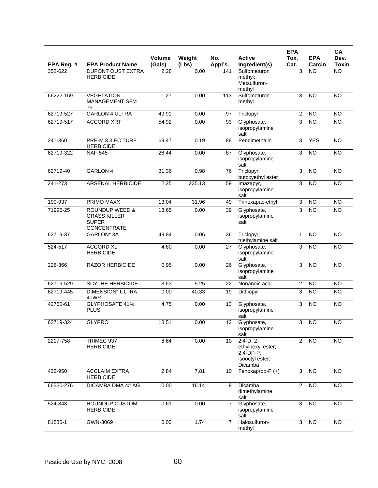| EPA Reg. # | <b>EPA Product Name</b>                                                                | Volume<br>(Gals) | Weight<br>(Lbs) | No.<br>Appl's. | <b>Active</b><br>Ingredient(s)                                             | <b>EPA</b><br>Tox.<br>Cat. | <b>EPA</b><br>Carcin | CA<br>Dev.<br><b>Toxin</b> |
|------------|----------------------------------------------------------------------------------------|------------------|-----------------|----------------|----------------------------------------------------------------------------|----------------------------|----------------------|----------------------------|
| 352-622    | <b>DUPONT OUST EXTRA</b><br><b>HERBICIDE</b>                                           | 2.28             | 0.00            | 141            | Sulfometuron<br>methyl;<br>Metsulfuron-<br>methyl                          | 3                          | <b>NO</b>            | <b>NO</b>                  |
| 66222-169  | <b>VEGETATION</b><br>MANAGEMENT SFM<br>75                                              | 1.27             | 0.00            | 113            | Sulfometuron<br>methyl                                                     | 3                          | <b>NO</b>            | <b>NO</b>                  |
| 62719-527  | <b>GARLON 4 ULTRA</b>                                                                  | 49.91            | 0.00            | 97             | Triclopyr                                                                  | $\overline{2}$             | <b>NO</b>            | <b>NO</b>                  |
| 62719-517  | <b>ACCORD XRT</b>                                                                      | 54.92            | 0.00            | 93             | Glyphosate,<br>isopropylamine<br>salt                                      | 3                          | <b>NO</b>            | <b>NO</b>                  |
| 241-360    | PRE-M 3.3 EC TURF<br><b>HERBICIDE</b>                                                  | 69.47            | 0.19            | 88             | Pendimethalin                                                              | 3                          | <b>YES</b>           | $\overline{NO}$            |
| 62719-322  | <b>NAF-545</b>                                                                         | 26.44            | 0.00            | 87             | Glyphosate,<br>isopropylamine<br>salt                                      | 3                          | <b>NO</b>            | <b>NO</b>                  |
| 62719-40   | <b>GARLON 4</b>                                                                        | 31.36            | 0.98            | 76             | Triclopyr,<br>butoxyethyl ester                                            | 3                          | $\overline{NO}$      | $\overline{NO}$            |
| 241-273    | ARSENAL HERBICIDE                                                                      | 2.25             | 235.13          | 59             | Imazapyr,<br>isopropylamine<br>salt                                        | 3                          | <b>NO</b>            | <b>NO</b>                  |
| 100-937    | <b>PRIMO MAXX</b>                                                                      | 13.04            | 31.96           | 49             | Trinexapac-ethyl                                                           | $\sqrt{3}$                 | <b>NO</b>            | <b>NO</b>                  |
| 71995-25   | <b>ROUNDUP WEED &amp;</b><br><b>GRASS KILLER</b><br><b>SUPER</b><br><b>CONCENTRATE</b> | 13.65            | 0.00            | 39             | Glyphosate,<br>isopropylamine<br>salt                                      | 3                          | $\overline{NO}$      | $\overline{NO}$            |
| 62719-37   | GARLON* 3A                                                                             | 49.84            | 0.06            | 36             | Triclopyr,<br>triethylamine salt                                           | $\mathbf 1$                | $\overline{NO}$      | <b>NO</b>                  |
| 524-517    | <b>ACCORD XL</b><br><b>HERBICIDE</b>                                                   | 4.80             | 0.00            | 27             | Glyphosate,<br>isopropylamine<br>salt                                      | 3                          | <b>NO</b>            | <b>NO</b>                  |
| 228-366    | <b>RAZOR HERBICIDE</b>                                                                 | 0.95             | 0.00            | 26             | Glyphosate,<br>isopropylamine<br>salt                                      | $\overline{3}$             | $\overline{NO}$      | $\overline{NO}$            |
| 62719-529  | <b>SCYTHE HERBICIDE</b>                                                                | 3.63             | 5.25            | 22             | Nonanoic acid                                                              | $\overline{c}$             | <b>NO</b>            | <b>NO</b>                  |
| 62719-445  | DIMENSION* ULTRA<br>40WP                                                               | 0.00             | 40.33           | 19             | Dithiopyr                                                                  | 3                          | <b>NO</b>            | <b>NO</b>                  |
| 42750-61   | <b>GLYPHOSATE 41%</b><br><b>PLUS</b>                                                   | 4.75             | 0.00            | 13             | Glyphosate,<br>isopropylamine<br>salt                                      | 3                          | $\overline{NO}$      | $\overline{NO}$            |
| 62719-324  | <b>GLYPRO</b>                                                                          | 18.51            | 0.00            | 12             | Glyphosate,<br>isopropylamine<br>salt                                      | $\overline{3}$             | <b>NO</b>            | <b>NO</b>                  |
| 2217-758   | TRIMEC 937<br><b>HERBICIDE</b>                                                         | 8.64             | 0.00            | 10             | $2,4-D,2-$<br>ethylhexyl ester;<br>2,4-DP-P,<br>isooctyl ester;<br>Dicamba | $\overline{2}$             | <b>NO</b>            | <b>NO</b>                  |
| 432-950    | <b>ACCLAIM EXTRA</b><br><b>HERBICIDE</b>                                               | 2.84             | 7.81            | 10             | Fenoxaprop-P (+)                                                           | 3                          | <b>NO</b>            | <b>NO</b>                  |
| 66330-276  | DICAMBA DMA 4# AG                                                                      | 0.00             | 16.14           | 9              | Dicamba,<br>dimethylamine<br>salt                                          | $\overline{2}$             | $\overline{NO}$      | $\overline{NO}$            |
| 524-343    | ROUNDUP CUSTOM<br><b>HERBICIDE</b>                                                     | 0.61             | 0.00            | $\overline{7}$ | Glyphosate,<br>isopropylamine<br>salt                                      | 3                          | <b>NO</b>            | $\overline{NO}$            |
| 81880-1    | GWN-3069                                                                               | 0.00             | 1.74            | $\overline{7}$ | Halosulfuron-<br>methyl                                                    | 3                          | <b>NO</b>            | <b>NO</b>                  |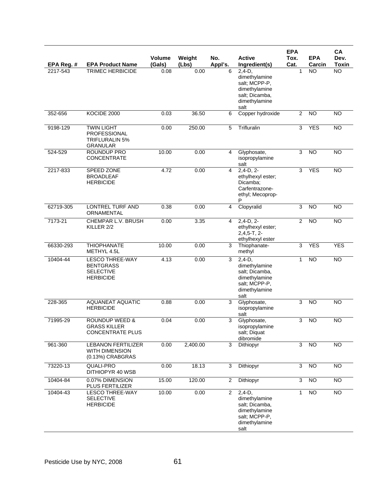| EPA Reg. #   | <b>EPA Product Name</b>                                                            | <b>Volume</b><br>(Gals) | Weight<br>(Lbs) | No.<br>Appl's. | <b>Active</b><br>Ingredient(s)                                                                         | <b>EPA</b><br>Tox.<br>Cat. | <b>EPA</b><br>Carcin | CA<br>Dev.<br><b>Toxin</b> |
|--------------|------------------------------------------------------------------------------------|-------------------------|-----------------|----------------|--------------------------------------------------------------------------------------------------------|----------------------------|----------------------|----------------------------|
| 2217-543     | <b>TRIMEC HERBICIDE</b>                                                            | 0.08                    | 0.00            | 6              | $2,4-D,$<br>dimethylamine<br>salt; MCPP-P,<br>dimethylamine<br>salt; Dicamba,<br>dimethylamine<br>salt | 1                          | NO                   | <b>NO</b>                  |
| 352-656      | KOCIDE 2000                                                                        | 0.03                    | 36.50           | 6              | Copper hydroxide                                                                                       | $\mathbf{2}$               | <b>NO</b>            | <b>NO</b>                  |
| 9198-129     | <b>TWIN LIGHT</b><br>PROFESSIONAL<br><b>TRIFLURALIN 5%</b><br><b>GRANULAR</b>      | 0.00                    | 250.00          | 5              | Trifluralin                                                                                            | $\overline{3}$             | <b>YES</b>           | N <sub>O</sub>             |
| 524-529      | ROUNDUP PRO<br><b>CONCENTRATE</b>                                                  | 10.00                   | 0.00            | 4              | Glyphosate,<br>isopropylamine<br>salt                                                                  | 3                          | <b>NO</b>            | <b>NO</b>                  |
| 2217-833     | SPEED ZONE<br><b>BROADLEAF</b><br><b>HERBICIDE</b>                                 | 4.72                    | 0.00            | 4              | $2,4-D, 2-$<br>ethylhexyl ester;<br>Dicamba;<br>Carfentrazone-<br>ethyl; Mecoprop-<br>P                | 3                          | <b>YES</b>           | $\overline{NO}$            |
| 62719-305    | <b>LONTREL TURF AND</b><br>ORNAMENTAL                                              | 0.38                    | 0.00            | 4              | Clopyralid                                                                                             | $\overline{3}$             | $\overline{NO}$      | $\overline{NO}$            |
| 7173-21      | CHEMPAR L.V. BRUSH<br>KILLER 2/2                                                   | 0.00                    | 3.35            | 4              | $2,4-D, 2-$<br>ethylhexyl ester;<br>$2,4,5-T, 2-$<br>ethylhexyl ester                                  | $\overline{2}$             | <b>NO</b>            | <b>NO</b>                  |
| 66330-293    | <b>THIOPHANATE</b><br>METHYL 4.5L                                                  | 10.00                   | 0.00            | 3              | Thiophanate-<br>methyl                                                                                 | 3                          | <b>YES</b>           | <b>YES</b>                 |
| $10404 - 44$ | <b>LESCO THREE-WAY</b><br><b>BENTGRASS</b><br><b>SELECTIVE</b><br><b>HERBICIDE</b> | 4.13                    | 0.00            | 3              | $2,4-D,$<br>dimethylamine<br>salt; Dicamba,<br>dimethylamine<br>salt; MCPP-P,<br>dimethylamine<br>salt | $\mathbf{1}$               | $\overline{NO}$      | $\overline{NO}$            |
| 228-365      | <b>AQUANEAT AQUATIC</b><br><b>HERBICIDE</b>                                        | 0.88                    | 0.00            | 3              | Glyphosate,<br>isopropylamine<br>salt                                                                  | $\overline{3}$             | $\overline{NO}$      | <b>NO</b>                  |
| 71995-29     | <b>ROUNDUP WEED &amp;</b><br><b>GRASS KILLER</b><br><b>CONCENTRATE PLUS</b>        | 0.04                    | 0.00            | 3              | Glyphosate,<br>isopropylamine<br>salt; Diquat<br>dibromide                                             | 3                          | <b>NO</b>            | NO                         |
| 961-360      | <b>LEBANON FERTILIZER</b><br><b>WITH DIMENSION</b><br>(0.13%) CRABGRAS             | 0.00                    | 2,400.00        | 3              | Dithiopyr                                                                                              | 3                          | <b>NO</b>            | $\overline{NO}$            |
| 73220-13     | <b>QUALI-PRO</b><br>DITHIOPYR 40 WSB                                               | 0.00                    | 18.13           | 3              | Dithiopyr                                                                                              | 3                          | <b>NO</b>            | NO                         |
| 10404-84     | 0.07% DIMENSION<br>PLUS FERTILIZER                                                 | 15.00                   | 120.00          | $\overline{2}$ | Dithiopyr                                                                                              | $\overline{3}$             | NO                   | NO                         |
| 10404-43     | <b>LESCO THREE-WAY</b><br><b>SELECTIVE</b><br><b>HERBICIDE</b>                     | 10.00                   | 0.00            | $\overline{2}$ | $2,4-D,$<br>dimethylamine<br>salt; Dicamba,<br>dimethylamine<br>salt; MCPP-P,<br>dimethylamine<br>salt | 1                          | NO                   | $\overline{NO}$            |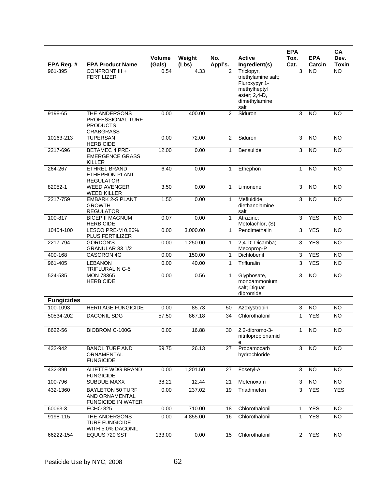| EPA Reg. #        | <b>EPA Product Name</b>                                                   | Volume<br>(Gals) | Weight<br>(Lbs) | No.<br>Appl's. | <b>Active</b><br>Ingredient(s)                                                                               | <b>EPA</b><br>Tox.<br>Cat. | <b>EPA</b><br>Carcin | <b>CA</b><br>Dev.<br><b>Toxin</b> |
|-------------------|---------------------------------------------------------------------------|------------------|-----------------|----------------|--------------------------------------------------------------------------------------------------------------|----------------------------|----------------------|-----------------------------------|
| 961-395           | CONFRONT III +<br><b>FERTILIZER</b>                                       | 0.54             | 4.33            | $\overline{2}$ | Triclopyr,<br>triethylamine salt;<br>Fluroxypyr 1-<br>methylheptyl<br>ester; 2,4-D,<br>dimethylamine<br>salt | 3                          | NO.                  | <b>NO</b>                         |
| 9198-65           | THE ANDERSONS<br>PROFESSIONAL TURF<br><b>PRODUCTS</b><br><b>CRABGRASS</b> | 0.00             | 400.00          | 2              | Siduron                                                                                                      | 3                          | <b>NO</b>            | <b>NO</b>                         |
| 10163-213         | <b>TUPERSAN</b><br><b>HERBICIDE</b>                                       | 0.00             | 72.00           | 2              | Siduron                                                                                                      | 3                          | <b>NO</b>            | <b>NO</b>                         |
| 2217-696          | <b>BETAMEC 4 PRE-</b><br><b>EMERGENCE GRASS</b><br>KILLER                 | 12.00            | 0.00            | $\mathbf{1}$   | <b>Bensulide</b>                                                                                             | 3                          | <b>NO</b>            | <b>NO</b>                         |
| 264-267           | <b>ETHREL BRAND</b><br><b>ETHEPHON PLANT</b><br><b>REGULATOR</b>          | 6.40             | 0.00            | $\mathbf{1}$   | Ethephon                                                                                                     | 1                          | <b>NO</b>            | <b>NO</b>                         |
| 82052-1           | <b>WEED AVENGER</b><br><b>WEED KILLER</b>                                 | 3.50             | 0.00            | 1              | Limonene                                                                                                     | 3                          | <b>NO</b>            | <b>NO</b>                         |
| 2217-759          | <b>EMBARK 2-S PLANT</b><br><b>GROWTH</b><br><b>REGULATOR</b>              | 1.50             | 0.00            | $\mathbf{1}$   | Mefluidide,<br>diethanolamine<br>salt                                                                        | 3                          | <b>NO</b>            | $\overline{NO}$                   |
| 100-817           | <b>BICEP II MAGNUM</b><br><b>HERBICIDE</b>                                | 0.07             | 0.00            | $\mathbf{1}$   | Atrazine:<br>Metolachlor, (S)                                                                                | $\overline{3}$             | <b>YES</b>           | <b>NO</b>                         |
| 10404-100         | LESCO PRE-M 0.86%<br>PLUS FERTILIZER                                      | 0.00             | 3,000.00        | $\mathbf{1}$   | Pendimethalin                                                                                                | 3                          | <b>YES</b>           | <b>NO</b>                         |
| 2217-794          | <b>GORDON'S</b><br>GRANULAR 33 1/2                                        | 0.00             | 1,250.00        | 1              | 2,4-D; Dicamba;<br>Mecoprop-P                                                                                | $\mathsf 3$                | <b>YES</b>           | <b>NO</b>                         |
| 400-168           | CASORON 4G                                                                | 0.00             | 150.00          | $\mathbf{1}$   | Dichlobenil                                                                                                  | 3                          | <b>YES</b>           | $\overline{NO}$                   |
| 961-405           | <b>LEBANON</b><br>TRIFLURALIN G-5                                         | 0.00             | 40.00           | 1              | Trifluralin                                                                                                  | 3                          | <b>YES</b>           | <b>NO</b>                         |
| 524-535           | <b>MON 78365</b><br><b>HERBICIDE</b>                                      | 0.00             | 0.56            | $\mathbf{1}$   | Glyphosate,<br>monoammonium<br>salt; Diquat<br>dibromide                                                     | 3                          | <b>NO</b>            | <b>NO</b>                         |
| <b>Fungicides</b> |                                                                           |                  |                 |                |                                                                                                              |                            |                      |                                   |
| 100-1093          | <b>HERITAGE FUNGICIDE</b>                                                 | 0.00             | 85.73           | 50             | Azoxystrobin                                                                                                 | 3                          | <b>NO</b>            | <b>NO</b>                         |
| 50534-202         | <b>DACONIL SDG</b>                                                        | 57.50            | 867.18          | 34             | Chlorothalonil                                                                                               | 1                          | <b>YES</b>           | <b>NO</b>                         |
| 8622-56           | BIOBROM C-100G                                                            | 0.00             | 16.88           | 30             | 2,2-dibromo-3-<br>nitrilopropionamid<br>е                                                                    | $\mathbf{1}$               | <b>NO</b>            | <b>NO</b>                         |
| 432-942           | <b>BANOL TURF AND</b><br>ORNAMENTAL<br><b>FUNGICIDE</b>                   | 59.75            | 26.13           | 27             | Propamocarb<br>hydrochloride                                                                                 | 3                          | <b>NO</b>            | <b>NO</b>                         |
| 432-890           | ALIETTE WDG BRAND<br><b>FUNGICIDE</b>                                     | 0.00             | 1,201.50        | 27             | Fosetyl-Al                                                                                                   | 3                          | $\overline{3}$       | <b>NO</b>                         |
| 100-796           | <b>SUBDUE MAXX</b>                                                        | 38.21            | 12.44           | 21             | Mefenoxam                                                                                                    | 3                          | $\overline{NO}$      | $\overline{NO}$                   |
| 432-1360          | <b>BAYLETON 50 TURF</b><br>AND ORNAMENTAL<br><b>FUNGICIDE IN WATER</b>    | 0.00             | 237.02          | 19             | Triadimefon                                                                                                  | 3                          | <b>YES</b>           | <b>YES</b>                        |
| 60063-3           | <b>ECHO 825</b>                                                           | 0.00             | 710.00          | 18             | Chlorothalonil                                                                                               | 1                          | <b>YES</b>           | <b>NO</b>                         |
| 9198-115          | THE ANDERSONS<br><b>TURF FUNGICIDE</b><br>WITH 5.0% DACONIL               | 0.00             | 4,855.00        | 16             | Chlorothalonil                                                                                               | $\mathbf{1}$               | <b>YES</b>           | <b>NO</b>                         |
| 66222-154         | EQUUS 720 SST                                                             | 133.00           | 0.00            | 15             | Chlorothalonil                                                                                               | $\overline{2}$             | <b>YES</b>           | <b>NO</b>                         |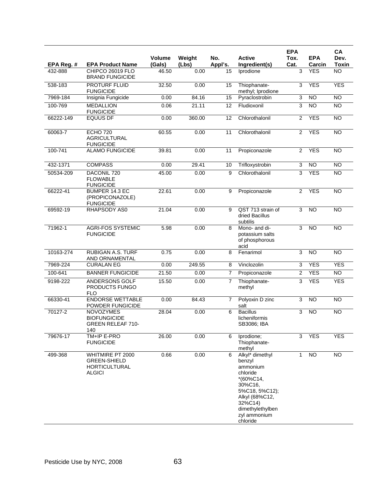| EPA Reg. # | <b>EPA Product Name</b>                                                          | <b>Volume</b><br>(Gals) | Weiaht<br>(Lbs) | No.<br>Appl's. | <b>Active</b><br>Ingredient(s)                                                                                                                                              | <b>EPA</b><br>Tox.<br>Cat. | <b>EPA</b><br>Carcin | CA<br>Dev.<br><b>Toxin</b> |
|------------|----------------------------------------------------------------------------------|-------------------------|-----------------|----------------|-----------------------------------------------------------------------------------------------------------------------------------------------------------------------------|----------------------------|----------------------|----------------------------|
| 432-888    | CHIPCO 26019 FLO<br><b>BRAND FUNGICIDE</b>                                       | 46.50                   | 0.00            | 15             | Iprodione                                                                                                                                                                   | 3                          | <b>YES</b>           | <b>NO</b>                  |
| 538-183    | PROTURF FLUID<br><b>FUNGICIDE</b>                                                | 32.50                   | 0.00            | 15             | Thiophanate-<br>methyl; Iprodione                                                                                                                                           | 3                          | <b>YES</b>           | <b>YES</b>                 |
| 7969-184   | Insignia Fungicide                                                               | 0.00                    | 84.16           | 15             | Pyraclostrobin                                                                                                                                                              | 3                          | <b>NO</b>            | <b>NO</b>                  |
| 100-769    | <b>MEDALLION</b><br><b>FUNGICIDE</b>                                             | 0.06                    | 21.11           | 12             | Fludioxonil                                                                                                                                                                 | 3                          | N <sub>O</sub>       | $\overline{NO}$            |
| 66222-149  | <b>EQUUS DF</b>                                                                  | 0.00                    | 360.00          | 12             | Chlorothalonil                                                                                                                                                              | 2                          | <b>YES</b>           | <b>NO</b>                  |
| 60063-7    | <b>ECHO 720</b><br><b>AGRICULTURAL</b><br><b>FUNGICIDE</b>                       | 60.55                   | 0.00            | 11             | Chlorothalonil                                                                                                                                                              | $\overline{2}$             | <b>YES</b>           | $\overline{NO}$            |
| 100-741    | <b>ALAMO FUNGICIDE</b>                                                           | 39.81                   | 0.00            | 11             | Propiconazole                                                                                                                                                               | $\overline{2}$             | <b>YES</b>           | <b>NO</b>                  |
| 432-1371   | <b>COMPASS</b>                                                                   | 0.00                    | 29.41           | 10             | Trifloxystrobin                                                                                                                                                             | 3                          | <b>NO</b>            | <b>NO</b>                  |
| 50534-209  | DACONIL 720<br><b>FLOWABLE</b><br><b>FUNGICIDE</b>                               | 45.00                   | 0.00            | 9              | Chlorothalonil                                                                                                                                                              | 3                          | <b>YES</b>           | $\overline{NO}$            |
| 66222-41   | BUMPER 14.3 EC<br>(PROPICONAZOLE)<br><b>FUNGICIDE</b>                            | 22.61                   | 0.00            | 9              | Propiconazole                                                                                                                                                               | $\overline{2}$             | <b>YES</b>           | <b>NO</b>                  |
| 69592-19   | RHAPSODY AS0                                                                     | 21.04                   | 0.00            | 9              | QST 713 strain of<br>dried Bacillus<br>subtilis                                                                                                                             | 3                          | <b>NO</b>            | <b>NO</b>                  |
| 71962-1    | <b>AGRI-FOS SYSTEMIC</b><br><b>FUNGICIDE</b>                                     | 5.98                    | 0.00            | 8              | Mono- and di-<br>potassium salts<br>of phosphorous<br>acid                                                                                                                  | 3                          | <b>NO</b>            | <b>NO</b>                  |
| 10163-274  | <b>RUBIGAN A.S. TURF</b><br>AND ORNAMENTAL                                       | 0.75                    | 0.00            | 8              | Fenarimol                                                                                                                                                                   | $\overline{3}$             | N <sub>O</sub>       | $\overline{NO}$            |
| 7969-224   | <b>CURALAN EG</b>                                                                | 0.00                    | 249.55          | 8              | Vinclozolin                                                                                                                                                                 | 3                          | <b>YES</b>           | <b>YES</b>                 |
| 100-641    | <b>BANNER FUNGICIDE</b>                                                          | 21.50                   | 0.00            | $\overline{7}$ | Propiconazole                                                                                                                                                               | $\overline{2}$             | <b>YES</b>           | NO <sub>1</sub>            |
| 9198-222   | <b>ANDERSONS GOLF</b><br>PRODUCTS FUNGO<br>FLO                                   | 15.50                   | 0.00            | $\overline{7}$ | Thiophanate-<br>methyl                                                                                                                                                      | 3                          | <b>YES</b>           | <b>YES</b>                 |
| 66330-41   | <b>ENDORSE WETTABLE</b><br>POWDER FUNGICIDE                                      | 0.00                    | 84.43           | $\overline{7}$ | Polyoxin D zinc<br>salt                                                                                                                                                     | 3                          | N <sub>O</sub>       | $\overline{NO}$            |
| 70127-2    | <b>NOVOZYMES</b><br><b>BIOFUNGICIDE</b><br><b>GREEN RELEAF 710-</b><br>140       | 28.04                   | 0.00            | 6              | <b>Bacillus</b><br>licheniformis<br>SB3086; IBA                                                                                                                             | 3                          | <b>NO</b>            | <b>NO</b>                  |
| 79676-17   | TM+IP E-PRO<br><b>FUNGICIDE</b>                                                  | 26.00                   | 0.00            | 6              | Iprodione;<br>Thiophanate-<br>methyl                                                                                                                                        | 3                          | <b>YES</b>           | <b>YES</b>                 |
| 499-368    | WHITMIRE PT 2000<br><b>GREEN-SHIELD</b><br><b>HORTICULTURAL</b><br><b>ALGICI</b> | 0.66                    | 0.00            | 6              | Alkyl* dimethyl<br>benzyl<br>ammonium<br>chloride<br>$*(60\%C14,$<br>30%C16,<br>5%C18, 5%C12);<br>Alkyl (68%C12,<br>32%C14)<br>dimethylethylben<br>zyl ammonium<br>chloride | $\mathbf{1}$               | <b>NO</b>            | <b>NO</b>                  |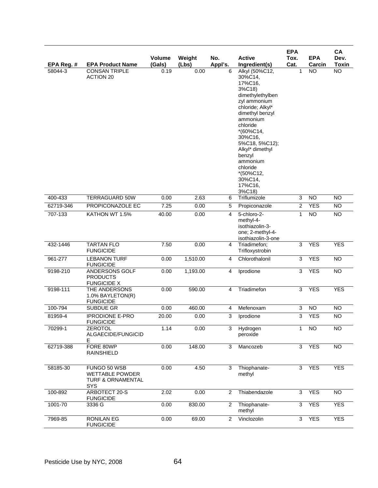| EPA Reg. #  | <b>EPA Product Name</b>                                                   | Volume<br>(Gals) | Weight<br>(Lbs) | No.<br>Appl's. | <b>Active</b><br>Ingredient(s)                                                                                                                                                                                                                                                                | <b>EPA</b><br>Tox.<br>Cat. | <b>EPA</b><br>Carcin | CA<br>Dev.<br><b>Toxin</b> |
|-------------|---------------------------------------------------------------------------|------------------|-----------------|----------------|-----------------------------------------------------------------------------------------------------------------------------------------------------------------------------------------------------------------------------------------------------------------------------------------------|----------------------------|----------------------|----------------------------|
| 58044-3     | <b>CONSAN TRIPLE</b><br><b>ACTION 20</b>                                  | 0.19             | 0.00            | 6              | Alkyl (50%C12,<br>30%C14,<br>17%C16,<br>3%C18)<br>dimethylethylben<br>zyl ammonium<br>chloride; Alkyl*<br>dimethyl benzyl<br>ammonium<br>chloride<br>*(60%C14,<br>30%C16,<br>5%C18, 5%C12);<br>Alkyl* dimethyl<br>benzyl<br>ammonium<br>chloride<br>*(50%C12,<br>30%C14,<br>17%C16,<br>3%C18) | $\mathbf{1}$               | <b>NO</b>            | $\overline{NO}$            |
| 400-433     | <b>TERRAGUARD 50W</b>                                                     | 0.00             | 2.63            | 6              | Triflumizole                                                                                                                                                                                                                                                                                  | 3                          | <b>NO</b>            | <b>NO</b>                  |
| 62719-346   | PROPICONAZOLE EC                                                          | 7.25             | 0.00            | 5              | Propiconazole                                                                                                                                                                                                                                                                                 | $\overline{2}$             | <b>YES</b>           | <b>NO</b>                  |
| 707-133     | KATHON WT 1.5%                                                            | 40.00            | 0.00            | 4              | 5-chloro-2-<br>methyl-4-<br>isothiazolin-3-<br>one; 2-methyl-4-<br>isothiazolin-3-one                                                                                                                                                                                                         | $\mathbf{1}$               | <b>NO</b>            | <b>NO</b>                  |
| 432-1446    | <b>TARTAN FLO</b><br><b>FUNGICIDE</b>                                     | 7.50             | 0.00            | $\overline{4}$ | Triadimefon;<br>Trifloxystrobin                                                                                                                                                                                                                                                               | 3                          | <b>YES</b>           | <b>YES</b>                 |
| 961-277     | <b>LEBANON TURF</b><br><b>FUNGICIDE</b>                                   | 0.00             | 1,510.00        | 4              | Chlorothalonil                                                                                                                                                                                                                                                                                | 3                          | <b>YES</b>           | <b>NO</b>                  |
| 9198-210    | ANDERSONS GOLF<br><b>PRODUCTS</b><br><b>FUNGICIDE X</b>                   | 0.00             | 1,193.00        | 4              | Iprodione                                                                                                                                                                                                                                                                                     | $\overline{3}$             | <b>YES</b>           | <b>NO</b>                  |
| 9198-111    | THE ANDERSONS<br>1.0% BAYLETON(R)<br><b>FUNGICIDE</b>                     | 0.00             | 590.00          | 4              | Triadimefon                                                                                                                                                                                                                                                                                   | $\overline{3}$             | <b>YES</b>           | <b>YES</b>                 |
| 100-794     | SUBDUE GR                                                                 | 0.00             | 460.00          | 4              | Mefenoxam                                                                                                                                                                                                                                                                                     | $\ensuremath{\mathsf{3}}$  | <b>NO</b>            | <b>NO</b>                  |
| 81959-4     | <b>IPRODIONE E-PRO</b><br><b>FUNGICIDE</b>                                | 20.00            | 0.00            | 3              | Iprodione                                                                                                                                                                                                                                                                                     | 3                          | <b>YES</b>           | <b>NO</b>                  |
| 70299-1     | <b>ZEROTOL</b><br>ALGAECIDE/FUNGICID<br>Е                                 | 1.14             | 0.00            | 3              | Hydrogen<br>peroxide                                                                                                                                                                                                                                                                          | 1                          | <b>NO</b>            | $\overline{10}$            |
| 62719-388   | FORE 80WP<br><b>RAINSHIELD</b>                                            | 0.00             | 148.00          | 3              | Mancozeb                                                                                                                                                                                                                                                                                      | 3                          | <b>YES</b>           | <b>NO</b>                  |
| 58185-30    | FUNGO 50 WSB<br><b>WETTABLE POWDER</b><br>TURF & ORNAMENTAL<br><b>SYS</b> | 0.00             | 4.50            | 3              | Thiophanate-<br>methyl                                                                                                                                                                                                                                                                        | 3                          | <b>YES</b>           | <b>YES</b>                 |
| 100-892     | ARBOTECT 20-S<br><b>FUNGICIDE</b>                                         | 2.02             | 0.00            | $\overline{2}$ | Thiabendazole                                                                                                                                                                                                                                                                                 | 3                          | <b>YES</b>           | <b>NO</b>                  |
| $1001 - 70$ | 3336 G                                                                    | 0.00             | 830.00          | $\overline{2}$ | Thiophanate-<br>methyl                                                                                                                                                                                                                                                                        | 3                          | <b>YES</b>           | <b>YES</b>                 |
| 7969-85     | <b>RONILAN EG</b><br><b>FUNGICIDE</b>                                     | 0.00             | 69.00           | $\overline{2}$ | Vinclozolin                                                                                                                                                                                                                                                                                   | 3                          | <b>YES</b>           | <b>YES</b>                 |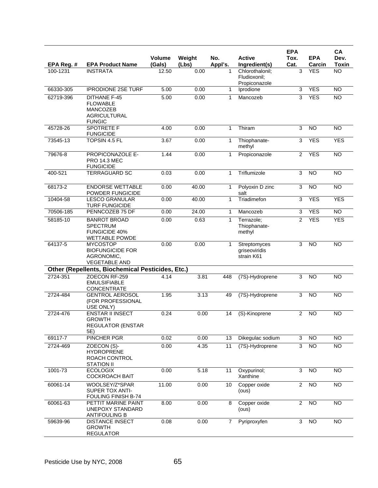| EPA Reg. #   | <b>EPA Product Name</b>                                                                           | <b>Volume</b><br>(Gals) | Weight<br>(Lbs) | No.<br>Appl's. | <b>Active</b><br>Ingredient(s)                   | <b>EPA</b><br>Tox.<br>Cat. | <b>EPA</b><br>Carcin | CA<br>Dev.<br><b>Toxin</b> |
|--------------|---------------------------------------------------------------------------------------------------|-------------------------|-----------------|----------------|--------------------------------------------------|----------------------------|----------------------|----------------------------|
| 100-1231     | <b>INSTRATA</b>                                                                                   | 12.50                   | 0.00            | 1              | Chlorothalonil;<br>Fludioxonil;<br>Propiconazole | 3                          | <b>YES</b>           | <b>NO</b>                  |
| 66330-305    | <b>IPRODIONE 2SE TURF</b>                                                                         | 5.00                    | 0.00            | 1              | Iprodione                                        | 3                          | <b>YES</b>           | NO                         |
| 62719-396    | <b>DITHANE F-45</b><br><b>FLOWABLE</b><br><b>MANCOZEB</b><br><b>AGRICULTURAL</b><br><b>FUNGIC</b> | 5.00                    | 0.00            | 1              | Mancozeb                                         | 3                          | <b>YES</b>           | <b>NO</b>                  |
| 45728-26     | <b>SPOTRETE F</b><br><b>FUNGICIDE</b>                                                             | 4.00                    | 0.00            | 1              | Thiram                                           | $\sqrt{3}$                 | <b>NO</b>            | <b>NO</b>                  |
| 73545-13     | TOPSIN 4.5 FL                                                                                     | 3.67                    | 0.00            | $\mathbf{1}$   | Thiophanate-<br>methyl                           | 3                          | <b>YES</b>           | <b>YES</b>                 |
| 79676-8      | PROPICONAZOLE E-<br><b>PRO 14.3 MEC</b><br><b>FUNGICIDE</b>                                       | 1.44                    | 0.00            | $\mathbf{1}$   | Propiconazole                                    | 2                          | <b>YES</b>           | $\overline{NO}$            |
| 400-521      | <b>TERRAGUARD SC</b>                                                                              | 0.03                    | 0.00            | $\mathbf{1}$   | Triflumizole                                     | 3                          | <b>NO</b>            | <b>NO</b>                  |
| 68173-2      | <b>ENDORSE WETTABLE</b><br>POWDER FUNGICIDE                                                       | 0.00                    | 40.00           | $\mathbf{1}$   | Polyoxin D zinc<br>salt                          | 3                          | <b>NO</b>            | $\overline{NO}$            |
| 10404-58     | <b>LESCO GRANULAR</b><br><b>TURF FUNGICIDE</b>                                                    | 0.00                    | 40.00           | $\mathbf{1}$   | Triadimefon                                      | 3                          | <b>YES</b>           | <b>YES</b>                 |
| 70506-185    | PENNCOZEB 75 DF                                                                                   | 0.00                    | 24.00           | 1              | Mancozeb                                         | 3                          | <b>YES</b>           | N <sub>O</sub>             |
| 58185-10     | <b>BANROT BROAD</b><br><b>SPECTRUM</b><br><b>FUNGICIDE 40%</b><br><b>WETTABLE POWDE</b>           | 0.00                    | 0.63            | 1              | Terrazole;<br>Thiophanate-<br>methyl             | 2                          | <b>YES</b>           | <b>YES</b>                 |
| 64137-5      | <b>MYCOSTOP</b><br><b>BIOFUNGICIDE FOR</b><br>AGRONOMIC,<br><b>VEGETABLE AND</b>                  | 0.00                    | 0.00            | 1              | Streptomyces<br>griseoviridis<br>strain K61      | 3                          | N <sub>O</sub>       | $\overline{NO}$            |
|              | Other (Repellents, Biochemical Pesticides, Etc.)                                                  |                         |                 |                |                                                  |                            |                      |                            |
| 2724-351     | ZOECON RF-259<br><b>EMULSIFIABLE</b><br><b>CONCENTRATE</b>                                        | 4.14                    | 3.81            | 448            | (7S)-Hydroprene                                  | 3                          | <b>NO</b>            | $\overline{NO}$            |
| 2724-484     | <b>GENTROL AEROSOL</b><br>(FOR PROFESSIONAL<br>USE ONLY)                                          | 1.95                    | 3.13            | 49             | (7S)-Hydroprene                                  | 3                          | <b>NO</b>            | <b>NO</b>                  |
| $2724 - 476$ | <b>ENSTAR II INSECT</b><br><b>GROWTH</b><br><b>REGULATOR (ENSTAR</b><br>5E)                       | 0.24                    | 0.00            | 14             | (S)-Kinoprene                                    | 2                          | <b>NO</b>            | <b>NO</b>                  |
| 69117-7      | PINCHER PGR                                                                                       | 0.02                    | 0.00            | 13             | Dikegulac sodium                                 | 3                          | $\overline{NO}$      | $\overline{NO}$            |
| 2724-469     | ZOECON (S)-<br><b>HYDROPRENE</b><br>ROACH CONTROL<br><b>STATION II</b>                            | 0.00                    | 4.35            | 11             | (7S)-Hydroprene                                  | $\overline{3}$             | $\overline{NO}$      | <b>NO</b>                  |
| 1001-73      | <b>ECOLOGIX</b><br><b>COCKROACH BAIT</b>                                                          | 0.00                    | 5.18            | 11             | Oxypurinol;<br>Xanthine                          | 3                          | NO <sub>1</sub>      | <b>NO</b>                  |
| 60061-14     | WOOLSEY/Z*SPAR<br><b>SUPER TOX ANTI-</b><br>FOULING FINISH B-74                                   | 11.00                   | 0.00            | 10             | Copper oxide<br>(ous)                            | $\overline{2}$             | $\overline{NO}$      | NO                         |
| 60061-63     | PETTIT MARINE PAINT<br>UNEPOXY STANDARD<br><b>ANTIFOULING B</b>                                   | 8.00                    | 0.00            | 8              | Copper oxide<br>(ous)                            | $\overline{2}$             | <b>NO</b>            | <b>NO</b>                  |
| 59639-96     | <b>DISTANCE INSECT</b><br><b>GROWTH</b><br><b>REGULATOR</b>                                       | 0.08                    | 0.00            | $\overline{7}$ | Pyriproxyfen                                     | $\overline{\omega}$        | $\overline{NO}$      | $\overline{NO}$            |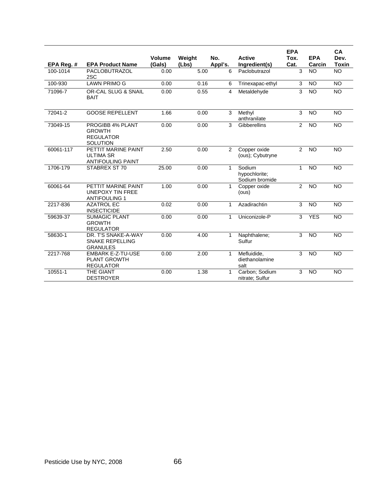| EPA Reg. # | <b>EPA Product Name</b>                                                         | <b>Volume</b><br>(Gals) | Weight<br>(Lbs) | No.<br>Appl's. | <b>Active</b><br>Ingredient(s)            | <b>EPA</b><br>Tox.<br>Cat. | <b>EPA</b><br>Carcin | <b>CA</b><br>Dev.<br><b>Toxin</b> |
|------------|---------------------------------------------------------------------------------|-------------------------|-----------------|----------------|-------------------------------------------|----------------------------|----------------------|-----------------------------------|
| 100-1014   | PACLOBUTRAZOL<br>2SC                                                            | 0.00                    | 5.00            | 6              | Paclobutrazol                             | 3                          | <b>NO</b>            | <b>NO</b>                         |
| 100-930    | <b>LAWN PRIMO G</b>                                                             | 0.00                    | 0.16            | 6              | Trinexapac-ethyl                          | 3                          | <b>NO</b>            | NO                                |
| 71096-7    | OR-CAL SLUG & SNAIL<br><b>BAIT</b>                                              | 0.00                    | 0.55            | $\overline{4}$ | Metaldehyde                               | $\overline{3}$             | <b>NO</b>            | <b>NO</b>                         |
| 72041-2    | <b>GOOSE REPELLENT</b>                                                          | 1.66                    | 0.00            | 3              | Methyl<br>anthranilate                    | 3                          | <b>NO</b>            | <b>NO</b>                         |
| 73049-15   | <b>PROGIBB 4% PLANT</b><br><b>GROWTH</b><br><b>REGULATOR</b><br><b>SOLUTION</b> | 0.00                    | 0.00            | 3              | <b>Gibberellins</b>                       | $\overline{2}$             | <b>NO</b>            | NO                                |
| 60061-117  | PETTIT MARINE PAINT<br><b>ULTIMA SR</b><br><b>ANTIFOULING PAINT</b>             | 2.50                    | 0.00            | $\overline{2}$ | Copper oxide<br>(ous); Cybutryne          | $\overline{2}$             | <b>NO</b>            | <b>NO</b>                         |
| 1706-179   | STABREX ST 70                                                                   | 25.00                   | 0.00            | $\mathbf{1}$   | Sodium<br>hypochlorite;<br>Sodium bromide | $\mathbf{1}$               | $\overline{10}$      | $\overline{NO}$                   |
| 60061-64   | PETTIT MARINE PAINT<br><b>UNEPOXY TIN FREE</b><br><b>ANTIFOULING 1</b>          | 1.00                    | 0.00            | $\mathbf{1}$   | Copper oxide<br>(ous)                     | $\overline{2}$             | <b>NO</b>            | <b>NO</b>                         |
| 2217-836   | <b>AZATROL EC</b><br><b>INSECTICIDE</b>                                         | 0.02                    | 0.00            | $\mathbf{1}$   | Azadirachtin                              | 3                          | <b>NO</b>            | NO                                |
| 59639-37   | <b>SUMAGIC PLANT</b><br><b>GROWTH</b><br><b>REGULATOR</b>                       | 0.00                    | 0.00            | $\mathbf{1}$   | Uniconizole-P                             | 3                          | <b>YES</b>           | <b>NO</b>                         |
| 58630-1    | DR. T'S SNAKE-A-WAY<br><b>SNAKE REPELLING</b><br><b>GRANULES</b>                | 0.00                    | 4.00            | $\mathbf{1}$   | Naphthalene;<br>Sulfur                    | 3                          | <b>NO</b>            | <b>NO</b>                         |
| 2217-768   | <b>EMBARK E-Z-TU-USE</b><br><b>PLANT GROWTH</b><br><b>REGULATOR</b>             | 0.00                    | 2.00            | $\mathbf{1}$   | Mefluidide,<br>diethanolamine<br>salt     | 3                          | <b>NO</b>            | <b>NO</b>                         |
| 10551-1    | THE GIANT<br><b>DESTROYER</b>                                                   | 0.00                    | 1.38            | 1              | Carbon; Sodium<br>nitrate; Sulfur         | 3                          | <b>NO</b>            | $\overline{NO}$                   |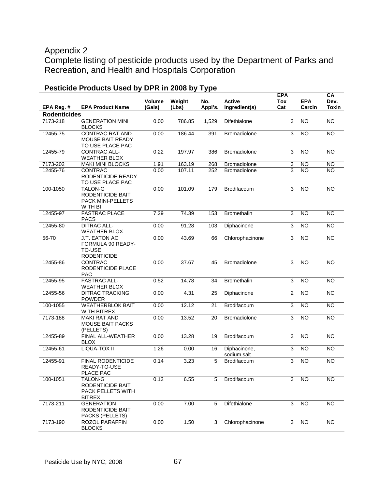# Appendix 2

Complete listing of pesticide products used by the Department of Parks and Recreation, and Health and Hospitals Corporation

|                                   |                                                                           | Volume<br>(Gals) | Weight | No.     | Active                      | <b>EPA</b><br>Tox<br>Cat | <b>EPA</b><br>Carcin | <b>CA</b><br>Dev.<br><b>Toxin</b> |
|-----------------------------------|---------------------------------------------------------------------------|------------------|--------|---------|-----------------------------|--------------------------|----------------------|-----------------------------------|
| EPA Reg. #<br><b>Rodenticides</b> | <b>EPA Product Name</b>                                                   |                  | (Lbs)  | Appl's. | Ingredient(s)               |                          |                      |                                   |
| 7173-218                          | <b>GENERATION MINI</b><br><b>BLOCKS</b>                                   | 0.00             | 786.85 | 1,529   | Difethialone                | 3                        | <b>NO</b>            | <b>NO</b>                         |
| 12455-75                          | <b>CONTRAC RAT AND</b><br>MOUSE BAIT READY<br>TO USE PLACE PAC            | 0.00             | 186.44 | 391     | <b>Bromadiolone</b>         | 3                        | <b>NO</b>            | <b>NO</b>                         |
| 12455-79                          | CONTRAC ALL-<br><b>WEATHER BLOX</b>                                       | 0.22             | 197.97 | 386     | <b>Bromadiolone</b>         | 3                        | <b>NO</b>            | <b>NO</b>                         |
| 7173-202                          | <b>MAKI MINI BLOCKS</b>                                                   | 1.91             | 163.19 | 268     | <b>Bromadiolone</b>         | 3                        | <b>NO</b>            | <b>NO</b>                         |
| 12455-76                          | CONTRAC<br>RODENTICIDE READY<br>TO USE PLACE PAC                          | 0.00             | 107.11 | 252     | <b>Bromadiolone</b>         | 3                        | <b>NO</b>            | NO.                               |
| 100-1050                          | <b>TALON-G</b><br>RODENTICIDE BAIT<br>PACK MINI-PELLETS<br><b>WITH BI</b> | 0.00             | 101.09 | 179     | Brodifacoum                 | 3                        | <b>NO</b>            | <b>NO</b>                         |
| 12455-97                          | <b>FASTRAC PLACE</b><br>PACS                                              | 7.29             | 74.39  | 153     | <b>Bromethalin</b>          | 3                        | <b>NO</b>            | <b>NO</b>                         |
| 12455-80                          | <b>DITRAC ALL-</b><br><b>WEATHER BLOX</b>                                 | 0.00             | 91.28  | 103     | Diphacinone                 | 3                        | <b>NO</b>            | <b>NO</b>                         |
| 56-70                             | J.T. EATON AC<br>FORMULA 90 READY-<br><b>TO-USE</b><br><b>RODENTICIDE</b> | 0.00             | 43.69  | 66      | Chlorophacinone             | 3                        | <b>NO</b>            | <b>NO</b>                         |
| 12455-86                          | CONTRAC<br>RODENTICIDE PLACE<br>PAC                                       | 0.00             | 37.67  | 45      | Bromadiolone                | 3                        | <b>NO</b>            | $\overline{NO}$                   |
| 12455-95                          | <b>FASTRAC ALL-</b><br><b>WEATHER BLOX</b>                                | 0.52             | 14.78  | 34      | <b>Bromethalin</b>          | 3                        | <b>NO</b>            | <b>NO</b>                         |
| 12455-56                          | <b>DITRAC TRACKING</b><br><b>POWDER</b>                                   | 0.00             | 4.31   | 25      | Diphacinone                 | $\overline{2}$           | <b>NO</b>            | <b>NO</b>                         |
| 100-1055                          | <b>WEATHERBLOK BAIT</b><br>WITH BITREX                                    | 0.00             | 12.12  | 21      | Brodifacoum                 | $\overline{3}$           | $\overline{10}$      | <b>NO</b>                         |
| 7173-188                          | <b>MAKI RAT AND</b><br><b>MOUSE BAIT PACKS</b><br>(PELLETS)               | 0.00             | 13.52  | 20      | Bromadiolone                | 3                        | <b>NO</b>            | <b>NO</b>                         |
| 12455-89                          | FINAL ALL-WEATHER<br><b>BLOX</b>                                          | 0.00             | 13.28  | 19      | Brodifacoum                 | 3                        | <b>NO</b>            | <b>NO</b>                         |
| 12455-61                          | LIQUA-TOX II                                                              | 1.26             | 0.00   | 16      | Diphacinone,<br>sodium salt | 3                        | <b>NO</b>            | <b>NO</b>                         |
| 12455-91                          | <b>FINAL RODENTICIDE</b><br>READY-TO-USE<br>PLACE PAC                     | 0.14             | 3.23   | 5       | <b>Brodifacoum</b>          | 3                        | N <sub>O</sub>       | $\overline{NO}$                   |
| 100-1051                          | <b>TALON-G</b><br>RODENTICIDE BAIT<br>PACK PELLETS WITH<br><b>BITREX</b>  | 0.12             | 6.55   | 5       | Brodifacoum                 | 3                        | <b>NO</b>            | <b>NO</b>                         |
| 7173-211                          | <b>GENERATION</b><br>RODENTICIDE BAIT<br>PACKS (PELLETS)                  | 0.00             | 7.00   | 5       | Difethialone                | 3                        | NO                   | <b>NO</b>                         |
| 7173-190                          | ROZOL PARAFFIN<br><b>BLOCKS</b>                                           | 0.00             | 1.50   | 3       | Chlorophacinone             | 3                        | <b>NO</b>            | <b>NO</b>                         |

# **Pesticide Products Used by DPR in 2008 by Type**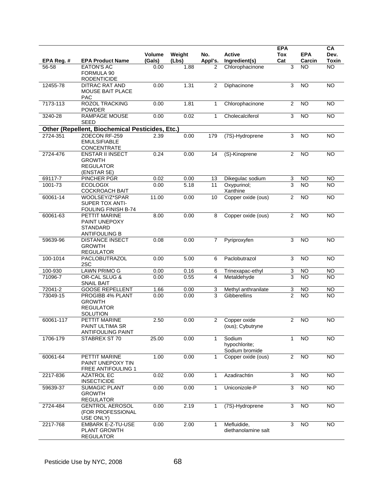| EPA Reg. # | <b>EPA Product Name</b>                                                          | Volume<br>(Gals) | Weight<br>(Lbs) | No.<br>Appl's. | <b>Active</b><br>Ingredient(s)            | <b>EPA</b><br><b>Tox</b><br>Cat | <b>EPA</b><br>Carcin | CA<br>Dev.<br>Toxin |
|------------|----------------------------------------------------------------------------------|------------------|-----------------|----------------|-------------------------------------------|---------------------------------|----------------------|---------------------|
| 56-58      | <b>EATON'S AC</b>                                                                | 0.00             | 1.88            | 2              | Chlorophacinone                           | 3                               | <b>NO</b>            | <b>NO</b>           |
|            | FORMULA 90<br><b>RODENTICIDE</b>                                                 |                  |                 |                |                                           |                                 |                      |                     |
| 12455-78   | DITRAC RAT AND<br><b>MOUSE BAIT PLACE</b><br><b>PAC</b>                          | 0.00             | 1.31            | 2              | Diphacinone                               | 3                               | <b>NO</b>            | <b>NO</b>           |
| 7173-113   | <b>ROZOL TRACKING</b><br><b>POWDER</b>                                           | 0.00             | 1.81            | 1              | Chlorophacinone                           | $\overline{2}$                  | <b>NO</b>            | N <sub>O</sub>      |
| 3240-28    | <b>RAMPAGE MOUSE</b><br><b>SEED</b>                                              | 0.00             | 0.02            | 1              | Cholecalciferol                           | 3                               | <b>NO</b>            | <b>NO</b>           |
|            | Other (Repellent, Biochemical Pesticides, Etc.)                                  |                  |                 |                |                                           |                                 |                      |                     |
| 2724-351   | ZOECON RF-259<br><b>EMULSIFIABLE</b><br>CONCENTRATE                              | 2.39             | 0.00            | 179            | (7S)-Hydroprene                           | 3                               | <b>NO</b>            | $\overline{NO}$     |
| 2724-476   | <b>ENSTAR II INSECT</b><br><b>GROWTH</b><br><b>REGULATOR</b>                     | 0.24             | 0.00            | 14             | (S)-Kinoprene                             | 2                               | <b>NO</b>            | N <sub>O</sub>      |
| 69117-7    | (ENSTAR 5E)<br>PINCHER PGR                                                       | 0.02             | 0.00            | 13             | Dikegulac sodium                          | 3                               | <b>NO</b>            | <b>NO</b>           |
| 1001-73    | <b>ECOLOGIX</b><br><b>COCKROACH BAIT</b>                                         | 0.00             | 5.18            | 11             | Oxypurinol;<br>Xanthine                   | 3                               | <b>NO</b>            | <b>NO</b>           |
| 60061-14   | WOOLSEY/Z*SPAR<br>SUPER TOX ANTI-<br><b>FOULING FINISH B-74</b>                  | 11.00            | 0.00            | 10             | Copper oxide (ous)                        | $\overline{2}$                  | <b>NO</b>            | <b>NO</b>           |
| 60061-63   | PETTIT MARINE<br><b>PAINT UNEPOXY</b><br><b>STANDARD</b><br><b>ANTIFOULING B</b> | 8.00             | 0.00            | 8              | Copper oxide (ous)                        | $\overline{2}$                  | <b>NO</b>            | <b>NO</b>           |
| 59639-96   | <b>DISTANCE INSECT</b><br><b>GROWTH</b><br><b>REGULATOR</b>                      | 0.08             | 0.00            | 7              | Pyriproxyfen                              | 3                               | <b>NO</b>            | <b>NO</b>           |
| 100-1014   | PACLOBUTRAZOL<br>2SC                                                             | 0.00             | 5.00            | 6              | Paclobutrazol                             | 3                               | $\overline{NO}$      | N <sub>O</sub>      |
| 100-930    | <b>LAWN PRIMO G</b>                                                              | 0.00             | 0.16            | 6              | Trinexapac-ethyl                          | 3                               | NO                   | <b>NO</b>           |
| 71096-7    | OR-CAL SLUG &<br><b>SNAIL BAIT</b>                                               | 0.00             | 0.55            | 4              | Metaldehyde                               | $\overline{\mathbf{3}}$         | <b>NO</b>            | <b>NO</b>           |
| 72041-2    | <b>GOOSE REPELLENT</b>                                                           | 1.66             | 0.00            | 3              | Methyl anthranilate                       | 3                               | NO                   | <b>NO</b>           |
| 73049-15   | PROGIBB 4% PLANT<br><b>GROWTH</b><br><b>REGULATOR</b><br><b>SOLUTION</b>         | 0.00             | 0.00            | $\overline{3}$ | Gibberellins                              | $\overline{2}$                  | $\overline{NO}$      | <b>NO</b>           |
| 60061-117  | PETTIT MARINE<br>PAINT ULTIMA SR<br><b>ANTIFOULING PAINT</b>                     | 2.50             | 0.00            | $\overline{2}$ | Copper oxide<br>(ous); Cybutryne          | $\overline{2}$                  | <b>NO</b>            | <b>NO</b>           |
| 1706-179   | STABREX ST 70                                                                    | 25.00            | 0.00            | $\mathbf{1}$   | Sodium<br>hypochlorite;<br>Sodium bromide | $\mathbf{1}$                    | <b>NO</b>            | <b>NO</b>           |
| 60061-64   | PETTIT MARINE<br>PAINT UNEPOXY TIN<br><b>FREE ANTIFOULING 1</b>                  | 1.00             | 0.00            | 1              | Copper oxide (ous)                        | $\overline{2}$                  | $\overline{N}$       | $\overline{NO}$     |
| 2217-836   | <b>AZATROL EC</b><br><b>INSECTICIDE</b>                                          | 0.02             | 0.00            | 1              | Azadirachtin                              | 3                               | $\overline{N}$       | <b>NO</b>           |
| 59639-37   | <b>SUMAGIC PLANT</b><br><b>GROWTH</b><br><b>REGULATOR</b>                        | 0.00             | 0.00            | 1              | Uniconizole-P                             | 3                               | $\overline{NO}$      | $\overline{NO}$     |
| 2724-484   | <b>GENTROL AEROSOL</b><br>(FOR PROFESSIONAL<br>USE ONLY)                         | 0.00             | 2.19            | 1              | (7S)-Hydroprene                           | 3                               | $\overline{NO}$      | <b>NO</b>           |
| 2217-768   | EMBARK E-Z-TU-USE<br>PLANT GROWTH<br><b>REGULATOR</b>                            | 0.00             | 2.00            | 1              | Mefluidide,<br>diethanolamine salt        | 3                               | $\overline{NO}$      | $\overline{NO}$     |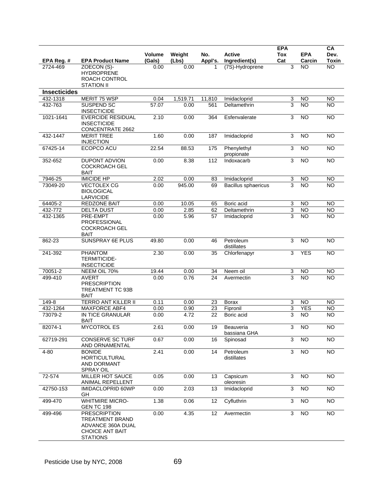| EPA Reg. #          | <b>EPA Product Name</b>                                                                                         | <b>Volume</b><br>(Gals) | Weight<br>(Lbs) | No.<br>Appl's. | <b>Active</b><br>Ingredient(s) | <b>EPA</b><br><b>Tox</b><br>Cat | <b>EPA</b><br>Carcin | CA<br>Dev.<br><b>Toxin</b> |
|---------------------|-----------------------------------------------------------------------------------------------------------------|-------------------------|-----------------|----------------|--------------------------------|---------------------------------|----------------------|----------------------------|
| 2724-469            | ZOECON (S)-<br><b>HYDROPRENE</b><br>ROACH CONTROL<br><b>STATION II</b>                                          | 0.00                    | 0.00            |                | (7S)-Hydroprene                | 3                               | NO                   | <b>NO</b>                  |
| <b>Insecticides</b> |                                                                                                                 |                         |                 |                |                                |                                 |                      |                            |
| 432-1318            | MERIT 75 WSP                                                                                                    | 0.04                    | 1,519.71        | 11,810         | Imidacloprid                   | 3                               | NO                   | <b>NO</b>                  |
| 432-763             | SUSPEND SC<br><b>INSECTICIDE</b>                                                                                | 57.07                   | 0.00            | 561            | Deltamethrin                   | 3                               | <b>NO</b>            | $\overline{NO}$            |
| 1021-1641           | <b>EVERCIDE RESIDUAL</b><br><b>INSECTICIDE</b><br><b>CONCENTRATE 2662</b>                                       | 2.10                    | 0.00            | 364            | Esfenvalerate                  | 3                               | <b>NO</b>            | <b>NO</b>                  |
| 432-1447            | <b>MERIT TREE</b><br><b>INJECTION</b>                                                                           | 1.60                    | 0.00            | 187            | Imidacloprid                   | $\overline{3}$                  | <b>NO</b>            | $\overline{NO}$            |
| 67425-14            | ECOPCO ACU                                                                                                      | 22.54                   | 88.53           | 175            | Phenylethyl<br>propionate      | 3                               | <b>NO</b>            | <b>NO</b>                  |
| 352-652             | DUPONT ADVION<br><b>COCKROACH GEL</b><br><b>BAIT</b>                                                            | 0.00                    | 8.38            | 112            | Indoxacarb                     | 3                               | <b>NO</b>            | <b>NO</b>                  |
| 7946-25             | <b>IMICIDE HP</b>                                                                                               | 2.02                    | 0.00            | 83             | Imidacloprid                   | 3                               | <b>NO</b>            | <b>NO</b>                  |
| 73049-20            | <b>VECTOLEX CG</b><br><b>BIOLOGICAL</b><br>LARVICIDE                                                            | 0.00                    | 945.00          | 69             | Bacillus sphaericus            | 3                               | <b>NO</b>            | <b>NO</b>                  |
| 64405-2             | <b>REDZONE BAIT</b>                                                                                             | 0.00                    | 10.05           | 65             | Boric acid                     | 3                               | <b>NO</b>            | <b>NO</b>                  |
| 432-772             | <b>DELTA DUST</b>                                                                                               | 0.00                    | 2.85            | 62             | Deltamethrin                   | 3                               | <b>NO</b>            | <b>NO</b>                  |
| 432-1365            | PRE-EMPT<br>PROFESSIONAL<br><b>COCKROACH GEL</b><br><b>BAIT</b>                                                 | 0.00                    | 5.96            | 57             | Imidacloprid                   | 3                               | <b>NO</b>            | <b>NO</b>                  |
| 862-23              | SUNSPRAY 6E PLUS                                                                                                | 49.80                   | 0.00            | 46             | Petroleum<br>distillates       | 3                               | N <sub>O</sub>       | $\overline{NO}$            |
| 241-392             | <b>PHANTOM</b><br><b>TERMITICIDE-</b><br><b>INSECTICIDE</b>                                                     | 2.30                    | 0.00            | 35             | Chlorfenapyr                   | 3                               | <b>YES</b>           | <b>NO</b>                  |
| 70051-2             | NEEM OIL 70%                                                                                                    | 19.44                   | 0.00            | 34             | Neem oil                       | $\overline{3}$                  | <b>NO</b>            | <b>NO</b>                  |
| 499-410             | <b>AVERT</b><br><b>PRESCRIPTION</b><br>TREATMENT TC 93B<br><b>BAIT</b>                                          | 0.00                    | 0.76            | 24             | Avermectin                     | $\overline{a}$                  | <b>NO</b>            | <b>NO</b>                  |
| 149-8               | <b>TERRO ANT KILLER II</b>                                                                                      | 0.11                    | 0.00            | 23             | Borax                          | 3                               | <b>NO</b>            | <b>NO</b>                  |
| 432-1264            | MAXFORCE ABF4                                                                                                   | 0.00                    | 0.90            | 23             | Fipronil                       | 3                               | <b>YES</b>           | <b>NO</b>                  |
| 73079-2             | <b>IN TICE GRANULAR</b><br>BAIT                                                                                 | 0.00                    | 4.72            | 22             | Boric acid                     | 3                               | <b>NO</b>            | $\overline{NO}$            |
| 82074-1             | <b>MYCOTROL ES</b>                                                                                              | 2.61                    | 0.00            | 19             | Beauveria<br>bassiana GHA      | 3                               | <b>NO</b>            | <b>NO</b>                  |
| 62719-291           | <b>CONSERVE SC TURF</b><br>AND ORNAMENTAL                                                                       | 0.67                    | 0.00            | 16             | Spinosad                       | $\overline{3}$                  | NO                   | <b>NO</b>                  |
| 4-80                | <b>BONIDE</b><br><b>HORTICULTURAL</b><br>AND DORMANT<br><b>SPRAY OIL</b>                                        | 2.41                    | 0.00            | 14             | Petroleum<br>distillates       | 3                               | $\overline{NO}$      | $\overline{NO}$            |
| 72-574              | <b>MILLER HOT SAUCE</b><br>ANIMAL REPELLENT                                                                     | 0.05                    | 0.00            | 13             | Capsicum<br>oleoresin          | 3                               | $\overline{10}$      | <b>NO</b>                  |
| 42750-153           | IMIDACLOPRID 60WP<br>GH                                                                                         | 0.00                    | 2.03            | 13             | Imidacloprid                   | 3                               | N <sub>O</sub>       | N <sub>O</sub>             |
| 499-470             | <b>WHITMIRE MICRO-</b><br><b>GEN TC 198</b>                                                                     | 1.38                    | 0.06            | 12             | Cyfluthrin                     | $\sqrt{3}$                      | NO                   | NO                         |
| 499-496             | <b>PRESCRIPTION</b><br><b>TREATMENT BRAND</b><br>ADVANCE 360A DUAL<br><b>CHOICE ANT BAIT</b><br><b>STATIONS</b> | 0.00                    | 4.35            | 12             | Avermectin                     | 3                               | $\overline{NO}$      | NO                         |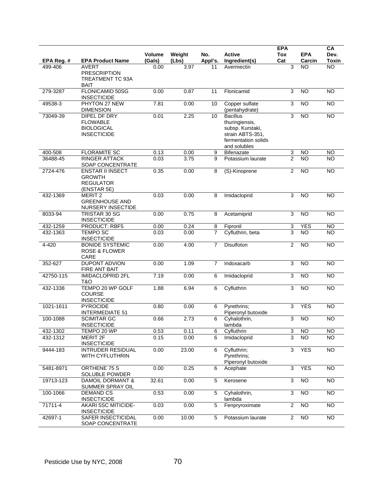|            |                                                                               | <b>Volume</b> | Weight | No.     | <b>Active</b>                                                                                                    | <b>EPA</b><br>Tox | <b>EPA</b>      | CA<br>Dev.      |
|------------|-------------------------------------------------------------------------------|---------------|--------|---------|------------------------------------------------------------------------------------------------------------------|-------------------|-----------------|-----------------|
| EPA Reg. # | <b>EPA Product Name</b>                                                       | (Gals)        | (Lbs)  | Appl's. | Ingredient(s)                                                                                                    | Cat               | Carcin          | <b>Toxin</b>    |
| 499-406    | <b>AVERT</b><br><b>PRESCRIPTION</b><br><b>TREATMENT TC 93A</b><br><b>BAIT</b> | 0.00          | 3.97   | 11      | Avermectin                                                                                                       | $\sqrt{3}$        | <b>NO</b>       | <b>NO</b>       |
| 279-3287   | FLONICAMID 50SG<br><b>INSECTICIDE</b>                                         | 0.00          | 0.87   | 11      | Flonicamid                                                                                                       | 3                 | N <sub>O</sub>  | $\overline{NO}$ |
| 49538-3    | PHYTON 27 NEW<br><b>DIMENSION</b>                                             | 7.81          | 0.00   | 10      | Copper sulfate<br>(pentahydrate)                                                                                 | 3                 | N <sub>O</sub>  | $\overline{NO}$ |
| 73049-39   | DIPEL DF DRY<br><b>FLOWABLE</b><br><b>BIOLOGICAL</b><br><b>INSECTICIDE</b>    | 0.01          | 2.25   | 10      | <b>Bacillus</b><br>thuringiensis,<br>subsp. Kurstaki,<br>strain ABTS-351,<br>fermentation solids<br>and solubles | 3                 | <b>NO</b>       | $\overline{N}$  |
| 400-508    | <b>FLORAMITE SC</b>                                                           | 0.13          | 0.00   | 9       | <b>Bifenazate</b>                                                                                                | 3                 | <b>NO</b>       | <b>NO</b>       |
| 36488-45   | <b>RINGER ATTACK</b><br>SOAP CONCENTRATE                                      | 0.03          | 3.75   | 9       | Potassium laurate                                                                                                | $\overline{2}$    | <b>NO</b>       | <b>NO</b>       |
| 2724-476   | <b>ENSTAR II INSECT</b><br><b>GROWTH</b><br><b>REGULATOR</b><br>(ENSTAR 5E)   | 0.35          | 0.00   | 8       | (S)-Kinoprene                                                                                                    | 2                 | <b>NO</b>       | <b>NO</b>       |
| 432-1369   | MERIT <sub>2</sub><br><b>GREENHOUSE AND</b><br>NURSERY INSECTIDE              | 0.03          | 0.00   | 8       | Imidacloprid                                                                                                     | 3                 | <b>NO</b>       | <b>NO</b>       |
| 8033-94    | TRISTAR 30 SG<br><b>INSECTICIDE</b>                                           | 0.00          | 0.75   | 8       | Acetamiprid                                                                                                      | 3                 | N <sub>O</sub>  | $\overline{NO}$ |
| 432-1259   | PRODUCT: RBF5                                                                 | 0.00          | 0.24   | 8       | Fipronil                                                                                                         | 3                 | <b>YES</b>      | <b>NO</b>       |
| 432-1363   | <b>TEMPO SC</b><br><b>INSECTICIDE</b>                                         | 0.03          | 0.00   | 7       | Cyfluthrin, beta                                                                                                 | 3                 | <b>NO</b>       | <b>NO</b>       |
| 4-420      | <b>BONIDE SYSTEMIC</b><br><b>ROSE &amp; FLOWER</b><br>CARE                    | 0.00          | 4.00   | 7       | Disulfoton                                                                                                       | $\overline{2}$    | <b>NO</b>       | <b>NO</b>       |
| 352-627    | <b>DUPONT ADVION</b><br><b>FIRE ANT BAIT</b>                                  | 0.00          | 1.09   | 7       | Indoxacarb                                                                                                       | $\sqrt{3}$        | <b>NO</b>       | <b>NO</b>       |
| 42750-115  | <b>IMIDACLOPRID 2FL</b><br><b>T&amp;O</b>                                     | 7.19          | 0.00   | 6       | Imidacloprid                                                                                                     | 3                 | <b>NO</b>       | <b>NO</b>       |
| 432-1338   | TEMPO 20 WP GOLF<br><b>COURSE</b><br><b>INSECTICIDE</b>                       | 1.88          | 6.94   | 6       | Cyfluthrin                                                                                                       | 3                 | N <sub>O</sub>  | $\overline{N}$  |
| 1021-1611  | <b>PYROCIDE</b><br><b>INTERMEDIATE 51</b>                                     | 0.80          | 0.00   | 6       | Pyrethrins;<br>Piperonyl butoxide                                                                                | 3                 | <b>YES</b>      | <b>NO</b>       |
| 100-1088   | <b>SCIMITAR GC</b><br><b>INSECTICIDE</b>                                      | 0.66          | 2.73   | 6       | Cyhalothrin,<br>lambda                                                                                           | 3                 | <b>NO</b>       | <b>NO</b>       |
| 432-1302   | TEMPO 20 WP                                                                   | 0.53          | 0.11   | 6       | Cyfluthrin                                                                                                       | 3                 | <b>NO</b>       | <b>NO</b>       |
| 432-1312   | <b>MERIT 2F</b><br><b>INSECTICIDE</b>                                         | 0.15          | 0.00   | 6       | Imidacloprid                                                                                                     | 3                 | <b>NO</b>       | <b>NO</b>       |
| 9444-183   | <b>INTRUDER RESIDUAL</b><br>WITH CYFLUTHRIN                                   | 0.00          | 23.00  | 6       | Cyfluthrin;<br>Pyrethrins;<br>Piperonyl butoxide                                                                 | 3                 | <b>YES</b>      | <b>NO</b>       |
| 5481-8971  | ORTHENE 75 S<br>SOLUBLE POWDER                                                | 0.00          | 0.25   | 6       | Acephate                                                                                                         | $\overline{3}$    | <b>YES</b>      | $\overline{NO}$ |
| 19713-123  | DAMOIL DORMANT &<br>SUMMER SPRAY OIL                                          | 32.61         | 0.00   | 5       | Kerosene                                                                                                         | 3                 | NO              | <b>NO</b>       |
| 100-1066   | <b>DEMAND CS</b><br><b>INSECTICIDE</b>                                        | 0.53          | 0.00   | 5       | Cyhalothrin,<br>lambda                                                                                           | $\sqrt{3}$        | <b>NO</b>       | <b>NO</b>       |
| 71711-4    | <b>AKARI 5SC MITICIDE-</b><br><b>INSECTICIDE</b>                              | 0.03          | 0.00   | 5       | Fenpryroximate                                                                                                   | $\overline{2}$    | $\overline{NO}$ | $\overline{NO}$ |
| 42697-1    | SAFER INSECTICIDAL<br>SOAP CONCENTRATE                                        | 0.00          | 10.00  | 5       | Potassium laurate                                                                                                | 2                 | <b>NO</b>       | <b>NO</b>       |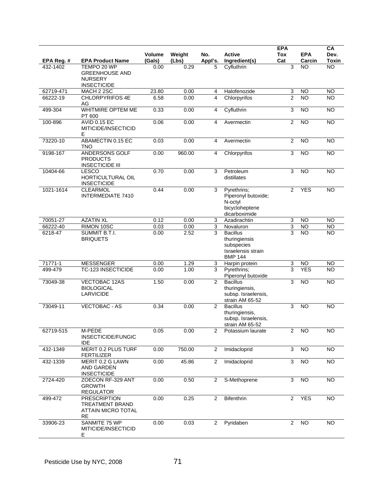|            |                                                                                  |                         |                 |                |                                                                                        | <b>EPA</b>        |                      | CA                   |
|------------|----------------------------------------------------------------------------------|-------------------------|-----------------|----------------|----------------------------------------------------------------------------------------|-------------------|----------------------|----------------------|
| EPA Reg. # | <b>EPA Product Name</b>                                                          | <b>Volume</b><br>(Gals) | Weight<br>(Lbs) | No.<br>Appl's. | <b>Active</b><br>Ingredient(s)                                                         | <b>Tox</b><br>Cat | <b>EPA</b><br>Carcin | Dev.<br><b>Toxin</b> |
| 432-1402   | TEMPO 20 WP<br><b>GREENHOUSE AND</b><br><b>NURSERY</b><br><b>INSECTICIDE</b>     | 0.00                    | 0.29            | 5              | Cyfluthrin                                                                             | 3                 | <b>NO</b>            | <b>NO</b>            |
| 62719-471  | MACH 2 2SC                                                                       | 23.80                   | 0.00            | 4              | Halofenozide                                                                           | 3                 | <b>NO</b>            | <b>NO</b>            |
| 66222-19   | <b>CHLORPYRIFOS 4E</b><br>AG                                                     | 6.58                    | 0.00            | 4              | Chlorpyrifos                                                                           | $\overline{2}$    | <b>NO</b>            | <b>NO</b>            |
| 499-304    | <b>WHITMIRE OPTEM ME</b><br>PT 600                                               | 0.33                    | 0.00            | 4              | Cyfluthrin                                                                             | 3                 | N <sub>O</sub>       | <b>NO</b>            |
| 100-896    | <b>AVID 0.15 EC</b><br>MITICIDE/INSECTICID<br>Е                                  | 0.06                    | 0.00            | 4              | Avermectin                                                                             | $\overline{2}$    | <b>NO</b>            | <b>NO</b>            |
| 73220-10   | ABAMECTIN 0.15 EC<br><b>TNO</b>                                                  | 0.03                    | 0.00            | 4              | Avermectin                                                                             | $\overline{2}$    | <b>NO</b>            | <b>NO</b>            |
| 9198-167   | ANDERSONS GOLF<br><b>PRODUCTS</b><br><b>INSECTICIDE III</b>                      | 0.00                    | 960.00          | 4              | Chlorpyrifos                                                                           | 3                 | <b>NO</b>            | <b>NO</b>            |
| 10404-66   | <b>LESCO</b><br>HORTICULTURAL OIL<br><b>INSECTICIDE</b>                          | 0.70                    | 0.00            | 3              | Petroleum<br>distillates                                                               | 3                 | <b>NO</b>            | <b>NO</b>            |
| 1021-1614  | <b>CLEARMOL</b><br><b>INTERMEDIATE 7410</b>                                      | 0.44                    | 0.00            | 3              | Pyrethrins;<br>Piperonyl butoxide;<br>N-octyl<br>bicycloheptene<br>dicarboximide       | 2                 | <b>YES</b>           | <b>NO</b>            |
| 70051-27   | <b>AZATIN XL</b>                                                                 | 0.12                    | 0.00            | 3              | Azadirachtin                                                                           | 3                 | <b>NO</b>            | <b>NO</b>            |
| 66222-40   | RIMON 10SC                                                                       | 0.03                    | 0.00            | 3              | Novaluron                                                                              | 3                 | <b>NO</b>            | <b>NO</b>            |
| 6218-47    | <b>SUMMIT B.T.I.</b><br><b>BRIQUETS</b>                                          | 0.00                    | 2.52            | 3              | <b>Bacillus</b><br>thuringiensis<br>subspecies<br>Israelensis strain<br><b>BMP 144</b> | 3                 | <b>NO</b>            | <b>NO</b>            |
| 71771-1    | <b>MESSENGER</b>                                                                 | 0.00                    | 1.29            | 3              | Harpin protein                                                                         | 3                 | <b>NO</b>            | <b>NO</b>            |
| 499-479    | <b>TC-123 INSECTICIDE</b>                                                        | 0.00                    | 1.00            | 3              | Pyrethrins;<br>Piperonyl butoxide                                                      | 3                 | <b>YES</b>           | <b>NO</b>            |
| 73049-38   | VECTOBAC 12AS<br><b>BIOLOGICAL</b><br><b>LARVICIDE</b>                           | 1.50                    | 0.00            | 2              | <b>Bacillus</b><br>thuringiensis,<br>subsp. Israelensis,<br>strain AM 65-52            | 3                 | <b>NO</b>            | <b>NO</b>            |
| 73049-11   | <b>VECTOBAC - AS</b>                                                             | 0.34                    | 0.00            | 2              | <b>Bacillus</b><br>thuringiensis,<br>subsp. Israelensis,<br>strain AM 65-52            | 3                 | <b>NO</b>            | <b>NO</b>            |
| 62719-515  | M-PEDE<br>INSECTICIDE/FUNGIC<br><b>IDE</b>                                       | 0.05                    | 0.00            | $\overline{2}$ | Potassium laurate                                                                      | $\overline{2}$    | <b>NO</b>            | <b>NO</b>            |
| 432-1349   | MERIT 0.2 PLUS TURF<br><b>FERTILIZER</b>                                         | 0.00                    | 750.00          | 2              | Imidacloprid                                                                           | 3                 | <b>NO</b>            | <b>NO</b>            |
| 432-1339   | MERIT 0.2 G LAWN<br>AND GARDEN<br><b>INSECTICIDE</b>                             | 0.00                    | 45.86           | $\overline{c}$ | Imidacloprid                                                                           | $\overline{3}$    | $\overline{NO}$      | N <sub>O</sub>       |
| 2724-420   | ZOECON RF-329 ANT<br><b>GROWTH</b><br><b>REGULATOR</b>                           | 0.00                    | 0.50            | $\overline{2}$ | S-Methoprene                                                                           | 3                 | NO                   | <b>NO</b>            |
| 499-472    | <b>PRESCRIPTION</b><br>TREATMENT BRAND<br><b>ATTAIN MICRO TOTAL</b><br><b>RE</b> | 0.00                    | 0.25            | 2              | Bifenthrin                                                                             | $\overline{2}$    | <b>YES</b>           | <b>NO</b>            |
| 33906-23   | SANMITE 75 WP<br>MITICIDE/INSECTICID<br>E.                                       | 0.00                    | 0.03            | 2              | Pyridaben                                                                              | $\overline{2}$    | <b>NO</b>            | <b>NO</b>            |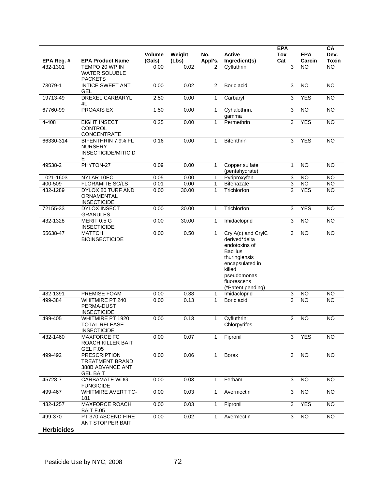| EPA Reg. #        | <b>EPA Product Name</b>                                                              | <b>Volume</b><br>(Gals) | Weight<br>(Lbs) | No.<br>Appl's. | <b>Active</b><br>Ingredient(s)                                                                                                                                           | <b>EPA</b><br>Tox<br>Cat | <b>EPA</b><br>Carcin | CA<br>Dev.<br><b>Toxin</b> |
|-------------------|--------------------------------------------------------------------------------------|-------------------------|-----------------|----------------|--------------------------------------------------------------------------------------------------------------------------------------------------------------------------|--------------------------|----------------------|----------------------------|
| 432-1301          | TEMPO 20 WP IN<br><b>WATER SOLUBLE</b><br><b>PACKETS</b>                             | 0.00                    | 0.02            | 2              | Cyfluthrin                                                                                                                                                               | 3                        | <b>NO</b>            | <b>NO</b>                  |
| 73079-1           | <b>INTICE SWEET ANT</b><br><b>GEL</b>                                                | 0.00                    | 0.02            | 2              | Boric acid                                                                                                                                                               | 3                        | <b>NO</b>            | <b>NO</b>                  |
| 19713-49          | <b>DREXEL CARBARYL</b><br>4L                                                         | 2.50                    | 0.00            | 1              | Carbaryl                                                                                                                                                                 | 3                        | <b>YES</b>           | $\overline{NO}$            |
| 67760-99          | <b>PROAXIS EX</b>                                                                    | 1.50                    | 0.00            | 1              | Cyhalothrin,<br>gamma                                                                                                                                                    | 3                        | <b>NO</b>            | <b>NO</b>                  |
| 4-408             | <b>EIGHT INSECT</b><br><b>CONTROL</b><br><b>CONCENTRATE</b>                          | 0.25                    | 0.00            | 1              | Permethrin                                                                                                                                                               | 3                        | <b>YES</b>           | $\overline{NO}$            |
| 66330-314         | BIFENTHRIN 7.9% FL<br><b>NURSERY</b><br>INSECTICIDE/MITICID<br>Е                     | 0.16                    | 0.00            | 1              | <b>Bifenthrin</b>                                                                                                                                                        | 3                        | <b>YES</b>           | <b>NO</b>                  |
| 49538-2           | PHYTON-27                                                                            | 0.09                    | 0.00            | 1              | Copper sulfate<br>(pentahydrate)                                                                                                                                         | $\mathbf{1}$             | <b>NO</b>            | <b>NO</b>                  |
| 1021-1603         | NYLAR 10EC                                                                           | 0.05                    | 0.00            | 1              | Pyriproxyfen                                                                                                                                                             | 3                        | <b>NO</b>            | $\overline{N}$             |
| 400-509           | <b>FLORAMITE SC/LS</b>                                                               | 0.01                    | 0.00            | $\mathbf{1}$   | <b>Bifenazate</b>                                                                                                                                                        | $\overline{3}$           | <b>NO</b>            | <b>NO</b>                  |
| 432-1289          | DYLOX 80 TURF AND<br>ORNAMENTAL<br><b>INSECTICIDE</b>                                | 0.00                    | 30.00           | 1              | Trichlorfon                                                                                                                                                              | $\overline{2}$           | <b>YES</b>           | <b>NO</b>                  |
| 72155-33          | <b>DYLOX INSECT</b><br><b>GRANULES</b>                                               | 0.00                    | 30.00           | 1              | Trichlorfon                                                                                                                                                              | 3                        | <b>YES</b>           | $\overline{NO}$            |
| 432-1328          | MERIT 0.5 G<br><b>INSECTICIDE</b>                                                    | 0.00                    | 30.00           | 1              | Imidacloprid                                                                                                                                                             | 3                        | <b>NO</b>            | <b>NO</b>                  |
| 55638-47          | <b>MATTCH</b><br><b>BIOINSECTICIDE</b>                                               | 0.00                    | 0.50            | 1              | CrylA(c) and CrylC<br>derived*delta<br>endotoxins of<br><b>Bacillus</b><br>thuringiensis<br>encapsulated in<br>killed<br>pseudomonas<br>fluorescens<br>(*Patent pending) | 3                        | N <sub>O</sub>       | <b>NO</b>                  |
| 432-1391          | PREMISE FOAM                                                                         | 0.00                    | 0.38            | 1              | Imidacloprid                                                                                                                                                             | 3                        | NO                   | <b>NO</b>                  |
| 499-384           | <b>WHITMIRE PT 240</b><br>PERMA-DUST<br><b>INSECTICIDE</b>                           | 0.00                    | 0.13            | 1              | Boric acid                                                                                                                                                               | 3                        | <b>NO</b>            | <b>NO</b>                  |
| 499-405           | WHITMIRE PT 1920<br><b>TOTAL RELEASE</b><br><b>INSECTICIDE</b>                       | 0.00                    | 0.13            | 1              | Cyfluthrin;<br>Chlorpyrifos                                                                                                                                              | $\overline{2}$           | <b>NO</b>            | <b>NO</b>                  |
| 432-1460          | <b>MAXFORCE FC</b><br>ROACH KILLER BAIT<br><b>GEL F.05</b>                           | 0.00                    | 0.07            | 1              | Fipronil                                                                                                                                                                 | 3                        | <b>YES</b>           | <b>NO</b>                  |
| 499-492           | <b>PRESCRIPTION</b><br><b>TREATMENT BRAND</b><br>388B ADVANCE ANT<br><b>GEL BAIT</b> | 0.00                    | 0.06            | 1              | <b>Borax</b>                                                                                                                                                             | 3                        | <b>NO</b>            | <b>NO</b>                  |
| 45728-7           | <b>CARBAMATE WDG</b><br><b>FUNGICIDE</b>                                             | 0.00                    | 0.03            | 1              | Ferbam                                                                                                                                                                   | 3                        | <b>NO</b>            | <b>NO</b>                  |
| 499-467           | <b>WHITMIRE AVERT TC-</b><br>181                                                     | 0.00                    | 0.03            | 1              | Avermectin                                                                                                                                                               | 3                        | $\overline{NO}$      | $\overline{NO}$            |
| 432-1257          | <b>MAXFORCE ROACH</b><br>BAIT F.05                                                   | 0.00                    | 0.03            | 1              | Fipronil                                                                                                                                                                 | 3                        | <b>YES</b>           | <b>NO</b>                  |
| 499-370           | PT 370 ASCEND FIRE<br>ANT STOPPER BAIT                                               | 0.00                    | 0.02            | 1              | Avermectin                                                                                                                                                               | 3                        | <b>NO</b>            | <b>NO</b>                  |
| <b>Herbicides</b> |                                                                                      |                         |                 |                |                                                                                                                                                                          |                          |                      |                            |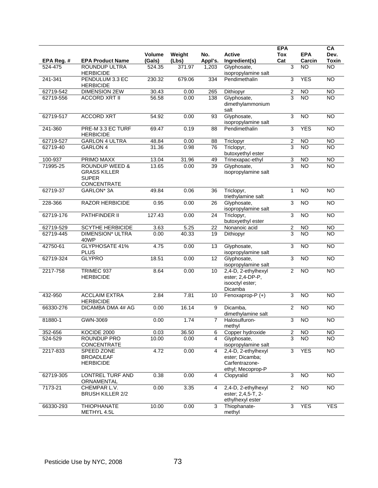| EPA Reg.# | <b>EPA Product Name</b>                                                                | Volume<br>(Gals) | Weight<br>(Lbs) | No.<br>Appl's. | <b>Active</b><br>Ingredient(s)                                                | <b>EPA</b><br><b>Tox</b><br>Cat | <b>EPA</b><br>Carcin | CA<br>Dev.<br>Toxin |
|-----------|----------------------------------------------------------------------------------------|------------------|-----------------|----------------|-------------------------------------------------------------------------------|---------------------------------|----------------------|---------------------|
| 524-475   | ROUNDUP ULTRA<br><b>HERBICIDE</b>                                                      | 524.35           | 371.97          | 1,203          | Glyphosate,<br>isopropylamine salt                                            | 3                               | <b>NO</b>            | $\overline{NO}$     |
| 241-341   | PENDULUM 3.3 EC<br><b>HERBICIDE</b>                                                    | 230.32           | 679.06          | 334            | Pendimethalin                                                                 | 3                               | <b>YES</b>           | <b>NO</b>           |
| 62719-542 | <b>DIMENSION 2EW</b>                                                                   | 30.43            | 0.00            | 265            | Dithiopyr                                                                     | $\overline{2}$                  | N <sub>O</sub>       | $\overline{NO}$     |
| 62719-556 | <b>ACCORD XRT II</b>                                                                   | 56.58            | 0.00            | 138            | Glyphosate,<br>dimethylammonium<br>salt                                       | 3                               | $\overline{10}$      | $\overline{10}$     |
| 62719-517 | <b>ACCORD XRT</b>                                                                      | 54.92            | 0.00            | 93             | Glyphosate,<br>isopropylamine salt                                            | 3                               | N <sub>O</sub>       | $\overline{NO}$     |
| 241-360   | PRE-M 3.3 EC TURF<br><b>HERBICIDE</b>                                                  | 69.47            | 0.19            | 88             | Pendimethalin                                                                 | 3                               | <b>YES</b>           | <b>NO</b>           |
| 62719-527 | <b>GARLON 4 ULTRA</b>                                                                  | 48.84            | 0.00            | 88             | Triclopyr                                                                     | $\boldsymbol{2}$                | <b>NO</b>            | <b>NO</b>           |
| 62719-40  | <b>GARLON 4</b>                                                                        | 31.36            | 0.98            | 76             | Triclopyr,<br>butoxyethyl ester                                               | 3                               | <b>NO</b>            | <b>NO</b>           |
| 100-937   | PRIMO MAXX                                                                             | 13.04            | 31.96           | 49             | Trinexapac-ethyl                                                              | 3                               | <b>NO</b>            | <b>NO</b>           |
| 71995-25  | <b>ROUNDUP WEED &amp;</b><br><b>GRASS KILLER</b><br><b>SUPER</b><br><b>CONCENTRATE</b> | 13.65            | 0.00            | 39             | Glyphosate,<br>isopropylamine salt                                            | $\overline{3}$                  | <b>NO</b>            | <b>NO</b>           |
| 62719-37  | GARLON <sup>*</sup> 3A                                                                 | 49.84            | 0.06            | 36             | Triclopyr,<br>triethylamine salt                                              | $\mathbf{1}$                    | <b>NO</b>            | <b>NO</b>           |
| 228-366   | <b>RAZOR HERBICIDE</b>                                                                 | 0.95             | 0.00            | 26             | Glyphosate,<br>isopropylamine salt                                            | 3                               | N <sub>O</sub>       | <b>NO</b>           |
| 62719-176 | PATHFINDER II                                                                          | 127.43           | 0.00            | 24             | Triclopyr,<br>butoxyethyl ester                                               | $\sqrt{3}$                      | <b>NO</b>            | <b>NO</b>           |
| 62719-529 | <b>SCYTHE HERBICIDE</b>                                                                | 3.63             | 5.25            | 22             | Nonanoic acid                                                                 | $\overline{2}$                  | <b>NO</b>            | <b>NO</b>           |
| 62719-445 | <b>DIMENSION* ULTRA</b><br>40WP                                                        | 0.00             | 40.33           | 19             | Dithiopyr                                                                     | 3                               | <b>NO</b>            | <b>NO</b>           |
| 42750-61  | <b>GLYPHOSATE 41%</b><br><b>PLUS</b>                                                   | 4.75             | 0.00            | 13             | Glyphosate,<br>isopropylamine salt                                            | 3                               | N <sub>O</sub>       | <b>NO</b>           |
| 62719-324 | <b>GLYPRO</b>                                                                          | 18.51            | 0.00            | 12             | Glyphosate,<br>isopropylamine salt                                            | 3                               | <b>NO</b>            | <b>NO</b>           |
| 2217-758  | TRIMEC 937<br><b>HERBICIDE</b>                                                         | 8.64             | 0.00            | 10             | 2,4-D, 2-ethylhexyl<br>ester; 2,4-DP-P,<br>isooctyl ester;<br>Dicamba         | $\overline{2}$                  | N <sub>O</sub>       | $\overline{NO}$     |
| 432-950   | <b>ACCLAIM EXTRA</b><br><b>HERBICIDE</b>                                               | 2.84             | 7.81            | 10             | Fenoxaprop-P (+)                                                              | 3                               | <b>NO</b>            | <b>NO</b>           |
| 66330-276 | DICAMBA DMA 4# AG                                                                      | 0.00             | 16.14           | 9              | Dicamba,<br>dimethylamine salt                                                | 2                               | <b>NO</b>            | <b>NO</b>           |
| 81880-1   | GWN-3069                                                                               | 0.00             | 1.74            | $\overline{7}$ | Halosulfuron-<br>methyl                                                       | 3                               | <b>NO</b>            | <b>NO</b>           |
| 352-656   | KOCIDE 2000                                                                            | 0.03             | 36.50           | 6              | Copper hydroxide                                                              | $\overline{c}$                  | <b>NO</b>            | <b>NO</b>           |
| 524-529   | ROUNDUP PRO<br><b>CONCENTRATE</b>                                                      | 10.00            | 0.00            | 4              | Glyphosate,<br>isopropylamine salt                                            | 3                               | <b>NO</b>            | $\overline{NO}$     |
| 2217-833  | SPEED ZONE<br><b>BROADLEAF</b><br><b>HERBICIDE</b>                                     | 4.72             | 0.00            | 4              | 2,4-D, 2-ethylhexyl<br>ester; Dicamba;<br>Carfentrazone-<br>ethyl; Mecoprop-P | 3                               | <b>YES</b>           | NO                  |
| 62719-305 | LONTREL TURF AND<br>ORNAMENTAL                                                         | 0.38             | 0.00            | 4              | Clopyralid                                                                    | 3                               | <b>NO</b>            | NO                  |
| 7173-21   | CHEMPAR L.V.<br><b>BRUSH KILLER 2/2</b>                                                | 0.00             | 3.35            | 4              | 2,4-D, 2-ethylhexyl<br>ester; 2,4,5-T, 2-<br>ethylhexyl ester                 | $\overline{c}$                  | $\overline{NO}$      | $\overline{NO}$     |
| 66330-293 | <b>THIOPHANATE</b><br>METHYL 4.5L                                                      | 10.00            | 0.00            | 3              | Thiophanate-<br>methyl                                                        | 3                               | <b>YES</b>           | <b>YES</b>          |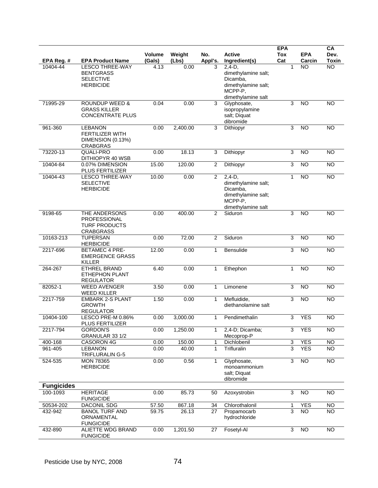|                       |                                                   |                |               |                |                                    | <b>EPA</b>     |                     | CA                   |
|-----------------------|---------------------------------------------------|----------------|---------------|----------------|------------------------------------|----------------|---------------------|----------------------|
|                       |                                                   | Volume         | Weight        | No.            | <b>Active</b>                      | <b>Tox</b>     | <b>EPA</b>          | Dev.<br><b>Toxin</b> |
| EPA Reg.#<br>10404-44 | <b>EPA Product Name</b><br><b>LESCO THREE-WAY</b> | (Gals)<br>4.13 | (Lbs)<br>0.00 | Appl's.<br>3   | Ingredient(s)<br>$2,4-D,$          | Cat            | Carcin<br><b>NO</b> | <b>NO</b>            |
|                       | <b>BENTGRASS</b>                                  |                |               |                | dimethylamine salt;                |                |                     |                      |
|                       | <b>SELECTIVE</b>                                  |                |               |                | Dicamba,                           |                |                     |                      |
|                       | <b>HERBICIDE</b>                                  |                |               |                | dimethylamine salt;<br>MCPP-P,     |                |                     |                      |
|                       |                                                   |                |               |                | dimethylamine salt                 |                |                     |                      |
| 71995-29              | <b>ROUNDUP WEED &amp;</b>                         | 0.04           | 0.00          | 3              | Glyphosate,                        | 3              | <b>NO</b>           | $\overline{NO}$      |
|                       | <b>GRASS KILLER</b>                               |                |               |                | isopropylamine                     |                |                     |                      |
|                       | <b>CONCENTRATE PLUS</b>                           |                |               |                | salt; Diquat<br>dibromide          |                |                     |                      |
| 961-360               | <b>LEBANON</b>                                    | 0.00           | 2,400.00      | 3              | Dithiopyr                          | 3              | <b>NO</b>           | <b>NO</b>            |
|                       | <b>FERTILIZER WITH</b>                            |                |               |                |                                    |                |                     |                      |
|                       | DIMENSION (0.13%)                                 |                |               |                |                                    |                |                     |                      |
| 73220-13              | <b>CRABGRAS</b><br>QUALI-PRO                      | 0.00           | 18.13         | 3              | Dithiopyr                          | 3              | <b>NO</b>           | <b>NO</b>            |
|                       | DITHIOPYR 40 WSB                                  |                |               |                |                                    |                |                     |                      |
| 10404-84              | 0.07% DIMENSION<br>PLUS FERTILIZER                | 15.00          | 120.00        | $\overline{c}$ | Dithiopyr                          | 3              | <b>NO</b>           | <b>NO</b>            |
| 10404-43              | <b>LESCO THREE-WAY</b>                            | 10.00          | 0.00          | $\overline{2}$ | $2,4-D,$                           | $\mathbf{1}$   | <b>NO</b>           | $\overline{NO}$      |
|                       | <b>SELECTIVE</b><br><b>HERBICIDE</b>              |                |               |                | dimethylamine salt;<br>Dicamba,    |                |                     |                      |
|                       |                                                   |                |               |                | dimethylamine salt;                |                |                     |                      |
|                       |                                                   |                |               |                | MCPP-P,                            |                |                     |                      |
|                       |                                                   |                |               |                | dimethylamine salt                 |                |                     |                      |
| 9198-65               | THE ANDERSONS<br>PROFESSIONAL                     | 0.00           | 400.00        | 2              | Siduron                            | 3              | $\overline{NO}$     | $\overline{NO}$      |
|                       | <b>TURF PRODUCTS</b>                              |                |               |                |                                    |                |                     |                      |
|                       | <b>CRABGRASS</b>                                  |                |               |                |                                    |                |                     |                      |
| 10163-213             | <b>TUPERSAN</b>                                   | 0.00           | 72.00         | 2              | Siduron                            | 3              | <b>NO</b>           | <b>NO</b>            |
| 2217-696              | <b>HERBICIDE</b><br><b>BETAMEC 4 PRE-</b>         | 12.00          | 0.00          | $\mathbf{1}$   | Bensulide                          | 3              | NO                  | $\overline{NO}$      |
|                       | <b>EMERGENCE GRASS</b>                            |                |               |                |                                    |                |                     |                      |
|                       | <b>KILLER</b>                                     |                |               |                |                                    |                |                     |                      |
| 264-267               | <b>ETHREL BRAND</b><br><b>ETHEPHON PLANT</b>      | 6.40           | 0.00          | $\mathbf{1}$   | Ethephon                           | $\mathbf{1}$   | <b>NO</b>           | $\overline{NO}$      |
|                       | <b>REGULATOR</b>                                  |                |               |                |                                    |                |                     |                      |
| 82052-1               | <b>WEED AVENGER</b>                               | 3.50           | 0.00          | $\mathbf{1}$   | Limonene                           | 3              | <b>NO</b>           | <b>NO</b>            |
|                       | <b>WEED KILLER</b>                                |                |               |                |                                    |                |                     |                      |
| 2217-759              | <b>EMBARK 2-S PLANT</b><br><b>GROWTH</b>          | 1.50           | 0.00          | 1              | Mefluidide,<br>diethanolamine salt | 3              | <b>NO</b>           | <b>NO</b>            |
|                       | <b>REGULATOR</b>                                  |                |               |                |                                    |                |                     |                      |
| 10404-100             | LESCO PRE-M 0.86%                                 | 0.00           | 3,000.00      | 1              | Pendimethalin                      | 3              | <b>YES</b>          | <b>NO</b>            |
| 2217-794              | PLUS FERTILIZER<br><b>GORDON'S</b>                | 0.00           | 1,250.00      | 1              | 2,4-D; Dicamba;                    | 3              | <b>YES</b>          | <b>NO</b>            |
|                       | GRANULAR 33 1/2                                   |                |               |                | Mecoprop-P                         |                |                     |                      |
| 400-168               | CASORON 4G                                        | 0.00           | 150.00        | 1              | Dichlobenil                        | 3              | <b>YES</b>          | <b>NO</b>            |
| 961-405               | <b>LEBANON</b><br>TRIFLURALIN G-5                 | 0.00           | 40.00         | $\mathbf 1$    | Trifluralin                        | 3              | <b>YES</b>          | NO.                  |
| 524-535               | <b>MON 78365</b>                                  | 0.00           | 0.56          | $\mathbf{1}$   | Glyphosate,                        | $\overline{3}$ | N <sub>O</sub>      | NO                   |
|                       | <b>HERBICIDE</b>                                  |                |               |                | monoammonium                       |                |                     |                      |
|                       |                                                   |                |               |                | salt; Diquat                       |                |                     |                      |
| <b>Fungicides</b>     |                                                   |                |               |                | dibromide                          |                |                     |                      |
| 100-1093              | <b>HERITAGE</b>                                   | 0.00           | 85.73         | 50             | Azoxystrobin                       | 3              | <b>NO</b>           | <b>NO</b>            |
|                       | <b>FUNGICIDE</b>                                  |                |               |                |                                    |                |                     |                      |
| 50534-202             | DACONIL SDG                                       | 57.50          | 867.18        | 34             | Chlorothalonil                     | 1              | <b>YES</b>          | N <sub>O</sub>       |
| 432-942               | <b>BANOL TURF AND</b><br>ORNAMENTAL               | 59.75          | 26.13         | 27             | Propamocarb                        | 3              | <b>NO</b>           | NO.                  |
|                       | <b>FUNGICIDE</b>                                  |                |               |                | hydrochloride                      |                |                     |                      |
| 432-890               | <b>ALIETTE WDG BRAND</b>                          | 0.00           | 1,201.50      | 27             | Fosetyl-Al                         | 3              | $\overline{3}$      | $\overline{N}$       |
|                       | <b>FUNGICIDE</b>                                  |                |               |                |                                    |                |                     |                      |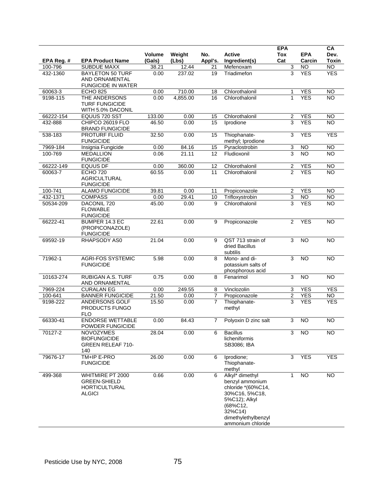| EPA Reg. # | <b>EPA Product Name</b>                                                          | <b>Volume</b><br>(Gals) | Weight<br>(Lbs) | No.<br>Appl's.  | <b>Active</b><br>Ingredient(s)                                                                                                                                             | <b>EPA</b><br><b>Tox</b><br>Cat | <b>EPA</b><br>Carcin | CA<br>Dev.<br><b>Toxin</b> |
|------------|----------------------------------------------------------------------------------|-------------------------|-----------------|-----------------|----------------------------------------------------------------------------------------------------------------------------------------------------------------------------|---------------------------------|----------------------|----------------------------|
| 100-796    | <b>SUBDUE MAXX</b>                                                               | 38.21                   | 12.44           | 21              | Mefenoxam                                                                                                                                                                  | 3                               | <b>NO</b>            | $\overline{NO}$            |
| 432-1360   | <b>BAYLETON 50 TURF</b><br>AND ORNAMENTAL<br><b>FUNGICIDE IN WATER</b>           | 0.00                    | 237.02          | 19              | Triadimefon                                                                                                                                                                | 3                               | <b>YES</b>           | <b>YES</b>                 |
| 60063-3    | <b>ECHO 825</b>                                                                  | 0.00                    | 710.00          | 18              | Chlorothalonil                                                                                                                                                             | 1                               | <b>YES</b>           | $\overline{NO}$            |
| 9198-115   | THE ANDERSONS<br><b>TURF FUNGICIDE</b><br>WITH 5.0% DACONIL                      | 0.00                    | 4,855.00        | 16              | Chlorothalonil                                                                                                                                                             | $\mathbf{1}$                    | <b>YES</b>           | $\overline{10}$            |
| 66222-154  | EQUUS 720 SST                                                                    | 133.00                  | 0.00            | 15              | Chlorothalonil                                                                                                                                                             | $\overline{2}$                  | <b>YES</b>           | <b>NO</b>                  |
| 432-888    | CHIPCO 26019 FLO<br><b>BRAND FUNGICIDE</b>                                       | 46.50                   | 0.00            | 15              | Iprodione                                                                                                                                                                  | 3                               | <b>YES</b>           | <b>NO</b>                  |
| 538-183    | <b>PROTURF FLUID</b><br><b>FUNGICIDE</b>                                         | 32.50                   | 0.00            | 15              | Thiophanate-<br>methyl; Iprodione                                                                                                                                          | 3                               | <b>YES</b>           | <b>YES</b>                 |
| 7969-184   | Insignia Fungicide                                                               | 0.00                    | 84.16           | 15              | Pyraclostrobin                                                                                                                                                             | 3                               | <b>NO</b>            | <b>NO</b>                  |
| 100-769    | <b>MEDALLION</b><br><b>FUNGICIDE</b>                                             | 0.06                    | 21.11           | $\overline{12}$ | Fludioxonil                                                                                                                                                                | 3                               | N <sub>O</sub>       | <b>NO</b>                  |
| 66222-149  | <b>EQUUS DF</b>                                                                  | 0.00                    | 360.00          | 12              | Chlorothalonil                                                                                                                                                             | 2                               | <b>YES</b>           | $\overline{NO}$            |
| 60063-7    | <b>ECHO 720</b><br><b>AGRICULTURAL</b><br><b>FUNGICIDE</b>                       | 60.55                   | 0.00            | 11              | Chlorothalonil                                                                                                                                                             | $\overline{2}$                  | <b>YES</b>           | <b>NO</b>                  |
| 100-741    | <b>ALAMO FUNGICIDE</b>                                                           | 39.81                   | 0.00            | 11              | Propiconazole                                                                                                                                                              | $\overline{2}$                  | <b>YES</b>           | <b>NO</b>                  |
| 432-1371   | <b>COMPASS</b>                                                                   | 0.00                    | 29.41           | 10              | Trifloxystrobin                                                                                                                                                            | 3                               | $\overline{NO}$      | $\overline{N}$             |
| 50534-209  | DACONIL 720<br><b>FLOWABLE</b><br><b>FUNGICIDE</b>                               | 45.00                   | 0.00            | 9               | Chlorothalonil                                                                                                                                                             | 3                               | <b>YES</b>           | <b>NO</b>                  |
| 66222-41   | BUMPER 14.3 EC<br>(PROPICONAZOLE)<br><b>FUNGICIDE</b>                            | 22.61                   | 0.00            | 9               | Propiconazole                                                                                                                                                              | 2                               | <b>YES</b>           | NO                         |
| 69592-19   | RHAPSODY AS0                                                                     | 21.04                   | 0.00            | 9               | QST 713 strain of<br>dried Bacillus<br>subtilis                                                                                                                            | 3                               | <b>NO</b>            | <b>NO</b>                  |
| 71962-1    | <b>AGRI-FOS SYSTEMIC</b><br><b>FUNGICIDE</b>                                     | 5.98                    | 0.00            | 8               | Mono- and di-<br>potassium salts of<br>phosphorous acid                                                                                                                    | 3                               | <b>NO</b>            | <b>NO</b>                  |
| 10163-274  | <b>RUBIGAN A.S. TURF</b><br>AND ORNAMENTAL                                       | 0.75                    | 0.00            | 8               | Fenarimol                                                                                                                                                                  | 3                               | N <sub>O</sub>       | $\overline{NO}$            |
| 7969-224   | <b>CURALAN EG</b>                                                                | 0.00                    | 249.55          | 8               | Vinclozolin                                                                                                                                                                | 3                               | <b>YES</b>           | <b>YES</b>                 |
| 100-641    | <b>BANNER FUNGICIDE</b>                                                          | 21.50                   | 0.00            | 7               | Propiconazole                                                                                                                                                              | $\overline{c}$                  | <b>YES</b>           | <b>NO</b>                  |
| 9198-222   | ANDERSONS GOLF<br>PRODUCTS FUNGO<br><b>FLO</b>                                   | 15.50                   | 0.00            | $\overline{7}$  | Thiophanate-<br>methyl                                                                                                                                                     | 3                               | <b>YES</b>           | <b>YES</b>                 |
| 66330-41   | <b>ENDORSE WETTABLE</b><br>POWDER FUNGICIDE                                      | 0.00                    | 84.43           | $\overline{7}$  | Polyoxin D zinc salt                                                                                                                                                       | 3                               | $\overline{NO}$      | NO                         |
| 70127-2    | <b>NOVOZYMES</b><br><b>BIOFUNGICIDE</b><br><b>GREEN RELEAF 710-</b><br>140       | 28.04                   | 0.00            | 6               | <b>Bacillus</b><br>licheniformis<br>SB3086; IBA                                                                                                                            | 3                               | <b>NO</b>            | <b>NO</b>                  |
| 79676-17   | TM+IP E-PRO<br><b>FUNGICIDE</b>                                                  | 26.00                   | 0.00            | 6               | Iprodione;<br>Thiophanate-<br>methyl                                                                                                                                       | 3                               | <b>YES</b>           | <b>YES</b>                 |
| 499-368    | WHITMIRE PT 2000<br><b>GREEN-SHIELD</b><br><b>HORTICULTURAL</b><br><b>ALGICI</b> | 0.66                    | 0.00            | 6               | Alkyl <sup>*</sup> dimethyl<br>benzyl ammonium<br>chloride *(60%C14,<br>30%C16, 5%C18,<br>5%C12); Alkyl<br>(68%C12,<br>32%C14)<br>dimethylethylbenzyl<br>ammonium chloride | $\mathbf{1}$                    | <b>NO</b>            | NO                         |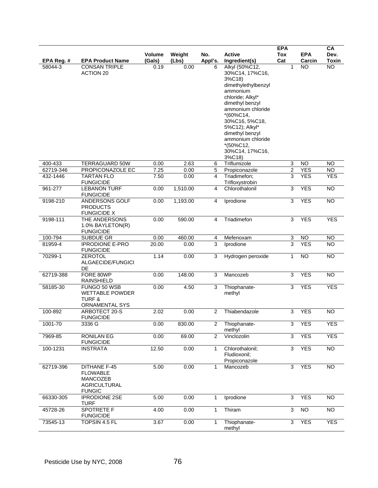| EPA Reg. # | <b>EPA Product Name</b>                                                                    | Volume<br>(Gals) | Weight<br>(Lbs) | No.<br>Appl's. | <b>Active</b><br>Ingredient(s)                                                                                                                                                                                                                                                   | <b>EPA</b><br><b>Tox</b><br>Cat | <b>EPA</b><br>Carcin | CA<br>Dev.<br><b>Toxin</b> |
|------------|--------------------------------------------------------------------------------------------|------------------|-----------------|----------------|----------------------------------------------------------------------------------------------------------------------------------------------------------------------------------------------------------------------------------------------------------------------------------|---------------------------------|----------------------|----------------------------|
| 58044-3    | <b>CONSAN TRIPLE</b><br><b>ACTION 20</b>                                                   | 0.19             | 0.00            | 6              | Alkyl (50%C12,<br>30%C14, 17%C16,<br>3%C18)<br>dimethylethylbenzyl<br>ammonium<br>chloride; Alkyl*<br>dimethyl benzyl<br>ammonium chloride<br>$*(60\%C14,$<br>30%C16, 5%C18,<br>5%C12); Alkyl*<br>dimethyl benzyl<br>ammonium chloride<br>*(50%C12,<br>30%C14, 17%C16,<br>3%C18) | 1                               | <b>NO</b>            | <b>NO</b>                  |
| 400-433    | <b>TERRAGUARD 50W</b>                                                                      | 0.00             | 2.63            | 6              | Triflumizole                                                                                                                                                                                                                                                                     | 3                               | <b>NO</b>            | <b>NO</b>                  |
| 62719-346  | PROPICONAZOLE EC                                                                           | 7.25             | 0.00            | 5              | Propiconazole                                                                                                                                                                                                                                                                    | $\overline{2}$                  | <b>YES</b>           | <b>NO</b>                  |
| 432-1446   | <b>TARTAN FLO</b><br><b>FUNGICIDE</b>                                                      | 7.50             | 0.00            | 4              | Triadimefon;<br>Trifloxystrobin                                                                                                                                                                                                                                                  | 3                               | <b>YES</b>           | <b>YES</b>                 |
| 961-277    | <b>LEBANON TURF</b><br><b>FUNGICIDE</b>                                                    | 0.00             | 1,510.00        | 4              | Chlorothalonil                                                                                                                                                                                                                                                                   | 3                               | <b>YES</b>           | <b>NO</b>                  |
| 9198-210   | ANDERSONS GOLF<br><b>PRODUCTS</b><br><b>FUNGICIDE X</b>                                    | 0.00             | 1,193.00        | 4              | Iprodione                                                                                                                                                                                                                                                                        | 3                               | <b>YES</b>           | $\overline{NO}$            |
| 9198-111   | THE ANDERSONS<br>1.0% BAYLETON(R)<br><b>FUNGICIDE</b>                                      | 0.00             | 590.00          | 4              | Triadimefon                                                                                                                                                                                                                                                                      | 3                               | <b>YES</b>           | <b>YES</b>                 |
| 100-794    | SUBDUE GR                                                                                  | 0.00             | 460.00          | 4              | Mefenoxam                                                                                                                                                                                                                                                                        | 3                               | <b>NO</b>            | <b>NO</b>                  |
| 81959-4    | <b>IPRODIONE E-PRO</b><br><b>FUNGICIDE</b>                                                 | 20.00            | 0.00            | 3              | Iprodione                                                                                                                                                                                                                                                                        | $\overline{3}$                  | <b>YES</b>           | $\overline{10}$            |
| 70299-1    | <b>ZEROTOL</b><br>ALGAECIDE/FUNGICI<br>DE                                                  | 1.14             | 0.00            | 3              | Hydrogen peroxide                                                                                                                                                                                                                                                                | $\mathbf{1}$                    | N <sub>O</sub>       | $\overline{NO}$            |
| 62719-388  | FORE 80WP<br><b>RAINSHIELD</b>                                                             | 0.00             | 148.00          | 3              | Mancozeb                                                                                                                                                                                                                                                                         | 3                               | <b>YES</b>           | <b>NO</b>                  |
| 58185-30   | FUNGO 50 WSB<br><b>WETTABLE POWDER</b><br><b>TURF &amp;</b><br>ORNAMENTAL SYS              | 0.00             | 4.50            | 3              | Thiophanate-<br>methyl                                                                                                                                                                                                                                                           | 3                               | <b>YES</b>           | <b>YES</b>                 |
| 100-892    | ARBOTECT 20-S<br><b>FUNGICIDE</b>                                                          | 2.02             | 0.00            | 2              | Thiabendazole                                                                                                                                                                                                                                                                    | 3                               | <b>YES</b>           | <b>NO</b>                  |
| 1001-70    | 3336 G                                                                                     | 0.00             | 830.00          | 2              | Thiophanate-<br>methyl                                                                                                                                                                                                                                                           | 3                               | YES                  | YES                        |
| 7969-85    | <b>RONILAN EG</b><br><b>FUNGICIDE</b>                                                      | 0.00             | 69.00           | $\overline{2}$ | Vinclozolin                                                                                                                                                                                                                                                                      | 3                               | <b>YES</b>           | <b>YES</b>                 |
| 100-1231   | <b>INSTRATA</b>                                                                            | 12.50            | 0.00            | $\mathbf{1}$   | Chlorothalonil;<br>Fludioxonil;<br>Propiconazole                                                                                                                                                                                                                                 | 3                               | <b>YES</b>           | $\overline{NO}$            |
| 62719-396  | <b>DITHANE F-45</b><br><b>FLOWABLE</b><br>MANCOZEB<br><b>AGRICULTURAL</b><br><b>FUNGIC</b> | 5.00             | 0.00            | 1              | Mancozeb                                                                                                                                                                                                                                                                         | 3                               | <b>YES</b>           | NO                         |
| 66330-305  | <b>IPRODIONE 2SE</b><br><b>TURF</b>                                                        | 5.00             | 0.00            | 1              | Iprodione                                                                                                                                                                                                                                                                        | 3                               | <b>YES</b>           | $\overline{NO}$            |
| 45728-26   | <b>SPOTRETE F</b><br><b>FUNGICIDE</b>                                                      | 4.00             | 0.00            | $\mathbf{1}$   | Thiram                                                                                                                                                                                                                                                                           | 3                               | NO                   | $\overline{3}$             |
| 73545-13   | TOPSIN 4.5 FL                                                                              | 3.67             | 0.00            | $\mathbf{1}$   | Thiophanate-<br>methyl                                                                                                                                                                                                                                                           | 3                               | <b>YES</b>           | <b>YES</b>                 |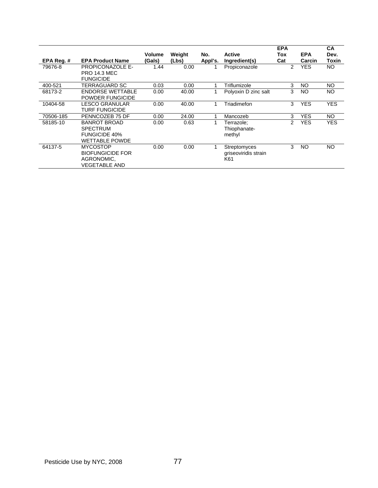|            |                         | <b>Volume</b> | Weight | No.     | <b>Active</b>        | <b>EPA</b><br>Tox | <b>EPA</b> | CA<br>Dev. |
|------------|-------------------------|---------------|--------|---------|----------------------|-------------------|------------|------------|
| EPA Reg. # | <b>EPA Product Name</b> | (Gals)        | (Lbs)  | Appl's. | Ingredient(s)        | Cat               | Carcin     | Toxin      |
| 79676-8    | PROPICONAZOLE E-        | 1.44          | 0.00   |         | Propiconazole        | 2                 | <b>YES</b> | NO.        |
|            | <b>PRO 14.3 MEC</b>     |               |        |         |                      |                   |            |            |
|            | <b>FUNGICIDE</b>        |               |        |         |                      |                   |            |            |
| 400-521    | TERRAGUARD SC           | 0.03          | 0.00   |         | Triflumizole         | 3                 | NO.        | <b>NO</b>  |
| 68173-2    | <b>ENDORSE WETTABLE</b> | 0.00          | 40.00  |         | Polyoxin D zinc salt | 3                 | NO.        | NO.        |
|            | POWDER FUNGICIDE        |               |        |         |                      |                   |            |            |
| 10404-58   | LESCO GRANULAR          | 0.00          | 40.00  |         | Triadimefon          | 3                 | <b>YES</b> | <b>YES</b> |
|            | <b>TURF FUNGICIDE</b>   |               |        |         |                      |                   |            |            |
| 70506-185  | PENNCOZEB 75 DF         | 0.00          | 24.00  |         | Mancozeb             | 3                 | <b>YES</b> | NO.        |
| 58185-10   | <b>BANROT BROAD</b>     | 0.00          | 0.63   |         | Terrazole:           | 2                 | <b>YES</b> | <b>YES</b> |
|            | <b>SPECTRUM</b>         |               |        |         | Thiophanate-         |                   |            |            |
|            | <b>FUNGICIDE 40%</b>    |               |        |         | methyl               |                   |            |            |
|            | <b>WETTABLE POWDE</b>   |               |        |         |                      |                   |            |            |
| 64137-5    | <b>MYCOSTOP</b>         | 0.00          | 0.00   |         | Streptomyces         | 3                 | NO         | NO.        |
|            | <b>BIOFUNGICIDE FOR</b> |               |        |         | griseoviridis strain |                   |            |            |
|            | AGRONOMIC,              |               |        |         | K61                  |                   |            |            |
|            | <b>VEGETABLE AND</b>    |               |        |         |                      |                   |            |            |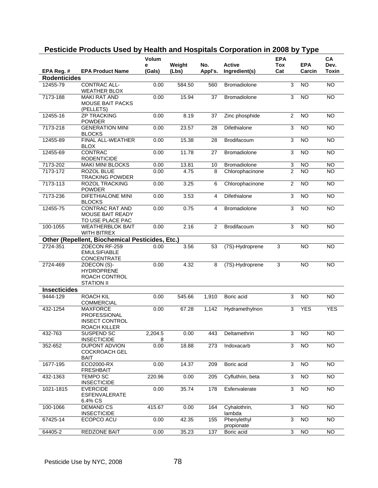|                                   |                                                 | <b>Volum</b> |        |         |                          | <b>EPA</b>     |                 | CA              |
|-----------------------------------|-------------------------------------------------|--------------|--------|---------|--------------------------|----------------|-----------------|-----------------|
|                                   |                                                 | е            | Weight | No.     | <b>Active</b>            | Tox            | <b>EPA</b>      | Dev.            |
| EPA Reg. #<br><b>Rodenticides</b> | <b>EPA Product Name</b>                         | (Gals)       | (Lbs)  | Appl's. | Ingredient(s)            | Cat            | Carcin          | <b>Toxin</b>    |
| 12455-79                          | CONTRAC ALL-                                    | 0.00         | 584.50 | 560     | <b>Bromadiolone</b>      | 3              | <b>NO</b>       | <b>NO</b>       |
|                                   | <b>WEATHER BLOX</b>                             |              |        |         |                          |                |                 |                 |
| 7173-188                          | <b>MAKI RAT AND</b>                             | 0.00         | 15.94  | 37      | Bromadiolone             | 3              | $\overline{NO}$ | $\overline{NO}$ |
|                                   | <b>MOUSE BAIT PACKS</b>                         |              |        |         |                          |                |                 |                 |
|                                   | (PELLETS)                                       |              |        |         |                          |                |                 |                 |
| 12455-16                          | <b>ZP TRACKING</b><br><b>POWDER</b>             | 0.00         | 8.19   | 37      | Zinc phosphide           | $\overline{2}$ | <b>NO</b>       | N <sub>O</sub>  |
| 7173-218                          | <b>GENERATION MINI</b>                          | 0.00         | 23.57  | 28      | Difethialone             | 3              | $\overline{NO}$ | $\overline{NO}$ |
|                                   | <b>BLOCKS</b>                                   |              |        |         |                          |                |                 |                 |
| 12455-89                          | FINAL ALL-WEATHER                               | 0.00         | 15.38  | 28      | Brodifacoum              | 3              | <b>NO</b>       | <b>NO</b>       |
|                                   | <b>BLOX</b>                                     |              |        |         |                          |                |                 |                 |
| 12455-69                          | <b>CONTRAC</b><br><b>RODENTICIDE</b>            | 0.00         | 11.78  | 27      | Bromadiolone             | 3              | $\overline{NO}$ | $\overline{NO}$ |
| 7173-202                          | <b>MAKI MINI BLOCKS</b>                         | 0.00         | 13.81  | 10      | Bromadiolone             | 3              | <b>NO</b>       | <b>NO</b>       |
| 7173-172                          | ROZOL BLUE                                      | 0.00         | 4.75   | 8       | Chlorophacinone          | $\overline{2}$ | N <sub>O</sub>  | $\overline{NO}$ |
|                                   | <b>TRACKING POWDER</b>                          |              |        |         |                          |                |                 |                 |
| 7173-113                          | <b>ROZOL TRACKING</b>                           | 0.00         | 3.25   | 6       | Chlorophacinone          | $\overline{2}$ | N <sub>O</sub>  | <b>NO</b>       |
|                                   | <b>POWDER</b>                                   |              |        |         |                          |                |                 |                 |
| 7173-236                          | <b>DIFETHIALONE MINI</b>                        | 0.00         | 3.53   | 4       | Difethialone             | 3              | <b>NO</b>       | $\overline{N}$  |
| 12455-75                          | <b>BLOCKS</b><br><b>CONTRAC RAT AND</b>         | 0.00         | 0.75   | 4       | Bromadiolone             | 3              | $\overline{NO}$ | N <sub>O</sub>  |
|                                   | <b>MOUSE BAIT READY</b>                         |              |        |         |                          |                |                 |                 |
|                                   | TO USE PLACE PAC                                |              |        |         |                          |                |                 |                 |
| 100-1055                          | <b>WEATHERBLOK BAIT</b>                         | 0.00         | 2.16   | 2       | Brodifacoum              | 3              | <b>NO</b>       | <b>NO</b>       |
|                                   | <b>WITH BITREX</b>                              |              |        |         |                          |                |                 |                 |
|                                   | Other (Repellent, Biochemical Pesticides, Etc.) |              |        |         |                          |                |                 |                 |
| 2724-351                          | ZOECON RF-259                                   | 0.00         | 3.56   | 53      | (7S)-Hydroprene          | 3              | <b>NO</b>       | <b>NO</b>       |
|                                   | <b>EMULSIFIABLE</b><br><b>CONCENTRATE</b>       |              |        |         |                          |                |                 |                 |
| 2724-469                          | ZOECON (S)-                                     | 0.00         | 4.32   | 8       | (7S)-Hydroprene          | $\mathsf 3$    | <b>NO</b>       | <b>NO</b>       |
|                                   | <b>HYDROPRENE</b>                               |              |        |         |                          |                |                 |                 |
|                                   | ROACH CONTROL                                   |              |        |         |                          |                |                 |                 |
|                                   | <b>STATION II</b>                               |              |        |         |                          |                |                 |                 |
| <b>Insecticides</b>               |                                                 |              |        |         |                          |                |                 |                 |
| 9444-129                          | <b>ROACH KIL</b><br><b>COMMERCIAL</b>           | 0.00         | 545.66 | 1,910   | Boric acid               | 3              | <b>NO</b>       | <b>NO</b>       |
| 432-1254                          | <b>MAXFORCE</b>                                 | 0.00         | 67.28  | 1,142   | Hydramethylnon           | 3              | <b>YES</b>      | <b>YES</b>      |
|                                   | PROFESSIONAL                                    |              |        |         |                          |                |                 |                 |
|                                   | <b>INSECT CONTROL</b>                           |              |        |         |                          |                |                 |                 |
|                                   | ROACH KILLER                                    |              |        |         |                          |                |                 |                 |
| 432-763                           | SUSPEND SC                                      | 2,204.5      | 0.00   | 443     | Deltamethrin             | 3              | <b>NO</b>       | <b>NO</b>       |
| 352-652                           | <b>INSECTICIDE</b><br>DUPONT ADVION             | 8<br>0.00    | 18.88  | 273     | Indoxacarb               | 3              | <b>NO</b>       | <b>NO</b>       |
|                                   | <b>COCKROACH GEL</b>                            |              |        |         |                          |                |                 |                 |
|                                   | <b>BAIT</b>                                     |              |        |         |                          |                |                 |                 |
| 1677-195                          | ECO2000-RX                                      | 0.00         | 14.37  | 209     | Boric acid               | 3              | $\overline{NO}$ | <b>NO</b>       |
|                                   | <b>FRESHBAIT</b>                                |              |        |         |                          |                |                 |                 |
| 432-1363                          | <b>TEMPO SC</b>                                 | 220.96       | 0.00   | 205     | Cyfluthrin, beta         | 3              | <b>NO</b>       | <b>NO</b>       |
| 1021-1815                         | <b>INSECTICIDE</b><br><b>EVERCIDE</b>           | 0.00         | 35.74  | 178     | Esfenvalerate            | 3              | <b>NO</b>       | <b>NO</b>       |
|                                   | ESFENVALERATE                                   |              |        |         |                          |                |                 |                 |
|                                   | 6.4% CS                                         |              |        |         |                          |                |                 |                 |
| 100-1066                          | <b>DEMAND CS</b>                                | 415.67       | 0.00   | 164     | Cyhalothrin,             | 3              | <b>NO</b>       | <b>NO</b>       |
|                                   | <b>INSECTICIDE</b>                              |              |        |         | lambda                   |                |                 |                 |
| 67425-14                          | ECOPCO ACU                                      | 0.00         | 42.35  | 155     | Phenylethyl              | 3              | $\overline{NO}$ | $\overline{NO}$ |
| 64405-2                           | <b>REDZONE BAIT</b>                             | 0.00         | 35.23  | 137     | propionate<br>Boric acid | 3              | <b>NO</b>       | $\overline{N}$  |
|                                   |                                                 |              |        |         |                          |                |                 |                 |

## **Pesticide Products Used by Health and Hospitals Corporation in 2008 by Type**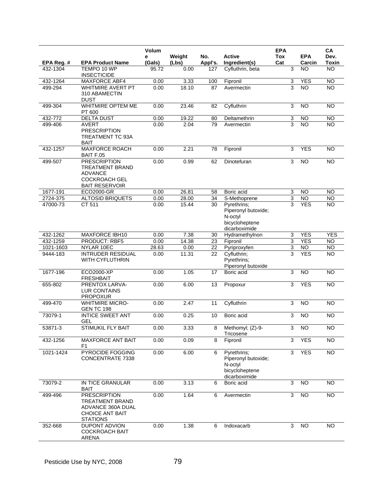|            |                                                                                                                  | Volum       |                 |                |                                                                                  | <b>EPA</b>        |                      | CA                   |
|------------|------------------------------------------------------------------------------------------------------------------|-------------|-----------------|----------------|----------------------------------------------------------------------------------|-------------------|----------------------|----------------------|
| EPA Reg. # | <b>EPA Product Name</b>                                                                                          | е<br>(Gals) | Weight<br>(Lbs) | No.<br>Appl's. | <b>Active</b><br>Ingredient(s)                                                   | <b>Tox</b><br>Cat | <b>EPA</b><br>Carcin | Dev.<br><b>Toxin</b> |
| 432-1304   | TEMPO 10 WP<br><b>INSECTICIDE</b>                                                                                | 95.72       | 0.00            | 127            | Cyfluthrin, beta                                                                 | 3                 | <b>NO</b>            | <b>NO</b>            |
| 432-1264   | <b>MAXFORCE ABF4</b>                                                                                             | 0.00        | 3.33            | 100            | Fipronil                                                                         | 3                 | <b>YES</b>           | <b>NO</b>            |
| 499-294    | <b>WHITMIRE AVERT PT</b><br>310 ABAMECTIN<br><b>DUST</b>                                                         | 0.00        | 18.10           | 87             | Avermectin                                                                       | 3                 | <b>NO</b>            | $\overline{NO}$      |
| 499-304    | WHITMIRE OPTEM ME<br>PT 600                                                                                      | 0.00        | 23.46           | 82             | Cyfluthrin                                                                       | 3                 | N <sub>O</sub>       | <b>NO</b>            |
| 432-772    | <b>DELTA DUST</b>                                                                                                | 0.00        | 19.22           | 80             | Deltamethrin                                                                     | 3                 | <b>NO</b>            | $\overline{N}$       |
| 499-406    | <b>AVERT</b><br><b>PRESCRIPTION</b><br><b>TREATMENT TC 93A</b><br><b>BAIT</b>                                    | 0.00        | 2.04            | 79             | Avermectin                                                                       | 3                 | <b>NO</b>            | $\overline{NO}$      |
| 432-1257   | <b>MAXFORCE ROACH</b><br><b>BAIT F.05</b>                                                                        | 0.00        | 2.21            | 78             | Fipronil                                                                         | 3                 | <b>YES</b>           | <b>NO</b>            |
| 499-507    | <b>PRESCRIPTION</b><br><b>TREATMENT BRAND</b><br><b>ADVANCE</b><br><b>COCKROACH GEL</b><br><b>BAIT RESERVOIR</b> | 0.00        | 0.99            | 62             | Dinotefuran                                                                      | 3                 | N <sub>O</sub>       | $\overline{NO}$      |
| 1677-191   | ECO2000-GR                                                                                                       | 0.00        | 26.81           | 58             | Boric acid                                                                       | 3                 | <b>NO</b>            | <b>NO</b>            |
| 2724-375   | <b>ALTOSID BRIQUETS</b>                                                                                          | 0.00        | 28.00           | 34             | S-Methoprene                                                                     | 3                 | <b>NO</b>            | <b>NO</b>            |
| 47000-73   | CT 511                                                                                                           | 0.00        | 15.44           | 30             | Pyrethrins;<br>Piperonyl butoxide;<br>N-octyl<br>bicycloheptene<br>dicarboximide | 3                 | <b>YES</b>           | <b>NO</b>            |
| 432-1262   | <b>MAXFORCE IBH10</b>                                                                                            | 0.00        | 7.38            | 30             | Hydramethylnon                                                                   | 3                 | <b>YES</b>           | <b>YES</b>           |
| 432-1259   | <b>PRODUCT: RBF5</b>                                                                                             | 0.00        | 14.38           | 23             | Fipronil                                                                         | 3                 | <b>YES</b>           | $\overline{N}$       |
| 1021-1603  | NYLAR 10EC                                                                                                       | 28.63       | 0.00            | 22             | Pyriproxyfen                                                                     | 3                 | N <sub>O</sub>       | $\overline{NO}$      |
| 9444-183   | <b>INTRUDER RESIDUAL</b><br><b>WITH CYFLUTHRIN</b>                                                               | 0.00        | 11.31           | 22             | Cyfluthrin;<br>Pyrethrins:<br>Piperonyl butoxide                                 | 3                 | <b>YES</b>           | <b>NO</b>            |
| 1677-196   | ECO2000-XP<br><b>FRESHBAIT</b>                                                                                   | 0.00        | 1.05            | 17             | Boric acid                                                                       | 3                 | <b>NO</b>            | <b>NO</b>            |
| 655-802    | PRENTOX LARVA-<br><b>LUR CONTAINS</b><br><b>PROPOXUR</b>                                                         | 0.00        | 6.00            | 13             | Propoxur                                                                         | 3                 | <b>YES</b>           | $\overline{NO}$      |
| 499-470    | <b>WHITMIRE MICRO-</b><br><b>GEN TC 198</b>                                                                      | 0.00        | 2.47            | 11             | Cyfluthrin                                                                       | 3                 | N <sub>O</sub>       | <b>NO</b>            |
| 73079-1    | <b>INTICE SWEET ANT</b><br>GEL                                                                                   | 0.00        | 0.25            | 10             | Boric acid                                                                       | 3                 | <b>NO</b>            | <b>NO</b>            |
| 53871-3    | STIMUKIL FLY BAIT                                                                                                | 0.00        | 3.33            | 8              | Methomyl; (Z)-9-<br>Tricosene                                                    | 3                 | $\overline{NO}$      | <b>NO</b>            |
| 432-1256   | <b>MAXFORCE ANT BAIT</b><br>F1                                                                                   | 0.00        | 0.09            | 8              | Fipronil                                                                         | 3                 | <b>YES</b>           | $\overline{NO}$      |
| 1021-1424  | PYROCIDE FOGGING<br>CONCENTRATE 7338                                                                             | 0.00        | 6.00            | 6              | Pyrethrins;<br>Piperonyl butoxide;<br>N-octyl<br>bicycloheptene<br>dicarboximide | 3                 | <b>YES</b>           | NO                   |
| 73079-2    | IN TICE GRANULAR<br><b>BAIT</b>                                                                                  | 0.00        | 3.13            | 6              | Boric acid                                                                       | 3                 | <b>NO</b>            | <b>NO</b>            |
| 499-496    | <b>PRESCRIPTION</b><br><b>TREATMENT BRAND</b><br>ADVANCE 360A DUAL<br><b>CHOICE ANT BAIT</b><br><b>STATIONS</b>  | 0.00        | 1.64            | 6              | Avermectin                                                                       | 3                 | $\overline{NO}$      | $\overline{NO}$      |
| 352-668    | DUPONT ADVION<br><b>COCKROACH BAIT</b><br>ARENA                                                                  | 0.00        | 1.38            | 6              | Indoxacarb                                                                       | 3                 | $\overline{3}$       | <b>NO</b>            |